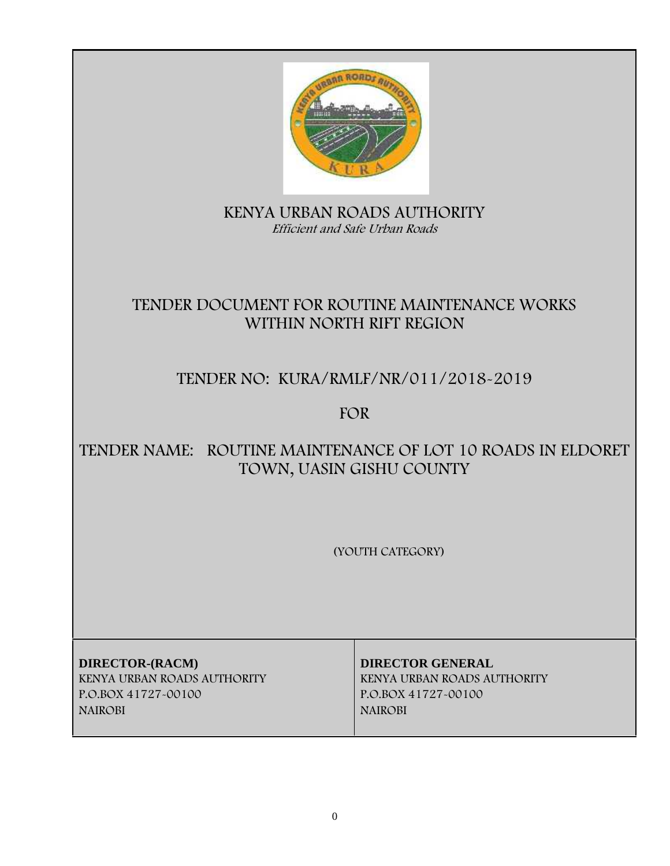

# **KENYA URBAN ROADS AUTHORITY** *Efficient and Safe Urban Roads*

# **TENDER DOCUMENT FOR ROUTINE MAINTENANCE WORKS WITHIN NORTH RIFT REGION**

# **TENDER NO: KURA/RMLF/NR/011/2018-2019**

**FOR**

# **TENDER NAME: ROUTINE MAINTENANCE OF LOT 10 ROADS IN ELDORET TOWN, UASIN GISHU COUNTY**

**(YOUTH CATEGORY)**

**DIRECTOR-(RACM) DIRECTOR GENERAL KENYA URBAN ROADS AUTHORITY KENYA URBAN ROADS AUTHORITY P.O.BOX 41727-00100 P.O.BOX 41727-00100 NAIROBI NAIROBI**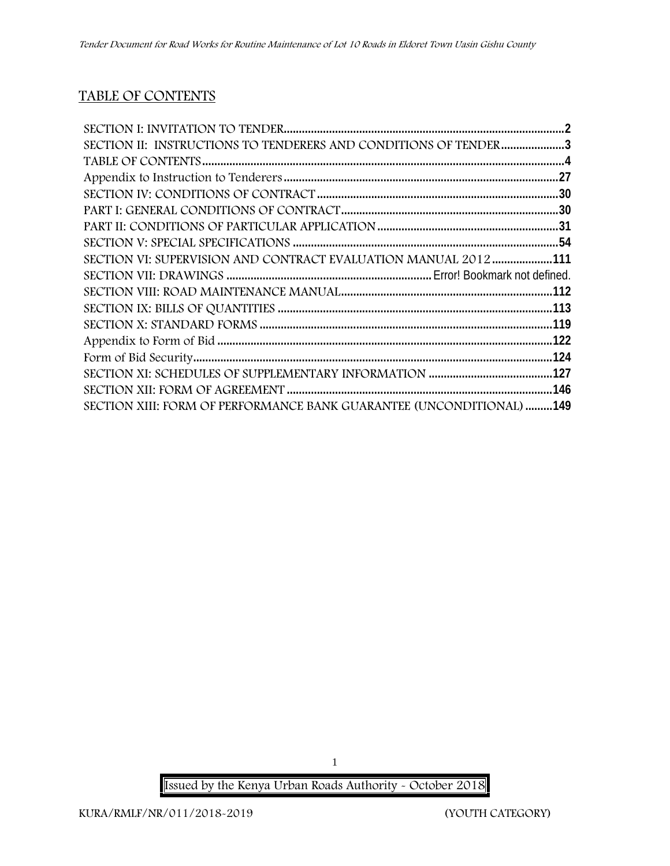# **TABLE OF CONTENTS**

| SECTION II: INSTRUCTIONS TO TENDERERS AND CONDITIONS OF TENDER3 |  |
|-----------------------------------------------------------------|--|
|                                                                 |  |
|                                                                 |  |
|                                                                 |  |
|                                                                 |  |
|                                                                 |  |
|                                                                 |  |
| SECTION VI: SUPERVISION AND CONTRACT EVALUATION MANUAL 2012 111 |  |
|                                                                 |  |
|                                                                 |  |
|                                                                 |  |
|                                                                 |  |
|                                                                 |  |
|                                                                 |  |
|                                                                 |  |
|                                                                 |  |
|                                                                 |  |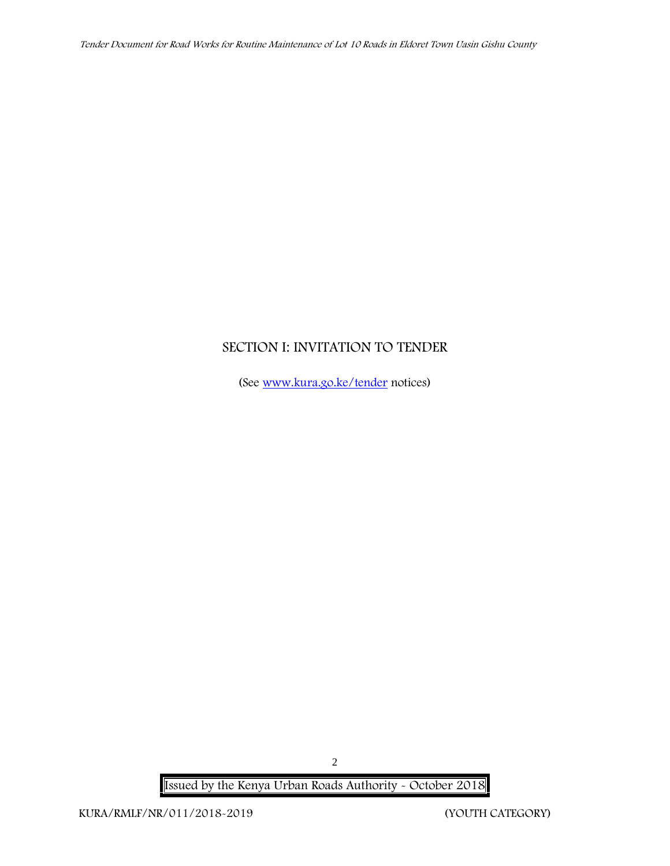# **SECTION I: INVITATION TO TENDER**

(See www.kura.go.ke/tender notices)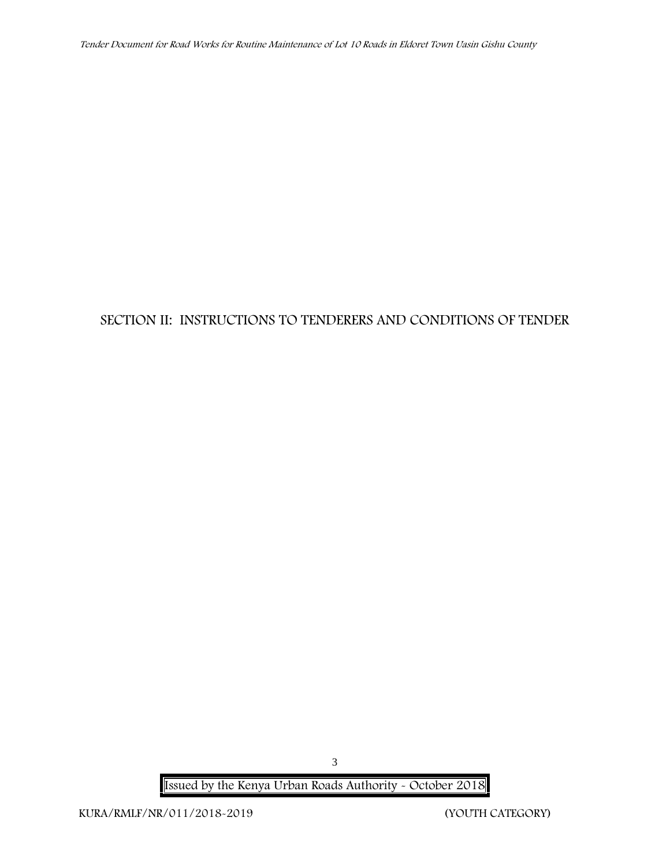# **SECTION II: INSTRUCTIONS TO TENDERERS AND CONDITIONS OF TENDER**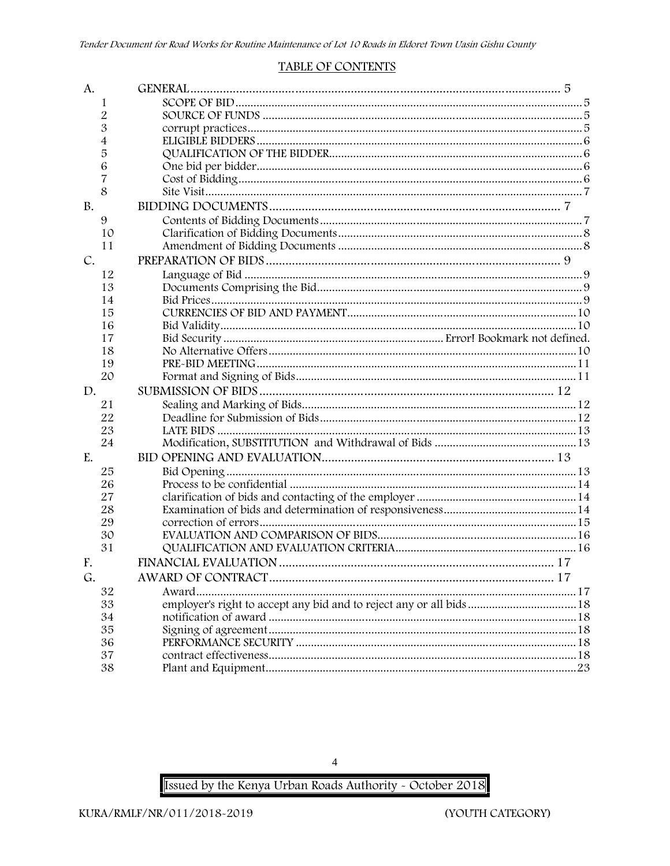#### **TABLE OF CONTENTS**

| A.          |    |                                                                     |  |
|-------------|----|---------------------------------------------------------------------|--|
|             | 1  |                                                                     |  |
|             | 2  |                                                                     |  |
|             | 3  |                                                                     |  |
|             | 4  |                                                                     |  |
|             | 5  |                                                                     |  |
|             | 6  |                                                                     |  |
|             | 7  |                                                                     |  |
|             | 8  |                                                                     |  |
| <b>B.</b>   |    |                                                                     |  |
|             | 9  |                                                                     |  |
|             | 10 |                                                                     |  |
|             | 11 |                                                                     |  |
| $C_{\cdot}$ |    |                                                                     |  |
|             | 12 |                                                                     |  |
|             | 13 |                                                                     |  |
|             | 14 |                                                                     |  |
|             | 15 |                                                                     |  |
|             | 16 |                                                                     |  |
|             | 17 |                                                                     |  |
|             | 18 |                                                                     |  |
|             | 19 |                                                                     |  |
|             | 20 |                                                                     |  |
| D.          |    |                                                                     |  |
|             | 21 |                                                                     |  |
|             | 22 |                                                                     |  |
|             | 23 |                                                                     |  |
|             | 24 |                                                                     |  |
| E.          |    |                                                                     |  |
|             | 25 |                                                                     |  |
|             | 26 |                                                                     |  |
|             | 27 |                                                                     |  |
|             | 28 |                                                                     |  |
|             | 29 |                                                                     |  |
|             | 30 |                                                                     |  |
|             | 31 |                                                                     |  |
| F.          |    |                                                                     |  |
| G.          |    |                                                                     |  |
|             | 32 | Award                                                               |  |
|             | 33 | employer's right to accept any bid and to reject any or all bids 18 |  |
|             | 34 |                                                                     |  |
|             | 35 |                                                                     |  |
|             | 36 |                                                                     |  |
|             | 37 |                                                                     |  |
|             | 38 |                                                                     |  |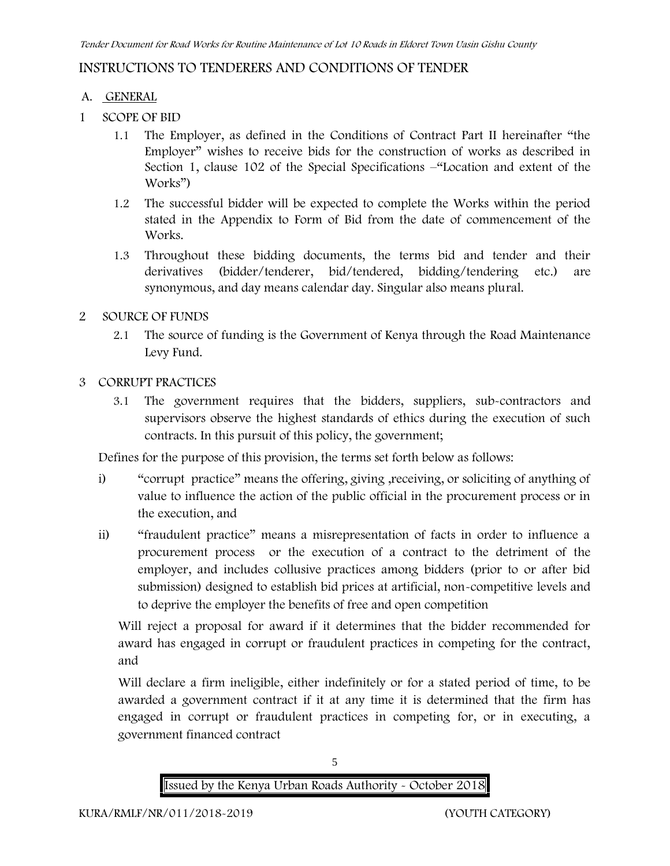## **INSTRUCTIONS TO TENDERERS AND CONDITIONS OF TENDER**

#### **A. GENERAL**

- **1 SCOPE OF BID**
	- 1.1 The Employer, as defined in the Conditions of Contract Part II hereinafter "the Employer" wishes to receive bids for the construction of works as described in Section 1, clause 102 of the Special Specifications –"Location and extent of the Works")
	- 1.2 The successful bidder will be expected to complete the Works within the period stated in the Appendix to Form of Bid from the date of commencement of the Works.
	- 1.3 Throughout these bidding documents, the terms bid and tender and their derivatives (bidder/tenderer, bid/tendered, bidding/tendering etc.) are synonymous, and day means calendar day. Singular also means plural.

### **2 SOURCE OF FUNDS**

- 2.1 The source of funding is the Government of Kenya through the Road Maintenance Levy Fund.
- **3 CORRUPT PRACTICES**
	- 3.1 The government requires that the bidders, suppliers, sub-contractors and supervisors observe the highest standards of ethics during the execution of such contracts. In this pursuit of this policy, the government;

Defines for the purpose of this provision, the terms set forth below as follows:

- i) "corrupt practice" means the offering, giving ,receiving, or soliciting of anything of value to influence the action of the public official in the procurement process or in the execution, and
- ii) "fraudulent practice" means a misrepresentation of facts in order to influence a procurement process or the execution of a contract to the detriment of the employer, and includes collusive practices among bidders (prior to or after bid submission) designed to establish bid prices at artificial, non-competitive levels and to deprive the employer the benefits of free and open competition

Will reject a proposal for award if it determines that the bidder recommended for award has engaged in corrupt or fraudulent practices in competing for the contract, and

Will declare a firm ineligible, either indefinitely or for a stated period of time, to be awarded a government contract if it at any time it is determined that the firm has engaged in corrupt or fraudulent practices in competing for, or in executing, a government financed contract



5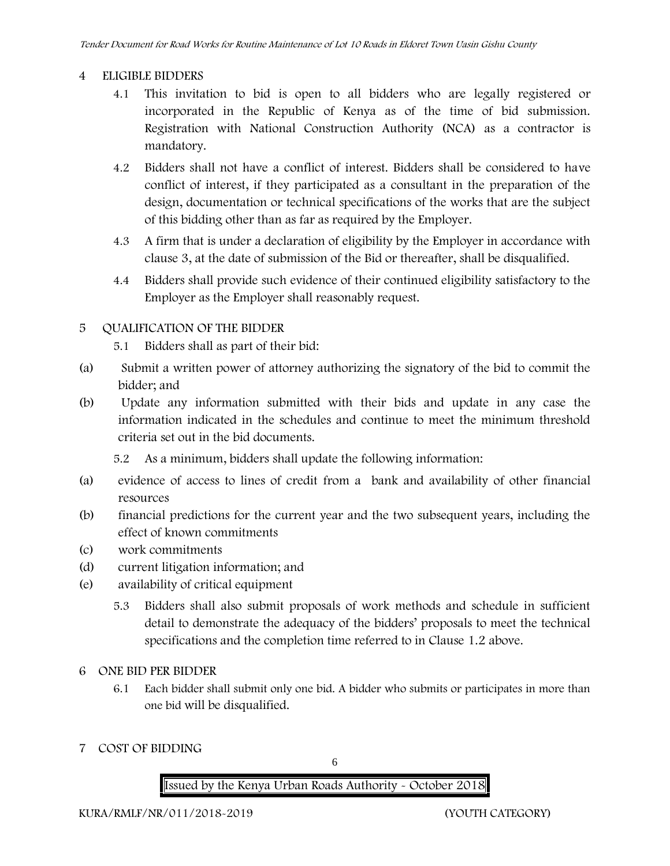#### **4 ELIGIBLE BIDDERS**

- 4.1 This invitation to bid is open to all bidders who are legally registered or incorporated in the Republic of Kenya as of the time of bid submission. Registration with National Construction Authority (NCA) as a contractor is mandatory.
- 4.2 Bidders shall not have a conflict of interest. Bidders shall be considered to have conflict of interest, if they participated as a consultant in the preparation of the design, documentation or technical specifications of the works that are the subject of this bidding other than as far as required by the Employer.
- 4.3 A firm that is under a declaration of eligibility by the Employer in accordance with clause 3, at the date of submission of the Bid or thereafter, shall be disqualified.
- 4.4 Bidders shall provide such evidence of their continued eligibility satisfactory to the Employer as the Employer shall reasonably request.

### **5 QUALIFICATION OF THE BIDDER**

- 5.1 Bidders shall as part of their bid:
- (a) Submit a written power of attorney authorizing the signatory of the bid to commit the bidder; and
- (b) Update any information submitted with their bids and update in any case the information indicated in the schedules and continue to meet the minimum threshold criteria set out in the bid documents.

5.2 As a minimum, bidders shall update the following information:

- (a) evidence of access to lines of credit from a bank and availability of other financial resources
- (b) financial predictions for the current year and the two subsequent years, including the effect of known commitments
- (c) work commitments
- (d) current litigation information; and
- (e) availability of critical equipment
	- 5.3 Bidders shall also submit proposals of work methods and schedule in sufficient detail to demonstrate the adequacy of the bidders' proposals to meet the technical specifications and the completion time referred to in Clause 1.2 above.
- **6 ONE BID PER BIDDER**
	- 6.1 Each bidder shall submit only one bid. A bidder who submits or participates in more than one bid will be disqualified.
- **7 COST OF BIDDING**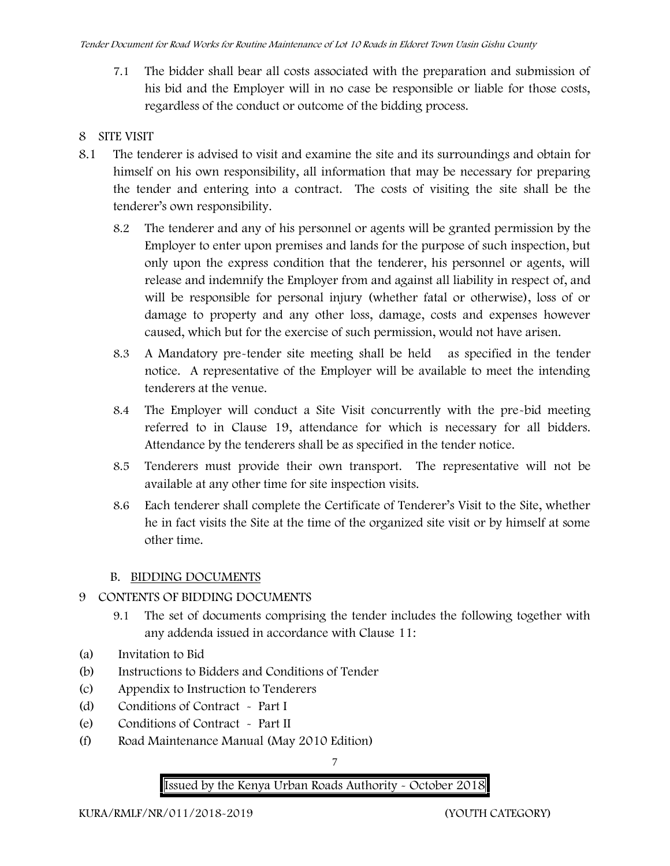7.1 The bidder shall bear all costs associated with the preparation and submission of his bid and the Employer will in no case be responsible or liable for those costs, regardless of the conduct or outcome of the bidding process.

#### **8 SITE VISIT**

- 8.1 The tenderer is advised to visit and examine the site and its surroundings and obtain for himself on his own responsibility, all information that may be necessary for preparing the tender and entering into a contract. The costs of visiting the site shall be the tenderer's own responsibility.
	- 8.2 The tenderer and any of his personnel or agents will be granted permission by the Employer to enter upon premises and lands for the purpose of such inspection, but only upon the express condition that the tenderer, his personnel or agents, will release and indemnify the Employer from and against all liability in respect of, and will be responsible for personal injury (whether fatal or otherwise), loss of or damage to property and any other loss, damage, costs and expenses however caused, which but for the exercise of such permission, would not have arisen.
	- 8.3 A Mandatory pre-tender site meeting shall be held as specified in the tender notice. A representative of the Employer will be available to meet the intending tenderers at the venue.
	- 8.4 The Employer will conduct a Site Visit concurrently with the pre-bid meeting referred to in Clause 19, attendance for which is necessary for all bidders. Attendance by the tenderers shall be as specified in the tender notice.
	- 8.5 Tenderers must provide their own transport. The representative will not be available at any other time for site inspection visits.
	- 8.6 Each tenderer shall complete the Certificate of Tenderer's Visit to the Site, whether he in fact visits the Site at the time of the organized site visit or by himself at some other time.

#### **B. BIDDING DOCUMENTS**

# **9 CONTENTS OF BIDDING DOCUMENTS**

- 9.1 The set of documents comprising the tender includes the following together with any addenda issued in accordance with Clause 11:
- (a) Invitation to Bid
- (b) Instructions to Bidders and Conditions of Tender
- (c) Appendix to Instruction to Tenderers
- (d) Conditions of Contract Part I
- (e) Conditions of Contract Part II
- (f) Road Maintenance Manual (May 2010 Edition)

### 7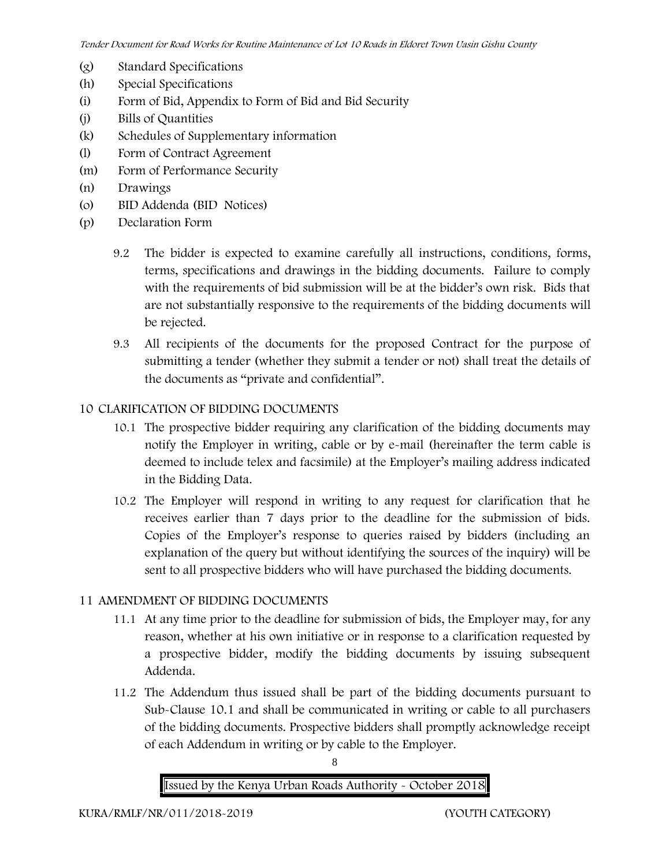- (g) Standard Specifications
- (h) Special Specifications
- (i) Form of Bid, Appendix to Form of Bid and Bid Security
- (j) Bills of Quantities
- (k) Schedules of Supplementary information
- (l) Form of Contract Agreement
- (m) Form of Performance Security
- (n) Drawings
- (o) BID Addenda (BID Notices)
- (p) Declaration Form
	- 9.2 The bidder is expected to examine carefully all instructions, conditions, forms, terms, specifications and drawings in the bidding documents. Failure to comply with the requirements of bid submission will be at the bidder's own risk. Bids that are not substantially responsive to the requirements of the bidding documents will be rejected.
	- 9.3 All recipients of the documents for the proposed Contract for the purpose of submitting a tender (whether they submit a tender or not) shall treat the details of the documents as "private and confidential".

### **10 CLARIFICATION OF BIDDING DOCUMENTS**

- 10.1 The prospective bidder requiring any clarification of the bidding documents may notify the Employer in writing, cable or by e-mail (hereinafter the term cable is deemed to include telex and facsimile) at the Employer's mailing address indicated in the Bidding Data.
- 10.2 The Employer will respond in writing to any request for clarification that he receives earlier than 7 days prior to the deadline for the submission of bids. Copies of the Employer's response to queries raised by bidders (including an explanation of the query but without identifying the sources of the inquiry) will be sent to all prospective bidders who will have purchased the bidding documents.

#### **11 AMENDMENT OF BIDDING DOCUMENTS**

- 11.1 At any time prior to the deadline for submission of bids, the Employer may, for any reason, whether at his own initiative or in response to a clarification requested by a prospective bidder, modify the bidding documents by issuing subsequent Addenda.
- 11.2 The Addendum thus issued shall be part of the bidding documents pursuant to Sub-Clause 10.1 and shall be communicated in writing or cable to all purchasers of the bidding documents. Prospective bidders shall promptly acknowledge receipt of each Addendum in writing or by cable to the Employer.

8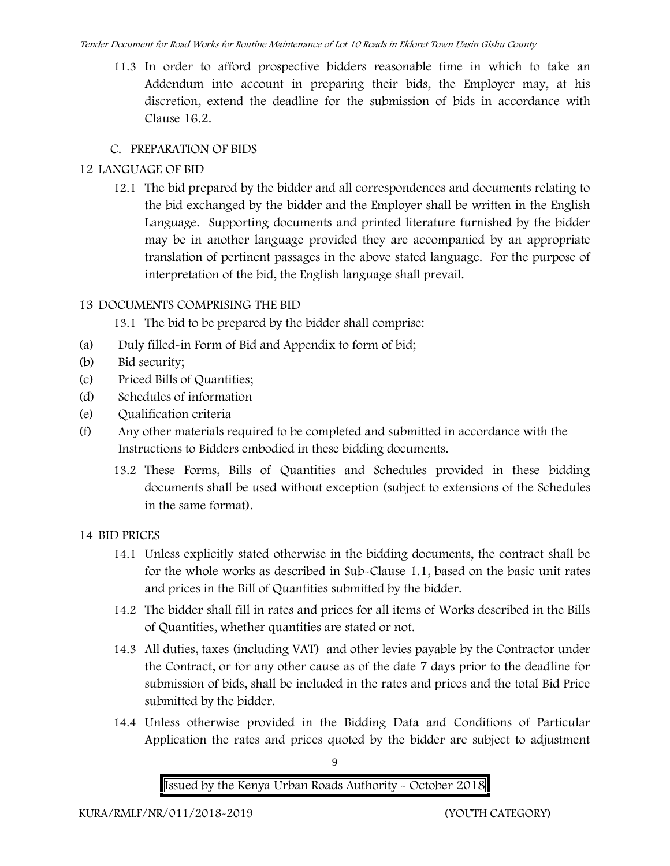11.3 In order to afford prospective bidders reasonable time in which to take an Addendum into account in preparing their bids, the Employer may, at his discretion, extend the deadline for the submission of bids in accordance with Clause 16.2.

# **C. PREPARATION OF BIDS**

# **12 LANGUAGE OF BID**

12.1 The bid prepared by the bidder and all correspondences and documents relating to the bid exchanged by the bidder and the Employer shall be written in the English Language. Supporting documents and printed literature furnished by the bidder may be in another language provided they are accompanied by an appropriate translation of pertinent passages in the above stated language. For the purpose of interpretation of the bid, the English language shall prevail.

# **13 DOCUMENTS COMPRISING THE BID**

13.1 The bid to be prepared by the bidder shall comprise:

- (a) Duly filled-in Form of Bid and Appendix to form of bid;
- (b) Bid security;
- (c) Priced Bills of Quantities;
- (d) Schedules of information
- (e) Qualification criteria
- (f) Any other materials required to be completed and submitted in accordance with the Instructions to Bidders embodied in these bidding documents.
	- 13.2 These Forms, Bills of Quantities and Schedules provided in these bidding documents shall be used without exception (subject to extensions of the Schedules in the same format).

# **14 BID PRICES**

- 14.1 Unless explicitly stated otherwise in the bidding documents, the contract shall be for the whole works as described in Sub-Clause 1.1, based on the basic unit rates and prices in the Bill of Quantities submitted by the bidder.
- 14.2 The bidder shall fill in rates and prices for all items of Works described in the Bills of Quantities, whether quantities are stated or not.
- 14.3 All duties, taxes (including VAT) and other levies payable by the Contractor under the Contract, or for any other cause as of the date 7 days prior to the deadline for submission of bids, shall be included in the rates and prices and the total Bid Price submitted by the bidder.
- 14.4 Unless otherwise provided in the Bidding Data and Conditions of Particular Application the rates and prices quoted by the bidder are subject to adjustment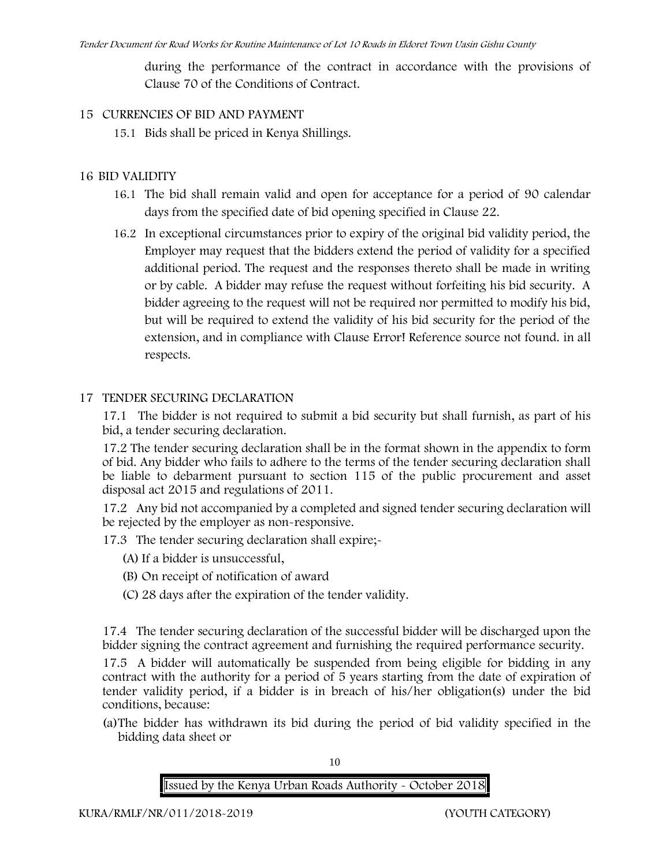during the performance of the contract in accordance with the provisions of Clause 70 of the Conditions of Contract.

#### **15 CURRENCIES OF BID AND PAYMENT**

15.1 Bids shall be priced in Kenya Shillings.

#### **16 BID VALIDITY**

- 16.1 The bid shall remain valid and open for acceptance for a period of 90 calendar days from the specified date of bid opening specified in Clause 22.
- 16.2 In exceptional circumstances prior to expiry of the original bid validity period, the Employer may request that the bidders extend the period of validity for a specified additional period. The request and the responses thereto shall be made in writing or by cable. A bidder may refuse the request without forfeiting his bid security. A bidder agreeing to the request will not be required nor permitted to modify his bid, but will be required to extend the validity of his bid security for the period of the extension, and in compliance with Clause **Error! Reference source not found.** in all respects.

#### **17 TENDER SECURING DECLARATION**

17.1 The bidder is not required to submit a bid security but shall furnish, as part of his bid, a tender securing declaration.

17.2 The tender securing declaration shall be in the format shown in the appendix to form of bid. Any bidder who fails to adhere to the terms of the tender securing declaration shall be liable to debarment pursuant to section 115 of the public procurement and asset disposal act 2015 and regulations of 2011.

17.2 Any bid not accompanied by a completed and signed tender securing declaration will be rejected by the employer as non-responsive.

17.3 The tender securing declaration shall expire;-

- (A) If a bidder is unsuccessful,
- (B) On receipt of notification of award
- (C) 28 days after the expiration of the tender validity.

17.4 The tender securing declaration of the successful bidder will be discharged upon the bidder signing the contract agreement and furnishing the required performance security.

17.5 A bidder will automatically be suspended from being eligible for bidding in any contract with the authority for a period of 5 years starting from the date of expiration of tender validity period, if a bidder is in breach of his/her obligation(s) under the bid conditions, because:

(a)The bidder has withdrawn its bid during the period of bid validity specified in the bidding data sheet or

10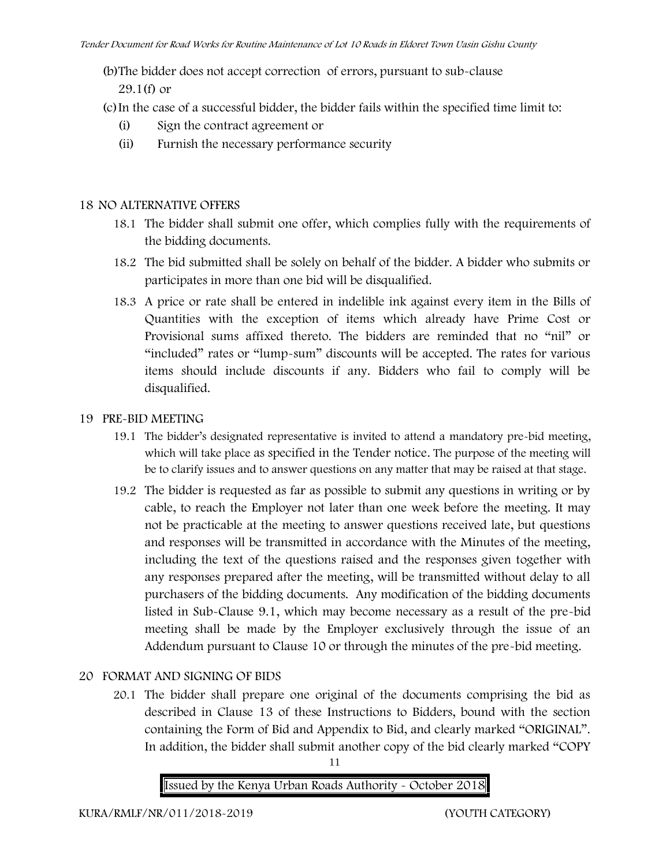(b)The bidder does not accept correction of errors, pursuant to sub-clause

29.1(f) or

(c)In the case of a successful bidder, the bidder fails within the specified time limit to:

- (i) Sign the contract agreement or
- (ii) Furnish the necessary performance security

# **18 NO ALTERNATIVE OFFERS**

- 18.1 The bidder shall submit one offer, which complies fully with the requirements of the bidding documents.
- 18.2 The bid submitted shall be solely on behalf of the bidder. A bidder who submits or participates in more than one bid will be disqualified.
- 18.3 A price or rate shall be entered in indelible ink against every item in the Bills of Quantities with the exception of items which already have Prime Cost or Provisional sums affixed thereto. The bidders are reminded that no "nil" or "included" rates or "lump-sum" discounts will be accepted. The rates for various items should include discounts if any. Bidders who fail to comply will be disqualified.

# **19 PRE-BID MEETING**

- 19.1 The bidder's designated representative is invited to attend a mandatory pre-bid meeting, which will take place as specified in the Tender notice. The purpose of the meeting will be to clarify issues and to answer questions on any matter that may be raised at that stage.
- 19.2 The bidder is requested as far as possible to submit any questions in writing or by cable, to reach the Employer not later than one week before the meeting. It may not be practicable at the meeting to answer questions received late, but questions and responses will be transmitted in accordance with the Minutes of the meeting, including the text of the questions raised and the responses given together with any responses prepared after the meeting, will be transmitted without delay to all purchasers of the bidding documents. Any modification of the bidding documents listed in Sub-Clause 9.1, which may become necessary as a result of the pre-bid meeting shall be made by the Employer exclusively through the issue of an Addendum pursuant to Clause 10 or through the minutes of the pre-bid meeting.

# **20 FORMAT AND SIGNING OF BIDS**

20.1 The bidder shall prepare one original of the documents comprising the bid as described in Clause 13 of these Instructions to Bidders, bound with the section containing the Form of Bid and Appendix to Bid, and clearly marked "ORIGINAL". In addition, the bidder shall submit another copy of the bid clearly marked "COPY

11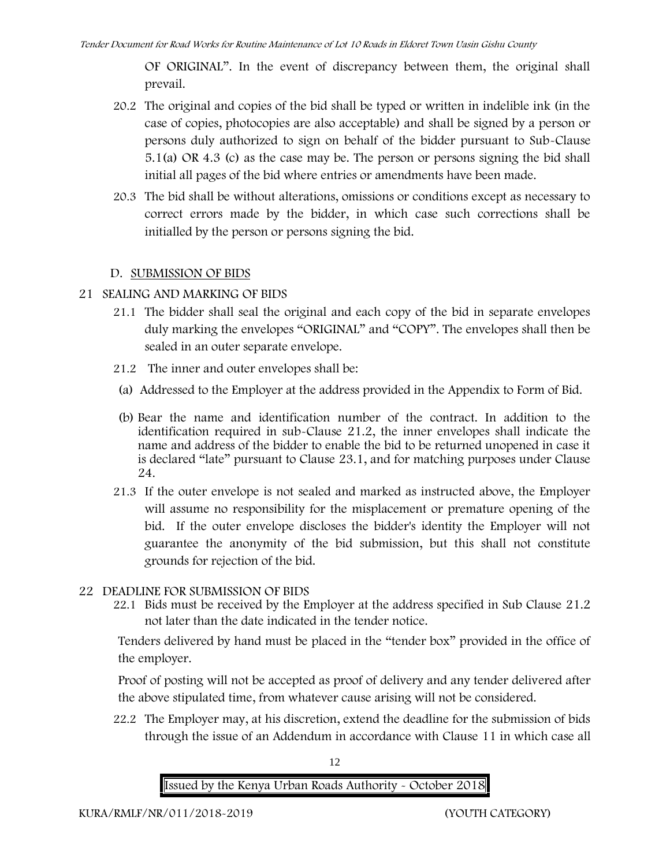OF ORIGINAL". In the event of discrepancy between them, the original shall prevail.

- 20.2 The original and copies of the bid shall be typed or written in indelible ink (in the case of copies, photocopies are also acceptable) and shall be signed by a person or persons duly authorized to sign on behalf of the bidder pursuant to Sub-Clause 5.1(a) OR 4.3 (c) as the case may be. The person or persons signing the bid shall initial all pages of the bid where entries or amendments have been made.
- 20.3 The bid shall be without alterations, omissions or conditions except as necessary to correct errors made by the bidder, in which case such corrections shall be initialled by the person or persons signing the bid.

### **D. SUBMISSION OF BIDS**

#### **21 SEALING AND MARKING OF BIDS**

- 21.1 The bidder shall seal the original and each copy of the bid in separate envelopes duly marking the envelopes "ORIGINAL" and "COPY". The envelopes shall then be sealed in an outer separate envelope.
- 21.2 The inner and outer envelopes shall be:
- (a) Addressed to the Employer at the address provided in the Appendix to Form of Bid.
- (b) Bear the name and identification number of the contract. In addition to the identification required in sub-Clause 21.2, the inner envelopes shall indicate the name and address of the bidder to enable the bid to be returned unopened in case it is declared "late" pursuant to Clause 23.1, and for matching purposes under Clause 24.
- 21.3 If the outer envelope is not sealed and marked as instructed above, the Employer will assume no responsibility for the misplacement or premature opening of the bid. If the outer envelope discloses the bidder's identity the Employer will not guarantee the anonymity of the bid submission, but this shall not constitute grounds for rejection of the bid.

#### **22 DEADLINE FOR SUBMISSION OF BIDS**

22.1 Bids must be received by the Employer at the address specified in Sub Clause 21.2 not later than **the date indicated in the tender notice.**

Tenders delivered by hand must be placed in the "tender box" provided in the office of the employer.

Proof of posting will not be accepted as proof of delivery and any tender delivered after the above stipulated time, from whatever cause arising will not be considered.

22.2 The Employer may, at his discretion, extend the deadline for the submission of bids through the issue of an Addendum in accordance with Clause 11 in which case all

12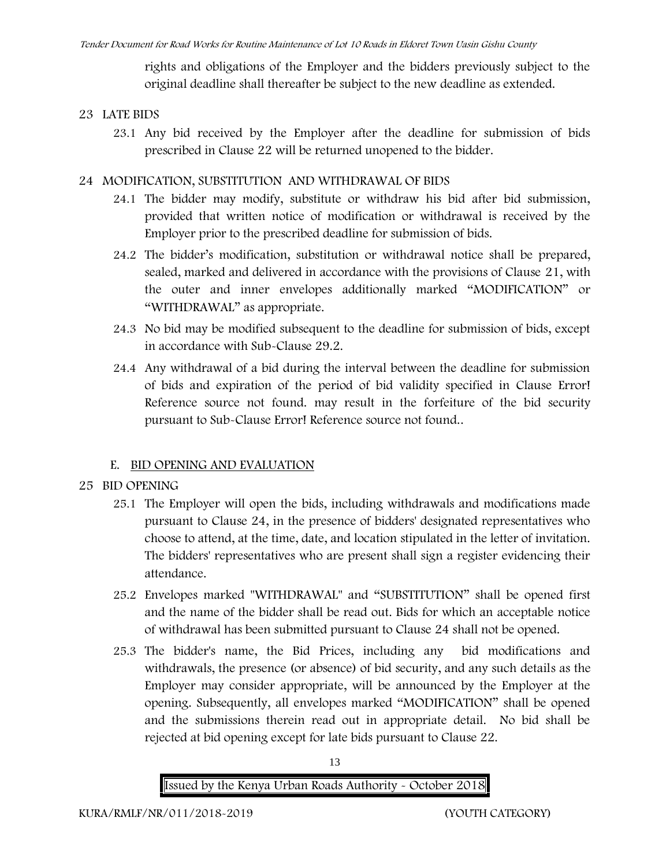rights and obligations of the Employer and the bidders previously subject to the original deadline shall thereafter be subject to the new deadline as extended.

### **23 LATE BIDS**

23.1 Any bid received by the Employer after the deadline for submission of bids prescribed in Clause 22 will be returned unopened to the bidder.

## **24 MODIFICATION, SUBSTITUTION AND WITHDRAWAL OF BIDS**

- 24.1 The bidder may modify, substitute or withdraw his bid after bid submission, provided that written notice of modification or withdrawal is received by the Employer prior to the prescribed deadline for submission of bids.
- 24.2 The bidder's modification, substitution or withdrawal notice shall be prepared, sealed, marked and delivered in accordance with the provisions of Clause 21, with the outer and inner envelopes additionally marked "MODIFICATION" or "WITHDRAWAL" as appropriate.
- 24.3 No bid may be modified subsequent to the deadline for submission of bids, except in accordance with Sub-Clause 29.2.
- 24.4 Any withdrawal of a bid during the interval between the deadline for submission of bids and expiration of the period of bid validity specified in Clause **Error! Reference source not found.** may result in the forfeiture of the bid security pursuant to Sub-Clause **Error! Reference source not found.**.

# **E. BID OPENING AND EVALUATION**

- **25 BID OPENING**
	- 25.1 The Employer will open the bids, including withdrawals and modifications made pursuant to Clause 24, in the presence of bidders' designated representatives who choose to attend, at the time, date, and location stipulated in the letter of invitation. The bidders' representatives who are present shall sign a register evidencing their attendance.
	- 25.2 Envelopes marked "WITHDRAWAL" and "SUBSTITUTION" shall be opened first and the name of the bidder shall be read out. Bids for which an acceptable notice of withdrawal has been submitted pursuant to Clause 24 shall not be opened.
	- 25.3 The bidder's name, the Bid Prices, including any bid modifications and withdrawals, the presence (or absence) of bid security, and any such details as the Employer may consider appropriate, will be announced by the Employer at the opening. Subsequently, all envelopes marked "MODIFICATION" shall be opened and the submissions therein read out in appropriate detail. No bid shall be rejected at bid opening except for late bids pursuant to Clause 22.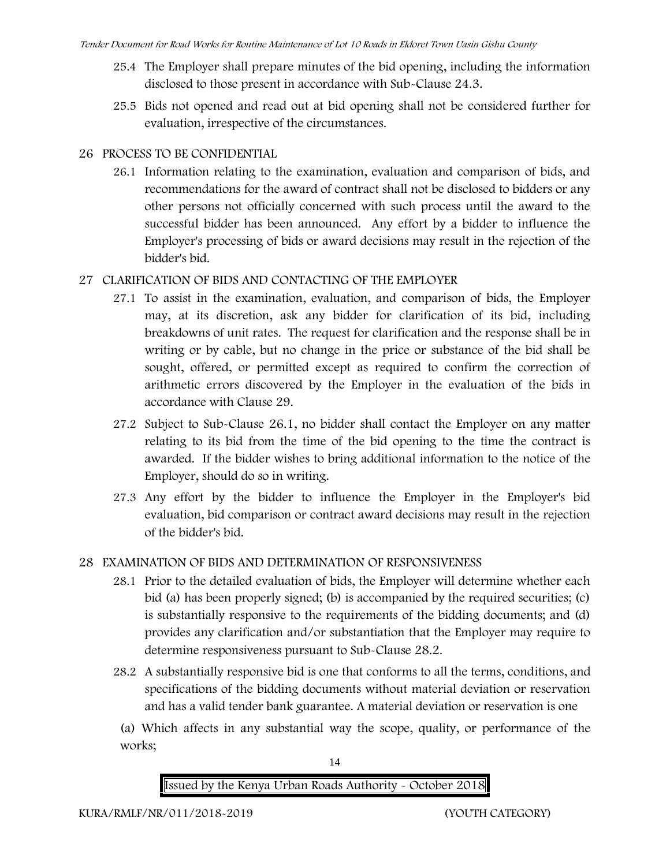- 25.4 The Employer shall prepare minutes of the bid opening, including the information disclosed to those present in accordance with Sub-Clause 24.3.
- 25.5 Bids not opened and read out at bid opening shall not be considered further for evaluation, irrespective of the circumstances.

# **26 PROCESS TO BE CONFIDENTIAL**

26.1 Information relating to the examination, evaluation and comparison of bids, and recommendations for the award of contract shall not be disclosed to bidders or any other persons not officially concerned with such process until the award to the successful bidder has been announced. Any effort by a bidder to influence the Employer's processing of bids or award decisions may result in the rejection of the bidder's bid.

# **27 CLARIFICATION OF BIDS AND CONTACTING OF THE EMPLOYER**

- 27.1 To assist in the examination, evaluation, and comparison of bids, the Employer may, at its discretion, ask any bidder for clarification of its bid, including breakdowns of unit rates. The request for clarification and the response shall be in writing or by cable, but no change in the price or substance of the bid shall be sought, offered, or permitted except as required to confirm the correction of arithmetic errors discovered by the Employer in the evaluation of the bids in accordance with Clause 29.
- 27.2 Subject to Sub-Clause 26.1, no bidder shall contact the Employer on any matter relating to its bid from the time of the bid opening to the time the contract is awarded. If the bidder wishes to bring additional information to the notice of the Employer, should do so in writing.
- 27.3 Any effort by the bidder to influence the Employer in the Employer's bid evaluation, bid comparison or contract award decisions may result in the rejection of the bidder's bid.

# **28 EXAMINATION OF BIDS AND DETERMINATION OF RESPONSIVENESS**

- 28.1 Prior to the detailed evaluation of bids, the Employer will determine whether each bid (a) has been properly signed; (b) is accompanied by the required securities; (c) is substantially responsive to the requirements of the bidding documents; and (d) provides any clarification and/or substantiation that the Employer may require to determine responsiveness pursuant to Sub-Clause 28.2.
- 28.2 A substantially responsive bid is one that conforms to all the terms, conditions, and specifications of the bidding documents without material deviation or reservation and has a valid tender bank guarantee. A material deviation or reservation is one

(a) Which affects in any substantial way the scope, quality, or performance of the works;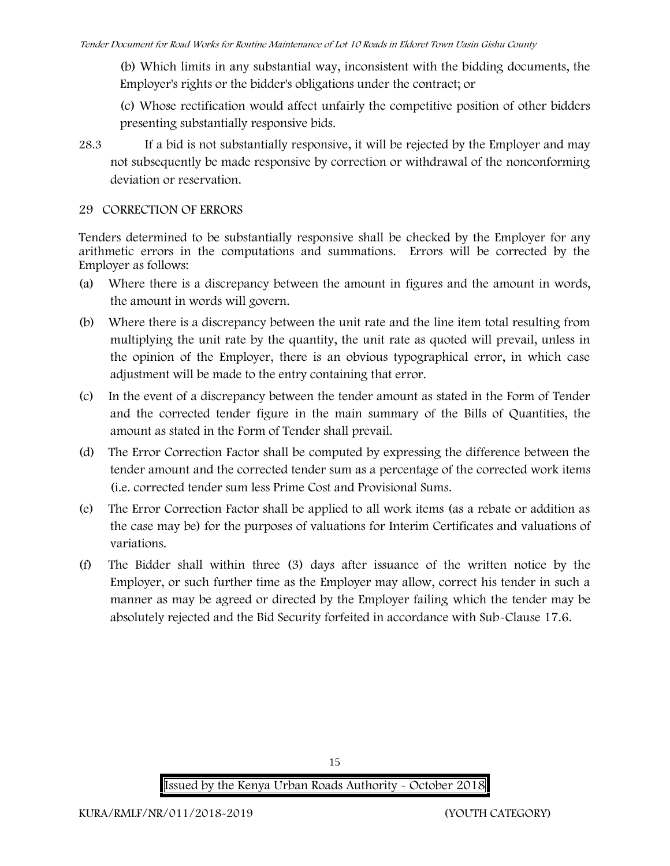(b) Which limits in any substantial way, inconsistent with the bidding documents, the Employer's rights or the bidder's obligations under the contract; or

(c) Whose rectification would affect unfairly the competitive position of other bidders presenting substantially responsive bids.

28.3 If a bid is not substantially responsive, it will be rejected by the Employer and may not subsequently be made responsive by correction or withdrawal of the nonconforming deviation or reservation.

### **29 CORRECTION OF ERRORS**

Tenders determined to be substantially responsive shall be checked by the Employer for any arithmetic errors in the computations and summations. Errors will be corrected by the Employer as follows:

- (a) Where there is a discrepancy between the amount in figures and the amount in words, the amount in words will govern.
- (b) Where there is a discrepancy between the unit rate and the line item total resulting from multiplying the unit rate by the quantity, the unit rate as quoted will prevail, unless in the opinion of the Employer, there is an obvious typographical error, in which case adjustment will be made to the entry containing that error.
- (c) In the event of a discrepancy between the tender amount as stated in the Form of Tender and the corrected tender figure in the main summary of the Bills of Quantities, the amount as stated in the Form of Tender shall prevail.
- (d) The Error Correction Factor shall be computed by expressing the difference between the tender amount and the corrected tender sum as a percentage of the corrected work items (i.e. corrected tender sum less Prime Cost and Provisional Sums.
- (e) The Error Correction Factor shall be applied to all work items (as a rebate or addition as the case may be) for the purposes of valuations for Interim Certificates and valuations of variations.
- (f) The Bidder shall within three (3) days after issuance of the written notice by the Employer, or such further time as the Employer may allow, correct his tender in such a manner as may be agreed or directed by the Employer failing which the tender may be absolutely rejected and the Bid Security forfeited in accordance with Sub-Clause 17.6.

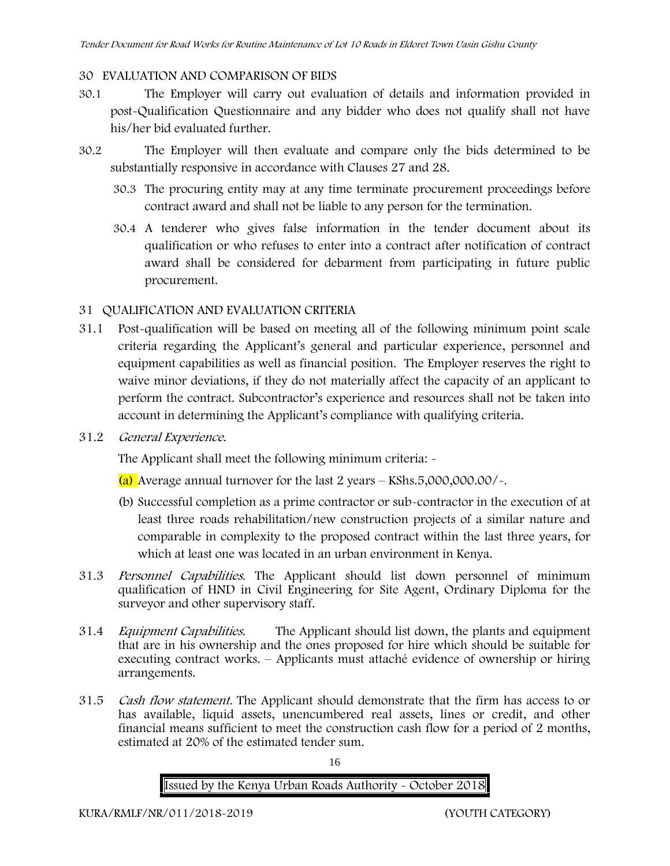### **30 EVALUATION AND COMPARISON OF BIDS**

- 30.1 The Employer will carry out evaluation of details and information provided in post-Qualification Questionnaire and any bidder who does not qualify shall not have his/her bid evaluated further.
- 30.2 The Employer will then evaluate and compare only the bids determined to be substantially responsive in accordance with Clauses 27 and 28.
	- 30.3 The procuring entity may at any time terminate procurement proceedings before contract award and shall not be liable to any person for the termination.
	- 30.4 A tenderer who gives false information in the tender document about its qualification or who refuses to enter into a contract after notification of contract award shall be considered for debarment from participating in future public procurement.

### **31 QUALIFICATION AND EVALUATION CRITERIA**

- 31.1 Post-qualification will be based on meeting all of the following minimum point scale criteria regarding the Applicant's general and particular experience, personnel and equipment capabilities as well as financial position. The Employer reserves the right to waive minor deviations, if they do not materially affect the capacity of an applicant to perform the contract. Subcontractor's experience and resources shall not be taken into account in determining the Applicant's compliance with qualifying criteria.
- **31.2** *General Experience***.**

The Applicant shall meet the following minimum criteria:  $\sim$ 

- (a) Average annual turnover for the last 2 years **KShs.5,000,000.00/-.**
- (b) Successful completion as a prime contractor or sub-contractor in the execution of at least three roads rehabilitation/new construction projects of a similar nature and comparable in complexity to the proposed contract within the last three years, for which at least one was located in an urban environment in Kenya.
- 31.3 *Personnel Capabilities***.** The Applicant should list down personnel of minimum qualification of HND in Civil Engineering for Site Agent, Ordinary Diploma for the surveyor and other supervisory staff.
- 31.4 *Equipment Capabilities.* The Applicant should list down, the plants and equipment that are in his ownership and the ones proposed for hire which should be suitable for executing contract works. – Applicants must attaché evidence of ownership or hiring arrangements.
- 31.5 *Cash flow statement.* The Applicant should demonstrate that the firm has access to or has available, liquid assets, unencumbered real assets, lines or credit, and other financial means sufficient to meet the construction cash flow for a period of 2 months, estimated at 20% of the estimated tender sum.

16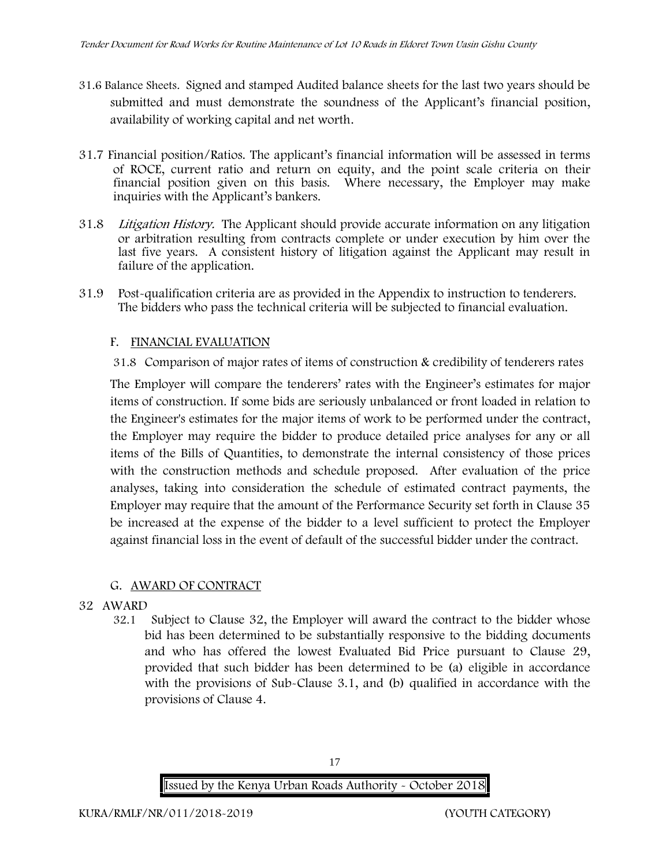- **31.6 Balance Sheets***.* Signed and stamped Audited balance sheets for the last two years should be submitted and must demonstrate the soundness of the Applicant's financial position, availability of working capital and net worth.
- **31.7 Financial position/Ratios.** The applicant's financial information will be assessed in terms of ROCE, current ratio and return on equity, and the point scale criteria on their financial position given on this basis. Where necessary, the Employer may make inquiries with the Applicant's bankers.
- 31.8 *Litigation History.* The Applicant should provide accurate information on any litigation or arbitration resulting from contracts complete or under execution by him over the last five years. A consistent history of litigation against the Applicant may result in failure of the application.
- 31.9 Post-qualification criteria are as provided in the Appendix to instruction to tenderers. The bidders who pass the technical criteria will be subjected to financial evaluation.

#### **F. FINANCIAL EVALUATION**

31.8 Comparison of major rates of items of construction & credibility of tenderers rates

The Employer will compare the tenderers' rates with the Engineer's estimates for major items of construction. If some bids are seriously unbalanced or front loaded in relation to the Engineer's estimates for the major items of work to be performed under the contract, the Employer may require the bidder to produce detailed price analyses for any or all items of the Bills of Quantities, to demonstrate the internal consistency of those prices with the construction methods and schedule proposed. After evaluation of the price analyses, taking into consideration the schedule of estimated contract payments, the Employer may require that the amount of the Performance Security set forth in Clause 35 be increased at the expense of the bidder to a level sufficient to protect the Employer against financial loss in the event of default of the successful bidder under the contract.

#### **G. AWARD OF CONTRACT**

- **32 AWARD**
	- 32.1 Subject to Clause 32, the Employer will award the contract to the bidder whose bid has been determined to be substantially responsive to the bidding documents and who has offered the lowest Evaluated Bid Price pursuant to Clause 29, provided that such bidder has been determined to be (a) eligible in accordance with the provisions of Sub-Clause 3.1, and (b) qualified in accordance with the provisions of Clause 4.

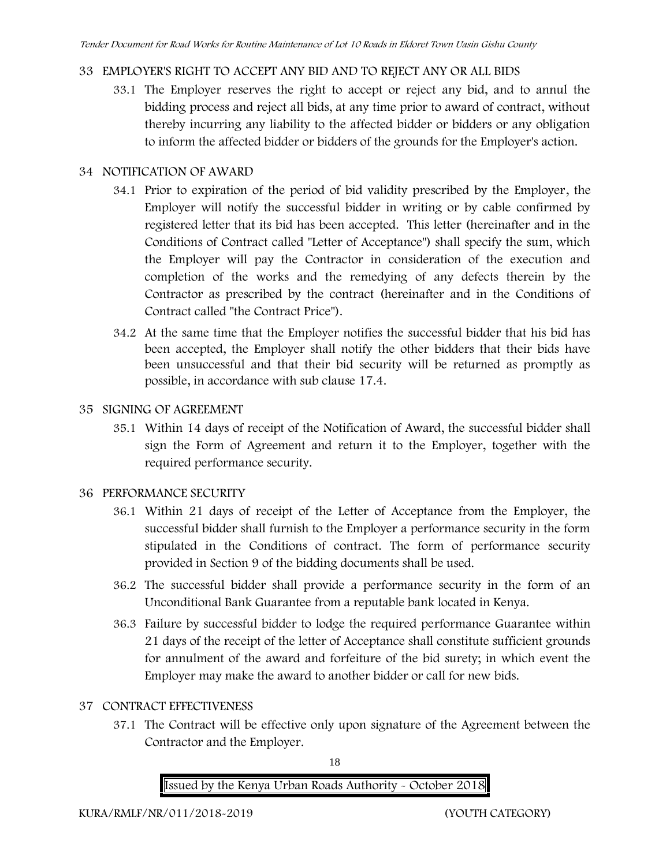# **33 EMPLOYER'S RIGHT TO ACCEPT ANY BID AND TO REJECT ANY OR ALL BIDS**

33.1 The Employer reserves the right to accept or reject any bid, and to annul the bidding process and reject all bids, at any time prior to award of contract, without thereby incurring any liability to the affected bidder or bidders or any obligation to inform the affected bidder or bidders of the grounds for the Employer's action.

# **34 NOTIFICATION OF AWARD**

- 34.1 Prior to expiration of the period of bid validity prescribed by the Employer, the Employer will notify the successful bidder in writing or by cable confirmed by registered letter that its bid has been accepted. This letter (hereinafter and in the Conditions of Contract called "Letter of Acceptance") shall specify the sum, which the Employer will pay the Contractor in consideration of the execution and completion of the works and the remedying of any defects therein by the Contractor as prescribed by the contract (hereinafter and in the Conditions of Contract called "the Contract Price").
- 34.2 At the same time that the Employer notifies the successful bidder that his bid has been accepted, the Employer shall notify the other bidders that their bids have been unsuccessful and that their bid security will be returned as promptly as possible, in accordance with sub clause 17.4.

# **35 SIGNING OF AGREEMENT**

35.1 Within 14 days of receipt of the Notification of Award, the successful bidder shall sign the Form of Agreement and return it to the Employer, together with the required performance security.

# **36 PERFORMANCE SECURITY**

- 36.1 Within 21 days of receipt of the Letter of Acceptance from the Employer, the successful bidder shall furnish to the Employer a performance security in the form stipulated in the Conditions of contract. The form of performance security provided in Section 9 of the bidding documents shall be used.
- 36.2 The successful bidder shall provide a performance security in the form of an Unconditional Bank Guarantee from a reputable bank located in Kenya.
- 36.3 Failure by successful bidder to lodge the required performance Guarantee within 21 days of the receipt of the letter of Acceptance shall constitute sufficient grounds for annulment of the award and forfeiture of the bid surety; in which event the Employer may make the award to another bidder or call for new bids.

# **37 CONTRACT EFFECTIVENESS**

37.1 The Contract will be effective only upon signature of the Agreement between the Contractor and the Employer.

18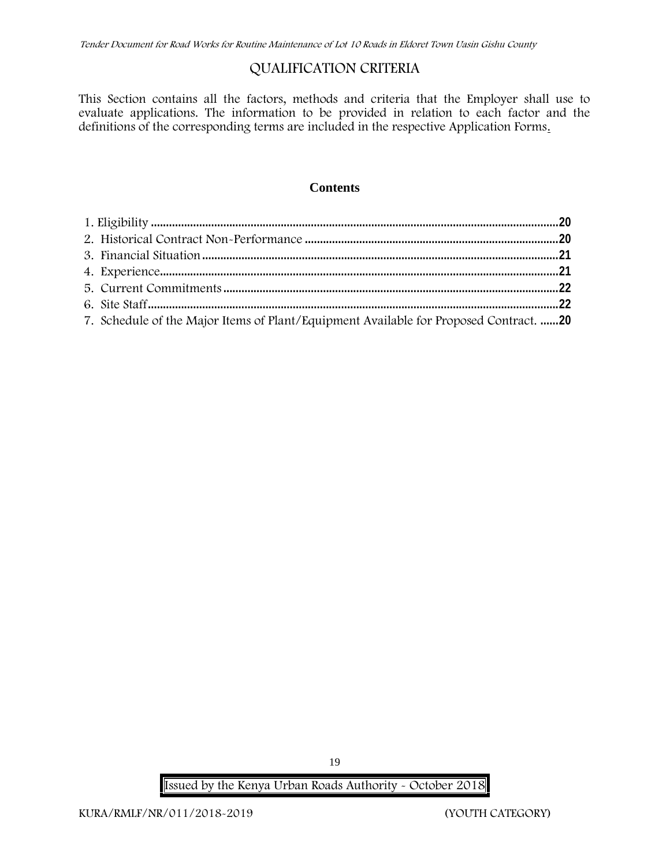# **QUALIFICATION CRITERIA**

This Section contains all the factors, methods and criteria that the Employer shall use to evaluate applications. The information to be provided in relation to each factor and the definitions of the corresponding terms are included in the respective Application Forms.

#### **Contents**

| 7. Schedule of the Major Items of Plant/Equipment Available for Proposed Contract. 20 |  |
|---------------------------------------------------------------------------------------|--|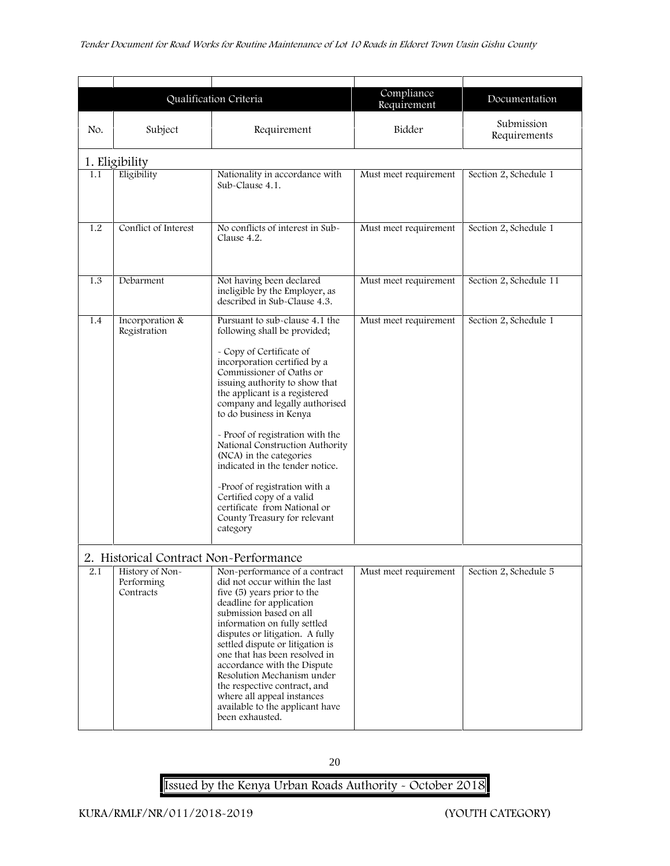|                |                                                                                      | Qualification Criteria                                                                                                                                                                                                                                                                                                                                                                                                                                                                                                                                                | Compliance<br>Requirement | Documentation              |  |  |
|----------------|--------------------------------------------------------------------------------------|-----------------------------------------------------------------------------------------------------------------------------------------------------------------------------------------------------------------------------------------------------------------------------------------------------------------------------------------------------------------------------------------------------------------------------------------------------------------------------------------------------------------------------------------------------------------------|---------------------------|----------------------------|--|--|
| No.            | Subject                                                                              | Requirement                                                                                                                                                                                                                                                                                                                                                                                                                                                                                                                                                           | Bidder                    | Submission<br>Requirements |  |  |
| 1. Eligibility |                                                                                      |                                                                                                                                                                                                                                                                                                                                                                                                                                                                                                                                                                       |                           |                            |  |  |
| 1.1            | Eligibility                                                                          | Nationality in accordance with<br>Sub-Clause 4.1.                                                                                                                                                                                                                                                                                                                                                                                                                                                                                                                     | Must meet requirement     | Section 2, Schedule 1      |  |  |
| 1.2            | Conflict of Interest                                                                 | No conflicts of interest in Sub-<br>Clause 4.2.                                                                                                                                                                                                                                                                                                                                                                                                                                                                                                                       | Must meet requirement     | Section 2, Schedule 1      |  |  |
| 1.3            | Debarment                                                                            | Not having been declared<br>ineligible by the Employer, as<br>described in Sub-Clause 4.3.                                                                                                                                                                                                                                                                                                                                                                                                                                                                            | Must meet requirement     | Section 2, Schedule 11     |  |  |
| 1.4            | Incorporation &<br>Registration                                                      | Pursuant to sub-clause 4.1 the<br>following shall be provided;<br>- Copy of Certificate of<br>incorporation certified by a<br>Commissioner of Oaths or<br>issuing authority to show that<br>the applicant is a registered<br>company and legally authorised<br>to do business in Kenya<br>- Proof of registration with the<br>National Construction Authority<br>(NCA) in the categories<br>indicated in the tender notice.<br>-Proof of registration with a<br>Certified copy of a valid<br>certificate from National or<br>County Treasury for relevant<br>category | Must meet requirement     | Section 2, Schedule 1      |  |  |
| 2.1            | 2. Historical Contract Non-Performance<br>History of Non-<br>Performing<br>Contracts | Non-performance of a contract<br>did not occur within the last<br>five (5) years prior to the<br>deadline for application<br>submission based on all<br>information on fully settled<br>disputes or litigation. A fully<br>settled dispute or litigation is<br>one that has been resolved in<br>accordance with the Dispute<br>Resolution Mechanism under<br>the respective contract, and<br>where all appeal instances<br>available to the applicant have<br>been exhausted.                                                                                         | Must meet requirement     | Section 2, Schedule 5      |  |  |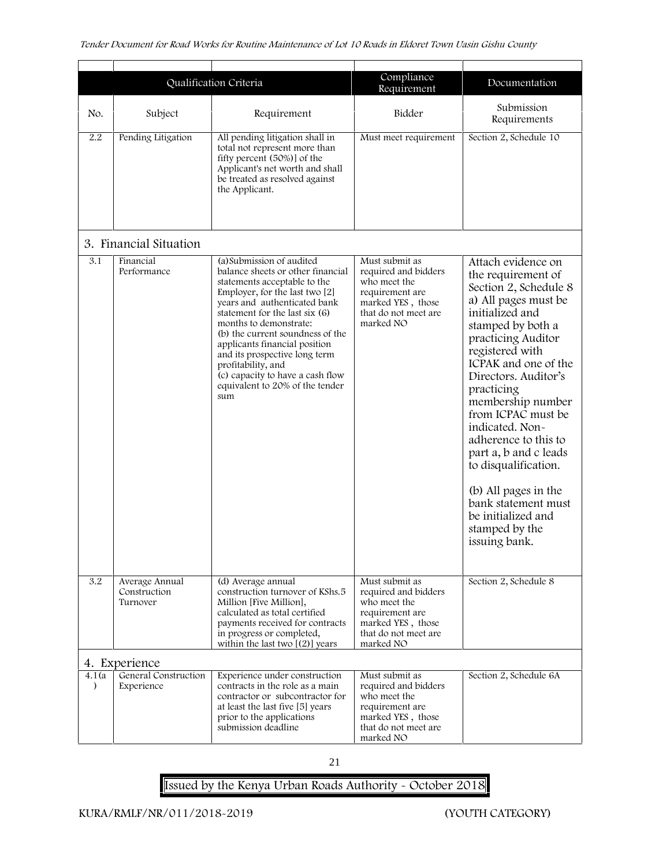|                     |                                            | Qualification Criteria                                                                                                                                                                                                                                                                                                                                                                                                                 | Compliance<br>Requirement                                                                                                           | Documentation                                                                                                                                                                                                                                                                                                                                                                                                                                                                           |
|---------------------|--------------------------------------------|----------------------------------------------------------------------------------------------------------------------------------------------------------------------------------------------------------------------------------------------------------------------------------------------------------------------------------------------------------------------------------------------------------------------------------------|-------------------------------------------------------------------------------------------------------------------------------------|-----------------------------------------------------------------------------------------------------------------------------------------------------------------------------------------------------------------------------------------------------------------------------------------------------------------------------------------------------------------------------------------------------------------------------------------------------------------------------------------|
| No.                 | Subject                                    | Requirement                                                                                                                                                                                                                                                                                                                                                                                                                            | Bidder                                                                                                                              | Submission<br>Requirements                                                                                                                                                                                                                                                                                                                                                                                                                                                              |
| 2.2                 | Pending Litigation                         | All pending litigation shall in<br>total not represent more than<br>fifty percent (50%)] of the<br>Applicant's net worth and shall<br>be treated as resolved against<br>the Applicant.                                                                                                                                                                                                                                                 | Must meet requirement                                                                                                               | Section 2, Schedule 10                                                                                                                                                                                                                                                                                                                                                                                                                                                                  |
|                     | 3. Financial Situation                     |                                                                                                                                                                                                                                                                                                                                                                                                                                        |                                                                                                                                     |                                                                                                                                                                                                                                                                                                                                                                                                                                                                                         |
| 3.1                 | Financial<br>Performance                   | (a) Submission of audited<br>balance sheets or other financial<br>statements acceptable to the<br>Employer, for the last two [2]<br>years and authenticated bank<br>statement for the last six (6)<br>months to demonstrate:<br>(b) the current soundness of the<br>applicants financial position<br>and its prospective long term<br>profitability, and<br>(c) capacity to have a cash flow<br>equivalent to 20% of the tender<br>sum | Must submit as<br>required and bidders<br>who meet the<br>requirement are<br>marked YES, those<br>that do not meet are<br>marked NO | Attach evidence on<br>the requirement of<br>Section 2, Schedule 8<br>a) All pages must be<br>initialized and<br>stamped by both a<br>practicing Auditor<br>registered with<br>ICPAK and one of the<br>Directors. Auditor's<br>practicing<br>membership number<br>from ICPAC must be<br>indicated. Non-<br>adherence to this to<br>part a, b and c leads<br>to disqualification.<br>(b) All pages in the<br>bank statement must<br>be initialized and<br>stamped by the<br>issuing bank. |
| 3.2                 | Average Annual<br>Construction<br>Turnover | (d) Average annual<br>construction turnover of KShs.5<br>Million [Five Million],<br>calculated as total certified<br>payments received for contracts<br>in progress or completed,<br>within the last two $[(2)]$ years                                                                                                                                                                                                                 | Must submit as<br>required and bidders<br>who meet the<br>requirement are<br>marked YES, those<br>that do not meet are<br>marked NO | Section 2, Schedule 8                                                                                                                                                                                                                                                                                                                                                                                                                                                                   |
|                     | 4. Experience                              |                                                                                                                                                                                                                                                                                                                                                                                                                                        |                                                                                                                                     |                                                                                                                                                                                                                                                                                                                                                                                                                                                                                         |
| 4.1 (a<br>$\lambda$ | General Construction<br>Experience         | Experience under construction<br>contracts in the role as a main<br>contractor or subcontractor for<br>at least the last five [5] years<br>prior to the applications<br>submission deadline                                                                                                                                                                                                                                            | Must submit as<br>required and bidders<br>who meet the<br>requirement are<br>marked YES, those<br>that do not meet are<br>marked NO | Section 2, Schedule 6A                                                                                                                                                                                                                                                                                                                                                                                                                                                                  |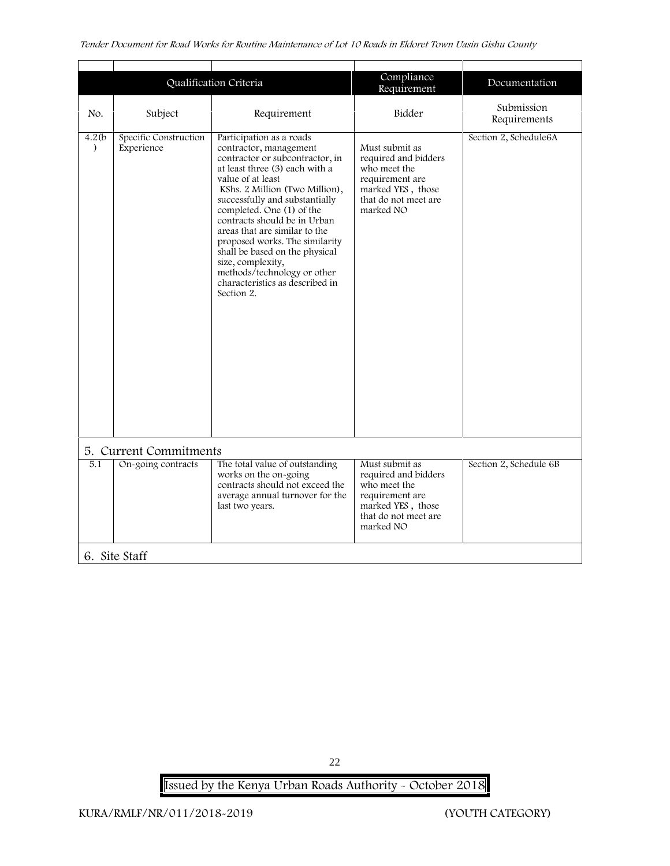| Compliance<br>Qualification Criteria<br>Documentation<br>Requirement<br>Submission<br>Bidder<br>No.<br>Subject<br>Requirement<br>Requirements<br>Specific Construction<br>4.2(b)<br>Participation as a roads<br>Section 2, Schedule6A<br>Experience<br>contractor, management<br>Must submit as<br>$\lambda$<br>contractor or subcontractor, in<br>required and bidders<br>at least three (3) each with a<br>who meet the<br>requirement are<br>value of at least<br>KShs. 2 Million (Two Million),<br>marked YES, those<br>successfully and substantially<br>that do not meet are<br>completed. One (1) of the<br>marked NO<br>contracts should be in Urban<br>areas that are similar to the<br>proposed works. The similarity<br>shall be based on the physical<br>size, complexity,<br>methods/technology or other<br>characteristics as described in<br>Section 2.<br>5. Current Commitments<br>5.1<br>On-going contracts<br>The total value of outstanding<br>Must submit as<br>Section 2, Schedule 6B<br>works on the on-going<br>required and bidders<br>contracts should not exceed the<br>who meet the<br>average annual turnover for the<br>requirement are<br>marked YES, those<br>last two years.<br>that do not meet are<br>marked NO |  |  |  |
|----------------------------------------------------------------------------------------------------------------------------------------------------------------------------------------------------------------------------------------------------------------------------------------------------------------------------------------------------------------------------------------------------------------------------------------------------------------------------------------------------------------------------------------------------------------------------------------------------------------------------------------------------------------------------------------------------------------------------------------------------------------------------------------------------------------------------------------------------------------------------------------------------------------------------------------------------------------------------------------------------------------------------------------------------------------------------------------------------------------------------------------------------------------------------------------------------------------------------------------------------|--|--|--|
|                                                                                                                                                                                                                                                                                                                                                                                                                                                                                                                                                                                                                                                                                                                                                                                                                                                                                                                                                                                                                                                                                                                                                                                                                                                    |  |  |  |
|                                                                                                                                                                                                                                                                                                                                                                                                                                                                                                                                                                                                                                                                                                                                                                                                                                                                                                                                                                                                                                                                                                                                                                                                                                                    |  |  |  |
|                                                                                                                                                                                                                                                                                                                                                                                                                                                                                                                                                                                                                                                                                                                                                                                                                                                                                                                                                                                                                                                                                                                                                                                                                                                    |  |  |  |
|                                                                                                                                                                                                                                                                                                                                                                                                                                                                                                                                                                                                                                                                                                                                                                                                                                                                                                                                                                                                                                                                                                                                                                                                                                                    |  |  |  |
|                                                                                                                                                                                                                                                                                                                                                                                                                                                                                                                                                                                                                                                                                                                                                                                                                                                                                                                                                                                                                                                                                                                                                                                                                                                    |  |  |  |

22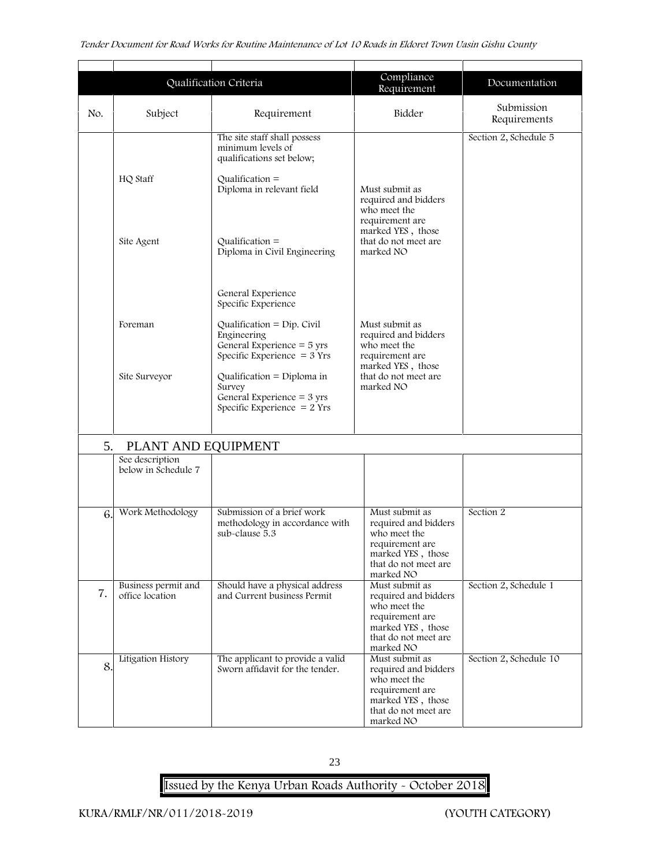|     |                                        | Qualification Criteria                                                                                        | Compliance<br>Requirement                                                                                                           | Documentation              |
|-----|----------------------------------------|---------------------------------------------------------------------------------------------------------------|-------------------------------------------------------------------------------------------------------------------------------------|----------------------------|
| No. | Subject<br>Requirement                 |                                                                                                               | Bidder                                                                                                                              | Submission<br>Requirements |
|     |                                        | The site staff shall possess<br>minimum levels of<br>qualifications set below;                                |                                                                                                                                     | Section 2, Schedule 5      |
|     | HQ Staff                               | Qualification $=$<br>Diploma in relevant field                                                                | Must submit as<br>required and bidders<br>who meet the<br>requirement are                                                           |                            |
|     | Site Agent                             | Qualification $=$<br>Diploma in Civil Engineering                                                             | marked YES, those<br>that do not meet are<br>marked NO                                                                              |                            |
|     |                                        | General Experience<br>Specific Experience                                                                     |                                                                                                                                     |                            |
|     | Foreman                                | Qualification = $Dip$ . Civil<br>Engineering<br>General Experience $=$ 5 yrs<br>Specific Experience $= 3$ Yrs | Must submit as<br>required and bidders<br>who meet the<br>requirement are                                                           |                            |
|     | Site Surveyor                          | Qualification = Diploma in<br>Survey<br>General Experience = 3 yrs<br>Specific Experience $= 2$ Yrs           | marked YES, those<br>that do not meet are<br>marked NO                                                                              |                            |
| 5.  | PLANT AND EQUIPMENT                    |                                                                                                               |                                                                                                                                     |                            |
|     | See description<br>below in Schedule 7 |                                                                                                               |                                                                                                                                     |                            |
| 6.  | Work Methodology                       | Submission of a brief work<br>methodology in accordance with<br>sub-clause 5.3                                | Must submit as<br>required and bidders<br>who meet the<br>requirement are<br>marked YES, those<br>that do not meet are<br>marked NO | Section 2                  |
| 7.  | Business permit and<br>office location | Should have a physical address<br>and Current business Permit                                                 | Must submit as<br>required and bidders<br>who meet the<br>requirement are<br>marked YES, those<br>that do not meet are<br>marked NO | Section 2, Schedule 1      |
| 8.  | Litigation History                     | The applicant to provide a valid<br>Sworn affidavit for the tender.                                           | Must submit as<br>required and bidders<br>who meet the<br>requirement are<br>marked YES, those<br>that do not meet are<br>marked NO | Section 2, Schedule 10     |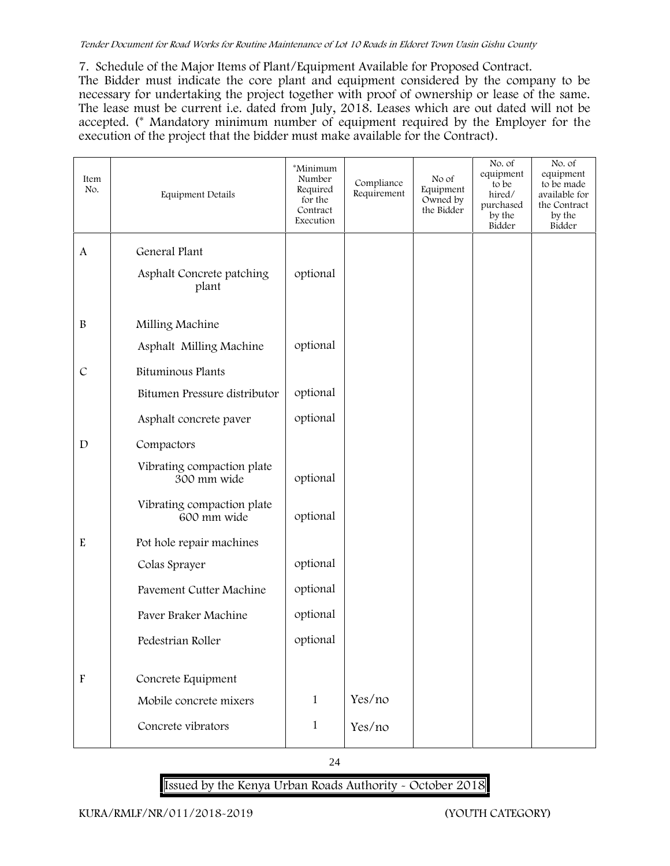#### *Tender Document for Road Works for Routine Maintenance of Lot 10 Roads in Eldoret Town Uasin Gishu County*

**7. Schedule of the Major Items of Plant/Equipment Available for Proposed Contract.**

The Bidder must indicate the core plant and equipment considered by the company to be necessary for undertaking the project together with proof of ownership or lease of the same. The lease must be current i.e. dated from July, 2018. Leases which are out dated will not be accepted. (\* Mandatory minimum number of equipment required by the Employer for the execution of the project that the bidder must make available for the Contract).

| Item<br>No.               | Equipment Details                            | *Minimum<br>Number<br>Required<br>for the<br>Contract<br>Execution | Compliance<br>Requirement | No of<br>Equipment<br>Owned by<br>the Bidder | No. of<br>equipment<br>to be<br>hired/<br>purchased<br>by the<br>Bidder | No. of<br>equipment<br>to be made<br>available for<br>the Contract<br>by the<br>Bidder |
|---------------------------|----------------------------------------------|--------------------------------------------------------------------|---------------------------|----------------------------------------------|-------------------------------------------------------------------------|----------------------------------------------------------------------------------------|
| $\mathbf{A}$              | General Plant                                |                                                                    |                           |                                              |                                                                         |                                                                                        |
|                           | Asphalt Concrete patching<br>plant           | optional                                                           |                           |                                              |                                                                         |                                                                                        |
| $\, {\bf B}$              | Milling Machine                              |                                                                    |                           |                                              |                                                                         |                                                                                        |
|                           | Asphalt Milling Machine                      | optional                                                           |                           |                                              |                                                                         |                                                                                        |
| $\mathcal{C}$             | Bituminous Plants                            |                                                                    |                           |                                              |                                                                         |                                                                                        |
|                           | Bitumen Pressure distributor                 | optional                                                           |                           |                                              |                                                                         |                                                                                        |
|                           | Asphalt concrete paver                       | optional                                                           |                           |                                              |                                                                         |                                                                                        |
| $\mathbf D$               | Compactors                                   |                                                                    |                           |                                              |                                                                         |                                                                                        |
|                           | Vibrating compaction plate<br>300 mm wide    | optional                                                           |                           |                                              |                                                                         |                                                                                        |
|                           | Vibrating compaction plate<br>600 mm wide    | optional                                                           |                           |                                              |                                                                         |                                                                                        |
| ${\bf E}$                 | Pot hole repair machines                     |                                                                    |                           |                                              |                                                                         |                                                                                        |
|                           | Colas Sprayer                                | optional                                                           |                           |                                              |                                                                         |                                                                                        |
|                           | Pavement Cutter Machine                      | optional                                                           |                           |                                              |                                                                         |                                                                                        |
|                           | Paver Braker Machine                         | optional                                                           |                           |                                              |                                                                         |                                                                                        |
|                           | Pedestrian Roller                            | optional                                                           |                           |                                              |                                                                         |                                                                                        |
|                           |                                              |                                                                    |                           |                                              |                                                                         |                                                                                        |
| $\boldsymbol{\mathrm{F}}$ | Concrete Equipment<br>Mobile concrete mixers | $\mathbf{1}$                                                       | Yes/no                    |                                              |                                                                         |                                                                                        |
|                           |                                              |                                                                    |                           |                                              |                                                                         |                                                                                        |
|                           | Concrete vibrators                           | $\mathbf{1}$                                                       | Yes/no                    |                                              |                                                                         |                                                                                        |

24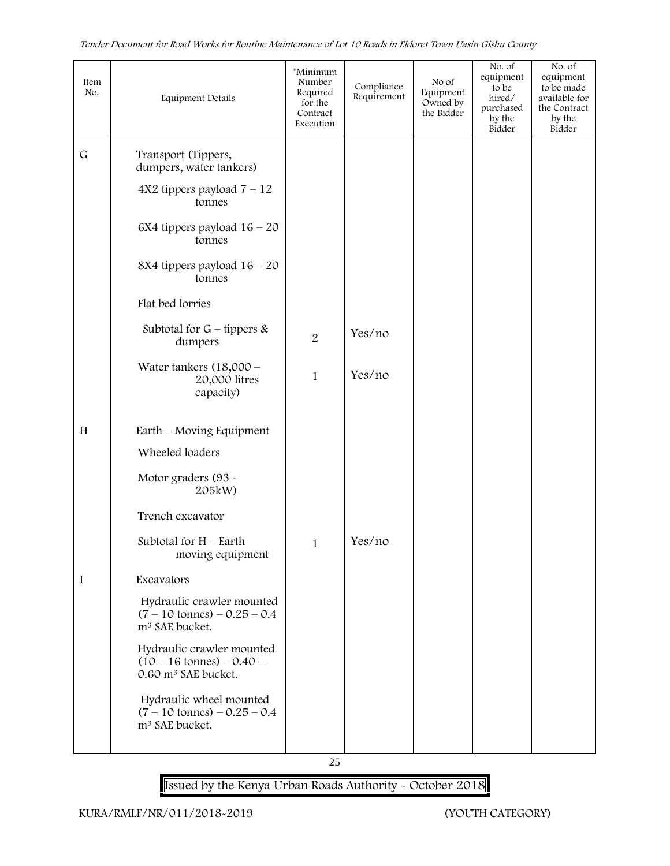| Item<br>No. | Equipment Details                                                                                   | *Minimum<br>Number<br>Required<br>for the<br>Contract<br>Execution | Compliance<br>Requirement | No of<br>Equipment<br>Owned by<br>the Bidder | No. of<br>equipment<br>to be<br>hired/<br>purchased<br>by the<br>Bidder | No. of<br>equipment<br>to be made<br>available for<br>the Contract<br>by the<br>Bidder |
|-------------|-----------------------------------------------------------------------------------------------------|--------------------------------------------------------------------|---------------------------|----------------------------------------------|-------------------------------------------------------------------------|----------------------------------------------------------------------------------------|
| ${\bf G}$   | Transport (Tippers,<br>dumpers, water tankers)                                                      |                                                                    |                           |                                              |                                                                         |                                                                                        |
|             | $4X2$ tippers payload $7 - 12$<br>tonnes                                                            |                                                                    |                           |                                              |                                                                         |                                                                                        |
|             | 6X4 tippers payload $16 - 20$<br>tonnes                                                             |                                                                    |                           |                                              |                                                                         |                                                                                        |
|             | 8X4 tippers payload $16 - 20$<br>tonnes                                                             |                                                                    |                           |                                              |                                                                         |                                                                                        |
|             | Flat bed lorries                                                                                    |                                                                    |                           |                                              |                                                                         |                                                                                        |
|             | Subtotal for $G$ – tippers &<br>dumpers                                                             | $\overline{2}$                                                     | Yes/no                    |                                              |                                                                         |                                                                                        |
|             | Water tankers $(18,000 -$<br>20,000 litres<br>capacity)                                             | $\mathbf{1}$                                                       | Yes/no                    |                                              |                                                                         |                                                                                        |
| H           | Earth – Moving Equipment                                                                            |                                                                    |                           |                                              |                                                                         |                                                                                        |
|             | Wheeled loaders                                                                                     |                                                                    |                           |                                              |                                                                         |                                                                                        |
|             | Motor graders (93 ~<br>205kW)                                                                       |                                                                    |                           |                                              |                                                                         |                                                                                        |
|             | Trench excavator                                                                                    |                                                                    |                           |                                              |                                                                         |                                                                                        |
|             | Subtotal for $H$ – Earth<br>moving equipment                                                        | $\mathbf 1$                                                        | Yes/no                    |                                              |                                                                         |                                                                                        |
| $\bf{I}$    | Excavators                                                                                          |                                                                    |                           |                                              |                                                                         |                                                                                        |
|             | Hydraulic crawler mounted<br>$(7 - 10 \text{ tonnes}) - 0.25 - 0.4$<br>m <sup>3</sup> SAE bucket.   |                                                                    |                           |                                              |                                                                         |                                                                                        |
|             | Hydraulic crawler mounted<br>$(10 - 16 \text{ tonnes}) - 0.40 -$<br>0.60 m <sup>3</sup> SAE bucket. |                                                                    |                           |                                              |                                                                         |                                                                                        |
|             | Hydraulic wheel mounted<br>$(7 - 10 \text{ tonnes}) - 0.25 - 0.4$<br>m <sup>3</sup> SAE bucket.     |                                                                    |                           |                                              |                                                                         |                                                                                        |
|             |                                                                                                     |                                                                    |                           |                                              |                                                                         |                                                                                        |

25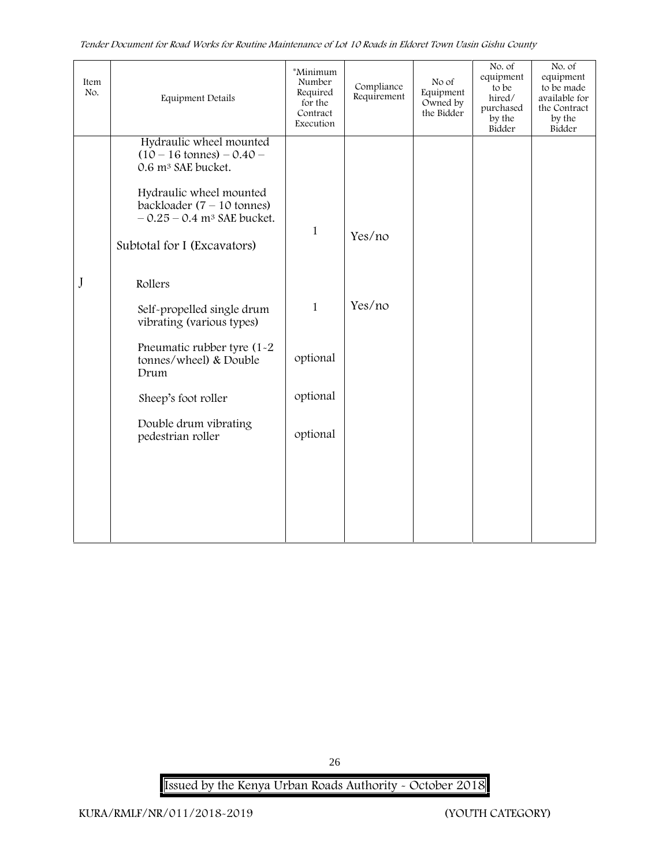| Item<br>No. | Equipment Details                                                                                           | *Minimum<br>Number<br>Required<br>for the<br>Contract<br>Execution | Compliance<br>Requirement | No of<br>Equipment<br>Owned by<br>the Bidder | No. of<br>equipment<br>to be<br>hired/<br>purchased<br>by the<br>Bidder | No. of<br>equipment<br>to be made<br>available for<br>the Contract<br>by the<br>Bidder |
|-------------|-------------------------------------------------------------------------------------------------------------|--------------------------------------------------------------------|---------------------------|----------------------------------------------|-------------------------------------------------------------------------|----------------------------------------------------------------------------------------|
|             | Hydraulic wheel mounted<br>$(10 - 16 \text{ tonnes}) - 0.40 -$<br>0.6 m <sup>3</sup> SAE bucket.            |                                                                    |                           |                                              |                                                                         |                                                                                        |
|             | Hydraulic wheel mounted<br>backloader $(7 - 10 \text{ tonnes})$<br>$-0.25 - 0.4$ m <sup>3</sup> SAE bucket. | $\mathbf{1}$                                                       |                           |                                              |                                                                         |                                                                                        |
|             | Subtotal for I (Excavators)                                                                                 |                                                                    | Yes/no                    |                                              |                                                                         |                                                                                        |
| J           | Rollers                                                                                                     |                                                                    |                           |                                              |                                                                         |                                                                                        |
|             | Self-propelled single drum<br>vibrating (various types)                                                     | $\mathbf{1}$                                                       | Yes/no                    |                                              |                                                                         |                                                                                        |
|             | Pneumatic rubber tyre (1-2<br>tonnes/wheel) & Double<br>Drum                                                | optional                                                           |                           |                                              |                                                                         |                                                                                        |
|             | Sheep's foot roller                                                                                         | optional                                                           |                           |                                              |                                                                         |                                                                                        |
|             | Double drum vibrating<br>pedestrian roller                                                                  | optional                                                           |                           |                                              |                                                                         |                                                                                        |
|             |                                                                                                             |                                                                    |                           |                                              |                                                                         |                                                                                        |
|             |                                                                                                             |                                                                    |                           |                                              |                                                                         |                                                                                        |
|             |                                                                                                             |                                                                    |                           |                                              |                                                                         |                                                                                        |

**Issued by the Kenya Urban Roads Authority - October 2018**

26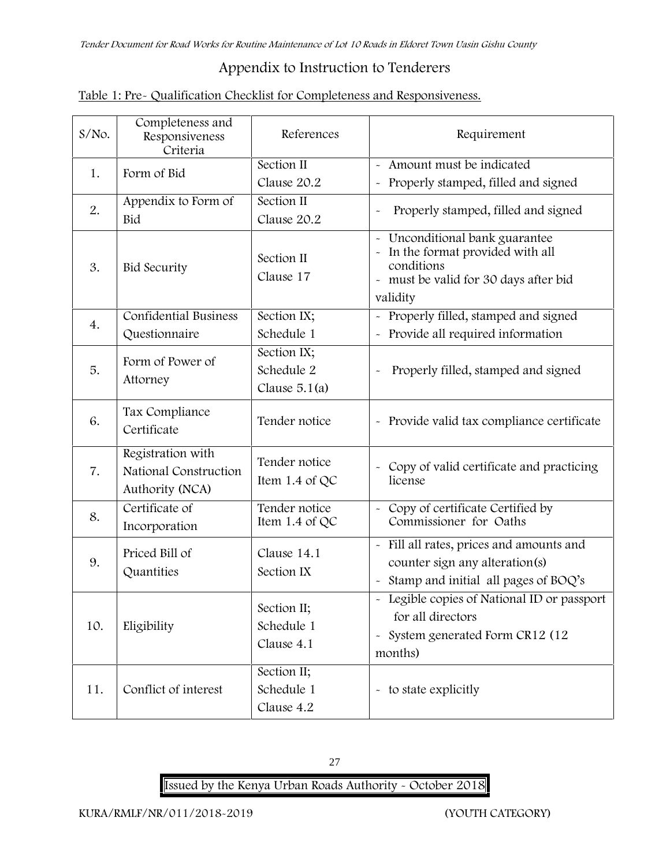# **Appendix to Instruction to Tenderers**

| Table 1: Pre- Qualification Checklist for Completeness and Responsiveness. |  |
|----------------------------------------------------------------------------|--|
|----------------------------------------------------------------------------|--|

| $S/NO$ . | Completeness and<br>Responsiveness<br>Criteria                | References                                   | Requirement                                                                                                                          |
|----------|---------------------------------------------------------------|----------------------------------------------|--------------------------------------------------------------------------------------------------------------------------------------|
| 1.       | Form of Bid                                                   | Section II<br>Clause 20.2                    | - Amount must be indicated<br>- Properly stamped, filled and signed                                                                  |
| 2.       | Appendix to Form of<br>Bid                                    | Section II<br>Clause 20.2                    | Properly stamped, filled and signed                                                                                                  |
| 3.       | <b>Bid Security</b>                                           | Section II<br>Clause 17                      | - Unconditional bank guarantee<br>In the format provided with all<br>conditions<br>- must be valid for 30 days after bid<br>validity |
| 4.       | <b>Confidential Business</b><br>Questionnaire                 | Section IX;<br>Schedule 1                    | - Properly filled, stamped and signed<br>- Provide all required information                                                          |
| 5.       | Form of Power of<br>Attorney                                  | Section IX;<br>Schedule 2<br>Clause $5.1(a)$ | Properly filled, stamped and signed                                                                                                  |
| 6.       | Tax Compliance<br>Certificate                                 | Tender notice                                | - Provide valid tax compliance certificate                                                                                           |
| 7.       | Registration with<br>National Construction<br>Authority (NCA) | Tender notice<br>Item $1.4$ of QC            | - Copy of valid certificate and practicing<br>license                                                                                |
| 8.       | Certificate of<br>Incorporation                               | Tender notice<br>Item 1.4 of QC              | - Copy of certificate Certified by<br>Commissioner for Oaths                                                                         |
| 9.       | Priced Bill of<br>Quantities                                  | Clause 14.1<br>Section IX                    | - Fill all rates, prices and amounts and<br>counter sign any alteration(s)<br>- Stamp and initial all pages of BOQ's                 |
| 10.      | Eligibility                                                   | Section II;<br>Schedule 1<br>Clause 4.1      | - Legible copies of National ID or passport<br>for all directors<br>- System generated Form CR12 (12<br>months)                      |
| 11.      | Conflict of interest                                          | Section II;<br>Schedule 1<br>Clause 4.2      | - to state explicitly                                                                                                                |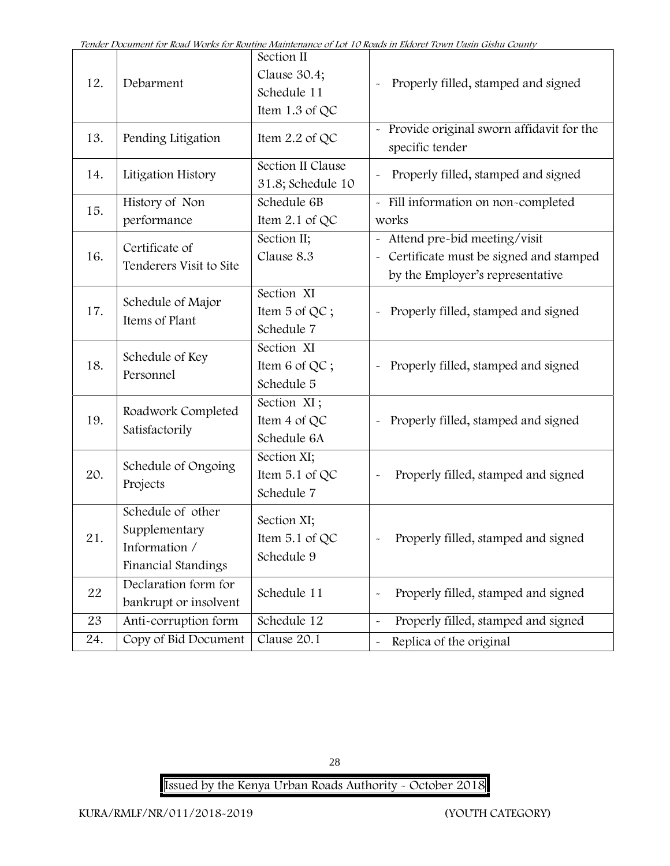| 12. | Debarment                                                                  | Section II<br>Clause 30.4;<br>Schedule 11<br>Item $1.3$ of QC | Properly filled, stamped and signed                                                                          |
|-----|----------------------------------------------------------------------------|---------------------------------------------------------------|--------------------------------------------------------------------------------------------------------------|
| 13. | Pending Litigation                                                         | Item 2.2 of QC                                                | Provide original sworn affidavit for the<br>specific tender                                                  |
| 14. | Litigation History                                                         | Section II Clause<br>31.8; Schedule 10                        | Properly filled, stamped and signed                                                                          |
| 15. | History of Non<br>performance                                              | Schedule 6B<br>Item $2.1$ of QC                               | - Fill information on non-completed<br>works                                                                 |
| 16. | Certificate of<br>Tenderers Visit to Site                                  | Section II;<br>Clause 8.3                                     | - Attend pre-bid meeting/visit<br>Certificate must be signed and stamped<br>by the Employer's representative |
| 17. | Schedule of Major<br>Items of Plant                                        | Section XI<br>Item 5 of QC;<br>Schedule 7                     | Properly filled, stamped and signed                                                                          |
| 18. | Schedule of Key<br>Personnel                                               | Section XI<br>Item 6 of QC;<br>Schedule 5                     | Properly filled, stamped and signed                                                                          |
| 19. | Roadwork Completed<br>Satisfactorily                                       | Section XI;<br>Item 4 of QC<br>Schedule 6A                    | Properly filled, stamped and signed<br>$\tilde{\phantom{a}}$                                                 |
| 20. | Schedule of Ongoing<br>Projects                                            | Section XI;<br>Item $5.1$ of QC<br>Schedule 7                 | Properly filled, stamped and signed                                                                          |
| 21  | Schedule of other<br>Supplementary<br>Information /<br>Financial Standings | Section XI;<br>Item $5.1$ of QC<br>Schedule 9                 | Properly filled, stamped and signed                                                                          |
| 22  | Declaration form for<br>bankrupt or insolvent                              | Schedule 11                                                   | Properly filled, stamped and signed                                                                          |
| 23  | Anti-corruption form                                                       | Schedule 12                                                   | Properly filled, stamped and signed                                                                          |
| 24. | Copy of Bid Document                                                       | Clause 20.1                                                   | Replica of the original                                                                                      |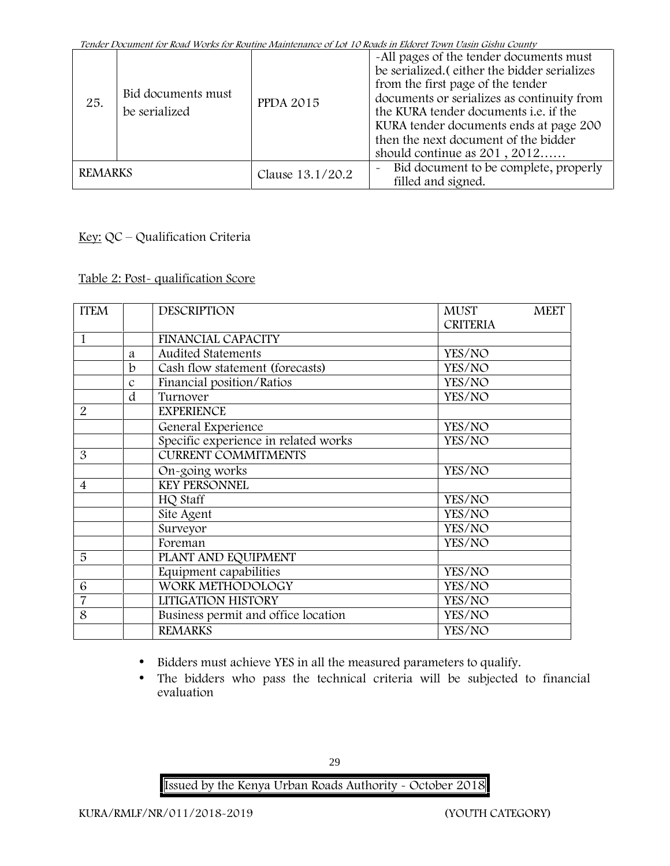| 25.            | Bid documents must<br>be serialized | <b>PPDA 2015</b> | -All pages of the tender documents must<br>be serialized. (either the bidder serializes<br>from the first page of the tender<br>documents or serializes as continuity from<br>the KURA tender documents i.e. if the<br>KURA tender documents ends at page 200<br>then the next document of the bidder<br>should continue as $201, 2012$ |
|----------------|-------------------------------------|------------------|-----------------------------------------------------------------------------------------------------------------------------------------------------------------------------------------------------------------------------------------------------------------------------------------------------------------------------------------|
| <b>REMARKS</b> |                                     | Clause 13.1/20.2 | Bid document to be complete, properly<br>$\widetilde{\phantom{m}}$<br>filled and signed.                                                                                                                                                                                                                                                |

# **Key:** QC – Qualification Criteria

#### **Table 2: Post- qualification Score**

| <b>ITEM</b>    |               | <b>DESCRIPTION</b>                   | <b>MUST</b><br><b>MEET</b><br><b>CRITERIA</b> |
|----------------|---------------|--------------------------------------|-----------------------------------------------|
| 1              |               | <b>FINANCIAL CAPACITY</b>            |                                               |
|                | a             | <b>Audited Statements</b>            | YES/NO                                        |
|                | b             | Cash flow statement (forecasts)      | YES/NO                                        |
|                | $\mathcal{C}$ | Financial position/Ratios            | YES/NO                                        |
|                | d             | Turnover                             | YES/NO                                        |
| $\overline{2}$ |               | <b>EXPERIENCE</b>                    |                                               |
|                |               | General Experience                   | YES/NO                                        |
|                |               | Specific experience in related works | YES/NO                                        |
| 3              |               | <b>CURRENT COMMITMENTS</b>           |                                               |
|                |               | On-going works                       | YES/NO                                        |
| $\overline{4}$ |               | <b>KEY PERSONNEL</b>                 |                                               |
|                |               | HQ Staff                             | YES/NO                                        |
|                |               | Site Agent                           | YES/NO                                        |
|                |               | Surveyor                             | YES/NO                                        |
|                |               | Foreman                              | YES/NO                                        |
| 5              |               | PLANT AND EQUIPMENT                  |                                               |
|                |               | Equipment capabilities               | YES/NO                                        |
| 6              |               | WORK METHODOLOGY                     | YES/NO                                        |
| $\overline{7}$ |               | LITIGATION HISTORY                   | YES/NO                                        |
| 8              |               | Business permit and office location  | YES/NO                                        |
|                |               | <b>REMARKS</b>                       | YES/NO                                        |
|                |               |                                      |                                               |

- Bidders must achieve YES in all the measured parameters to qualify.
- The bidders who pass the technical criteria will be subjected to financial evaluation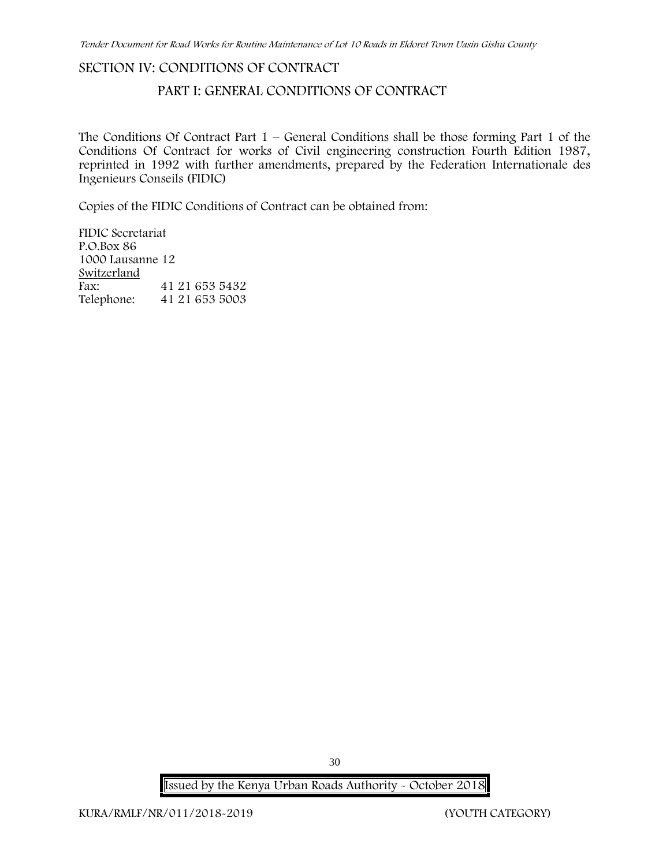#### **SECTION IV: CONDITIONS OF CONTRACT**

# **PART I: GENERAL CONDITIONS OF CONTRACT**

The Conditions Of Contract Part  $1$  – General Conditions shall be those forming Part 1 of the Conditions Of Contract for works of Civil engineering construction Fourth Edition 1987, reprinted in 1992 with further amendments, prepared by the Federation Internationale des Ingenieurs Conseils (FIDIC)

Copies of the FIDIC Conditions of Contract can be obtained from:

FIDIC Secretariat P.O.Box 86 1000 Lausanne 12 **Switzerland** Fax: 41 21 653 5432 Telephone: 41 21 653 5003

30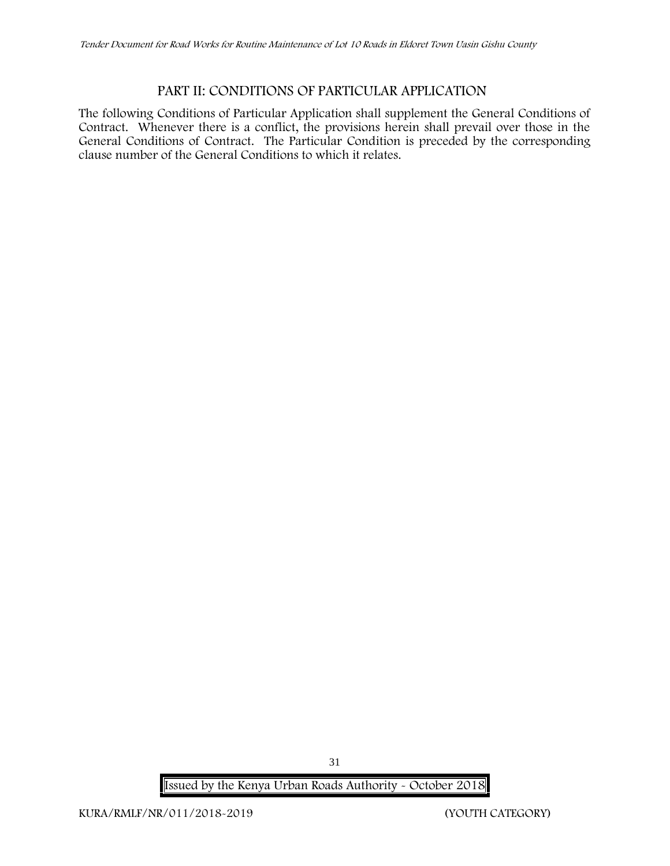# **PART II: CONDITIONS OF PARTICULAR APPLICATION**

The following Conditions of Particular Application shall supplement the General Conditions of Contract. Whenever there is a conflict, the provisions herein shall prevail over those in the General Conditions of Contract. The Particular Condition is preceded by the corresponding clause number of the General Conditions to which it relates.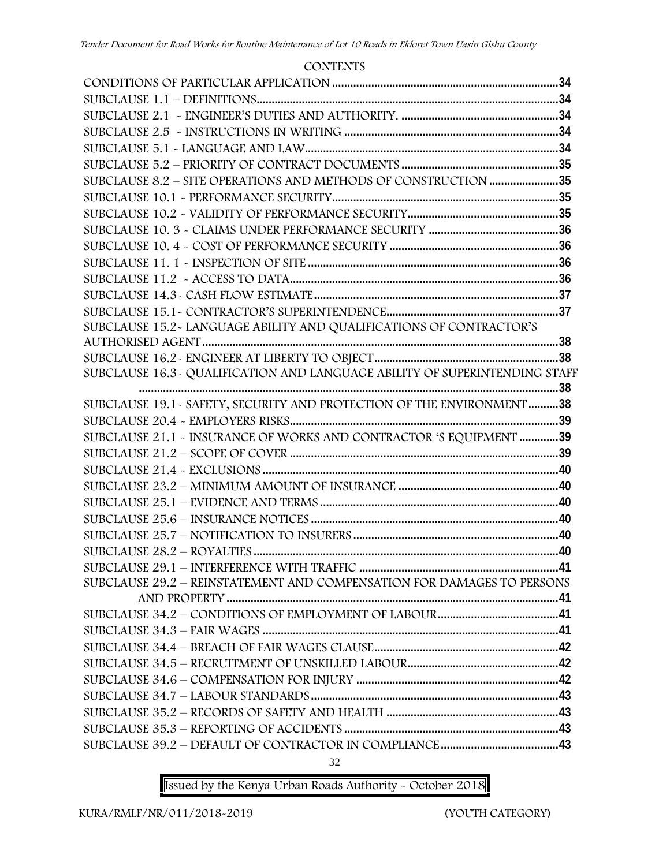# **CONTENTS CONDITIONS OF PARTICULAR APPLICATION...........................................................................34 SUBCLAUSE 1.1 – DEFINITIONS....................................................................................................34 SUBCLAUSE 2.1 - ENGINEER'S DUTIES AND AUTHORITY. ....................................................34 SUBCLAUSE 2.5 - INSTRUCTIONS IN WRITING .......................................................................34 SUBCLAUSE 5.1 - LANGUAGE AND LAW....................................................................................34 SUBCLAUSE 5.2 – PRIORITY OF CONTRACT DOCUMENTS ....................................................35 SUBCLAUSE 8.2 – SITE OPERATIONS AND METHODS OF CONSTRUCTION.......................35 SUBCLAUSE 10.1 - PERFORMANCE SECURITY...........................................................................35 SUBCLAUSE 10.2 - VALIDITY OF PERFORMANCE SECURITY..................................................35 SUBCLAUSE 10. 3 - CLAIMS UNDER PERFORMANCE SECURITY ...........................................36 SUBCLAUSE 10. 4 - COST OF PERFORMANCE SECURITY ........................................................36 SUBCLAUSE 11. 1 - INSPECTION OF SITE ...................................................................................36 SUBCLAUSE 11.2 - ACCESS TO DATA.........................................................................................36 SUBCLAUSE 14.3- CASH FLOW ESTIMATE.................................................................................37 SUBCLAUSE 15.1- CONTRACTOR'S SUPERINTENDENCE.........................................................37 SUBCLAUSE 15.2- LANGUAGE ABILITY AND QUALIFICATIONS OF CONTRACTOR'S AUTHORISED AGENT......................................................................................................................38 SUBCLAUSE 16.2- ENGINEER AT LIBERTY TO OBJECT.............................................................38 SUBCLAUSE 16.3- QUALIFICATION AND LANGUAGE ABILITY OF SUPERINTENDING STAFF ...........................................................................................................................................38 SUBCLAUSE 19.1- SAFETY, SECURITY AND PROTECTION OF THE ENVIRONMENT..........38 SUBCLAUSE 20.4 - EMPLOYERS RISKS.........................................................................................39 SUBCLAUSE 21.1 - INSURANCE OF WORKS AND CONTRACTOR 'S EQUIPMENT .............39 SUBCLAUSE 21.2 – SCOPE OF COVER .........................................................................................39 SUBCLAUSE 21.4 - EXCLUSIONS ..................................................................................................40 SUBCLAUSE 23.2 – MINIMUM AMOUNT OF INSURANCE .....................................................40 SUBCLAUSE 25.1 – EVIDENCE AND TERMS ...............................................................................40 SUBCLAUSE 25.6 – INSURANCE NOTICES ..................................................................................40 SUBCLAUSE 25.7 – NOTIFICATION TO INSURERS ....................................................................40 SUBCLAUSE 28.2 – ROYALTIES .....................................................................................................40 SUBCLAUSE 29.1 – INTERFERENCE WITH TRAFFIC ..................................................................41 SUBCLAUSE 29.2 – REINSTATEMENT AND COMPENSATION FOR DAMAGES TO PERSONS AND PROPERTY ..............................................................................................................41 SUBCLAUSE 34.2 – CONDITIONS OF EMPLOYMENT OF LABOUR........................................41 SUBCLAUSE 34.3 – FAIR WAGES ..................................................................................................41 SUBCLAUSE 34.4 – BREACH OF FAIR WAGES CLAUSE.............................................................42 SUBCLAUSE 34.5 – RECRUITMENT OF UNSKILLED LABOUR..................................................42 SUBCLAUSE 34.6 – COMPENSATION FOR INJURY ...................................................................42 SUBCLAUSE 34.7 – LABOUR STANDARDS ..................................................................................43 SUBCLAUSE 35.2 – RECORDS OF SAFETY AND HEALTH .........................................................43 SUBCLAUSE 35.3 – REPORTING OF ACCIDENTS .......................................................................43 SUBCLAUSE 39.2 – DEFAULT OF CONTRACTOR IN COMPLIANCE.......................................43**

32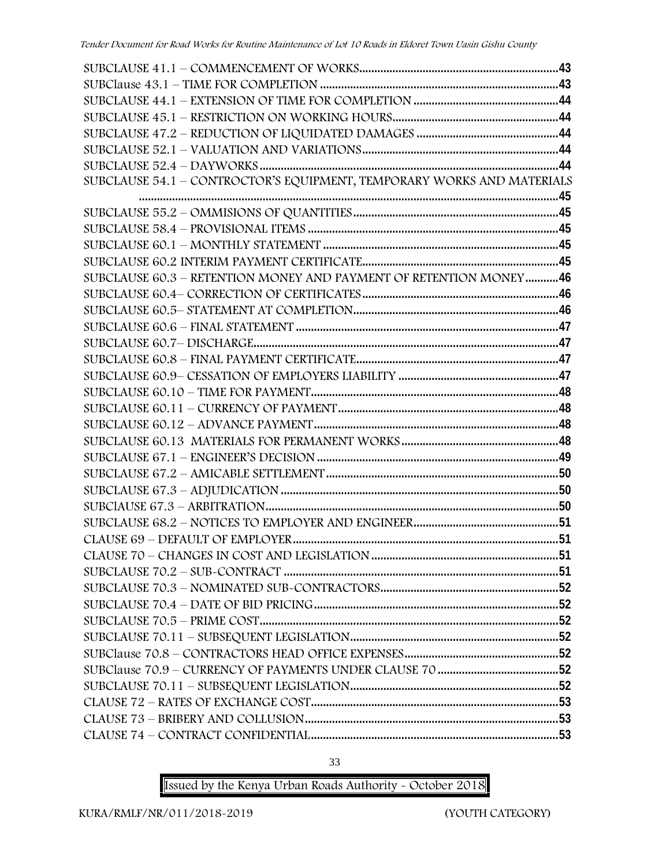| SUBCLAUSE 54.1 - CONTROCTOR'S EQUIPMENT, TEMPORARY WORKS AND MATERIALS |  |
|------------------------------------------------------------------------|--|
|                                                                        |  |
|                                                                        |  |
|                                                                        |  |
|                                                                        |  |
|                                                                        |  |
| SUBCLAUSE 60.3 - RETENTION MONEY AND PAYMENT OF RETENTION MONEY46      |  |
|                                                                        |  |
|                                                                        |  |
|                                                                        |  |
|                                                                        |  |
|                                                                        |  |
|                                                                        |  |
|                                                                        |  |
|                                                                        |  |
|                                                                        |  |
|                                                                        |  |
|                                                                        |  |
|                                                                        |  |
|                                                                        |  |
|                                                                        |  |
|                                                                        |  |
|                                                                        |  |
|                                                                        |  |
|                                                                        |  |
|                                                                        |  |
|                                                                        |  |
|                                                                        |  |
|                                                                        |  |
|                                                                        |  |
|                                                                        |  |
|                                                                        |  |
|                                                                        |  |
|                                                                        |  |
|                                                                        |  |

33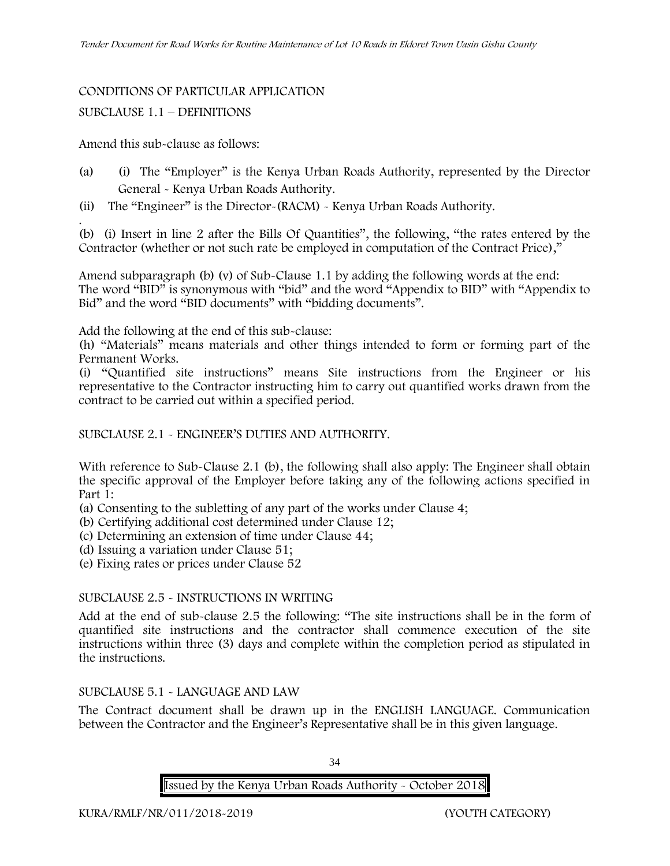#### CONDITIONS OF PARTICULAR APPLICATION

#### SUBCLAUSE 1.1 – DEFINITIONS

Amend this sub-clause as follows:

- (a) (i) The "Employer" is the Kenya Urban Roads Authority, represented by the Director General - Kenya Urban Roads Authority.
- (ii) The "Engineer" is the Director-(RACM) Kenya Urban Roads Authority.

.(b) (i) Insert in line 2 after the Bills Of Quantities", the following, "the rates entered by the Contractor (whether or not such rate be employed in computation of the Contract Price),"

Amend subparagraph (b) (v) of Sub-Clause 1.1 by adding the following words at the end: The word "BID" is synonymous with "bid" and the word "Appendix to BID" with "Appendix to Bid" and the word "BID documents" with "bidding documents".

Add the following at the end of this sub-clause:

(h) "Materials" means materials and other things intended to form or forming part of the Permanent Works.

(i) "Quantified site instructions" means Site instructions from the Engineer or his representative to the Contractor instructing him to carry out quantified works drawn from the contract to be carried out within a specified period.

#### SUBCLAUSE 2.1 - ENGINEER'S DUTIES AND AUTHORITY.

With reference to Sub-Clause 2.1 (b), the following shall also apply: The Engineer shall obtain the specific approval of the Employer before taking any of the following actions specified in Part 1:

(a) Consenting to the subletting of any part of the works under Clause 4;

(b) Certifying additional cost determined under Clause 12;

(c) Determining an extension of time under Clause 44;

(d) Issuing a variation under Clause 51;

(e) Fixing rates or prices under Clause 52

#### SUBCLAUSE 2.5 - INSTRUCTIONS IN WRITING

Add at the end of sub-clause 2.5 the following: "The site instructions shall be in the form of quantified site instructions and the contractor shall commence execution of the site instructions within three (3) days and complete within the completion period as stipulated in the instructions.

#### SUBCLAUSE 5.1 - LANGUAGE AND LAW

The Contract document shall be drawn up in the ENGLISH LANGUAGE. Communication between the Contractor and the Engineer's Representative shall be in this given language.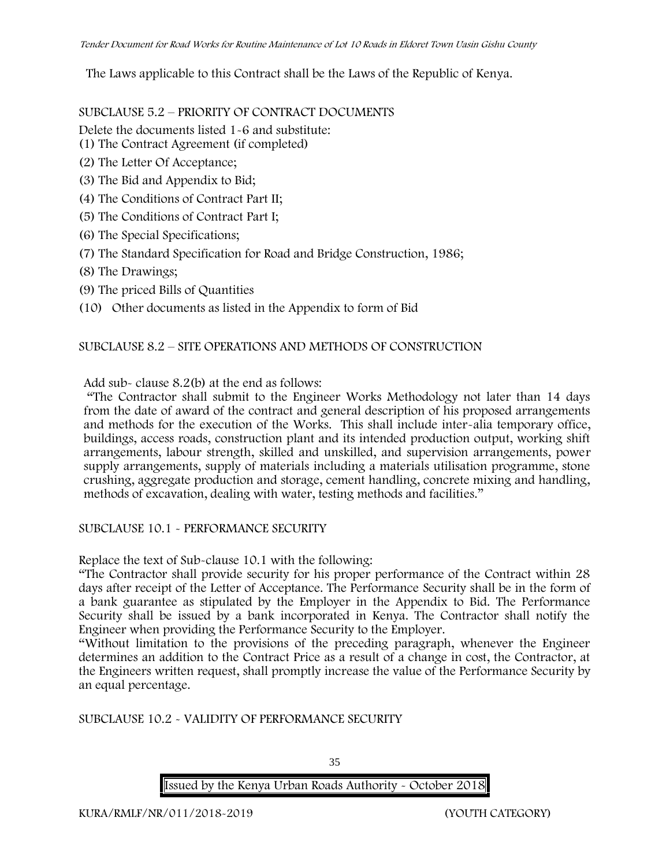The Laws applicable to this Contract shall be the Laws of the Republic of Kenya.

SUBCLAUSE 5.2 – PRIORITY OF CONTRACT DOCUMENTS

Delete the documents listed 1-6 and substitute:

- (1) The Contract Agreement (if completed)
- (2) The Letter Of Acceptance;
- (3) The Bid and Appendix to Bid;
- (4) The Conditions of Contract Part II;
- (5) The Conditions of Contract Part I;
- (6) The Special Specifications;
- (7) The Standard Specification for Road and Bridge Construction, 1986;
- (8) The Drawings;
- (9) The priced Bills of Quantities
- (10) Other documents as listed in the Appendix to form of Bid

#### SUBCLAUSE 8.2 – SITE OPERATIONS AND METHODS OF CONSTRUCTION

Add sub- clause 8.2(b) at the end as follows:

"The Contractor shall submit to the Engineer Works Methodology not later than 14 days from the date of award of the contract and general description of his proposed arrangements and methods for the execution of the Works. This shall include inter-alia temporary office, buildings, access roads, construction plant and its intended production output, working shift arrangements, labour strength, skilled and unskilled, and supervision arrangements, power supply arrangements, supply of materials including a materials utilisation programme, stone crushing, aggregate production and storage, cement handling, concrete mixing and handling, methods of excavation, dealing with water, testing methods and facilities."

#### SUBCLAUSE 10.1 - PERFORMANCE SECURITY

Replace the text of Sub-clause 10.1 with the following:

"The Contractor shall provide security for his proper performance of the Contract within 28 days after receipt of the Letter of Acceptance. The Performance Security shall be in the form of a bank guarantee as stipulated by the Employer in the Appendix to Bid. The Performance Security shall be issued by a bank incorporated in Kenya. The Contractor shall notify the Engineer when providing the Performance Security to the Employer.

"Without limitation to the provisions of the preceding paragraph, whenever the Engineer determines an addition to the Contract Price as a result of a change in cost, the Contractor, at the Engineers written request, shall promptly increase the value of the Performance Security by an equal percentage.

SUBCLAUSE 10.2 - VALIDITY OF PERFORMANCE SECURITY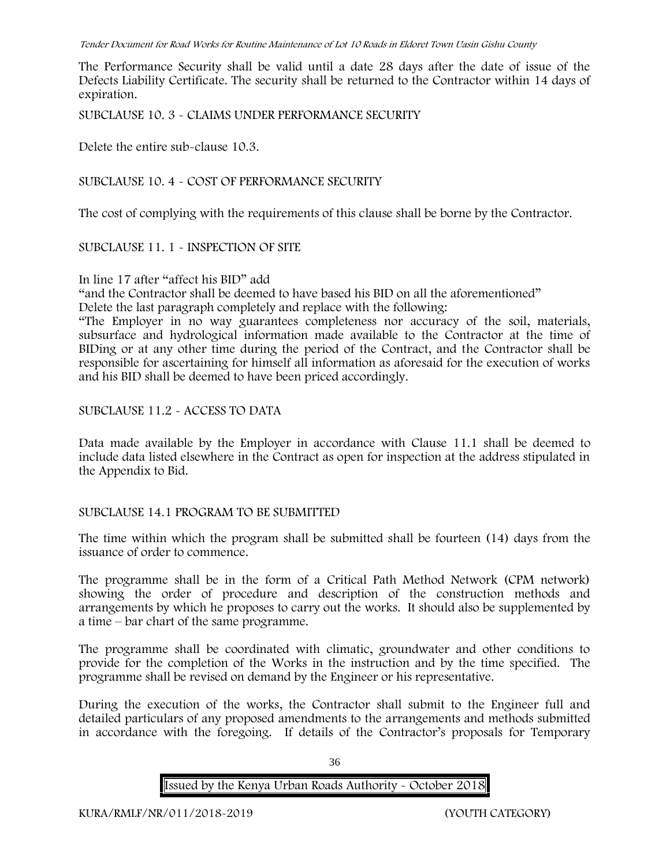The Performance Security shall be valid until a date 28 days after the date of issue of the Defects Liability Certificate. The security shall be returned to the Contractor within 14 days of expiration.

SUBCLAUSE 10. 3 - CLAIMS UNDER PERFORMANCE SECURITY

Delete the entire sub-clause 10.3.

SUBCLAUSE 10. 4 - COST OF PERFORMANCE SECURITY

The cost of complying with the requirements of this clause shall be borne by the Contractor.

### SUBCLAUSE 11. 1 - INSPECTION OF SITE

In line 17 after "affect his BID" add

"and the Contractor shall be deemed to have based his BID on all the aforementioned"

Delete the last paragraph completely and replace with the following:

"The Employer in no way guarantees completeness nor accuracy of the soil, materials, subsurface and hydrological information made available to the Contractor at the time of BIDing or at any other time during the period of the Contract, and the Contractor shall be responsible for ascertaining for himself all information as aforesaid for the execution of works and his BID shall be deemed to have been priced accordingly.

SUBCLAUSE 11.2 - ACCESS TO DATA

Data made available by the Employer in accordance with Clause 11.1 shall be deemed to include data listed elsewhere in the Contract as open for inspection at the address stipulated in the Appendix to Bid.

# SUBCLAUSE 14.1 PROGRAM TO BE SUBMITTED

The time within which the program shall be submitted shall be fourteen (14) days from the issuance of order to commence**.**

The programme shall be in the form of a Critical Path Method Network (CPM network) showing the order of procedure and description of the construction methods and arrangements by which he proposes to carry out the works. It should also be supplemented by a time – bar chart of the same programme.

The programme shall be coordinated with climatic, groundwater and other conditions to provide for the completion of the Works in the instruction and by the time specified. The programme shall be revised on demand by the Engineer or his representative.

During the execution of the works, the Contractor shall submit to the Engineer full and detailed particulars of any proposed amendments to the arrangements and methods submitted in accordance with the foregoing. If details of the Contractor's proposals for Temporary

36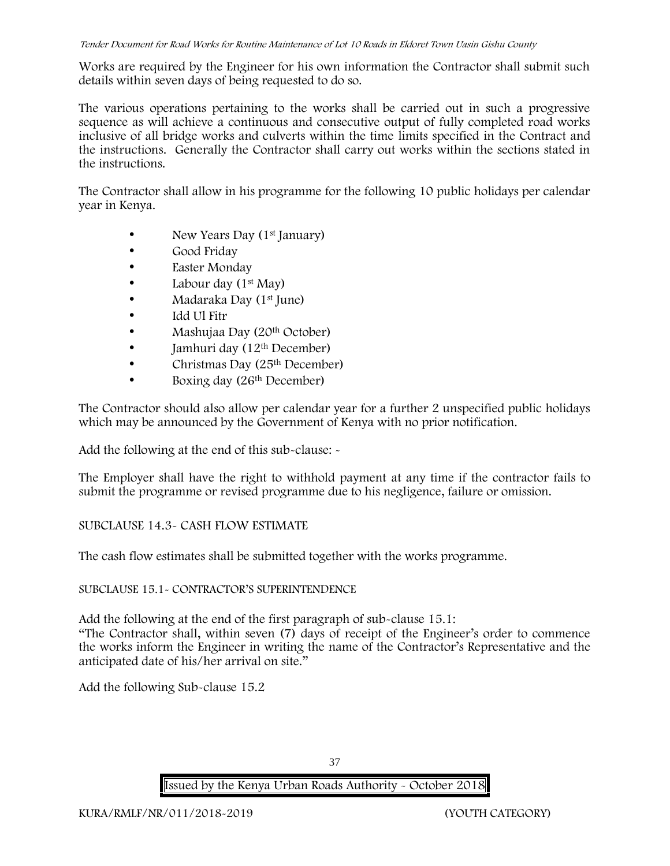Works are required by the Engineer for his own information the Contractor shall submit such details within seven days of being requested to do so.

The various operations pertaining to the works shall be carried out in such a progressive sequence as will achieve a continuous and consecutive output of fully completed road works inclusive of all bridge works and culverts within the time limits specified in the Contract and the instructions. Generally the Contractor shall carry out works within the sections stated in the instructions.

The Contractor shall allow in his programme for the following 10 public holidays per calendar year in Kenya.

- New Years Day (1<sup>st</sup> January)
- Good Friday
- Easter Monday
- Labour day  $(1<sup>st</sup>$  May)
- Madaraka Day (1st June)
- Idd Ul Fitr
- Mashujaa Day (20<sup>th</sup> October)
- Jamhuri day  $(12<sup>th</sup> December)$
- Christmas Day (25<sup>th</sup> December)
- Boxing day (26<sup>th</sup> December)

The Contractor should also allow per calendar year for a further 2 unspecified public holidays which may be announced by the Government of Kenya with no prior notification.

Add the following at the end of this sub-clause: -

The Employer shall have the right to withhold payment at any time if the contractor fails to submit the programme or revised programme due to his negligence, failure or omission.

# SUBCLAUSE 14.3- CASH FLOW ESTIMATE

The cash flow estimates shall be submitted together with the works programme.

### SUBCLAUSE 15.1- CONTRACTOR'S SUPERINTENDENCE

Add the following at the end of the first paragraph of sub-clause 15.1:

"The Contractor shall, within seven (7) days of receipt of the Engineer's order to commence the works inform the Engineer in writing the name of the Contractor's Representative and the anticipated date of his/her arrival on site."

Add the following Sub-clause 15.2

37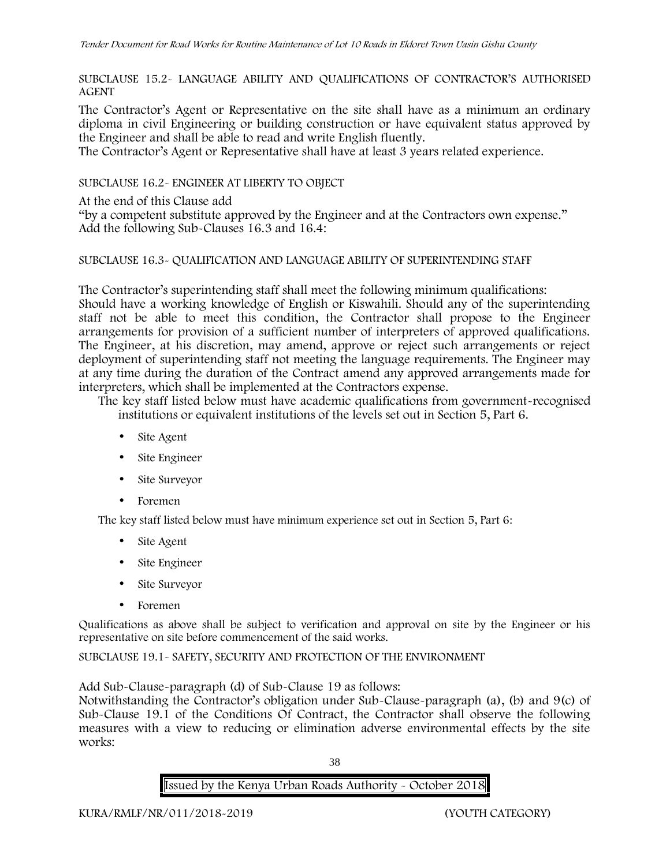SUBCLAUSE 15.2- LANGUAGE ABILITY AND QUALIFICATIONS OF CONTRACTOR'S AUTHORISED AGENT

The Contractor's Agent or Representative on the site shall have as a minimum an ordinary diploma in civil Engineering or building construction or have equivalent status approved by the Engineer and shall be able to read and write English fluently.

The Contractor's Agent or Representative shall have at least 3 years related experience.

SUBCLAUSE 16.2- ENGINEER AT LIBERTY TO OBJECT

At the end of this Clause add

"by a competent substitute approved by the Engineer and at the Contractors own expense." Add the following Sub-Clauses 16.3 and 16.4:

### SUBCLAUSE 16.3- QUALIFICATION AND LANGUAGE ABILITY OF SUPERINTENDING STAFF

The Contractor's superintending staff shall meet the following minimum qualifications: Should have a working knowledge of English or Kiswahili. Should any of the superintending staff not be able to meet this condition, the Contractor shall propose to the Engineer arrangements for provision of a sufficient number of interpreters of approved qualifications. The Engineer, at his discretion, may amend, approve or reject such arrangements or reject deployment of superintending staff not meeting the language requirements. The Engineer may at any time during the duration of the Contract amend any approved arrangements made for interpreters, which shall be implemented at the Contractors expense.

The key staff listed below must have academic qualifications from government-recognised institutions or equivalent institutions of the levels set out in Section 5, Part 6.

- Site Agent
- Site Engineer
- Site Surveyor
- Foremen

The key staff listed below must have minimum experience set out in Section 5, Part 6:

- Site Agent
- Site Engineer
- Site Surveyor
- Foremen

Qualifications as above shall be subject to verification and approval on site by the Engineer or his representative on site before commencement of the said works.

SUBCLAUSE 19.1- SAFETY, SECURITY AND PROTECTION OF THE ENVIRONMENT

Add Sub-Clause-paragraph (d) of Sub-Clause 19 as follows:

Notwithstanding the Contractor's obligation under Sub-Clause-paragraph (a), (b) and 9(c) of Sub-Clause 19.1 of the Conditions Of Contract, the Contractor shall observe the following measures with a view to reducing or elimination adverse environmental effects by the site works:

38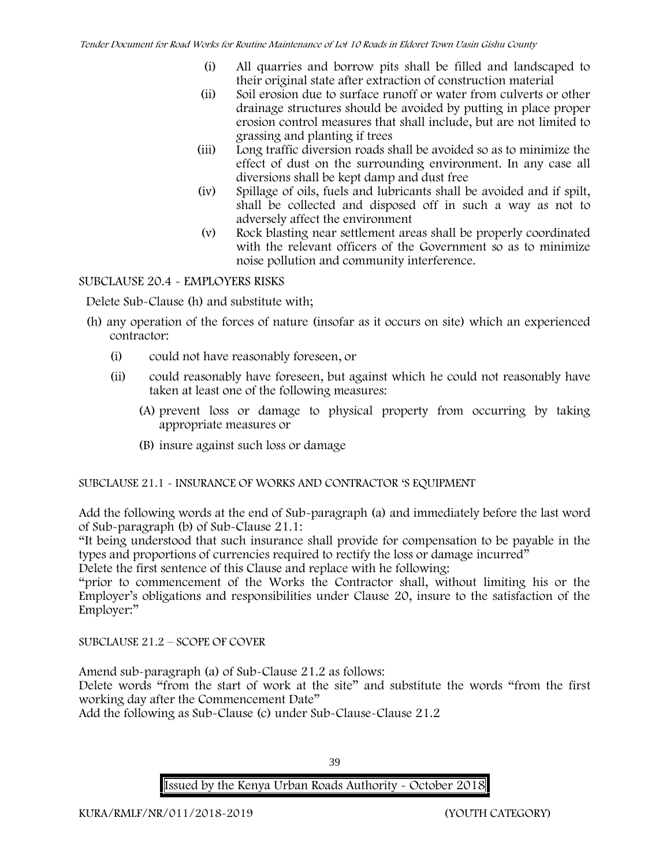- (i) All quarries and borrow pits shall be filled and landscaped to their original state after extraction of construction material
- (ii) Soil erosion due to surface runoff or water from culverts or other drainage structures should be avoided by putting in place proper erosion control measures that shall include, but are not limited to grassing and planting if trees
- (iii) Long traffic diversion roads shall be avoided so as to minimize the effect of dust on the surrounding environment. In any case all diversions shall be kept damp and dust free
- (iv) Spillage of oils, fuels and lubricants shall be avoided and if spilt, shall be collected and disposed off in such a way as not to adversely affect the environment
- (v) Rock blasting near settlement areas shall be properly coordinated with the relevant officers of the Government so as to minimize noise pollution and community interference.

# SUBCLAUSE 20.4 - EMPLOYERS RISKS

Delete Sub-Clause (h) and substitute with;

- (h) any operation of the forces of nature (insofar as it occurs on site) which an experienced contractor:
	- (i) could not have reasonably foreseen, or
	- (ii) could reasonably have foreseen, but against which he could not reasonably have taken at least one of the following measures:
		- (A) prevent loss or damage to physical property from occurring by taking appropriate measures or
		- (B) insure against such loss or damage

# SUBCLAUSE 21.1 - INSURANCE OF WORKS AND CONTRACTOR 'S EQUIPMENT

Add the following words at the end of Sub-paragraph (a) and immediately before the last word of Sub-paragraph (b) of Sub-Clause 21.1:

"It being understood that such insurance shall provide for compensation to be payable in the types and proportions of currencies required to rectify the loss or damage incurred"

Delete the first sentence of this Clause and replace with he following:

"prior to commencement of the Works the Contractor shall, without limiting his or the Employer's obligations and responsibilities under Clause 20, insure to the satisfaction of the Employer:"

SUBCLAUSE 21.2 – SCOPE OF COVER

Amend sub-paragraph (a) of Sub-Clause 21.2 as follows:

Delete words "from the start of work at the site" and substitute the words "from the first working day after the Commencement Date"

Add the following as Sub-Clause (c) under Sub-Clause-Clause 21.2

39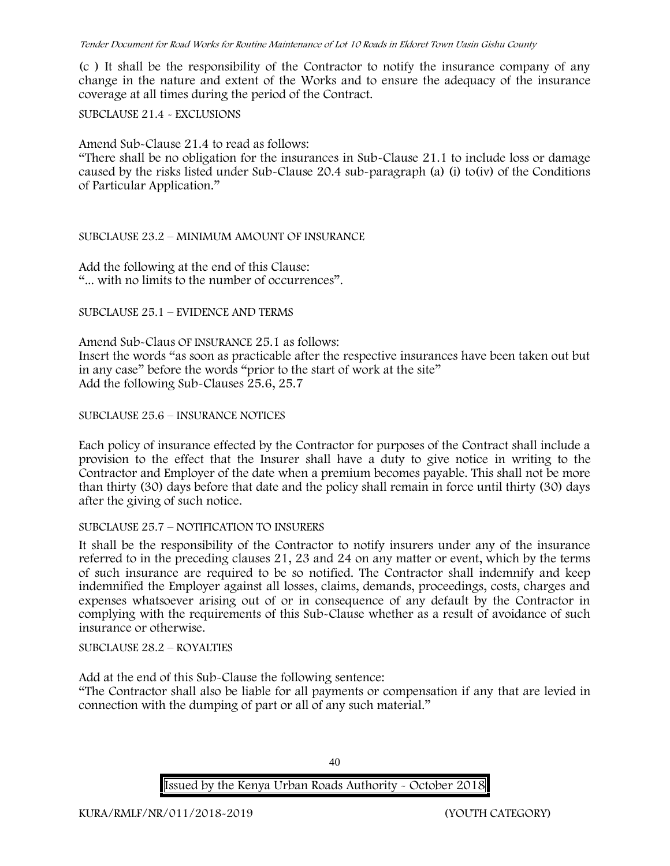(c ) It shall be the responsibility of the Contractor to notify the insurance company of any change in the nature and extent of the Works and to ensure the adequacy of the insurance coverage at all times during the period of the Contract.

### SUBCLAUSE 21.4 - EXCLUSIONS

Amend Sub-Clause 21.4 to read as follows:

"There shall be no obligation for the insurances in Sub-Clause 21.1 to include loss or damage caused by the risks listed under Sub-Clause 20.4 sub-paragraph (a) (i) to(iv) of the Conditions of Particular Application."

### SUBCLAUSE 23.2 – MINIMUM AMOUNT OF INSURANCE

Add the following at the end of this Clause: "... with no limits to the number of occurrences".

### SUBCLAUSE 25.1 – EVIDENCE AND TERMS

Amend Sub-Claus OF INSURANCE 25.1 as follows: Insert the words "as soon as practicable after the respective insurances have been taken out but in any case" before the words "prior to the start of work at the site" Add the following Sub-Clauses 25.6, 25.7

### SUBCLAUSE 25.6 – INSURANCE NOTICES

Each policy of insurance effected by the Contractor for purposes of the Contract shall include a provision to the effect that the Insurer shall have a duty to give notice in writing to the Contractor and Employer of the date when a premium becomes payable. This shall not be more than thirty (30) days before that date and the policy shall remain in force until thirty (30) days after the giving of such notice.

### SUBCLAUSE 25.7 – NOTIFICATION TO INSURERS

It shall be the responsibility of the Contractor to notify insurers under any of the insurance referred to in the preceding clauses 21, 23 and 24 on any matter or event, which by the terms of such insurance are required to be so notified. The Contractor shall indemnify and keep indemnified the Employer against all losses, claims, demands, proceedings, costs, charges and expenses whatsoever arising out of or in consequence of any default by the Contractor in complying with the requirements of this Sub-Clause whether as a result of avoidance of such insurance or otherwise.

SUBCLAUSE 28.2 – ROYALTIES

Add at the end of this Sub-Clause the following sentence:

"The Contractor shall also be liable for all payments or compensation if any that are levied in connection with the dumping of part or all of any such material."

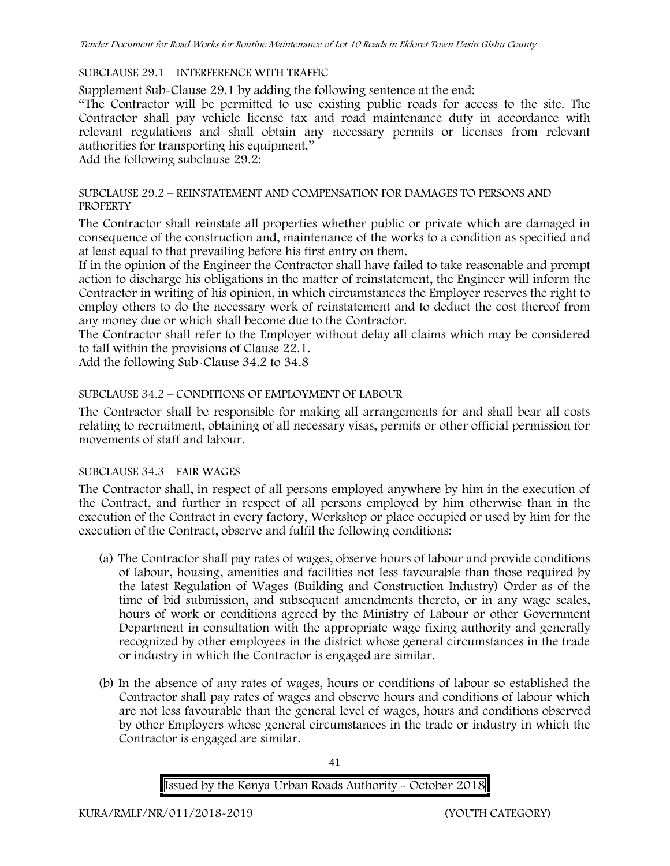### SUBCLAUSE 29.1 – INTERFERENCE WITH TRAFFIC

Supplement Sub-Clause 29.1 by adding the following sentence at the end:

"The Contractor will be permitted to use existing public roads for access to the site. The Contractor shall pay vehicle license tax and road maintenance duty in accordance with relevant regulations and shall obtain any necessary permits or licenses from relevant authorities for transporting his equipment."

Add the following subclause 29.2:

### SUBCLAUSE 29.2 – REINSTATEMENT AND COMPENSATION FOR DAMAGES TO PERSONS AND **PROPERTY**

The Contractor shall reinstate all properties whether public or private which are damaged in consequence of the construction and, maintenance of the works to a condition as specified and at least equal to that prevailing before his first entry on them.

If in the opinion of the Engineer the Contractor shall have failed to take reasonable and prompt action to discharge his obligations in the matter of reinstatement, the Engineer will inform the Contractor in writing of his opinion, in which circumstances the Employer reserves the right to employ others to do the necessary work of reinstatement and to deduct the cost thereof from any money due or which shall become due to the Contractor.

The Contractor shall refer to the Employer without delay all claims which may be considered to fall within the provisions of Clause 22.1.

Add the following Sub-Clause 34.2 to 34.8

### SUBCLAUSE 34.2 – CONDITIONS OF EMPLOYMENT OF LABOUR

The Contractor shall be responsible for making all arrangements for and shall bear all costs relating to recruitment, obtaining of all necessary visas, permits or other official permission for movements of staff and labour.

### SUBCLAUSE 34.3 – FAIR WAGES

The Contractor shall, in respect of all persons employed anywhere by him in the execution of the Contract, and further in respect of all persons employed by him otherwise than in the execution of the Contract in every factory, Workshop or place occupied or used by him for the execution of the Contract, observe and fulfil the following conditions:

- (a) The Contractor shall pay rates of wages, observe hours of labour and provide conditions of labour, housing, amenities and facilities not less favourable than those required by the latest Regulation of Wages (Building and Construction Industry) Order as of the time of bid submission, and subsequent amendments thereto, or in any wage scales, hours of work or conditions agreed by the Ministry of Labour or other Government Department in consultation with the appropriate wage fixing authority and generally recognized by other employees in the district whose general circumstances in the trade or industry in which the Contractor is engaged are similar.
- (b) In the absence of any rates of wages, hours or conditions of labour so established the Contractor shall pay rates of wages and observe hours and conditions of labour which are not less favourable than the general level of wages, hours and conditions observed by other Employers whose general circumstances in the trade or industry in which the Contractor is engaged are similar.

41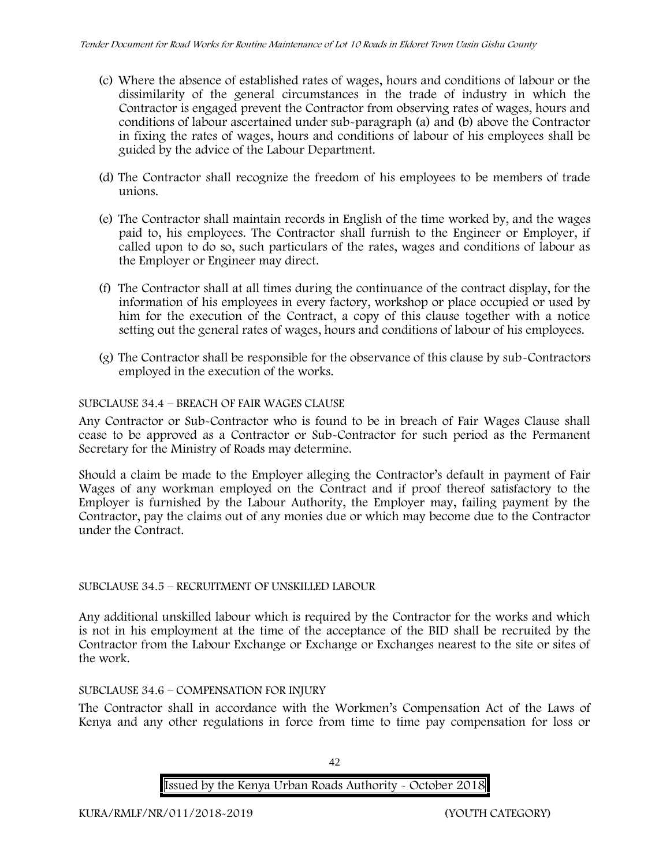- (c) Where the absence of established rates of wages, hours and conditions of labour or the dissimilarity of the general circumstances in the trade of industry in which the Contractor is engaged prevent the Contractor from observing rates of wages, hours and conditions of labour ascertained under sub-paragraph (a) and (b) above the Contractor in fixing the rates of wages, hours and conditions of labour of his employees shall be guided by the advice of the Labour Department.
- (d) The Contractor shall recognize the freedom of his employees to be members of trade unions.
- (e) The Contractor shall maintain records in English of the time worked by, and the wages paid to, his employees. The Contractor shall furnish to the Engineer or Employer, if called upon to do so, such particulars of the rates, wages and conditions of labour as the Employer or Engineer may direct.
- (f) The Contractor shall at all times during the continuance of the contract display, for the information of his employees in every factory, workshop or place occupied or used by him for the execution of the Contract, a copy of this clause together with a notice setting out the general rates of wages, hours and conditions of labour of his employees.
- (g) The Contractor shall be responsible for the observance of this clause by sub-Contractors employed in the execution of the works.

# SUBCLAUSE 34.4 – BREACH OF FAIR WAGES CLAUSE

Any Contractor or Sub-Contractor who is found to be in breach of Fair Wages Clause shall cease to be approved as a Contractor or Sub-Contractor for such period as the Permanent Secretary for the Ministry of Roads may determine.

Should a claim be made to the Employer alleging the Contractor's default in payment of Fair Wages of any workman employed on the Contract and if proof thereof satisfactory to the Employer is furnished by the Labour Authority, the Employer may, failing payment by the Contractor, pay the claims out of any monies due or which may become due to the Contractor under the Contract.

### SUBCLAUSE 34.5 – RECRUITMENT OF UNSKILLED LABOUR

Any additional unskilled labour which is required by the Contractor for the works and which is not in his employment at the time of the acceptance of the BID shall be recruited by the Contractor from the Labour Exchange or Exchange or Exchanges nearest to the site or sites of the work.

### SUBCLAUSE 34.6 – COMPENSATION FOR INJURY

The Contractor shall in accordance with the Workmen's Compensation Act of the Laws of Kenya and any other regulations in force from time to time pay compensation for loss or

**Issued by the Kenya Urban Roads Authority - October 2018**

42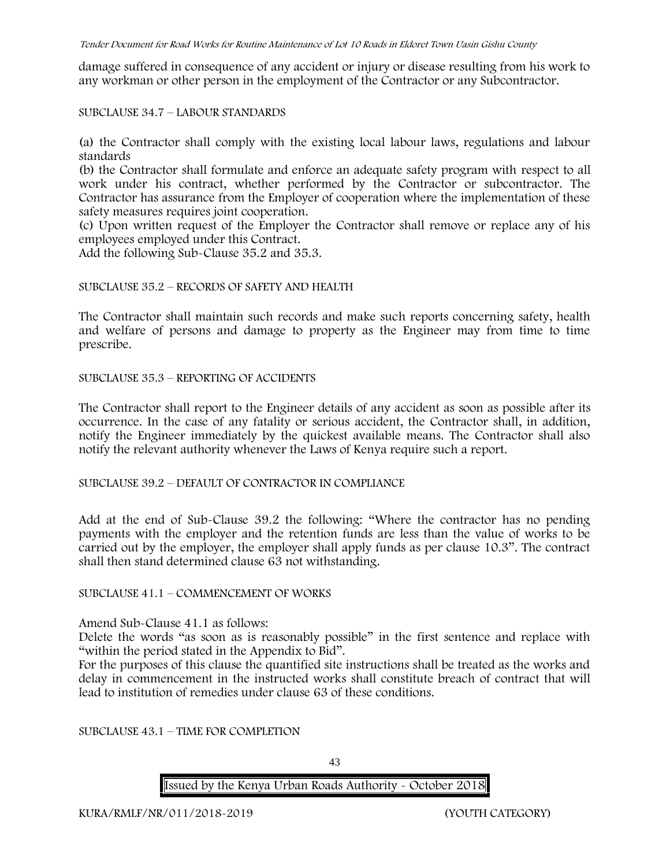damage suffered in consequence of any accident or injury or disease resulting from his work to any workman or other person in the employment of the Contractor or any Subcontractor.

SUBCLAUSE 34.7 – LABOUR STANDARDS

(a) the Contractor shall comply with the existing local labour laws, regulations and labour standards

(b) the Contractor shall formulate and enforce an adequate safety program with respect to all work under his contract, whether performed by the Contractor or subcontractor. The Contractor has assurance from the Employer of cooperation where the implementation of these safety measures requires joint cooperation.

(c) Upon written request of the Employer the Contractor shall remove or replace any of his employees employed under this Contract.

Add the following Sub-Clause 35.2 and 35.3.

#### SUBCLAUSE 35.2 – RECORDS OF SAFETY AND HEALTH

The Contractor shall maintain such records and make such reports concerning safety, health and welfare of persons and damage to property as the Engineer may from time to time prescribe.

SUBCLAUSE 35.3 – REPORTING OF ACCIDENTS

The Contractor shall report to the Engineer details of any accident as soon as possible after its occurrence. In the case of any fatality or serious accident, the Contractor shall, in addition, notify the Engineer immediately by the quickest available means. The Contractor shall also notify the relevant authority whenever the Laws of Kenya require such a report.

SUBCLAUSE 39.2 – DEFAULT OF CONTRACTOR IN COMPLIANCE

Add at the end of Sub-Clause 39.2 the following: "Where the contractor has no pending payments with the employer and the retention funds are less than the value of works to be carried out by the employer, the employer shall apply funds as per clause 10.3". The contract shall then stand determined clause 63 not withstanding.

SUBCLAUSE 41.1 – COMMENCEMENT OF WORKS

Amend Sub-Clause 41.1 as follows:

Delete the words "as soon as is reasonably possible" in the first sentence and replace with "within the period stated in the Appendix to Bid".

For the purposes of this clause the quantified site instructions shall be treated as the works and delay in commencement in the instructed works shall constitute breach of contract that will lead to institution of remedies under clause 63 of these conditions.

SUBCLAUSE 43.1 – TIME FOR COMPLETION

43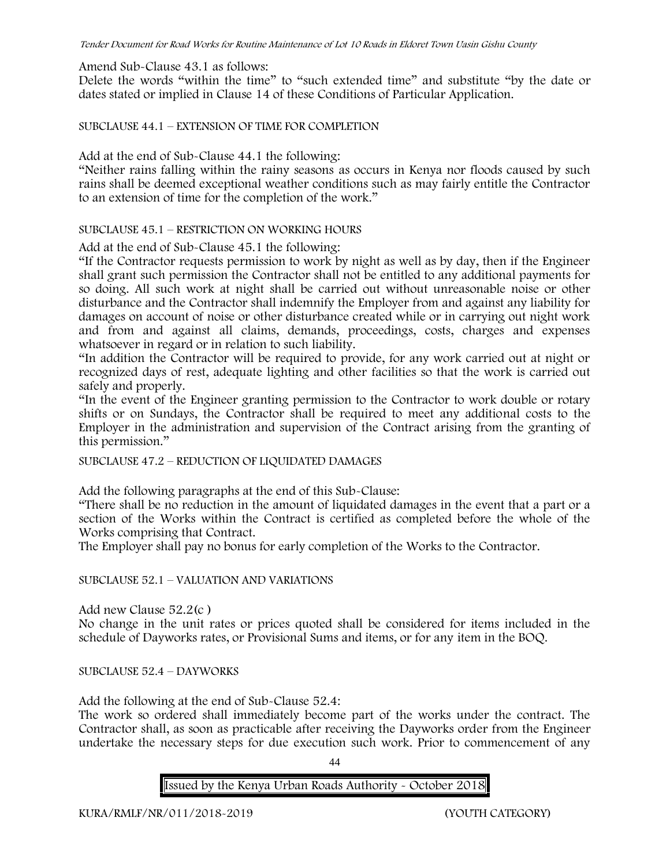Amend Sub-Clause 43.1 as follows:

Delete the words "within the time" to "such extended time" and substitute "by the date or dates stated or implied in Clause 14 of these Conditions of Particular Application.

SUBCLAUSE 44.1 – EXTENSION OF TIME FOR COMPLETION

Add at the end of Sub-Clause 44.1 the following:

"Neither rains falling within the rainy seasons as occurs in Kenya nor floods caused by such rains shall be deemed exceptional weather conditions such as may fairly entitle the Contractor to an extension of time for the completion of the work."

SUBCLAUSE 45.1 – RESTRICTION ON WORKING HOURS

Add at the end of Sub-Clause 45.1 the following:

"If the Contractor requests permission to work by night as well as by day, then if the Engineer shall grant such permission the Contractor shall not be entitled to any additional payments for so doing. All such work at night shall be carried out without unreasonable noise or other disturbance and the Contractor shall indemnify the Employer from and against any liability for damages on account of noise or other disturbance created while or in carrying out night work and from and against all claims, demands, proceedings, costs, charges and expenses whatsoever in regard or in relation to such liability.

"In addition the Contractor will be required to provide, for any work carried out at night or recognized days of rest, adequate lighting and other facilities so that the work is carried out safely and properly.

"In the event of the Engineer granting permission to the Contractor to work double or rotary shifts or on Sundays, the Contractor shall be required to meet any additional costs to the Employer in the administration and supervision of the Contract arising from the granting of this permission."

SUBCLAUSE 47.2 – REDUCTION OF LIQUIDATED DAMAGES

Add the following paragraphs at the end of this Sub-Clause:

"There shall be no reduction in the amount of liquidated damages in the event that a part or a section of the Works within the Contract is certified as completed before the whole of the Works comprising that Contract.

The Employer shall pay no bonus for early completion of the Works to the Contractor.

### SUBCLAUSE 52.1 – VALUATION AND VARIATIONS

Add new Clause 52.2(c )

No change in the unit rates or prices quoted shall be considered for items included in the schedule of Dayworks rates, or Provisional Sums and items, or for any item in the BOQ.

SUBCLAUSE 52.4 – DAYWORKS

Add the following at the end of Sub-Clause 52.4:

The work so ordered shall immediately become part of the works under the contract. The Contractor shall, as soon as practicable after receiving the Dayworks order from the Engineer undertake the necessary steps for due execution such work. Prior to commencement of any

44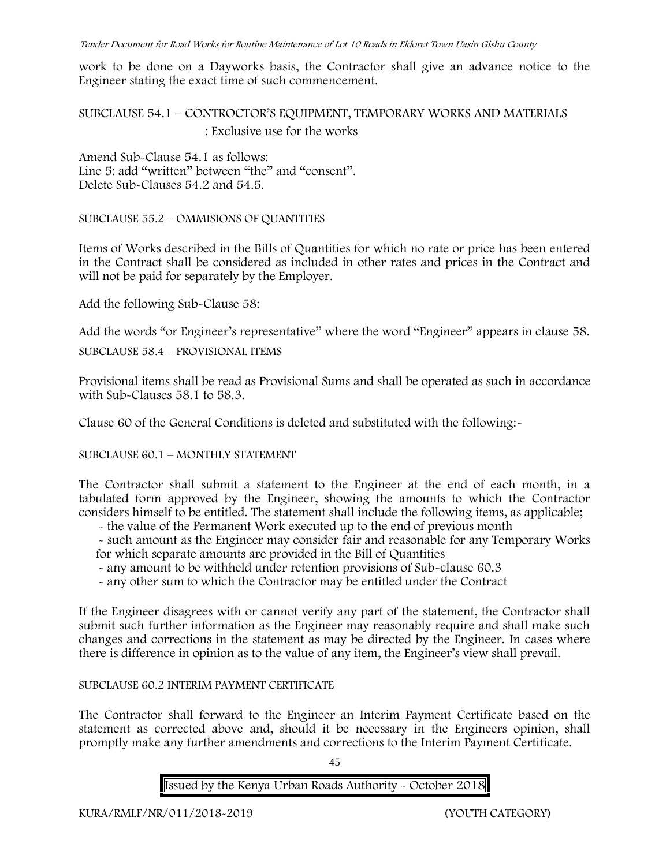work to be done on a Dayworks basis, the Contractor shall give an advance notice to the Engineer stating the exact time of such commencement.

SUBCLAUSE 54.1 – CONTROCTOR'S EQUIPMENT, TEMPORARY WORKS AND MATERIALS : Exclusive use for the works

Amend Sub-Clause 54.1 as follows: Line 5: add "written" between "the" and "consent". Delete Sub-Clauses 54.2 and 54.5.

SUBCLAUSE 55.2 – OMMISIONS OF QUANTITIES

Items of Works described in the Bills of Quantities for which no rate or price has been entered in the Contract shall be considered as included in other rates and prices in the Contract and will not be paid for separately by the Employer.

Add the following Sub-Clause 58:

Add the words "or Engineer's representative" where the word "Engineer" appears in clause 58.

SUBCLAUSE 58.4 – PROVISIONAL ITEMS

Provisional items shall be read as Provisional Sums and shall be operated as such in accordance with Sub-Clauses 58.1 to 58.3.

Clause 60 of the General Conditions is deleted and substituted with the following:-

SUBCLAUSE 60.1 – MONTHLY STATEMENT

The Contractor shall submit a statement to the Engineer at the end of each month, in a tabulated form approved by the Engineer, showing the amounts to which the Contractor considers himself to be entitled. The statement shall include the following items, as applicable;

- the value of the Permanent Work executed up to the end of previous month

- such amount as the Engineer may consider fair and reasonable for any Temporary Works for which separate amounts are provided in the Bill of Quantities

- any amount to be withheld under retention provisions of Sub-clause 60.3
- any other sum to which the Contractor may be entitled under the Contract

If the Engineer disagrees with or cannot verify any part of the statement, the Contractor shall submit such further information as the Engineer may reasonably require and shall make such changes and corrections in the statement as may be directed by the Engineer. In cases where there is difference in opinion as to the value of any item, the Engineer's view shall prevail.

### SUBCLAUSE 60.2 INTERIM PAYMENT CERTIFICATE

The Contractor shall forward to the Engineer an Interim Payment Certificate based on the statement as corrected above and, should it be necessary in the Engineers opinion, shall promptly make any further amendments and corrections to the Interim Payment Certificate.

45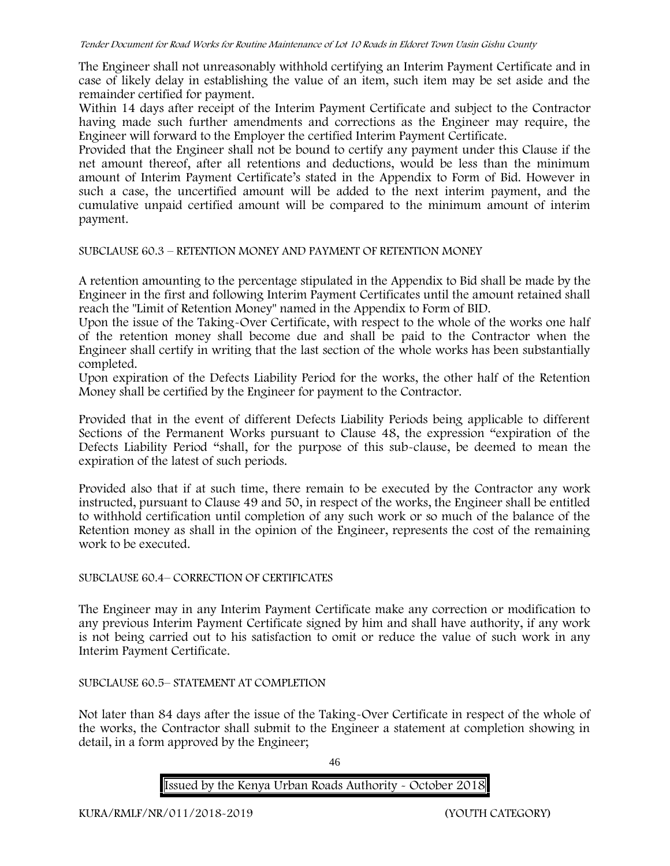The Engineer shall not unreasonably withhold certifying an Interim Payment Certificate and in case of likely delay in establishing the value of an item, such item may be set aside and the remainder certified for payment.

Within 14 days after receipt of the Interim Payment Certificate and subject to the Contractor having made such further amendments and corrections as the Engineer may require, the Engineer will forward to the Employer the certified Interim Payment Certificate.

Provided that the Engineer shall not be bound to certify any payment under this Clause if the net amount thereof, after all retentions and deductions, would be less than the minimum amount of Interim Payment Certificate's stated in the Appendix to Form of Bid. However in such a case, the uncertified amount will be added to the next interim payment, and the cumulative unpaid certified amount will be compared to the minimum amount of interim payment.

### SUBCLAUSE 60.3 – RETENTION MONEY AND PAYMENT OF RETENTION MONEY

A retention amounting to the percentage stipulated in the Appendix to Bid shall be made by the Engineer in the first and following Interim Payment Certificates until the amount retained shall reach the "Limit of Retention Money" named in the Appendix to Form of BID.

Upon the issue of the Taking-Over Certificate, with respect to the whole of the works one half of the retention money shall become due and shall be paid to the Contractor when the Engineer shall certify in writing that the last section of the whole works has been substantially completed.

Upon expiration of the Defects Liability Period for the works, the other half of the Retention Money shall be certified by the Engineer for payment to the Contractor.

Provided that in the event of different Defects Liability Periods being applicable to different Sections of the Permanent Works pursuant to Clause 48, the expression "expiration of the Defects Liability Period "shall, for the purpose of this sub-clause, be deemed to mean the expiration of the latest of such periods.

Provided also that if at such time, there remain to be executed by the Contractor any work instructed, pursuant to Clause 49 and 50, in respect of the works, the Engineer shall be entitled to withhold certification until completion of any such work or so much of the balance of the Retention money as shall in the opinion of the Engineer, represents the cost of the remaining work to be executed.

### SUBCLAUSE 60.4– CORRECTION OF CERTIFICATES

The Engineer may in any Interim Payment Certificate make any correction or modification to any previous Interim Payment Certificate signed by him and shall have authority, if any work is not being carried out to his satisfaction to omit or reduce the value of such work in any Interim Payment Certificate.

# SUBCLAUSE 60.5– STATEMENT AT COMPLETION

Not later than 84 days after the issue of the Taking-Over Certificate in respect of the whole of the works, the Contractor shall submit to the Engineer a statement at completion showing in detail, in a form approved by the Engineer;

46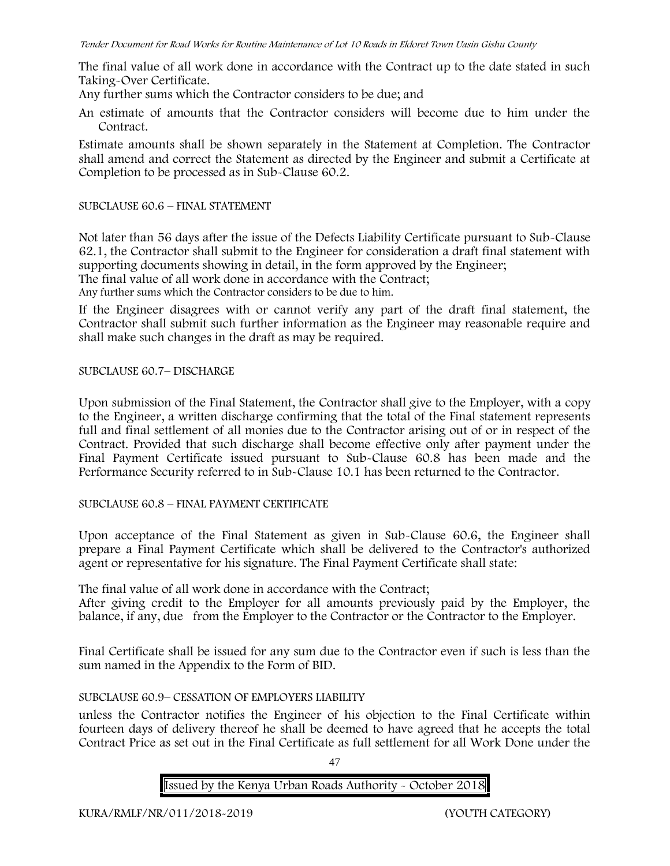The final value of all work done in accordance with the Contract up to the date stated in such Taking-Over Certificate.

Any further sums which the Contractor considers to be due; and

An estimate of amounts that the Contractor considers will become due to him under the Contract.

Estimate amounts shall be shown separately in the Statement at Completion. The Contractor shall amend and correct the Statement as directed by the Engineer and submit a Certificate at Completion to be processed as in Sub-Clause 60.2.

### SUBCLAUSE 60.6 – FINAL STATEMENT

Not later than 56 days after the issue of the Defects Liability Certificate pursuant to Sub-Clause 62.1, the Contractor shall submit to the Engineer for consideration a draft final statement with supporting documents showing in detail, in the form approved by the Engineer; The final value of all work done in accordance with the Contract; Any further sums which the Contractor considers to be due to him.

If the Engineer disagrees with or cannot verify any part of the draft final statement, the Contractor shall submit such further information as the Engineer may reasonable require and shall make such changes in the draft as may be required.

### SUBCLAUSE 60.7– DISCHARGE

Upon submission of the Final Statement, the Contractor shall give to the Employer, with a copy to the Engineer, a written discharge confirming that the total of the Final statement represents full and final settlement of all monies due to the Contractor arising out of or in respect of the Contract. Provided that such discharge shall become effective only after payment under the Final Payment Certificate issued pursuant to Sub-Clause 60.8 has been made and the Performance Security referred to in Sub-Clause 10.1 has been returned to the Contractor.

### SUBCLAUSE 60.8 – FINAL PAYMENT CERTIFICATE

Upon acceptance of the Final Statement as given in Sub-Clause 60.6, the Engineer shall prepare a Final Payment Certificate which shall be delivered to the Contractor's authorized agent or representative for his signature. The Final Payment Certificate shall state:

The final value of all work done in accordance with the Contract;

After giving credit to the Employer for all amounts previously paid by the Employer, the balance, if any, due from the Employer to the Contractor or the Contractor to the Employer.

Final Certificate shall be issued for any sum due to the Contractor even if such is less than the sum named in the Appendix to the Form of BID.

### SUBCLAUSE 60.9– CESSATION OF EMPLOYERS LIABILITY

unless the Contractor notifies the Engineer of his objection to the Final Certificate within fourteen days of delivery thereof he shall be deemed to have agreed that he accepts the total Contract Price as set out in the Final Certificate as full settlement for all Work Done under the

 $\overline{47}$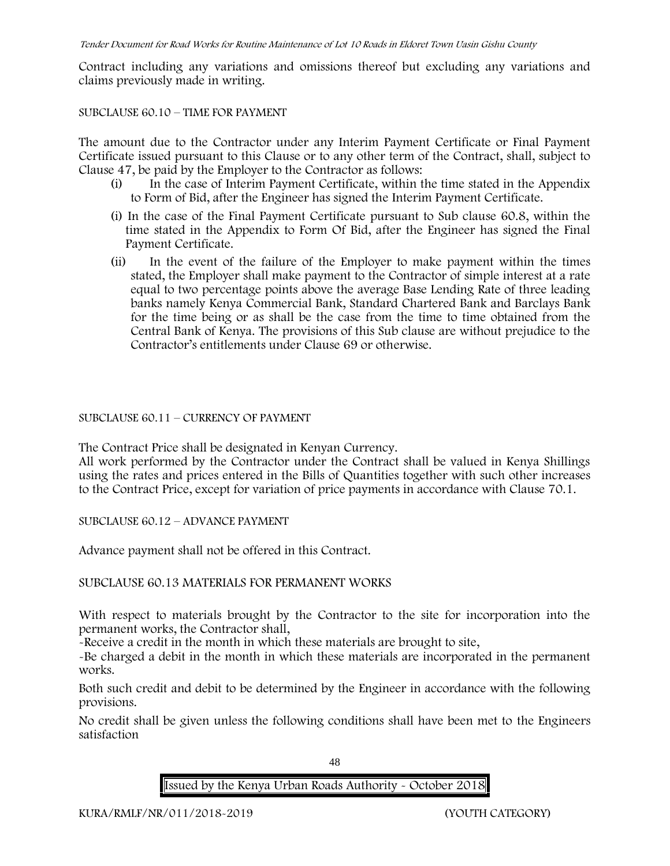Contract including any variations and omissions thereof but excluding any variations and claims previously made in writing.

#### SUBCLAUSE 60.10 – TIME FOR PAYMENT

The amount due to the Contractor under any Interim Payment Certificate or Final Payment Certificate issued pursuant to this Clause or to any other term of the Contract, shall, subject to Clause 47, be paid by the Employer to the Contractor as follows:

- (i) In the case of Interim Payment Certificate, within the time stated in the Appendix to Form of Bid, after the Engineer has signed the Interim Payment Certificate.
- (i) In the case of the Final Payment Certificate pursuant to Sub clause 60.8, within the time stated in the Appendix to Form Of Bid, after the Engineer has signed the Final Payment Certificate.
- (ii) In the event of the failure of the Employer to make payment within the times stated, the Employer shall make payment to the Contractor of simple interest at a rate equal to two percentage points above the average Base Lending Rate of three leading banks namely Kenya Commercial Bank, Standard Chartered Bank and Barclays Bank for the time being or as shall be the case from the time to time obtained from the Central Bank of Kenya. The provisions of this Sub clause are without prejudice to the Contractor's entitlements under Clause 69 or otherwise.

SUBCLAUSE 60.11 – CURRENCY OF PAYMENT

The Contract Price shall be designated in Kenyan Currency.

All work performed by the Contractor under the Contract shall be valued in Kenya Shillings using the rates and prices entered in the Bills of Quantities together with such other increases to the Contract Price, except for variation of price payments in accordance with Clause 70.1.

SUBCLAUSE 60.12 – ADVANCE PAYMENT

Advance payment shall not be offered in this Contract.

SUBCLAUSE 60.13 MATERIALS FOR PERMANENT WORKS

With respect to materials brought by the Contractor to the site for incorporation into the permanent works, the Contractor shall,

-Receive a credit in the month in which these materials are brought to site,

-Be charged a debit in the month in which these materials are incorporated in the permanent works.

Both such credit and debit to be determined by the Engineer in accordance with the following provisions.

No credit shall be given unless the following conditions shall have been met to the Engineers satisfaction

48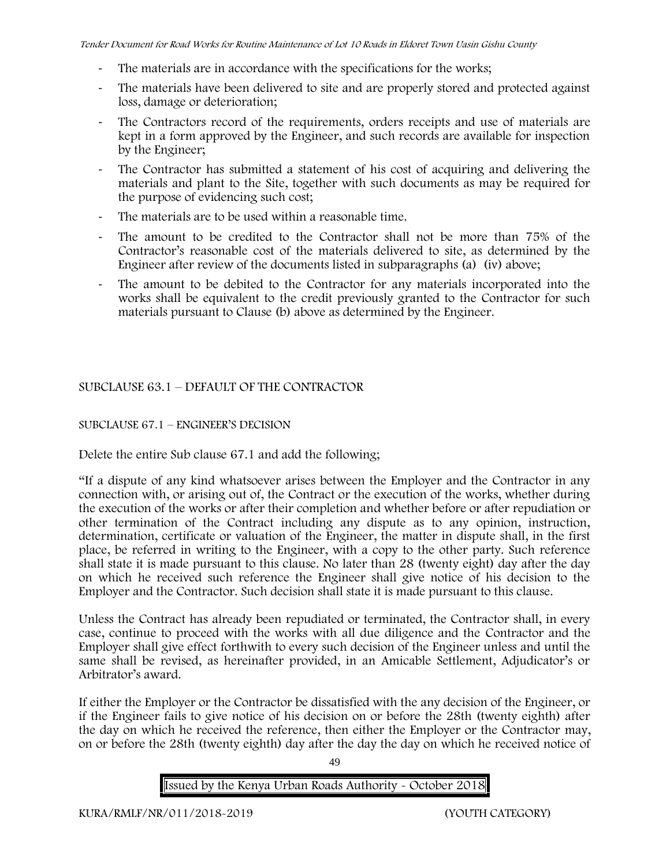- The materials are in accordance with the specifications for the works;
- The materials have been delivered to site and are properly stored and protected against loss, damage or deterioration;
- The Contractors record of the requirements, orders receipts and use of materials are kept in a form approved by the Engineer, and such records are available for inspection by the Engineer;
- The Contractor has submitted a statement of his cost of acquiring and delivering the materials and plant to the Site, together with such documents as may be required for the purpose of evidencing such cost;
- The materials are to be used within a reasonable time.
- The amount to be credited to the Contractor shall not be more than 75% of the Contractor's reasonable cost of the materials delivered to site, as determined by the Engineer after review of the documents listed in subparagraphs (a) (iv) above;
- The amount to be debited to the Contractor for any materials incorporated into the works shall be equivalent to the credit previously granted to the Contractor for such materials pursuant to Clause (b) above as determined by the Engineer.

# SUBCLAUSE 63.1 – DEFAULT OF THE CONTRACTOR

### SUBCLAUSE 67.1 – ENGINEER'S DECISION

Delete the entire Sub clause 67.1 and add the following;

"If a dispute of any kind whatsoever arises between the Employer and the Contractor in any connection with, or arising out of, the Contract or the execution of the works, whether during the execution of the works or after their completion and whether before or after repudiation or other termination of the Contract including any dispute as to any opinion, instruction, determination, certificate or valuation of the Engineer, the matter in dispute shall, in the first place, be referred in writing to the Engineer, with a copy to the other party. Such reference shall state it is made pursuant to this clause. No later than 28 (twenty eight) day after the day on which he received such reference the Engineer shall give notice of his decision to the Employer and the Contractor. Such decision shall state it is made pursuant to this clause.

Unless the Contract has already been repudiated or terminated, the Contractor shall, in every case, continue to proceed with the works with all due diligence and the Contractor and the Employer shall give effect forthwith to every such decision of the Engineer unless and until the same shall be revised, as hereinafter provided, in an Amicable Settlement, Adjudicator's or Arbitrator's award.

If either the Employer or the Contractor be dissatisfied with the any decision of the Engineer, or if the Engineer fails to give notice of his decision on or before the 28th (twenty eighth) after the day on which he received the reference, then either the Employer or the Contractor may, on or before the 28th (twenty eighth) day after the day the day on which he received notice of

49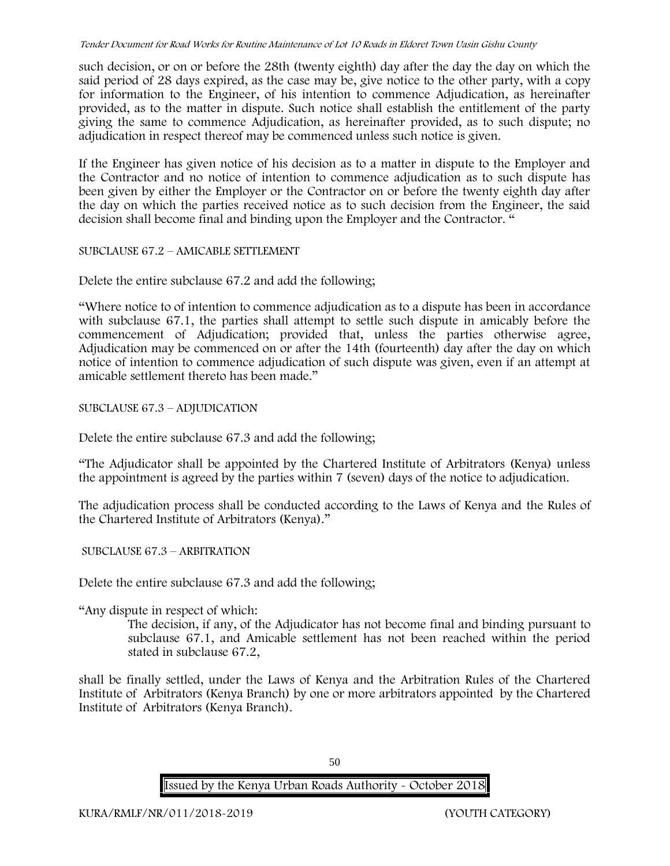such decision, or on or before the 28th (twenty eighth) day after the day the day on which the said period of 28 days expired, as the case may be, give notice to the other party, with a copy for information to the Engineer, of his intention to commence Adjudication, as hereinafter provided, as to the matter in dispute. Such notice shall establish the entitlement of the party giving the same to commence Adjudication, as hereinafter provided, as to such dispute; no adjudication in respect thereof may be commenced unless such notice is given.

If the Engineer has given notice of his decision as to a matter in dispute to the Employer and the Contractor and no notice of intention to commence adjudication as to such dispute has been given by either the Employer or the Contractor on or before the twenty eighth day after the day on which the parties received notice as to such decision from the Engineer, the said decision shall become final and binding upon the Employer and the Contractor. "

SUBCLAUSE 67.2 – AMICABLE SETTLEMENT

Delete the entire subclause 67.2 and add the following;

"Where notice to of intention to commence adjudication as to a dispute has been in accordance with subclause 67.1, the parties shall attempt to settle such dispute in amicably before the commencement of Adjudication; provided that, unless the parties otherwise agree, Adjudication may be commenced on or after the 14th (fourteenth) day after the day on which notice of intention to commence adjudication of such dispute was given, even if an attempt at amicable settlement thereto has been made."

SUBCLAUSE 67.3 – ADJUDICATION

Delete the entire subclause 67.3 and add the following;

"The Adjudicator shall be appointed by the Chartered Institute of Arbitrators (Kenya) unless the appointment is agreed by the parties within 7 (seven) days of the notice to adjudication.

The adjudication process shall be conducted according to the Laws of Kenya and the Rules of the Chartered Institute of Arbitrators (Kenya)."

SUBCLAUSE 67.3 – ARBITRATION

Delete the entire subclause 67.3 and add the following;

"Any dispute in respect of which:

The decision, if any, of the Adjudicator has not become final and binding pursuant to subclause 67.1, and Amicable settlement has not been reached within the period stated in subclause 67.2,

shall be finally settled, under the Laws of Kenya and the Arbitration Rules of the Chartered Institute of Arbitrators (Kenya Branch) by one or more arbitrators appointed by the Chartered Institute of Arbitrators (Kenya Branch).

50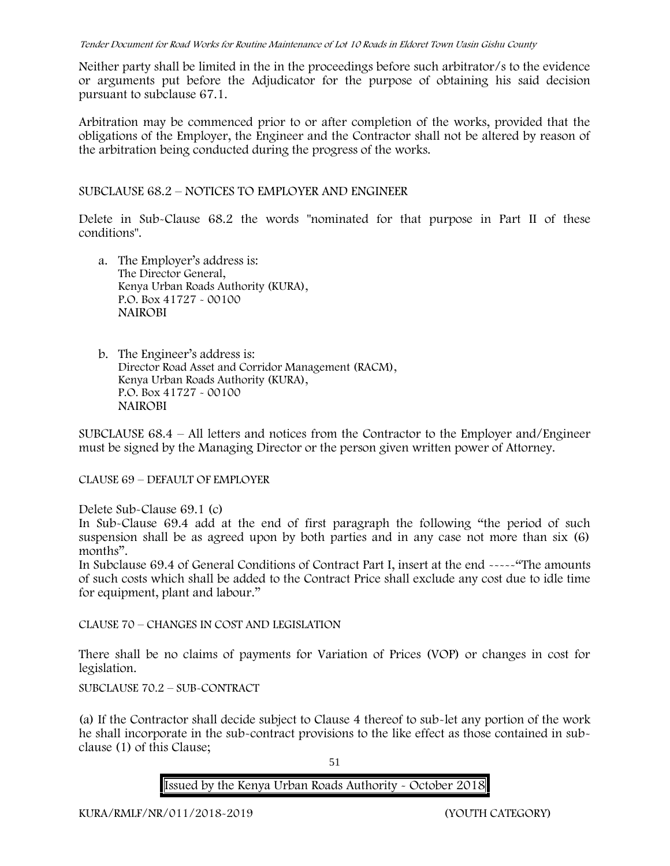Neither party shall be limited in the in the proceedings before such arbitrator/s to the evidence or arguments put before the Adjudicator for the purpose of obtaining his said decision pursuant to subclause 67.1.

Arbitration may be commenced prior to or after completion of the works, provided that the obligations of the Employer, the Engineer and the Contractor shall not be altered by reason of the arbitration being conducted during the progress of the works.

SUBCLAUSE 68.2 – NOTICES TO EMPLOYER AND ENGINEER

Delete in Sub-Clause 68.2 the words "nominated for that purpose in Part II of these conditions".

- a. The Employer's address is: The Director General, Kenya Urban Roads Authority (KURA), P.O. Box 41727 - 00100 **NAIROBI**
- b. The Engineer's address is: Director Road Asset and Corridor Management (RACM), Kenya Urban Roads Authority (KURA), P.O. Box 41727 - 00100 **NAIROBI**

SUBCLAUSE 68.4 – All letters and notices from the Contractor to the Employer and/Engineer must be signed by the Managing Director or the person given written power of Attorney.

CLAUSE 69 – DEFAULT OF EMPLOYER

Delete Sub-Clause 69.1 (c)

In Sub-Clause 69.4 add at the end of first paragraph the following "the period of such suspension shall be as agreed upon by both parties and in any case not more than six (6) months".

In Subclause 69.4 of General Conditions of Contract Part I, insert at the end -----"The amounts of such costs which shall be added to the Contract Price shall exclude any cost due to idle time for equipment, plant and labour."

CLAUSE 70 – CHANGES IN COST AND LEGISLATION

There shall be no claims of payments for Variation of Prices (VOP) or changes in cost for legislation.

SUBCLAUSE 70.2 – SUB-CONTRACT

(a) If the Contractor shall decide subject to Clause 4 thereof to sub-let any portion of the work he shall incorporate in the sub-contract provisions to the like effect as those contained in sub clause (1) of this Clause;

51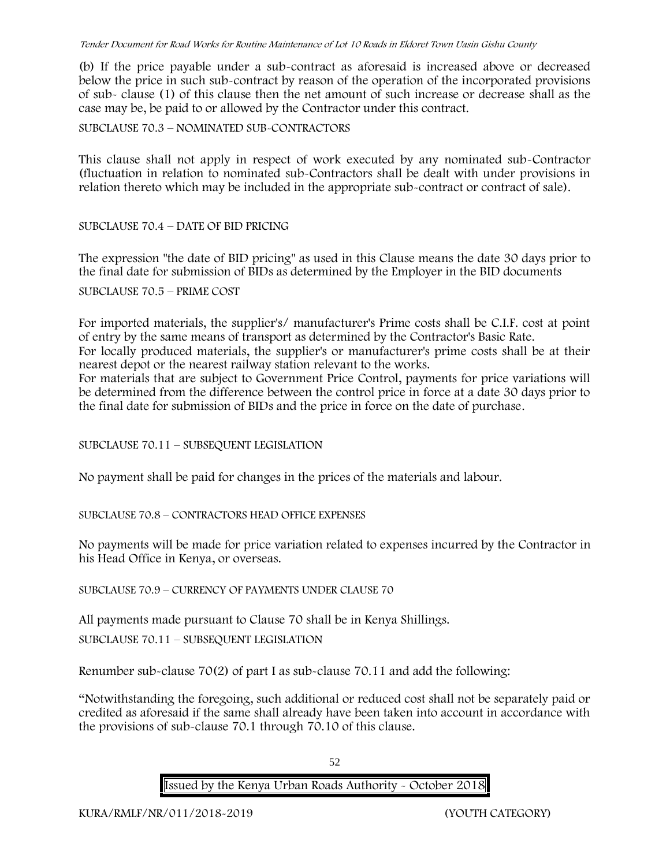(b) If the price payable under a sub-contract as aforesaid is increased above or decreased below the price in such sub-contract by reason of the operation of the incorporated provisions of sub- clause (1) of this clause then the net amount of such increase or decrease shall as the case may be, be paid to or allowed by the Contractor under this contract.

SUBCLAUSE 70.3 – NOMINATED SUB-CONTRACTORS

This clause shall not apply in respect of work executed by any nominated sub-Contractor (fluctuation in relation to nominated sub-Contractors shall be dealt with under provisions in relation thereto which may be included in the appropriate sub-contract or contract of sale).

### SUBCLAUSE 70.4 – DATE OF BID PRICING

The expression "the date of BID pricing" as used in this Clause means the date 30 days prior to the final date for submission of BIDs as determined by the Employer in the BID documents

SUBCLAUSE 70.5 – PRIME COST

For imported materials, the supplier's/ manufacturer's Prime costs shall be C.I.F. cost at point of entry by the same means of transport as determined by the Contractor's Basic Rate.

For locally produced materials, the supplier's or manufacturer's prime costs shall be at their nearest depot or the nearest railway station relevant to the works.

For materials that are subject to Government Price Control, payments for price variations will be determined from the difference between the control price in force at a date 30 days prior to the final date for submission of BIDs and the price in force on the date of purchase.

SUBCLAUSE 70.11 – SUBSEQUENT LEGISLATION

No payment shall be paid for changes in the prices of the materials and labour.

SUBCLAUSE 70.8 – CONTRACTORS HEAD OFFICE EXPENSES

No payments will be made for price variation related to expenses incurred by the Contractor in his Head Office in Kenya, or overseas.

SUBCLAUSE 70.9 – CURRENCY OF PAYMENTS UNDER CLAUSE 70

All payments made pursuant to Clause 70 shall be in Kenya Shillings.

SUBCLAUSE 70.11 – SUBSEQUENT LEGISLATION

Renumber sub-clause 70(2) of part I as sub-clause 70.11 and add the following:

"Notwithstanding the foregoing, such additional or reduced cost shall not be separately paid or credited as aforesaid if the same shall already have been taken into account in accordance with the provisions of sub-clause 70.1 through 70.10 of this clause.

52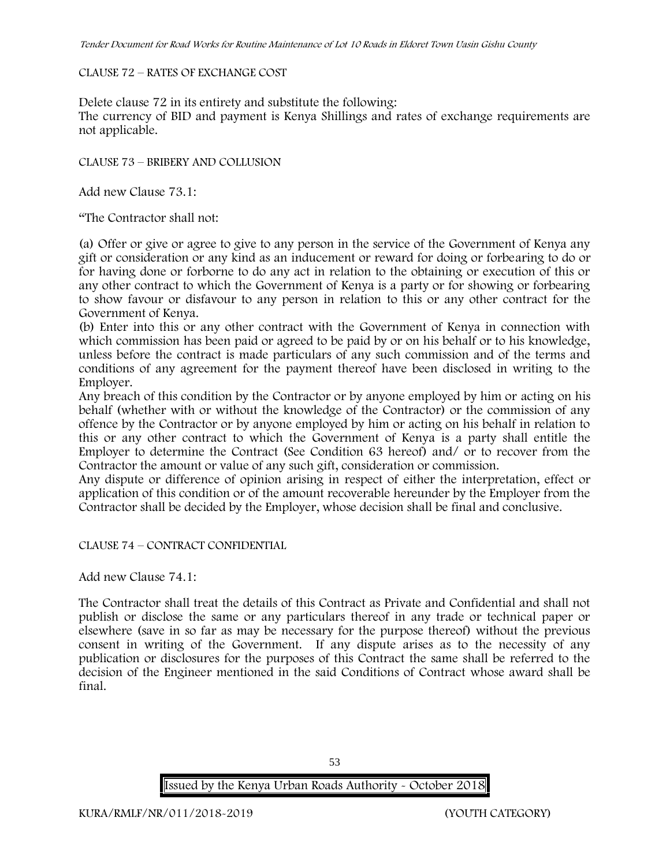#### CLAUSE 72 – RATES OF EXCHANGE COST

Delete clause 72 in its entirety and substitute the following:

The currency of BID and payment is Kenya Shillings and rates of exchange requirements are not applicable.

CLAUSE 73 – BRIBERY AND COLLUSION

Add new Clause 73.1:

"The Contractor shall not:

(a) Offer or give or agree to give to any person in the service of the Government of Kenya any gift or consideration or any kind as an inducement or reward for doing or forbearing to do or for having done or forborne to do any act in relation to the obtaining or execution of this or any other contract to which the Government of Kenya is a party or for showing or forbearing to show favour or disfavour to any person in relation to this or any other contract for the Government of Kenya.

(b) Enter into this or any other contract with the Government of Kenya in connection with which commission has been paid or agreed to be paid by or on his behalf or to his knowledge, unless before the contract is made particulars of any such commission and of the terms and conditions of any agreement for the payment thereof have been disclosed in writing to the Employer.

Any breach of this condition by the Contractor or by anyone employed by him or acting on his behalf (whether with or without the knowledge of the Contractor) or the commission of any offence by the Contractor or by anyone employed by him or acting on his behalf in relation to this or any other contract to which the Government of Kenya is a party shall entitle the Employer to determine the Contract (See Condition 63 hereof) and/ or to recover from the Contractor the amount or value of any such gift, consideration or commission.

Any dispute or difference of opinion arising in respect of either the interpretation, effect or application of this condition or of the amount recoverable hereunder by the Employer from the Contractor shall be decided by the Employer, whose decision shall be final and conclusive.

CLAUSE 74 – CONTRACT CONFIDENTIAL

Add new Clause 74.1:

The Contractor shall treat the details of this Contract as Private and Confidential and shall not publish or disclose the same or any particulars thereof in any trade or technical paper or elsewhere (save in so far as may be necessary for the purpose thereof) without the previous consent in writing of the Government. If any dispute arises as to the necessity of any publication or disclosures for the purposes of this Contract the same shall be referred to the decision of the Engineer mentioned in the said Conditions of Contract whose award shall be final.

53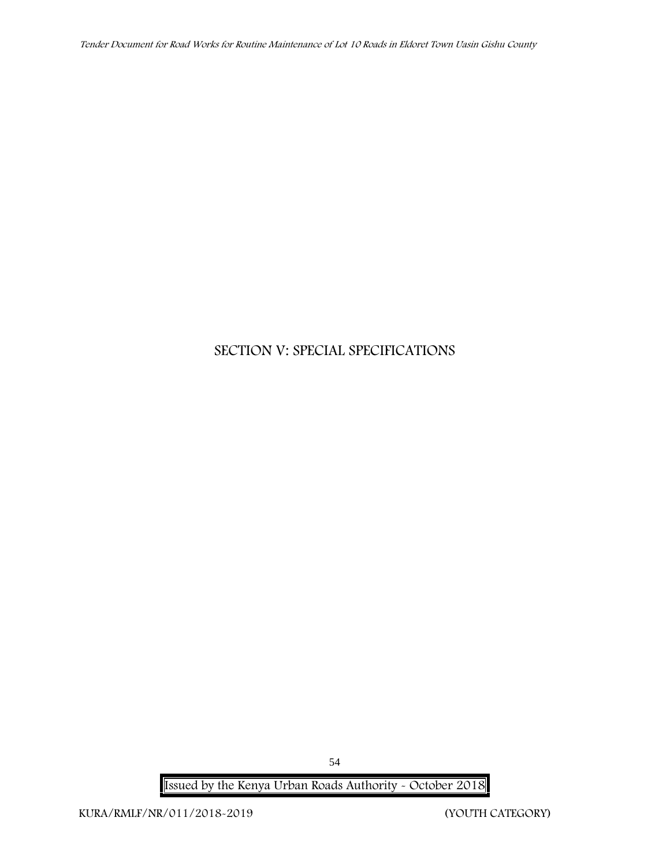# **SECTION V: SPECIAL SPECIFICATIONS**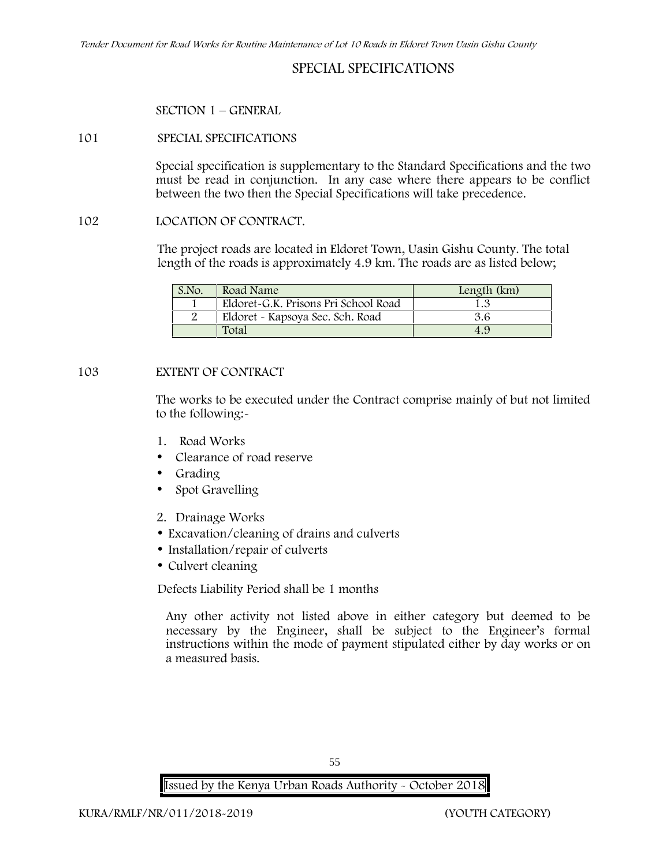# **SPECIAL SPECIFICATIONS**

#### **SECTION 1 – GENERAL**

#### **101 SPECIAL SPECIFICATIONS**

Special specification is supplementary to the Standard Specifications and the two must be read in conjunction. In any case where there appears to be conflict between the two then the Special Specifications will take precedence.

#### **102 LOCATION OF CONTRACT.**

The project roads are located in Eldoret Town, Uasin Gishu County. The total length of the roads is approximately 4.9 km. The roads are as listed below;

| S.No. | Road Name                            | Length (km) |
|-------|--------------------------------------|-------------|
|       | Eldoret-G.K. Prisons Pri School Road |             |
|       | Eldoret - Kapsoya Sec. Sch. Road     | 3.6         |
|       | Total                                | 4.9         |

#### **103 EXTENT OF CONTRACT**

The works to be executed under the Contract comprise mainly of but not limited to the following:-

- **1. Road Works**
- Clearance of road reserve
- Grading
- Spot Gravelling
- **2. Drainage Works**
- Excavation/cleaning of drains and culverts
- Installation/repair of culverts
- Culvert cleaning

Defects Liability Period shall be 1 months

Any other activity not listed above in either category but deemed to be necessary by the Engineer, shall be subject to the Engineer's formal instructions within the mode of payment stipulated either by day works or on a measured basis.

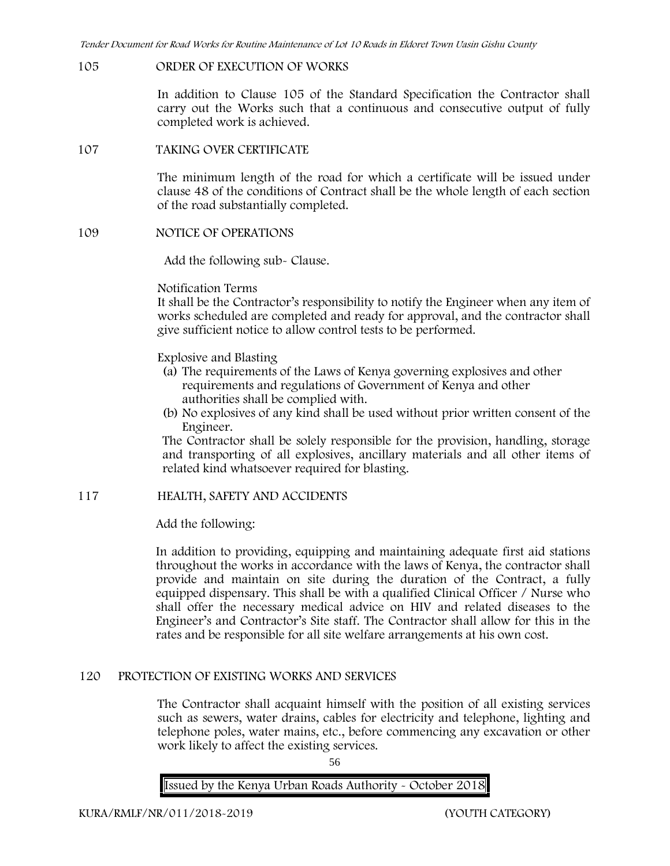#### **105 ORDER OF EXECUTION OF WORKS**

In addition to Clause 105 of the Standard Specification the Contractor shall carry out the Works such that a continuous and consecutive output of fully completed work is achieved.

#### **107 TAKING OVER CERTIFICATE**

The minimum length of the road for which a certificate will be issued under clause 48 of the conditions of Contract shall be the whole length of each section of the road substantially completed.

#### **109 NOTICE OF OPERATIONS**

Add the following sub- Clause.

#### Notification Terms

It shall be the Contractor's responsibility to notify the Engineer when any item of works scheduled are completed and ready for approval, and the contractor shall give sufficient notice to allow control tests to be performed.

Explosive and Blasting

- (a) The requirements of the Laws of Kenya governing explosives and other requirements and regulations of Government of Kenya and other authorities shall be complied with.
- (b) No explosives of any kind shall be used without prior written consent of the Engineer.

The Contractor shall be solely responsible for the provision, handling, storage and transporting of all explosives, ancillary materials and all other items of related kind whatsoever required for blasting.

### **117 HEALTH, SAFETY AND ACCIDENTS**

Add the following:

In addition to providing, equipping and maintaining adequate first aid stations throughout the works in accordance with the laws of Kenya, the contractor shall provide and maintain on site during the duration of the Contract, a fully equipped dispensary. This shall be with a qualified Clinical Officer / Nurse who shall offer the necessary medical advice on HIV and related diseases to the Engineer's and Contractor's Site staff. The Contractor shall allow for this in the rates and be responsible for all site welfare arrangements at his own cost.

### **120 PROTECTION OF EXISTING WORKS AND SERVICES**

The Contractor shall acquaint himself with the position of all existing services such as sewers, water drains, cables for electricity and telephone, lighting and telephone poles, water mains, etc., before commencing any excavation or other work likely to affect the existing services.

56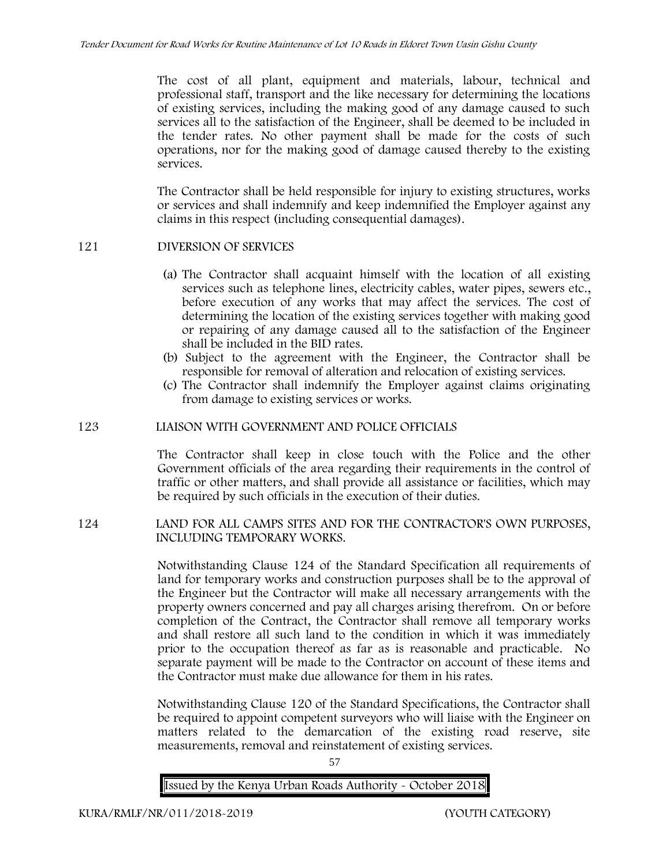The cost of all plant, equipment and materials, labour, technical and professional staff, transport and the like necessary for determining the locations of existing services, including the making good of any damage caused to such services all to the satisfaction of the Engineer, shall be deemed to be included in the tender rates. No other payment shall be made for the costs of such operations, nor for the making good of damage caused thereby to the existing services.

The Contractor shall be held responsible for injury to existing structures, works or services and shall indemnify and keep indemnified the Employer against any claims in this respect (including consequential damages).

### **121 DIVERSION OF SERVICES**

- (a) The Contractor shall acquaint himself with the location of all existing services such as telephone lines, electricity cables, water pipes, sewers etc., before execution of any works that may affect the services. The cost of determining the location of the existing services together with making good or repairing of any damage caused all to the satisfaction of the Engineer shall be included in the BID rates.
- (b) Subject to the agreement with the Engineer, the Contractor shall be responsible for removal of alteration and relocation of existing services.
- (c) The Contractor shall indemnify the Employer against claims originating from damage to existing services or works.

### **123 LIAISON WITH GOVERNMENT AND POLICE OFFICIALS**

The Contractor shall keep in close touch with the Police and the other Government officials of the area regarding their requirements in the control of traffic or other matters, and shall provide all assistance or facilities, which may be required by such officials in the execution of their duties.

### **124 LAND FOR ALL CAMPS SITES AND FOR THE CONTRACTOR'S OWN PURPOSES, INCLUDING TEMPORARY WORKS.**

Notwithstanding Clause 124 of the Standard Specification all requirements of land for temporary works and construction purposes shall be to the approval of the Engineer but the Contractor will make all necessary arrangements with the property owners concerned and pay all charges arising therefrom. On or before completion of the Contract, the Contractor shall remove all temporary works and shall restore all such land to the condition in which it was immediately prior to the occupation thereof as far as is reasonable and practicable. No separate payment will be made to the Contractor on account of these items and the Contractor must make due allowance for them in his rates.

Notwithstanding Clause 120 of the Standard Specifications, the Contractor shall be required to appoint competent surveyors who will liaise with the Engineer on matters related to the demarcation of the existing road reserve, site measurements, removal and reinstatement of existing services.

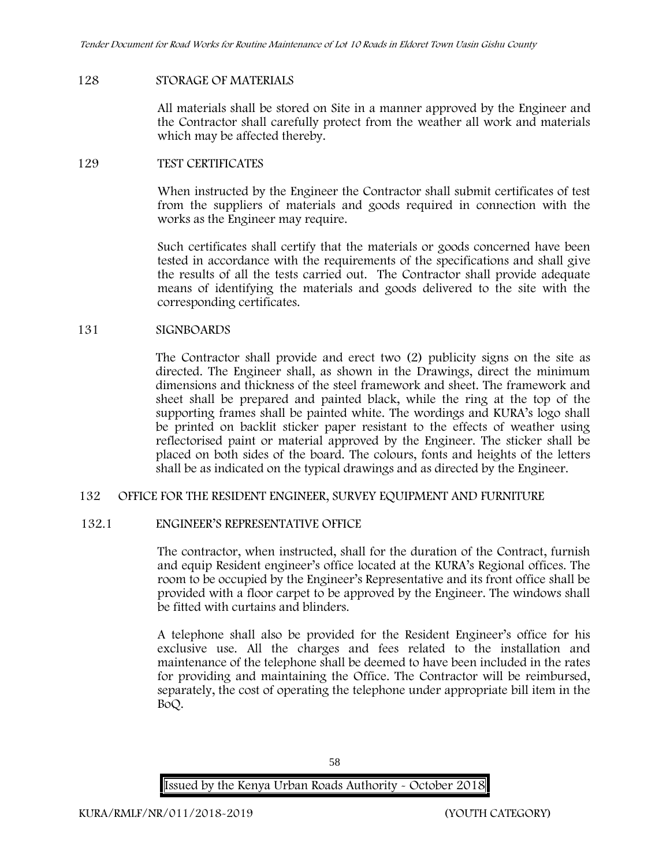### **128 STORAGE OF MATERIALS**

All materials shall be stored on Site in a manner approved by the Engineer and the Contractor shall carefully protect from the weather all work and materials which may be affected thereby.

### **129 TEST CERTIFICATES**

When instructed by the Engineer the Contractor shall submit certificates of test from the suppliers of materials and goods required in connection with the works as the Engineer may require.

Such certificates shall certify that the materials or goods concerned have been tested in accordance with the requirements of the specifications and shall give the results of all the tests carried out. The Contractor shall provide adequate means of identifying the materials and goods delivered to the site with the corresponding certificates.

### **131 SIGNBOARDS**

The Contractor shall provide and erect two (2) publicity signs on the site as directed. The Engineer shall, as shown in the Drawings, direct the minimum dimensions and thickness of the steel framework and sheet. The framework and sheet shall be prepared and painted black, while the ring at the top of the supporting frames shall be painted white. The wordings and KURA's logo shall be printed on backlit sticker paper resistant to the effects of weather using reflectorised paint or material approved by the Engineer. The sticker shall be placed on both sides of the board. The colours, fonts and heights of the letters shall be as indicated on the typical drawings and as directed by the Engineer.

### **132 OFFICE FOR THE RESIDENT ENGINEER, SURVEY EQUIPMENT AND FURNITURE**

### **132.1 ENGINEER'S REPRESENTATIVE OFFICE**

The contractor, when instructed, shall for the duration of the Contract, furnish and equip Resident engineer's office located at the KURA's Regional offices. The room to be occupied by the Engineer's Representative and its front office shall be provided with a floor carpet to be approved by the Engineer. The windows shall be fitted with curtains and blinders.

A telephone shall also be provided for the Resident Engineer's office for his exclusive use. All the charges and fees related to the installation and maintenance of the telephone shall be deemed to have been included in the rates for providing and maintaining the Office. The Contractor will be reimbursed, separately, the cost of operating the telephone under appropriate bill item in the BoQ.

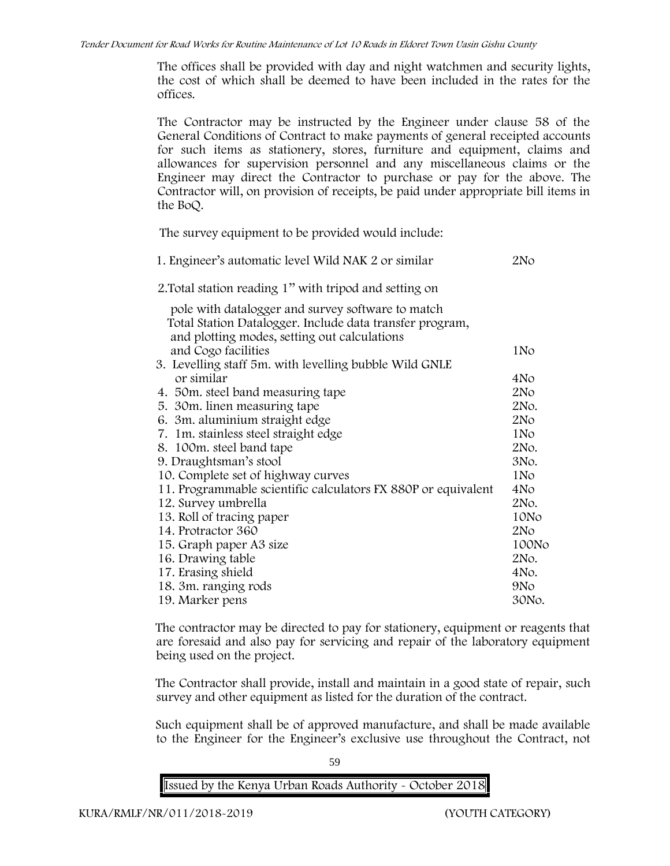The offices shall be provided with day and night watchmen and security lights, the cost of which shall be deemed to have been included in the rates for the offices.

The Contractor may be instructed by the Engineer under clause 58 of the General Conditions of Contract to make payments of general receipted accounts for such items as stationery, stores, furniture and equipment, claims and allowances for supervision personnel and any miscellaneous claims or the Engineer may direct the Contractor to purchase or pay for the above. The Contractor will, on provision of receipts, be paid under appropriate bill items in the BoQ.

**The survey equipment to be provided would include:**

| 1. Engineer's automatic level Wild NAK 2 or similar           | 2No             |
|---------------------------------------------------------------|-----------------|
| 2. Total station reading 1" with tripod and setting on        |                 |
| pole with datalogger and survey software to match             |                 |
| Total Station Datalogger. Include data transfer program,      |                 |
| and plotting modes, setting out calculations                  |                 |
| and Cogo facilities                                           | 1N <sub>o</sub> |
| 3. Levelling staff 5m. with levelling bubble Wild GNLE        |                 |
| or similar                                                    | 4No             |
| 4. 50 m. steel band measuring tape                            | 2N <sub>O</sub> |
| 5. 30m. linen measuring tape                                  | 2No.            |
| 6. 3m. aluminium straight edge                                | 2N <sub>O</sub> |
| 7. 1m. stainless steel straight edge                          | 1N <sub>o</sub> |
| 8. 100m. steel band tape                                      | 2No.            |
| 9. Draughtsman's stool                                        | 3No.            |
| 10. Complete set of highway curves                            | 1N <sub>o</sub> |
| 11. Programmable scientific calculators FX 880P or equivalent | 4No             |
| 12. Survey umbrella                                           | 2No.            |
| 13. Roll of tracing paper                                     | 10No            |
| 14. Protractor 360                                            | 2N <sub>O</sub> |
| 15. Graph paper A3 size                                       | 100No           |
| 16. Drawing table                                             | 2No.            |
| 17. Erasing shield                                            | 4No.            |
| 18. 3m. ranging rods                                          | 9N <sub>o</sub> |
| 19. Marker pens                                               | 30No.           |
|                                                               |                 |

The contractor may be directed to pay for stationery, equipment or reagents that are foresaid and also pay for servicing and repair of the laboratory equipment being used on the project.

The Contractor shall provide, install and maintain in a good state of repair, such survey and other equipment as listed for the duration of the contract.

Such equipment shall be of approved manufacture, and shall be made available to the Engineer for the Engineer's exclusive use throughout the Contract, not

59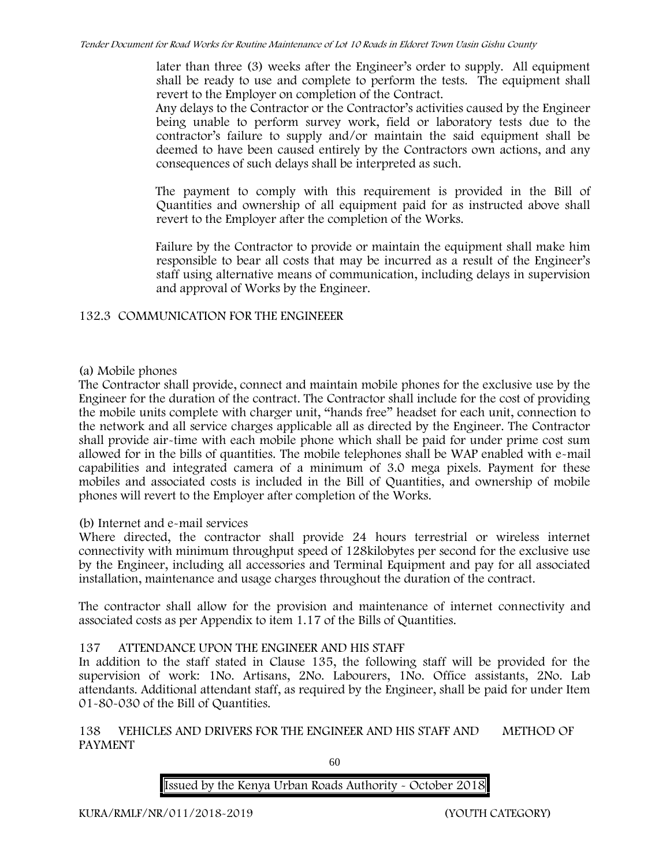later than three (3) weeks after the Engineer's order to supply. All equipment shall be ready to use and complete to perform the tests. The equipment shall revert to the Employer on completion of the Contract.

Any delays to the Contractor or the Contractor's activities caused by the Engineer being unable to perform survey work, field or laboratory tests due to the contractor's failure to supply and/or maintain the said equipment shall be deemed to have been caused entirely by the Contractors own actions, and any consequences of such delays shall be interpreted as such.

The payment to comply with this requirement is provided in the Bill of Quantities and ownership of all equipment paid for as instructed above shall revert to the Employer after the completion of the Works.

Failure by the Contractor to provide or maintain the equipment shall make him responsible to bear all costs that may be incurred as a result of the Engineer's staff using alternative means of communication, including delays in supervision and approval of Works by the Engineer.

# **132.3 COMMUNICATION FOR THE ENGINEEER**

# **(a) Mobile phones**

The Contractor shall provide, connect and maintain mobile phones for the exclusive use by the Engineer for the duration of the contract. The Contractor shall include for the cost of providing the mobile units complete with charger unit, "hands free" headset for each unit, connection to the network and all service charges applicable all as directed by the Engineer. The Contractor shall provide air-time with each mobile phone which shall be paid for under prime cost sum allowed for in the bills of quantities. The mobile telephones shall be WAP enabled with e-mail capabilities and integrated camera of a minimum of 3.0 mega pixels. Payment for these mobiles and associated costs is included in the Bill of Quantities, and ownership of mobile phones will revert to the Employer after completion of the Works.

# **(b) Internet and e-mail services**

Where directed, the contractor shall provide 24 hours terrestrial or wireless internet connectivity with minimum throughput speed of 128kilobytes per second for the exclusive use by the Engineer, including all accessories and Terminal Equipment and pay for all associated installation, maintenance and usage charges throughout the duration of the contract.

The contractor shall allow for the provision and maintenance of internet connectivity and associated costs as per Appendix to item 1.17 of the Bills of Quantities.

# **137 ATTENDANCE UPON THE ENGINEER AND HIS STAFF**

In addition to the staff stated in Clause 135, the following staff will be provided for the supervision of work: 1No. Artisans, 2No. Labourers, 1No. Office assistants, 2No. Lab attendants. Additional attendant staff, as required by the Engineer, shall be paid for under Item 01-80-030 of the Bill of Quantities.

**138 VEHICLES AND DRIVERS FOR THE ENGINEER AND HIS STAFF AND METHOD OF PAYMENT**

60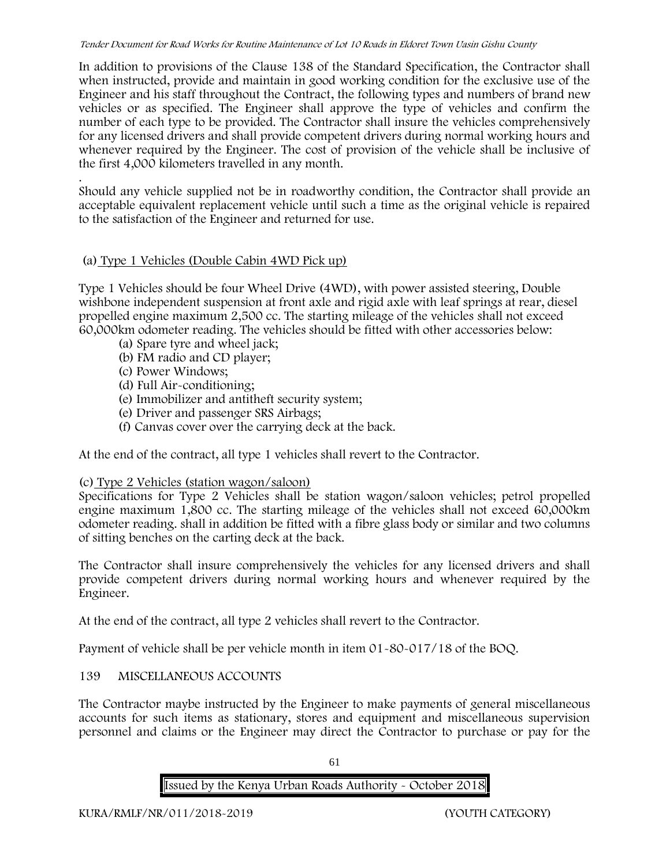In addition to provisions of the Clause 138 of the Standard Specification, the Contractor shall when instructed, provide and maintain in good working condition for the exclusive use of the Engineer and his staff throughout the Contract, the following types and numbers of brand new vehicles or as specified. The Engineer shall approve the type of vehicles and confirm the number of each type to be provided. The Contractor shall insure the vehicles comprehensively for any licensed drivers and shall provide competent drivers during normal working hours and whenever required by the Engineer. The cost of provision of the vehicle shall be inclusive of the first 4,000 kilometers travelled in any month.

.Should any vehicle supplied not be in roadworthy condition, the Contractor shall provide an acceptable equivalent replacement vehicle until such a time as the original vehicle is repaired to the satisfaction of the Engineer and returned for use.

# **(a) Type 1 Vehicles (Double Cabin 4WD Pick up)**

Type 1 Vehicles should be four Wheel Drive (4WD), with power assisted steering, Double wishbone independent suspension at front axle and rigid axle with leaf springs at rear, diesel propelled engine maximum 2,500 cc. The starting mileage of the vehicles shall not exceed 60,000km odometer reading. The vehicles should be fitted with other accessories below:

- (a) Spare tyre and wheel jack;
- (b) FM radio and CD player;
- (c) Power Windows;
- (d) Full Air-conditioning;
- (e) Immobilizer and antitheft security system;
- (e) Driver and passenger SRS Airbags;
- (f) Canvas cover over the carrying deck at the back.

At the end of the contract, all type 1 vehicles shall revert to the Contractor.

# **(c) Type 2 Vehicles (station wagon/saloon)**

Specifications for Type 2 Vehicles shall be station wagon/saloon vehicles; petrol propelled engine maximum 1,800 cc. The starting mileage of the vehicles shall not exceed 60,000km odometer reading. shall in addition be fitted with a fibre glass body or similar and two columns of sitting benches on the carting deck at the back.

The Contractor shall insure comprehensively the vehicles for any licensed drivers and shall provide competent drivers during normal working hours and whenever required by the Engineer.

At the end of the contract, all type 2 vehicles shall revert to the Contractor.

Payment of vehicle shall be per vehicle month in item 01-80-017/18 of the BOQ.

# **139 MISCELLANEOUS ACCOUNTS**

The Contractor maybe instructed by the Engineer to make payments of general miscellaneous accounts for such items as stationary, stores and equipment and miscellaneous supervision personnel and claims or the Engineer may direct the Contractor to purchase or pay for the

61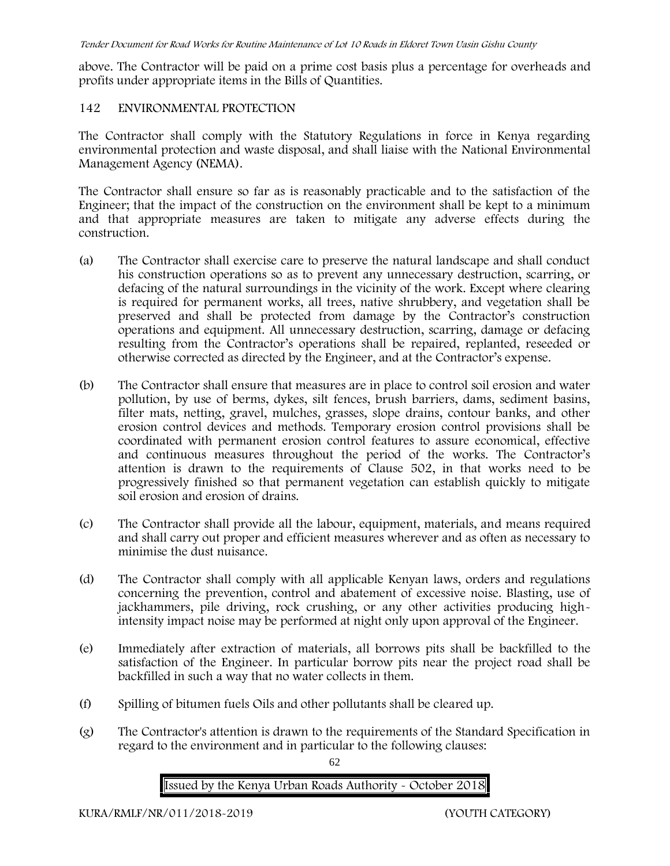above. The Contractor will be paid on a prime cost basis plus a percentage for overheads and profits under appropriate items in the Bills of Quantities.

### **142 ENVIRONMENTAL PROTECTION**

The Contractor shall comply with the Statutory Regulations in force in Kenya regarding environmental protection and waste disposal, and shall liaise with the National Environmental Management Agency (NEMA).

The Contractor shall ensure so far as is reasonably practicable and to the satisfaction of the Engineer; that the impact of the construction on the environment shall be kept to a minimum and that appropriate measures are taken to mitigate any adverse effects during the construction.

- (a) The Contractor shall exercise care to preserve the natural landscape and shall conduct his construction operations so as to prevent any unnecessary destruction, scarring, or defacing of the natural surroundings in the vicinity of the work. Except where clearing is required for permanent works, all trees, native shrubbery, and vegetation shall be preserved and shall be protected from damage by the Contractor's construction operations and equipment. All unnecessary destruction, scarring, damage or defacing resulting from the Contractor's operations shall be repaired, replanted, reseeded or otherwise corrected as directed by the Engineer, and at the Contractor's expense.
- (b) The Contractor shall ensure that measures are in place to control soil erosion and water pollution, by use of berms, dykes, silt fences, brush barriers, dams, sediment basins, filter mats, netting, gravel, mulches, grasses, slope drains, contour banks, and other erosion control devices and methods. Temporary erosion control provisions shall be coordinated with permanent erosion control features to assure economical, effective and continuous measures throughout the period of the works. The Contractor's attention is drawn to the requirements of Clause 502, in that works need to be progressively finished so that permanent vegetation can establish quickly to mitigate soil erosion and erosion of drains.
- (c) The Contractor shall provide all the labour, equipment, materials, and means required and shall carry out proper and efficient measures wherever and as often as necessary to minimise the dust nuisance.
- (d) The Contractor shall comply with all applicable Kenyan laws, orders and regulations concerning the prevention, control and abatement of excessive noise. Blasting, use of jackhammers, pile driving, rock crushing, or any other activities producing highintensity impact noise may be performed at night only upon approval of the Engineer.
- (e) Immediately after extraction of materials, all borrows pits shall be backfilled to the satisfaction of the Engineer. In particular borrow pits near the project road shall be backfilled in such a way that no water collects in them.
- (f) Spilling of bitumen fuels Oils and other pollutants shall be cleared up.
- (g) The Contractor's attention is drawn to the requirements of the Standard Specification in regard to the environment and in particular to the following clauses:

62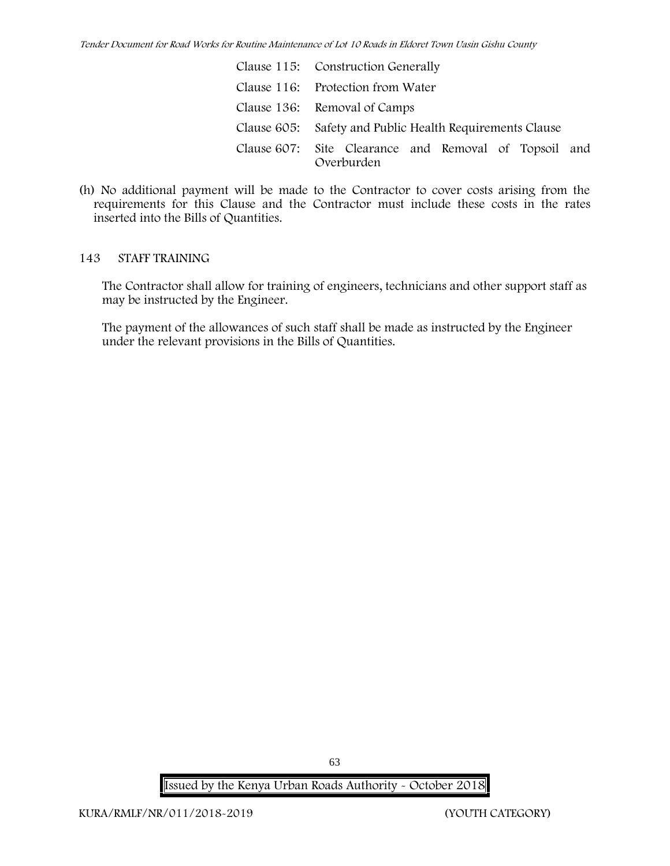| Clause 115: Construction Generally                                  |
|---------------------------------------------------------------------|
| Clause 116: Protection from Water                                   |
| Clause 136: Removal of Camps                                        |
| Clause 605: Safety and Public Health Requirements Clause            |
| Clause 607: Site Clearance and Removal of Topsoil and<br>Overburden |

(h) No additional payment will be made to the Contractor to cover costs arising from the requirements for this Clause and the Contractor must include these costs in the rates inserted into the Bills of Quantities.

#### **143 STAFF TRAINING**

The Contractor shall allow for training of engineers, technicians and other support staff as may be instructed by the Engineer.

The payment of the allowances of such staff shall be made as instructed by the Engineer under the relevant provisions in the Bills of Quantities.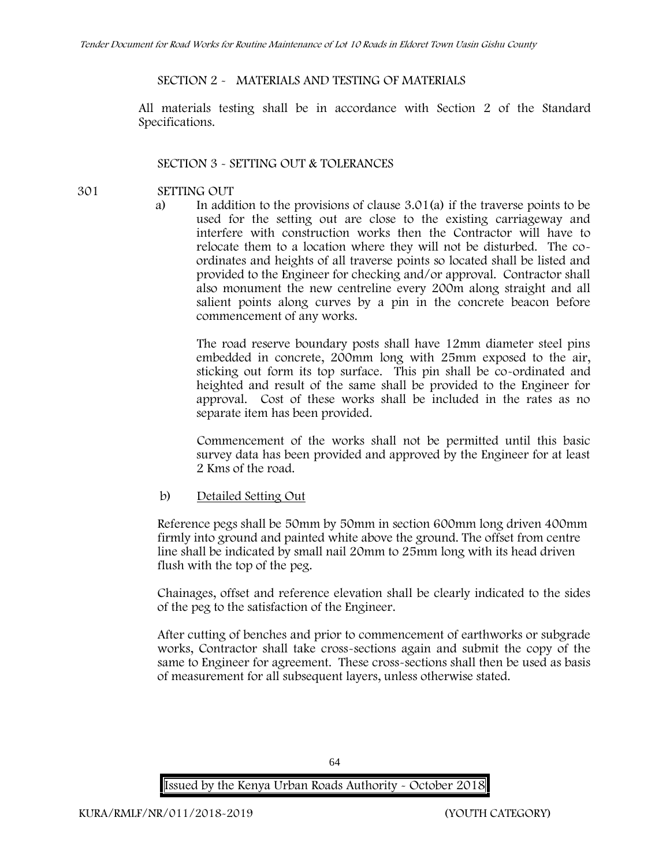### **SECTION 2 - MATERIALS AND TESTING OF MATERIALS**

All materials testing shall be in accordance with Section 2 of the Standard Specifications.

### **SECTION 3 - SETTING OUT & TOLERANCES**

- 
- **301 SETTING OUT**
	- a) In addition to the provisions of clause 3.01(a) if the traverse points to be used for the setting out are close to the existing carriageway and interfere with construction works then the Contractor will have to relocate them to a location where they will not be disturbed. The co ordinates and heights of all traverse points so located shall be listed and provided to the Engineer for checking and/or approval. Contractor shall also monument the new centreline every 200m along straight and all salient points along curves by a pin in the concrete beacon before commencement of any works.

The road reserve boundary posts shall have 12mm diameter steel pins embedded in concrete, 200mm long with 25mm exposed to the air, sticking out form its top surface. This pin shall be co-ordinated and heighted and result of the same shall be provided to the Engineer for approval. Cost of these works shall be included in the rates as no separate item has been provided.

Commencement of the works shall not be permitted until this basic survey data has been provided and approved by the Engineer for at least 2 Kms of the road.

b) Detailed Setting Out

Reference pegs shall be 50mm by 50mm in section 600mm long driven 400mm firmly into ground and painted white above the ground. The offset from centre line shall be indicated by small nail 20mm to 25mm long with its head driven flush with the top of the peg.

Chainages, offset and reference elevation shall be clearly indicated to the sides of the peg to the satisfaction of the Engineer.

After cutting of benches and prior to commencement of earthworks or subgrade works, Contractor shall take cross-sections again and submit the copy of the same to Engineer for agreement. These cross-sections shall then be used as basis of measurement for all subsequent layers, unless otherwise stated.

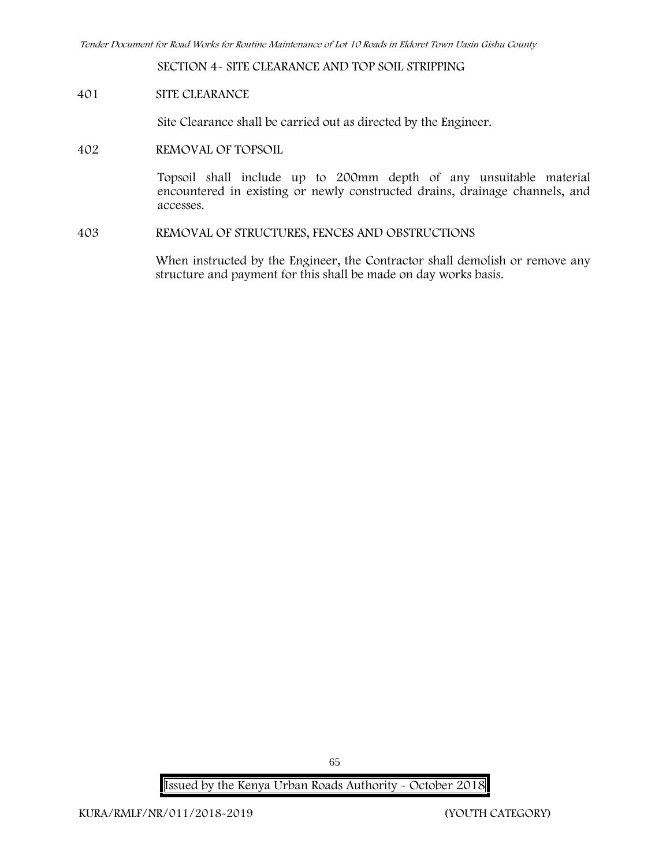**SECTION 4- SITE CLEARANCE AND TOP SOIL STRIPPING**

**401 SITE CLEARANCE**

Site Clearance shall be carried out as directed by the Engineer.

**402 REMOVAL OF TOPSOIL**

Topsoil shall include up to 200mm depth of any unsuitable material encountered in existing or newly constructed drains, drainage channels, and accesses.

**403 REMOVAL OF STRUCTURES, FENCES AND OBSTRUCTIONS**

When instructed by the Engineer, the Contractor shall demolish or remove any structure and payment for this shall be made on day works basis.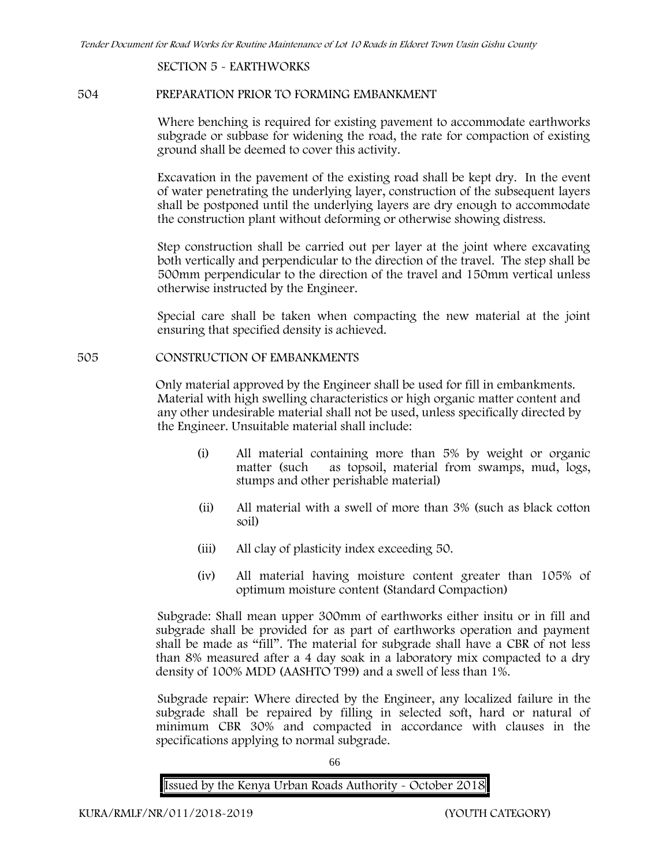#### **SECTION 5 - EARTHWORKS**

#### **504 PREPARATION PRIOR TO FORMING EMBANKMENT**

Where benching is required for existing pavement to accommodate earthworks subgrade or subbase for widening the road, the rate for compaction of existing ground shall be deemed to cover this activity.

Excavation in the pavement of the existing road shall be kept dry. In the event of water penetrating the underlying layer, construction of the subsequent layers shall be postponed until the underlying layers are dry enough to accommodate the construction plant without deforming or otherwise showing distress.

Step construction shall be carried out per layer at the joint where excavating both vertically and perpendicular to the direction of the travel. The step shall be 500mm perpendicular to the direction of the travel and 150mm vertical unless otherwise instructed by the Engineer.

Special care shall be taken when compacting the new material at the joint ensuring that specified density is achieved.

### **505 CONSTRUCTION OF EMBANKMENTS**

Only material approved by the Engineer shall be used for fill in embankments. Material with high swelling characteristics or high organic matter content and any other undesirable material shall not be used, unless specifically directed by the Engineer. Unsuitable material shall include:

- (i) All material containing more than 5% by weight or organic matter (such as topsoil, material from swamps, mud, logs, stumps and other perishable material)
- (ii) All material with a swell of more than 3% (such as black cotton soil)
- (iii) All clay of plasticity index exceeding 50.
- (iv) All material having moisture content greater than 105% of optimum moisture content (Standard Compaction)

Subgrade: Shall mean upper 300mm of earthworks either insitu or in fill and subgrade shall be provided for as part of earthworks operation and payment shall be made as "fill". The material for subgrade shall have a CBR of not less than 8% measured after a 4 day soak in a laboratory mix compacted to a dry density of 100% MDD (AASHTO T99) and a swell of less than 1%.

Subgrade repair: Where directed by the Engineer, any localized failure in the subgrade shall be repaired by filling in selected soft, hard or natural of minimum CBR 30% and compacted in accordance with clauses in the specifications applying to normal subgrade.

66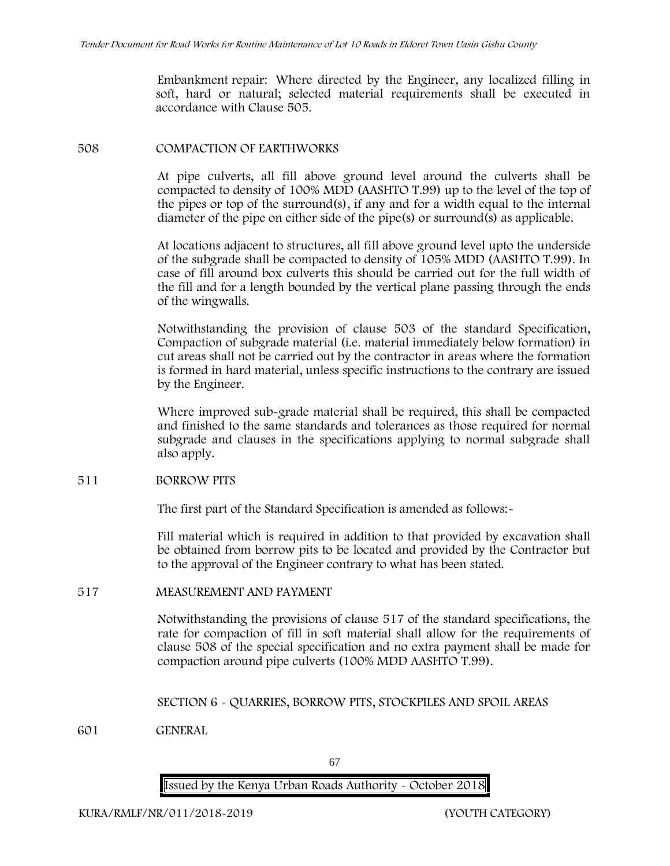Embankment repair: Where directed by the Engineer, any localized filling in soft, hard or natural; selected material requirements shall be executed in accordance with Clause 505.

#### **508 COMPACTION OF EARTHWORKS**

At pipe culverts, all fill above ground level around the culverts shall be compacted to density of 100% MDD (AASHTO T.99) up to the level of the top of the pipes or top of the surround(s), if any and for a width equal to the internal diameter of the pipe on either side of the pipe(s) or surround(s) as applicable.

At locations adjacent to structures, all fill above ground level upto the underside of the subgrade shall be compacted to density of 105% MDD (AASHTO T.99). In case of fill around box culverts this should be carried out for the full width of the fill and for a length bounded by the vertical plane passing through the ends of the wingwalls.

Notwithstanding the provision of clause 503 of the standard Specification, Compaction of subgrade material (i.e. material immediately below formation) in cut areas shall not be carried out by the contractor in areas where the formation is formed in hard material, unless specific instructions to the contrary are issued by the Engineer.

Where improved sub-grade material shall be required, this shall be compacted and finished to the same standards and tolerances as those required for normal subgrade and clauses in the specifications applying to normal subgrade shall also apply.

### **511 BORROW PITS**

The first part of the Standard Specification is amended as follows:

Fill material which is required in addition to that provided by excavation shall be obtained from borrow pits to be located and provided by the Contractor but to the approval of the Engineer contrary to what has been stated.

### **517 MEASUREMENT AND PAYMENT**

Notwithstanding the provisions of clause 517 of the standard specifications, the rate for compaction of fill in soft material shall allow for the requirements of clause 508 of the special specification and no extra payment shall be made for compaction around pipe culverts (100% MDD AASHTO T.99).

### **SECTION 6 - QUARRIES, BORROW PITS, STOCKPILES AND SPOIL AREAS**

**601 GENERAL**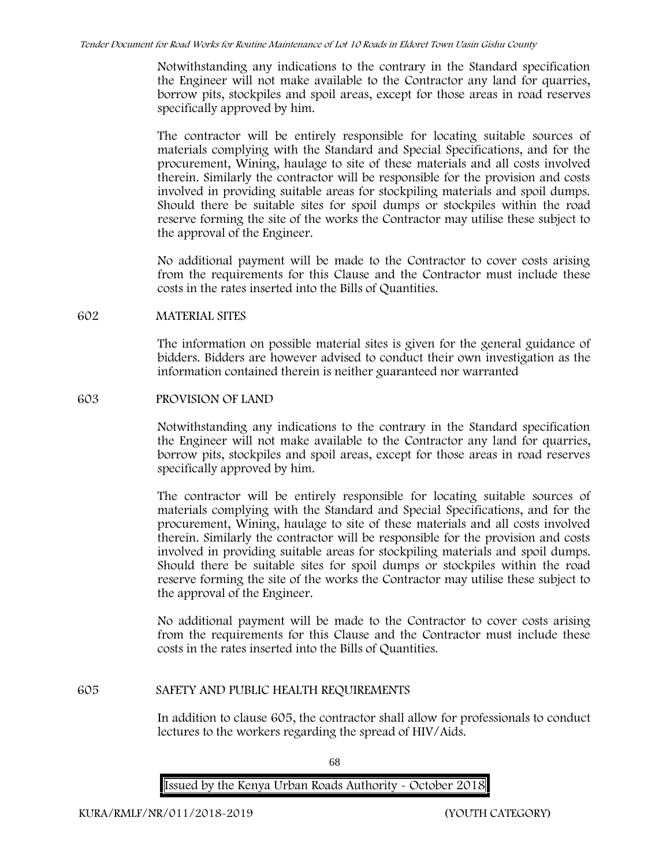Notwithstanding any indications to the contrary in the Standard specification the Engineer will not make available to the Contractor any land for quarries, borrow pits, stockpiles and spoil areas, except for those areas in road reserves specifically approved by him.

The contractor will be entirely responsible for locating suitable sources of materials complying with the Standard and Special Specifications, and for the procurement, Wining, haulage to site of these materials and all costs involved therein. Similarly the contractor will be responsible for the provision and costs involved in providing suitable areas for stockpiling materials and spoil dumps. Should there be suitable sites for spoil dumps or stockpiles within the road reserve forming the site of the works the Contractor may utilise these subject to the approval of the Engineer.

No additional payment will be made to the Contractor to cover costs arising from the requirements for this Clause and the Contractor must include these costs in the rates inserted into the Bills of Quantities.

#### **602 MATERIAL SITES**

The information on possible material sites is given for the general guidance of bidders. Bidders are however advised to conduct their own investigation as the information contained therein is neither guaranteed nor warranted

#### **603 PROVISION OF LAND**

Notwithstanding any indications to the contrary in the Standard specification the Engineer will not make available to the Contractor any land for quarries, borrow pits, stockpiles and spoil areas, except for those areas in road reserves specifically approved by him.

The contractor will be entirely responsible for locating suitable sources of materials complying with the Standard and Special Specifications, and for the procurement, Wining, haulage to site of these materials and all costs involved therein. Similarly the contractor will be responsible for the provision and costs involved in providing suitable areas for stockpiling materials and spoil dumps. Should there be suitable sites for spoil dumps or stockpiles within the road reserve forming the site of the works the Contractor may utilise these subject to the approval of the Engineer.

No additional payment will be made to the Contractor to cover costs arising from the requirements for this Clause and the Contractor must include these costs in the rates inserted into the Bills of Quantities.

### **605 SAFETY AND PUBLIC HEALTH REQUIREMENTS**

In addition to clause 605, the contractor shall allow for professionals to conduct lectures to the workers regarding the spread of HIV/Aids.

68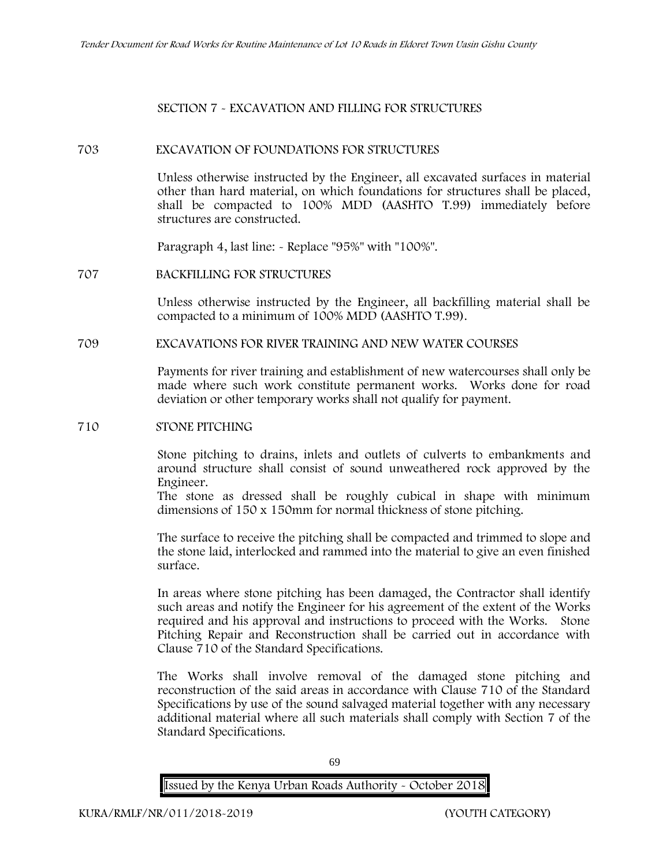#### **SECTION 7 - EXCAVATION AND FILLING FOR STRUCTURES**

#### **703 EXCAVATION OF FOUNDATIONS FOR STRUCTURES**

Unless otherwise instructed by the Engineer, all excavated surfaces in material other than hard material, on which foundations for structures shall be placed, shall be compacted to 100% MDD (AASHTO T.99) immediately before structures are constructed.

Paragraph 4, last line: - Replace "95%" with "100%".

#### **707 BACKFILLING FOR STRUCTURES**

Unless otherwise instructed by the Engineer, all backfilling material shall be compacted to a minimum of 100% MDD (AASHTO T.99).

#### **709 EXCAVATIONS FOR RIVER TRAINING AND NEW WATER COURSES**

Payments for river training and establishment of new watercourses shall only be made where such work constitute permanent works. Works done for road deviation or other temporary works shall not qualify for payment.

#### **710 STONE PITCHING**

Stone pitching to drains, inlets and outlets of culverts to embankments and around structure shall consist of sound unweathered rock approved by the Engineer.

The stone as dressed shall be roughly cubical in shape with minimum dimensions of 150 x 150mm for normal thickness of stone pitching.

The surface to receive the pitching shall be compacted and trimmed to slope and the stone laid, interlocked and rammed into the material to give an even finished surface.

In areas where stone pitching has been damaged, the Contractor shall identify such areas and notify the Engineer for his agreement of the extent of the Works required and his approval and instructions to proceed with the Works. Stone Pitching Repair and Reconstruction shall be carried out in accordance with Clause 710 of the Standard Specifications.

The Works shall involve removal of the damaged stone pitching and reconstruction of the said areas in accordance with Clause 710 of the Standard Specifications by use of the sound salvaged material together with any necessary additional material where all such materials shall comply with Section 7 of the Standard Specifications.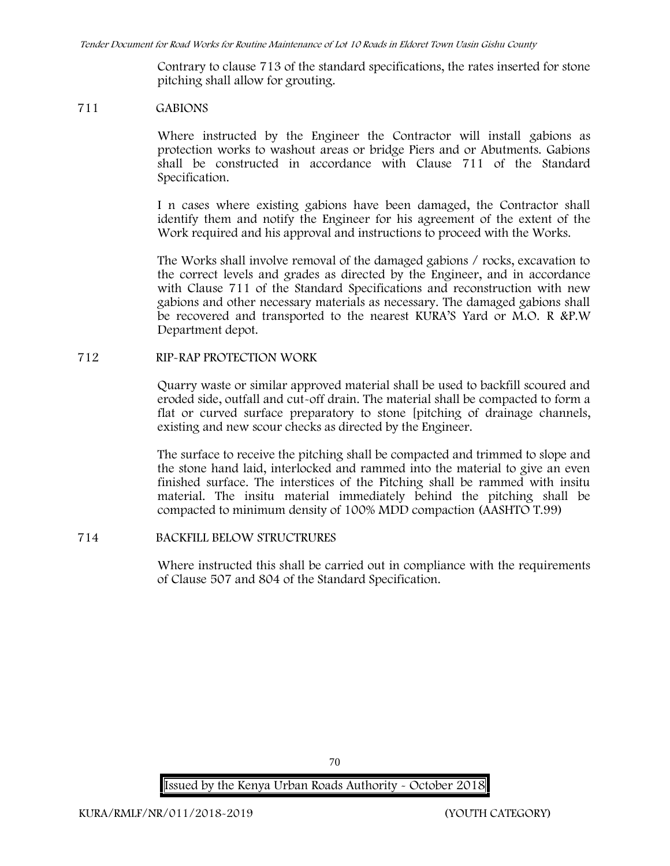Contrary to clause 713 of the standard specifications, the rates inserted for stone pitching shall allow for grouting.

#### **711 GABIONS**

Where instructed by the Engineer the Contractor will install gabions as protection works to washout areas or bridge Piers and or Abutments. Gabions shall be constructed in accordance with Clause 711 of the Standard Specification.

I n cases where existing gabions have been damaged, the Contractor shall identify them and notify the Engineer for his agreement of the extent of the Work required and his approval and instructions to proceed with the Works.

The Works shall involve removal of the damaged gabions / rocks, excavation to the correct levels and grades as directed by the Engineer, and in accordance with Clause 711 of the Standard Specifications and reconstruction with new gabions and other necessary materials as necessary. The damaged gabions shall be recovered and transported to the nearest KURA'S Yard or M.O. R &P.W Department depot.

### **712 RIP-RAP PROTECTION WORK**

Quarry waste or similar approved material shall be used to backfill scoured and eroded side, outfall and cut-off drain. The material shall be compacted to form a flat or curved surface preparatory to stone [pitching of drainage channels, existing and new scour checks as directed by the Engineer.

The surface to receive the pitching shall be compacted and trimmed to slope and the stone hand laid, interlocked and rammed into the material to give an even finished surface. The interstices of the Pitching shall be rammed with insitu material. The insitu material immediately behind the pitching shall be compacted to minimum density of 100% MDD compaction (AASHTO T.99)

### **714 BACKFILL BELOW STRUCTRURES**

Where instructed this shall be carried out in compliance with the requirements of Clause 507 and 804 of the Standard Specification.

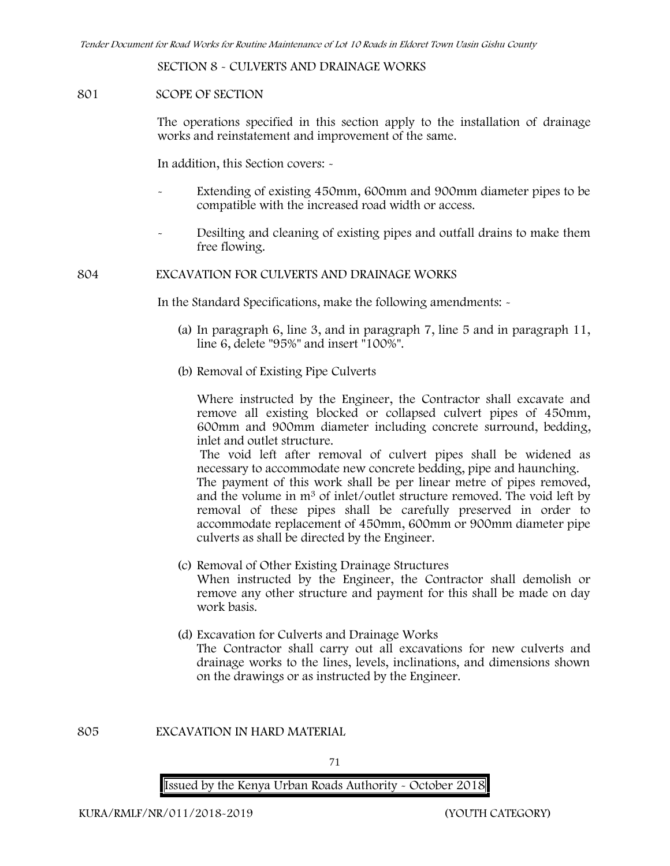**SECTION 8 - CULVERTS AND DRAINAGE WORKS**

#### **801 SCOPE OF SECTION**

The operations specified in this section apply to the installation of drainage works and reinstatement and improvement of the same.

In addition, this Section covers: -

- Extending of existing 450mm, 600mm and 900mm diameter pipes to be compatible with the increased road width or access.
- Desilting and cleaning of existing pipes and outfall drains to make them free flowing.

**804 EXCAVATION FOR CULVERTS AND DRAINAGE WORKS**

In the Standard Specifications, make the following amendments: -

- (a) In paragraph 6, line 3, and in paragraph 7, line 5 and in paragraph 11, line 6, delete "95%" and insert "100%".
- (b) Removal of Existing Pipe Culverts

Where instructed by the Engineer, the Contractor shall excavate and remove all existing blocked or collapsed culvert pipes of 450mm, 600mm and 900mm diameter including concrete surround, bedding, inlet and outlet structure.

The void left after removal of culvert pipes shall be widened as necessary to accommodate new concrete bedding, pipe and haunching. The payment of this work shall be per linear metre of pipes removed, and the volume in m<sup>3</sup> of inlet/outlet structure removed. The void left by removal of these pipes shall be carefully preserved in order to accommodate replacement of 450mm, 600mm or 900mm diameter pipe

- (c) Removal of Other Existing Drainage Structures When instructed by the Engineer, the Contractor shall demolish or remove any other structure and payment for this shall be made on day work basis.
- (d) Excavation for Culverts and Drainage Works The Contractor shall carry out all excavations for new culverts and drainage works to the lines, levels, inclinations, and dimensions shown on the drawings or as instructed by the Engineer.

**805 EXCAVATION IN HARD MATERIAL**

71

**Issued by the Kenya Urban Roads Authority - October 2018**

culverts as shall be directed by the Engineer.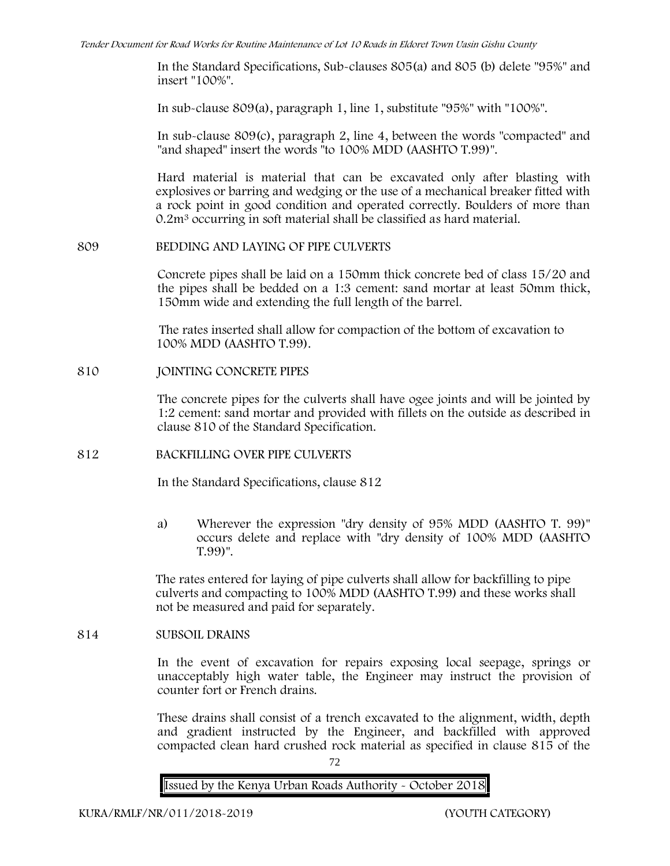In the Standard Specifications, Sub-clauses 805(a) and 805 (b) delete "95%" and insert "100%".

In sub-clause 809(a), paragraph 1, line 1, substitute "95%" with "100%".

In sub-clause 809(c), paragraph 2, line 4, between the words "compacted" and "and shaped" insert the words "to 100% MDD (AASHTO T.99)".

Hard material is material that can be excavated only after blasting with explosives or barring and wedging or the use of a mechanical breaker fitted with a rock point in good condition and operated correctly. Boulders of more than 0.2m<sup>3</sup> occurring in soft material shall be classified as hard material.

#### **809 BEDDING AND LAYING OF PIPE CULVERTS**

Concrete pipes shall be laid on a 150mm thick concrete bed of class 15/20 and the pipes shall be bedded on a 1:3 cement: sand mortar at least 50mm thick, 150mm wide and extending the full length of the barrel.

The rates inserted shall allow for compaction of the bottom of excavation to 100% MDD (AASHTO T.99).

#### **810 JOINTING CONCRETE PIPES**

The concrete pipes for the culverts shall have ogee joints and will be jointed by 1:2 cement: sand mortar and provided with fillets on the outside as described in clause 810 of the Standard Specification.

# **812 BACKFILLING OVER PIPE CULVERTS**

In the Standard Specifications, clause 812

a) Wherever the expression "dry density of 95% MDD (AASHTO T. 99)" occurs delete and replace with "dry density of 100% MDD (AASHTO T.99)".

The rates entered for laying of pipe culverts shall allow for backfilling to pipe culverts and compacting to 100% MDD (AASHTO T.99) and these works shall not be measured and paid for separately.

#### **814 SUBSOIL DRAINS**

In the event of excavation for repairs exposing local seepage, springs or unacceptably high water table, the Engineer may instruct the provision of counter fort or French drains.

These drains shall consist of a trench excavated to the alignment, width, depth and gradient instructed by the Engineer, and backfilled with approved compacted clean hard crushed rock material as specified in clause 815 of the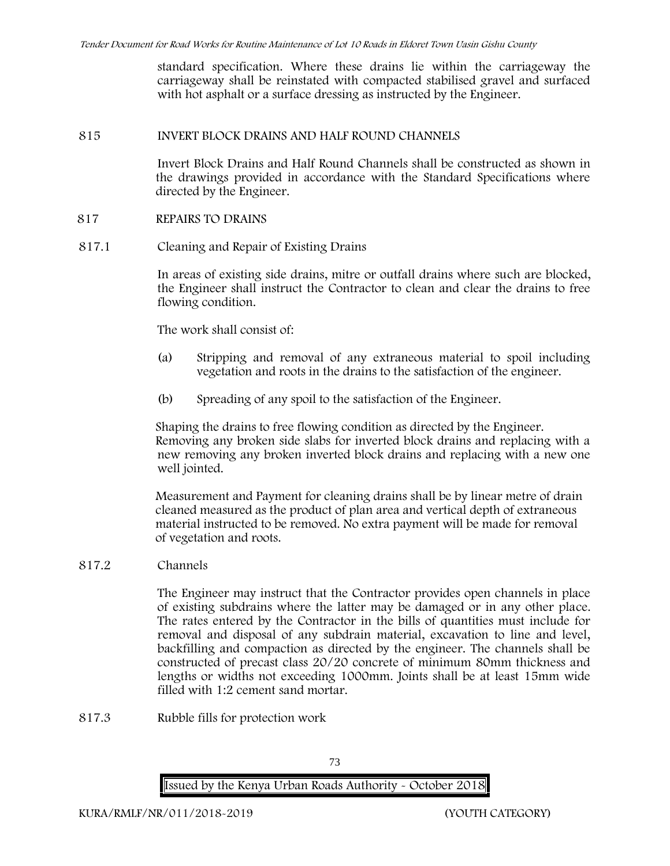standard specification. Where these drains lie within the carriageway the carriageway shall be reinstated with compacted stabilised gravel and surfaced with hot asphalt or a surface dressing as instructed by the Engineer.

#### **815 INVERT BLOCK DRAINS AND HALF ROUND CHANNELS**

Invert Block Drains and Half Round Channels shall be constructed as shown in the drawings provided in accordance with the Standard Specifications where directed by the Engineer.

#### **817 REPAIRS TO DRAINS**

**817.1 Cleaning and Repair of Existing Drains**

In areas of existing side drains, mitre or outfall drains where such are blocked, the Engineer shall instruct the Contractor to clean and clear the drains to free flowing condition.

The work shall consist of:

- (a) Stripping and removal of any extraneous material to spoil including vegetation and roots in the drains to the satisfaction of the engineer.
- (b) Spreading of any spoil to the satisfaction of the Engineer.

Shaping the drains to free flowing condition as directed by the Engineer. Removing any broken side slabs for inverted block drains and replacing with a new removing any broken inverted block drains and replacing with a new one well jointed.

Measurement and Payment for cleaning drains shall be by linear metre of drain cleaned measured as the product of plan area and vertical depth of extraneous material instructed to be removed. No extra payment will be made for removal of vegetation and roots.

**817.2 Channels**

The Engineer may instruct that the Contractor provides open channels in place of existing subdrains where the latter may be damaged or in any other place. The rates entered by the Contractor in the bills of quantities must include for removal and disposal of any subdrain material, excavation to line and level, backfilling and compaction as directed by the engineer. The channels shall be constructed of precast class 20/20 concrete of minimum 80mm thickness and lengths or widths not exceeding 1000mm. Joints shall be at least 15mm wide filled with 1:2 cement sand mortar.

**817.3 Rubble fills for protection work**

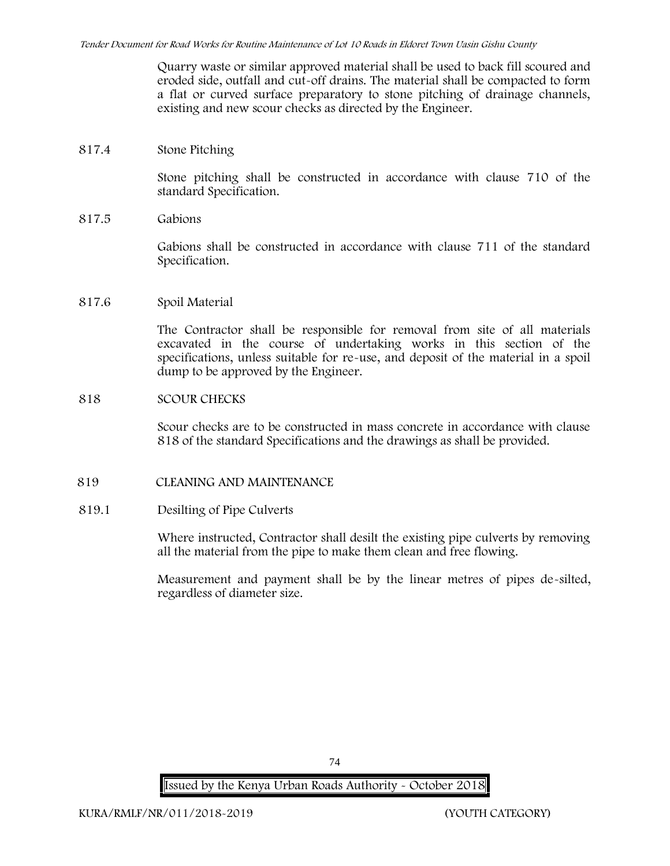Quarry waste or similar approved material shall be used to back fill scoured and eroded side, outfall and cut-off drains. The material shall be compacted to form a flat or curved surface preparatory to stone pitching of drainage channels, existing and new scour checks as directed by the Engineer.

# **817.4 Stone Pitching**

Stone pitching shall be constructed in accordance with clause 710 of the standard Specification.

**817.5 Gabions**

Gabions shall be constructed in accordance with clause 711 of the standard Specification.

#### **817.6 Spoil Material**

The Contractor shall be responsible for removal from site of all materials excavated in the course of undertaking works in this section of the specifications, unless suitable for re-use, and deposit of the material in a spoil dump to be approved by the Engineer.

### **818 SCOUR CHECKS**

Scour checks are to be constructed in mass concrete in accordance with clause 818 of the standard Specifications and the drawings as shall be provided.

# **819 CLEANING AND MAINTENANCE**

# **819.1 Desilting of Pipe Culverts**

Where instructed, Contractor shall desilt the existing pipe culverts by removing all the material from the pipe to make them clean and free flowing.

Measurement and payment shall be by the linear metres of pipes de-silted, regardless of diameter size.

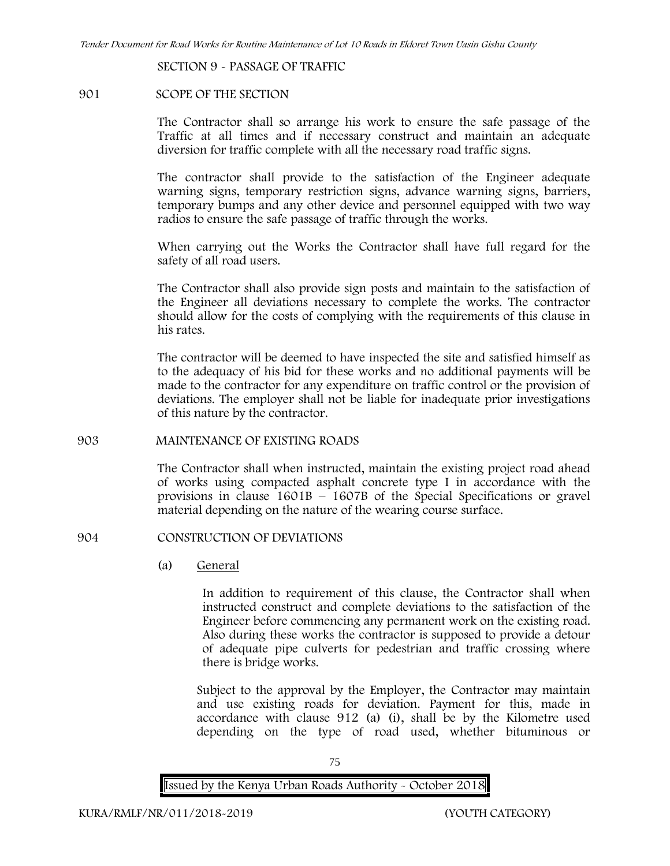**SECTION 9 - PASSAGE OF TRAFFIC**

# **901 SCOPE OF THE SECTION**

The Contractor shall so arrange his work to ensure the safe passage of the Traffic at all times and if necessary construct and maintain an adequate diversion for traffic complete with all the necessary road traffic signs.

The contractor shall provide to the satisfaction of the Engineer adequate warning signs, temporary restriction signs, advance warning signs, barriers, temporary bumps and any other device and personnel equipped with two way radios to ensure the safe passage of traffic through the works.

When carrying out the Works the Contractor shall have full regard for the safety of all road users.

The Contractor shall also provide sign posts and maintain to the satisfaction of the Engineer all deviations necessary to complete the works. The contractor should allow for the costs of complying with the requirements of this clause in his rates.

The contractor will be deemed to have inspected the site and satisfied himself as to the adequacy of his bid for these works and no additional payments will be made to the contractor for any expenditure on traffic control or the provision of deviations. The employer shall not be liable for inadequate prior investigations of this nature by the contractor.

# **903 MAINTENANCE OF EXISTING ROADS**

The Contractor shall when instructed, maintain the existing project road ahead of works using compacted asphalt concrete type I in accordance with the provisions in clause 1601B – 1607B of the Special Specifications or gravel material depending on the nature of the wearing course surface.

# **904 CONSTRUCTION OF DEVIATIONS**

(a) **General**

In addition to requirement of this clause, the Contractor shall when instructed construct and complete deviations to the satisfaction of the Engineer before commencing any permanent work on the existing road. Also during these works the contractor is supposed to provide a detour of adequate pipe culverts for pedestrian and traffic crossing where there is bridge works.

Subject to the approval by the Employer, the Contractor may maintain and use existing roads for deviation. Payment for this, made in accordance with clause 912 (a) (i), shall be by the Kilometre used depending on the type of road used, whether bituminous or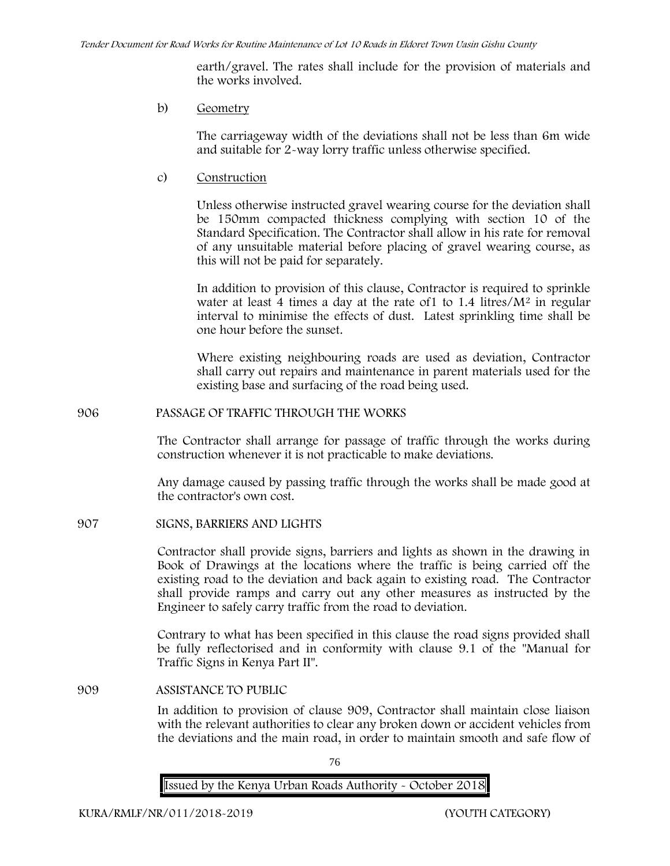earth/gravel. The rates shall include for the provision of materials and the works involved.

b) **Geometry**

The carriageway width of the deviations shall not be less than 6m wide and suitable for 2-way lorry traffic unless otherwise specified.

c) **Construction**

Unless otherwise instructed gravel wearing course for the deviation shall be 150mm compacted thickness complying with section 10 of the Standard Specification. The Contractor shall allow in his rate for removal of any unsuitable material before placing of gravel wearing course, as this will not be paid for separately.

In addition to provision of this clause, Contractor is required to sprinkle water at least 4 times a day at the rate of  $1$  to  $1.4$  litres/ $M<sup>2</sup>$  in regular interval to minimise the effects of dust. Latest sprinkling time shall be one hour before the sunset.

Where existing neighbouring roads are used as deviation, Contractor shall carry out repairs and maintenance in parent materials used for the existing base and surfacing of the road being used.

**906 PASSAGE OF TRAFFIC THROUGH THE WORKS**

The Contractor shall arrange for passage of traffic through the works during construction whenever it is not practicable to make deviations.

Any damage caused by passing traffic through the works shall be made good at the contractor's own cost.

**907 SIGNS, BARRIERS AND LIGHTS**

Contractor shall provide signs, barriers and lights as shown in the drawing in Book of Drawings at the locations where the traffic is being carried off the existing road to the deviation and back again to existing road. The Contractor shall provide ramps and carry out any other measures as instructed by the Engineer to safely carry traffic from the road to deviation.

Contrary to what has been specified in this clause the road signs provided shall be fully reflectorised and in conformity with clause 9.1 of the "Manual for Traffic Signs in Kenya Part II".

**909 ASSISTANCE TO PUBLIC**

In addition to provision of clause 909, Contractor shall maintain close liaison with the relevant authorities to clear any broken down or accident vehicles from the deviations and the main road, in order to maintain smooth and safe flow of

76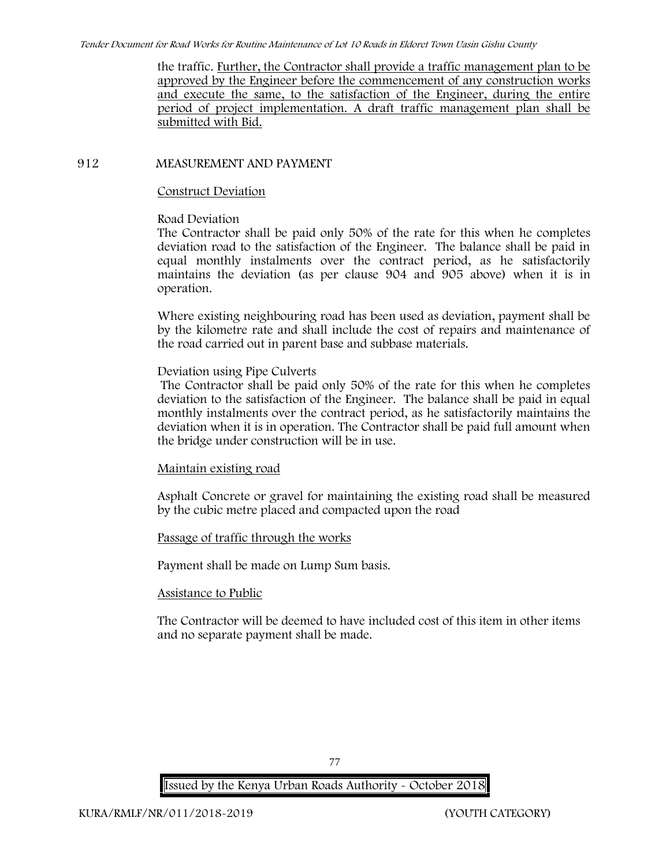the traffic. Further, the Contractor shall provide a traffic management plan to be approved by the Engineer before the commencement of any construction works and execute the same, to the satisfaction of the Engineer, during the entire period of project implementation. A draft traffic management plan shall be submitted with Bid.

# **912 MEASUREMENT AND PAYMENT**

# **Construct Deviation**

# **Road Deviation**

The Contractor shall be paid only 50% of the rate for this when he completes deviation road to the satisfaction of the Engineer. The balance shall be paid in equal monthly instalments over the contract period, as he satisfactorily maintains the deviation (as per clause 904 and 905 above) when it is in operation.

Where existing neighbouring road has been used as deviation, payment shall be by the kilometre rate and shall include the cost of repairs and maintenance of the road carried out in parent base and subbase materials.

# **Deviation using Pipe Culverts**

The Contractor shall be paid only 50% of the rate for this when he completes deviation to the satisfaction of the Engineer. The balance shall be paid in equal monthly instalments over the contract period, as he satisfactorily maintains the deviation when it is in operation. The Contractor shall be paid full amount when the bridge under construction will be in use.

# **Maintain existing road**

Asphalt Concrete or gravel for maintaining the existing road shall be measured by the cubic metre placed and compacted upon the road

# **Passage of traffic through the works**

Payment shall be made on Lump Sum basis.

# **Assistance to Public**

The Contractor will be deemed to have included cost of this item in other items and no separate payment shall be made.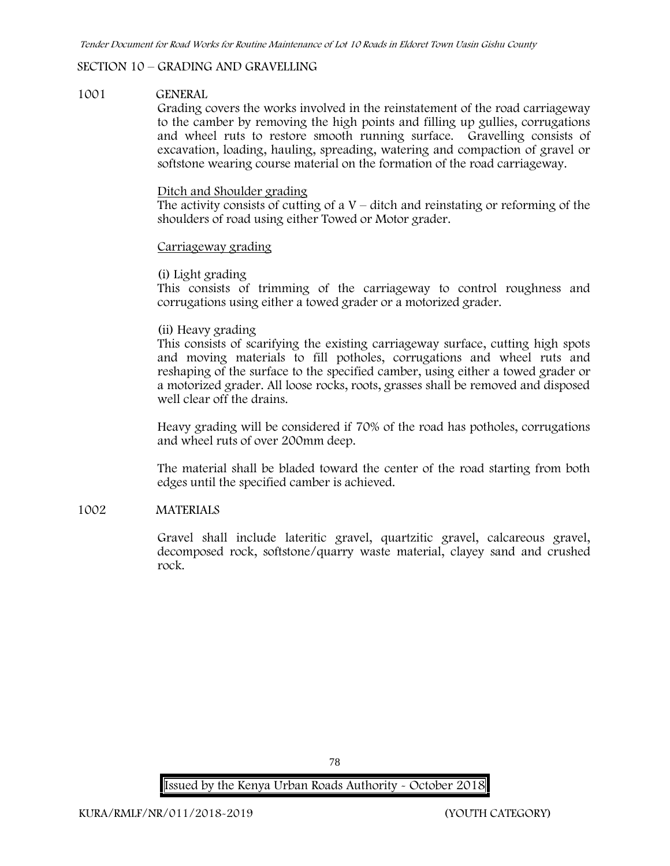# **SECTION 10 – GRADING AND GRAVELLING**

### **1001 GENERAL**

Grading covers the works involved in the reinstatement of the road carriageway to the camber by removing the high points and filling up gullies, corrugations and wheel ruts to restore smooth running surface. Gravelling consists of excavation, loading, hauling, spreading, watering and compaction of gravel or softstone wearing course material on the formation of the road carriageway.

### Ditch and Shoulder grading

The activity consists of cutting of a  $V$  – ditch and reinstating or reforming of the shoulders of road using either Towed or Motor grader.

#### Carriageway grading

#### **(i) Light grading**

This consists of trimming of the carriageway to control roughness and corrugations using either a towed grader or a motorized grader.

# **(ii) Heavy grading**

This consists of scarifying the existing carriageway surface, cutting high spots and moving materials to fill potholes, corrugations and wheel ruts and reshaping of the surface to the specified camber, using either a towed grader or a motorized grader. All loose rocks, roots, grasses shall be removed and disposed well clear off the drains.

Heavy grading will be considered if 70% of the road has potholes, corrugations and wheel ruts of over 200mm deep.

The material shall be bladed toward the center of the road starting from both edges until the specified camber is achieved.

# **1002 MATERIALS**

Gravel shall include lateritic gravel, quartzitic gravel, calcareous gravel, decomposed rock, softstone/quarry waste material, clayey sand and crushed rock.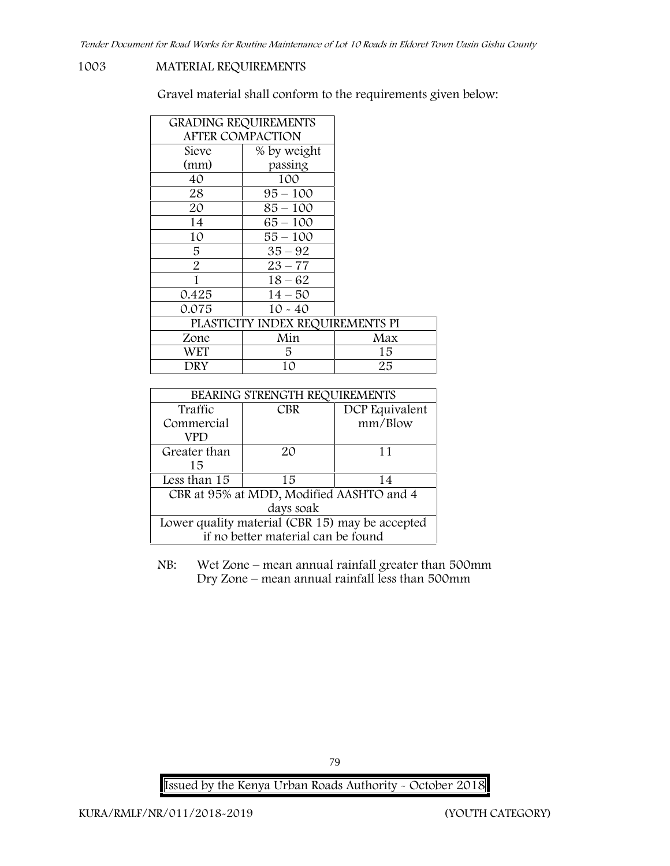### **1003 MATERIAL REQUIREMENTS**

Gravel material shall conform to the requirements given below:

| <b>GRADING REQUIREMENTS</b> |                                  |     |
|-----------------------------|----------------------------------|-----|
| <b>AFTER COMPACTION</b>     |                                  |     |
| Sieve                       | % by weight                      |     |
| (mm)                        | passing                          |     |
| 40                          | 100                              |     |
| 28                          | $95 - 100$                       |     |
| 20                          | $85 - 100$                       |     |
| 14                          | $65 - 100$                       |     |
| 10                          | $55 - 100$                       |     |
| 5                           | $35 - 92$                        |     |
| $\overline{2}$              | $23 - 77$                        |     |
| 1                           | $18 - 62$                        |     |
| 0.425                       | $14 - 50$                        |     |
| 0.075                       | $10 - 40$                        |     |
|                             | PLASTICITY INDEX REQUIREMENTS PI |     |
| Zone                        | Min                              | Max |
| WET                         | 5.                               | 15  |
| DRY                         | 10                               | 25  |

| BEARING STRENGTH REQUIREMENTS                   |            |                |
|-------------------------------------------------|------------|----------------|
| Traffic                                         | <b>CBR</b> | DCP Equivalent |
| Commercial                                      |            | mm/Blow        |
| VPD                                             |            |                |
| Greater than                                    | 20         | 11             |
| 15                                              |            |                |
| Less than 15                                    | 15         | 14             |
| CBR at 95% at MDD, Modified AASHTO and 4        |            |                |
| days soak                                       |            |                |
| Lower quality material (CBR 15) may be accepted |            |                |
| if no better material can be found              |            |                |

NB: Wet Zone – mean annual rainfall greater than 500mm Dry Zone – mean annual rainfall less than 500mm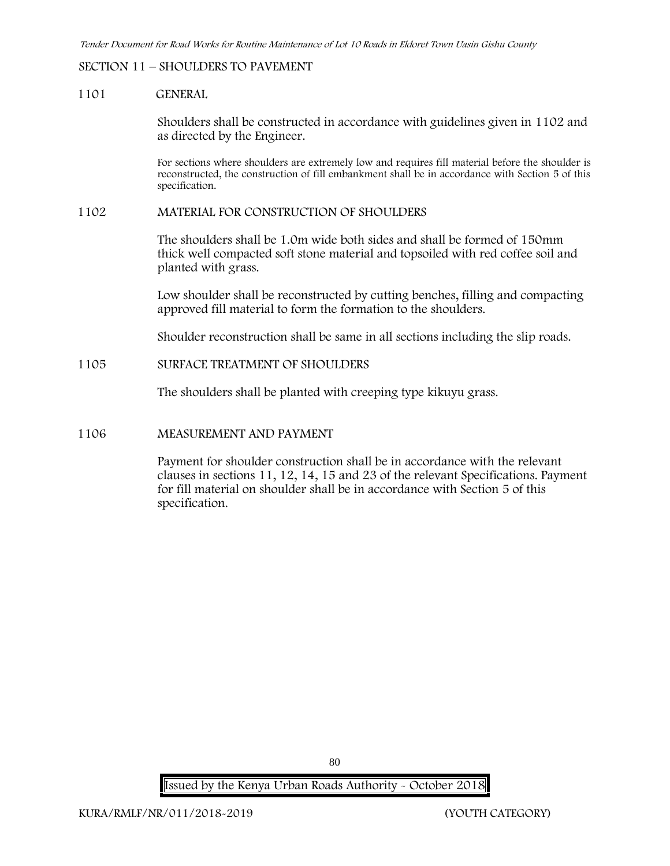# **SECTION 11 – SHOULDERS TO PAVEMENT**

#### **1101 GENERAL**

Shoulders shall be constructed in accordance with guidelines given in 1102 and as directed by the Engineer.

For sections where shoulders are extremely low and requires fill material before the shoulder is reconstructed, the construction of fill embankment shall be in accordance with Section 5 of this specification.

#### **1102 MATERIAL FOR CONSTRUCTION OF SHOULDERS**

The shoulders shall be 1.0m wide both sides and shall be formed of 150mm thick well compacted soft stone material and topsoiled with red coffee soil and planted with grass.

Low shoulder shall be reconstructed by cutting benches, filling and compacting approved fill material to form the formation to the shoulders.

Shoulder reconstruction shall be same in all sections including the slip roads.

#### **1105 SURFACE TREATMENT OF SHOULDERS**

The shoulders shall be planted with creeping type kikuyu grass.

### **1106 MEASUREMENT AND PAYMENT**

Payment for shoulder construction shall be in accordance with the relevant clauses in sections 11, 12, 14, 15 and 23 of the relevant Specifications. Payment for fill material on shoulder shall be in accordance with Section 5 of this specification.

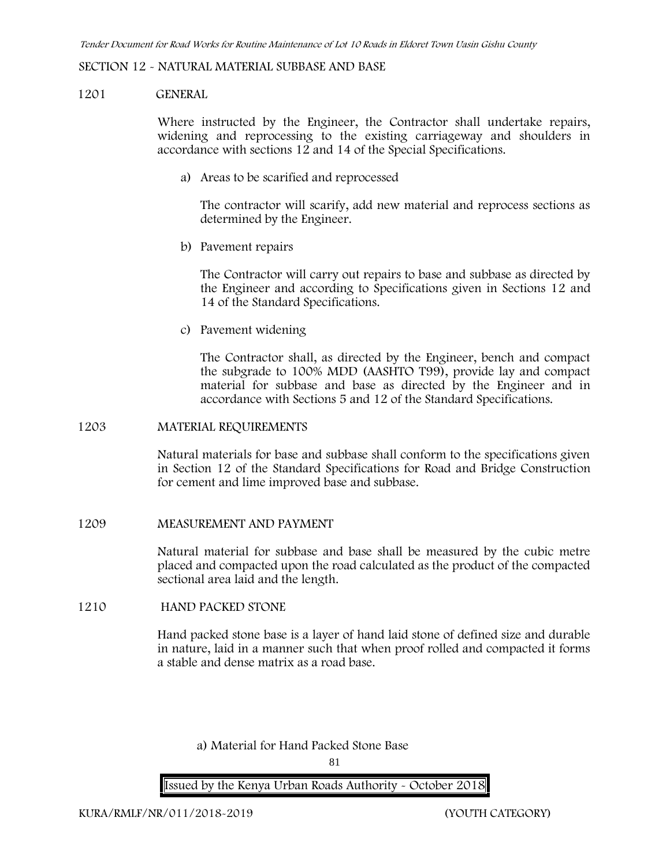# **SECTION 12 - NATURAL MATERIAL SUBBASE AND BASE**

#### **1201 GENERAL**

Where instructed by the Engineer, the Contractor shall undertake repairs, widening and reprocessing to the existing carriageway and shoulders in accordance with sections 12 and 14 of the Special Specifications.

**a) Areas to be scarified and reprocessed**

The contractor will scarify, add new material and reprocess sections as determined by the Engineer.

**b) Pavement repairs**

The Contractor will carry out repairs to base and subbase as directed by the Engineer and according to Specifications given in Sections 12 and 14 of the Standard Specifications.

**c) Pavement widening**

The Contractor shall, as directed by the Engineer, bench and compact the subgrade to 100% MDD (AASHTO T99), provide lay and compact material for subbase and base as directed by the Engineer and in accordance with Sections 5 and 12 of the Standard Specifications.

# **1203 MATERIAL REQUIREMENTS**

Natural materials for base and subbase shall conform to the specifications given in Section 12 of the Standard Specifications for Road and Bridge Construction for cement and lime improved base and subbase.

**1209 MEASUREMENT AND PAYMENT**

Natural material for subbase and base shall be measured by the cubic metre placed and compacted upon the road calculated as the product of the compacted sectional area laid and the length.

# **1210 HAND PACKED STONE**

Hand packed stone base is a layer of hand laid stone of defined size and durable in nature, laid in a manner such that when proof rolled and compacted it forms a stable and dense matrix as a road base.

**a) Material for Hand Packed Stone Base**

81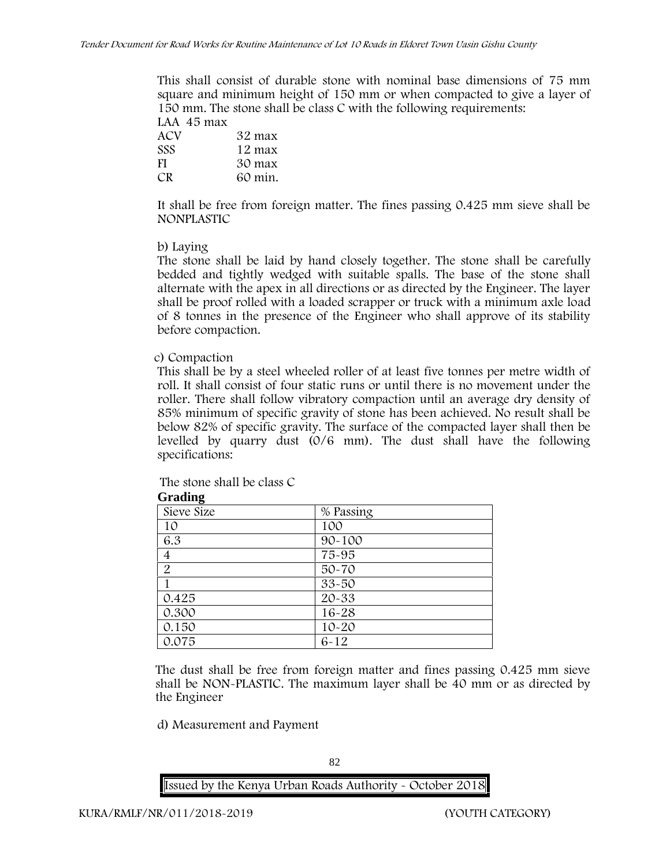This shall consist of durable stone with nominal base dimensions of 75 mm square and minimum height of 150 mm or when compacted to give a layer of 150 mm. The stone shall be class C with the following requirements: **LAA 45 max**

| таа 40 шах |         |
|------------|---------|
| ACV        | 32 max  |
| <b>SSS</b> | 12 max  |
| -FI        | 30 max  |
| CR.        | 60 min. |
|            |         |

It shall be free from foreign matter. The fines passing 0.425 mm sieve shall be **NONPLASTIC**

# **b) Laying**

The stone shall be laid by hand closely together. The stone shall be carefully bedded and tightly wedged with suitable spalls. The base of the stone shall alternate with the apex in all directions or as directed by the Engineer. The layer shall be proof rolled with a loaded scrapper or truck with a minimum axle load of 8 tonnes in the presence of the Engineer who shall approve of its stability before compaction.

# **c) Compaction**

This shall be by a steel wheeled roller of at least five tonnes per metre width of roll. It shall consist of four static runs or until there is no movement under the roller. There shall follow vibratory compaction until an average dry density of 85% minimum of specific gravity of stone has been achieved. No result shall be below 82% of specific gravity. The surface of the compacted layer shall then be levelled by quarry dust (0/6 mm). The dust shall have the following specifications:

The stone shall be class C

| % Passing  |
|------------|
| 100        |
| $90 - 100$ |
| 75-95      |
| $50 - 70$  |
| $33 - 50$  |
| $20 - 33$  |
| $16 - 28$  |
| $10 - 20$  |
| $6 - 12$   |
|            |

**Grading**

The dust shall be free from foreign matter and fines passing 0.425 mm sieve shall be **NON-PLASTIC**. The maximum layer shall be 40 mm or as directed by the Engineer

**d) Measurement and Payment**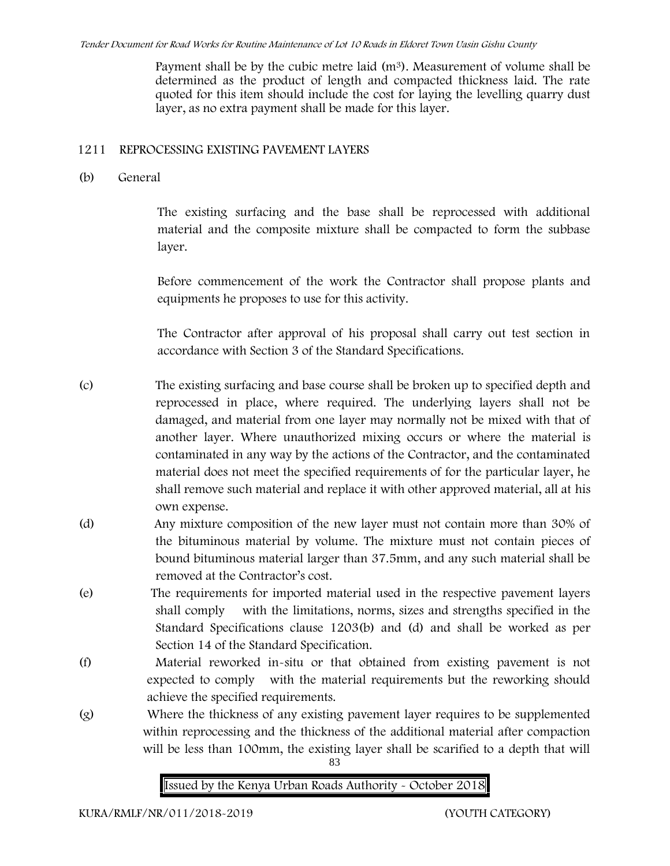Payment shall be by the cubic metre laid  $(m<sup>3</sup>)$ . Measurement of volume shall be determined as the product of length and compacted thickness laid. The rate quoted for this item should include the cost for laying the levelling quarry dust layer, as no extra payment shall be made for this layer.

# **1211 REPROCESSING EXISTING PAVEMENT LAYERS**

**(b) General**

The existing surfacing and the base shall be reprocessed with additional material and the composite mixture shall be compacted to form the subbase layer.

Before commencement of the work the Contractor shall propose plants and equipments he proposes to use for this activity.

The Contractor after approval of his proposal shall carry out test section in accordance with Section 3 of the Standard Specifications.

(c) The existing surfacing and base course shall be broken up to specified depth and reprocessed in place, where required. The underlying layers shall not be damaged, and material from one layer may normally not be mixed with that of another layer. Where unauthorized mixing occurs or where the material is contaminated in any way by the actions of the Contractor, and the contaminated material does not meet the specified requirements of for the particular layer, he shall remove such material and replace it with other approved material, all at his own expense.

- (d) Any mixture composition of the new layer must not contain more than 30% of the bituminous material by volume. The mixture must not contain pieces of bound bituminous material larger than 37.5mm, and any such material shall be removed at the Contractor's cost.
- (e) The requirements for imported material used in the respective pavement layers shall comply with the limitations, norms, sizes and strengths specified in the Standard Specifications clause 1203(b) and (d) and shall be worked as per Section 14 of the Standard Specification.
- (f) Material reworked in-situ or that obtained from existing pavement is not expected to comply with the material requirements but the reworking should achieve the specified requirements.
- (g) Where the thickness of any existing pavement layer requires to be supplemented within reprocessing and the thickness of the additional material after compaction will be less than 100mm, the existing layer shall be scarified to a depth that will

83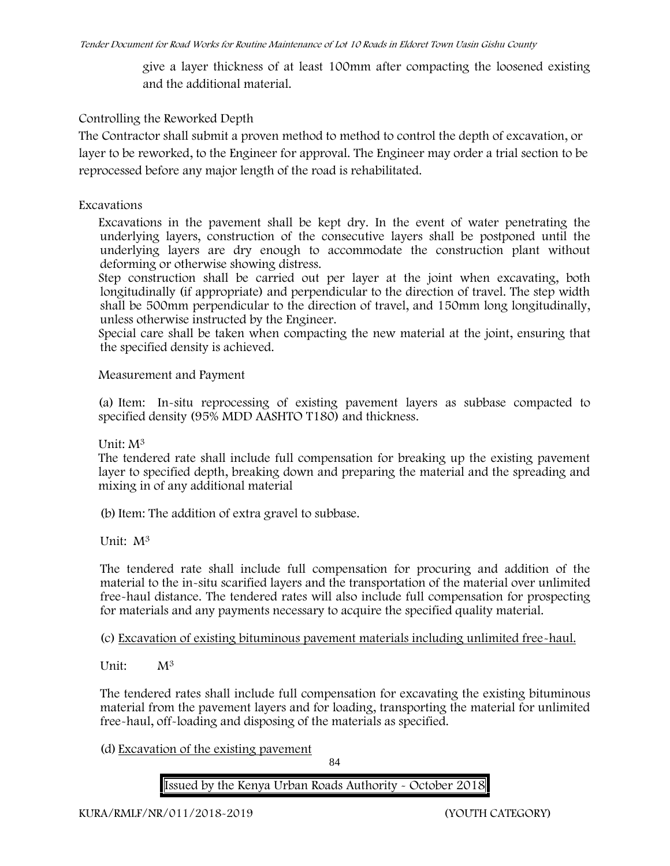give a layer thickness of at least 100mm after compacting the loosened existing and the additional material.

# **Controlling the Reworked Depth**

The Contractor shall submit a proven method to method to control the depth of excavation, or layer to be reworked, to the Engineer for approval. The Engineer may order a trial section to be reprocessed before any major length of the road is rehabilitated.

# **Excavations**

Excavations in the pavement shall be kept dry. In the event of water penetrating the underlying layers, construction of the consecutive layers shall be postponed until the underlying layers are dry enough to accommodate the construction plant without deforming or otherwise showing distress.

Step construction shall be carried out per layer at the joint when excavating, both longitudinally (if appropriate) and perpendicular to the direction of travel. The step width shall be 500mm perpendicular to the direction of travel, and 150mm long longitudinally, unless otherwise instructed by the Engineer.

Special care shall be taken when compacting the new material at the joint, ensuring that the specified density is achieved.

# **Measurement and Payment**

(a) Item: In-situ reprocessing of existing pavement layers as subbase compacted to specified density (95% MDD AASHTO T180) and thickness.

# Unit: M<sup>3</sup>

The tendered rate shall include full compensation for breaking up the existing pavement layer to specified depth, breaking down and preparing the material and the spreading and mixing in of any additional material

(b)Item: The addition of extra gravel to subbase.

Unit: M<sup>3</sup>

The tendered rate shall include full compensation for procuring and addition of the material to the in-situ scarified layers and the transportation of the material over unlimited free-haul distance. The tendered rates will also include full compensation for prospecting for materials and any payments necessary to acquire the specified quality material.

(c) Excavation of existing bituminous pavement materials including unlimited free-haul.

Unit: M<sup>3</sup>

The tendered rates shall include full compensation for excavating the existing bituminous material from the pavement layers and for loading, transporting the material for unlimited free-haul, off-loading and disposing of the materials as specified.

(d) Excavation of the existing pavement

84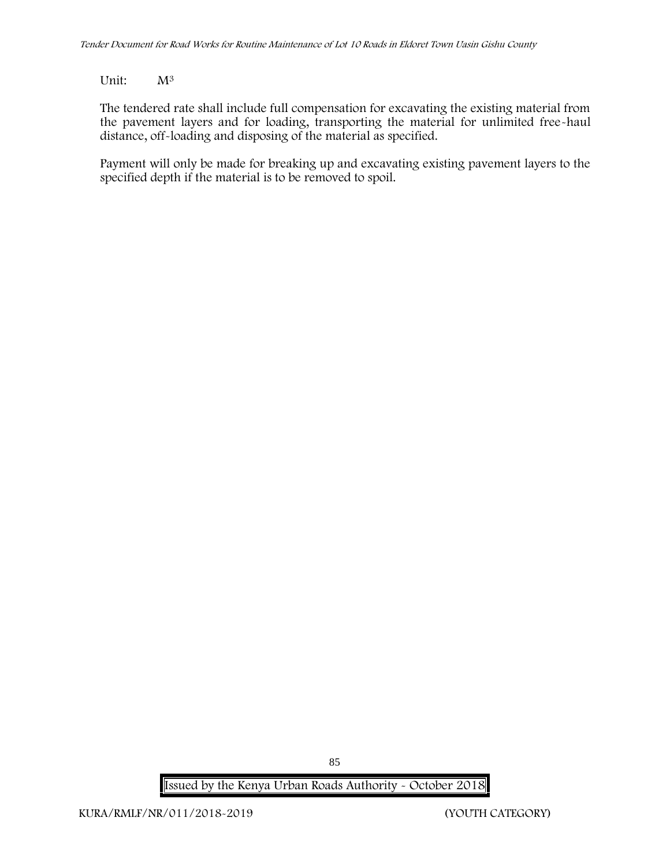# Unit: M<sup>3</sup>

The tendered rate shall include full compensation for excavating the existing material from the pavement layers and for loading, transporting the material for unlimited free-haul distance, off-loading and disposing of the material as specified.

Payment will only be made for breaking up and excavating existing pavement layers to the specified depth if the material is to be removed to spoil.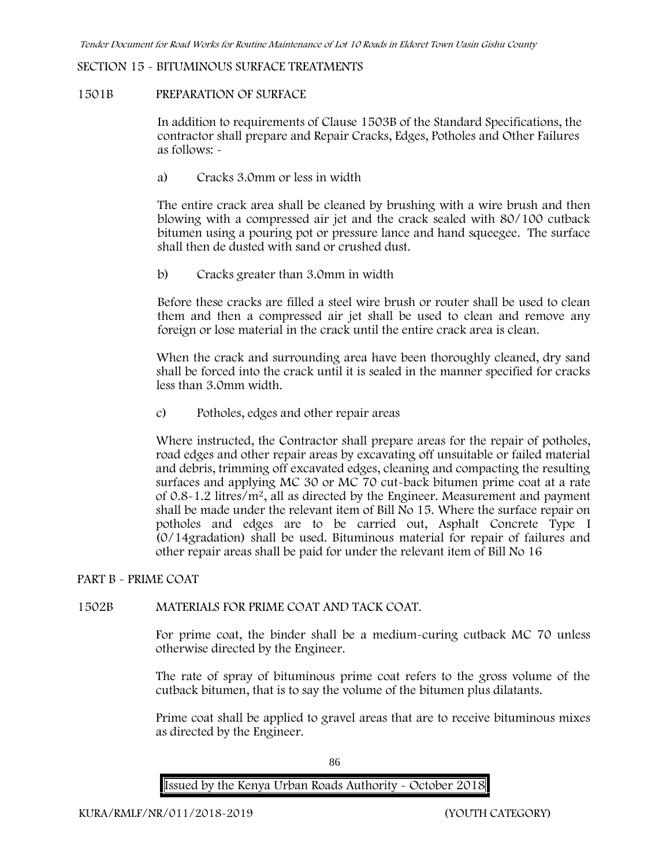# **SECTION 15 - BITUMINOUS SURFACE TREATMENTS**

#### **1501B PREPARATION OF SURFACE**

In addition to requirements of Clause 1503B of the Standard Specifications, the contractor shall prepare and Repair Cracks, Edges, Potholes and Other Failures as follows: **-**

a) **Cracks 3.0mm or less in width**

The entire crack area shall be cleaned by brushing with a wire brush and then blowing with a compressed air jet and the crack sealed with 80/100 cutback bitumen using a pouring pot or pressure lance and hand squeegee. The surface shall then de dusted with sand or crushed dust.

b) **Cracks greater than 3.0mm in width**

Before these cracks are filled a steel wire brush or router shall be used to clean them and then a compressed air jet shall be used to clean and remove any foreign or lose material in the crack until the entire crack area is clean.

When the crack and surrounding area have been thoroughly cleaned, dry sand shall be forced into the crack until it is sealed in the manner specified for cracks less than 3.0mm width.

c) **Potholes, edges and other repair areas**

Where instructed, the Contractor shall prepare areas for the repair of potholes, road edges and other repair areas by excavating off unsuitable or failed material and debris, trimming off excavated edges, cleaning and compacting the resulting surfaces and applying MC 30 or MC 70 cut-back bitumen prime coat at a rate of 0.8-1.2 litres/m2, all as directed by the Engineer. Measurement and payment shall be made under the relevant item of Bill No 15. Where the surface repair on potholes and edges are to be carried out, Asphalt Concrete Type I (0/14gradation) shall be used. Bituminous material for repair of failures and other repair areas shall be paid for under the relevant item of Bill No 16

# **PART B - PRIME COAT**

# **1502B MATERIALS FOR PRIME COAT AND TACK COAT.**

For prime coat, the binder shall be a medium-curing cutback MC 70 unless otherwise directed by the Engineer.

The rate of spray of bituminous prime coat refers to the gross volume of the cutback bitumen, that is to say the volume of the bitumen plus dilatants.

Prime coat shall be applied to gravel areas that are to receive bituminous mixes as directed by the Engineer.

86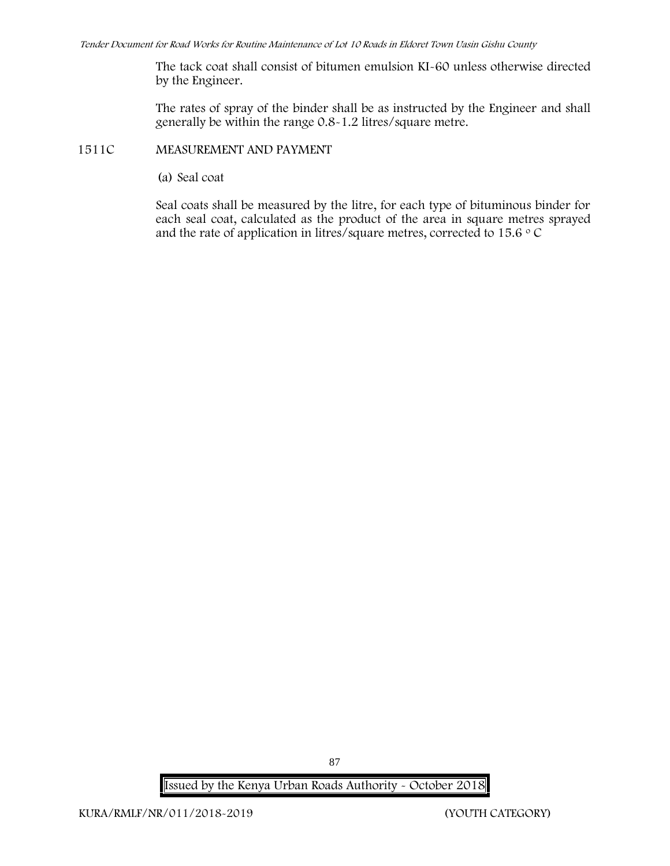The tack coat shall consist of bitumen emulsion KI-60 unless otherwise directed by the Engineer.

The rates of spray of the binder shall be as instructed by the Engineer and shall generally be within the range 0.8-1.2 litres/square metre.

# **1511C MEASUREMENT AND PAYMENT**

(a) Seal coat

Seal coats shall be measured by the litre, for each type of bituminous binder for each seal coat, calculated as the product of the area in square metres sprayed and the rate of application in litres/square metres, corrected to 15.6  $\circ$  C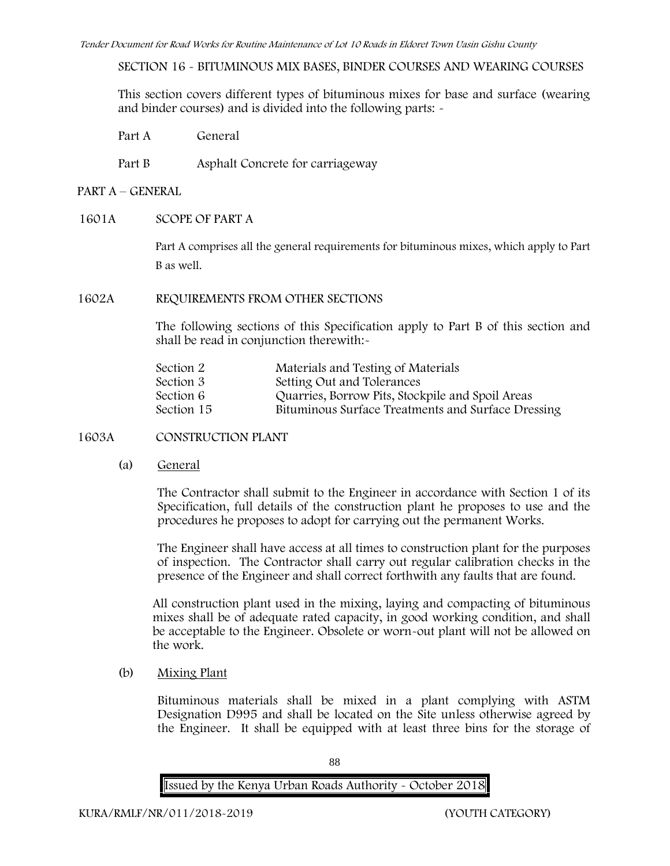**SECTION 16 - BITUMINOUS MIX BASES, BINDER COURSES AND WEARING COURSES**

This section covers different types of bituminous mixes for base and surface (wearing and binder courses) and is divided into the following parts: -

Part A General

Part B Asphalt Concrete for carriageway

# **PART A –GENERAL**

# **1601A SCOPE OF PART A**

Part A comprises all the general requirements for bituminous mixes, which apply to Part B as well.

#### **1602A REQUIREMENTS FROM OTHER SECTIONS**

The following sections of this Specification apply to Part B of this section and shall be read in conjunction therewith:-

| Section 2  | Materials and Testing of Materials                 |  |
|------------|----------------------------------------------------|--|
| Section 3  | Setting Out and Tolerances                         |  |
| Section 6  | Quarries, Borrow Pits, Stockpile and Spoil Areas   |  |
| Section 15 | Bituminous Surface Treatments and Surface Dressing |  |

**1603A CONSTRUCTION PLANT**

(a) **General**

The Contractor shall submit to the Engineer in accordance with Section 1 of its Specification, full details of the construction plant he proposes to use and the procedures he proposes to adopt for carrying out the permanent Works.

The Engineer shall have access at all times to construction plant for the purposes of inspection. The Contractor shall carry out regular calibration checks in the presence of the Engineer and shall correct forthwith any faults that are found.

All construction plant used in the mixing, laying and compacting of bituminous mixes shall be of adequate rated capacity, in good working condition, and shall be acceptable to the Engineer. Obsolete or worn-out plant will not be allowed on the work.

(b) **Mixing Plant**

Bituminous materials shall be mixed in a plant complying with ASTM Designation D995 and shall be located on the Site unless otherwise agreed by the Engineer. It shall be equipped with at least three bins for the storage of

88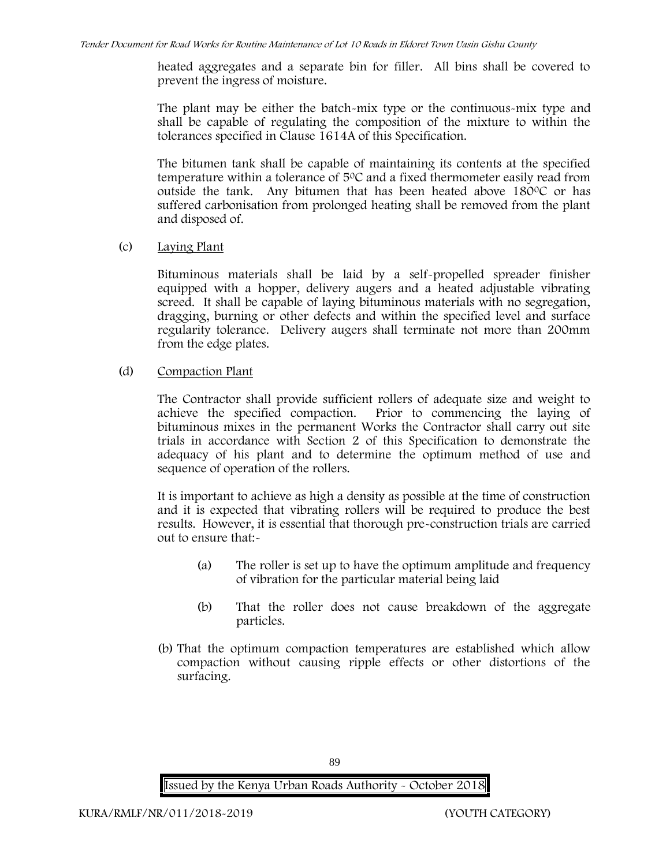heated aggregates and a separate bin for filler. All bins shall be covered to prevent the ingress of moisture.

The plant may be either the batch-mix type or the continuous-mix type and shall be capable of regulating the composition of the mixture to within the tolerances specified in Clause 1614A of this Specification.

The bitumen tank shall be capable of maintaining its contents at the specified temperature within a tolerance of  $5^{\circ}$ C and a fixed thermometer easily read from outside the tank. Any bitumen that has been heated above  $180^{\circ}$ C or has suffered carbonisation from prolonged heating shall be removed from the plant and disposed of.

(c) **Laying Plant**

Bituminous materials shall be laid by a self-propelled spreader finisher equipped with a hopper, delivery augers and a heated adjustable vibrating screed. It shall be capable of laying bituminous materials with no segregation, dragging, burning or other defects and within the specified level and surface regularity tolerance. Delivery augers shall terminate not more than 200mm from the edge plates.

(d) **Compaction Plant**

The Contractor shall provide sufficient rollers of adequate size and weight to achieve the specified compaction. Prior to commencing the laying of bituminous mixes in the permanent Works the Contractor shall carry out site trials in accordance with Section 2 of this Specification to demonstrate the adequacy of his plant and to determine the optimum method of use and sequence of operation of the rollers.

It is important to achieve as high a density as possible at the time of construction and it is expected that vibrating rollers will be required to produce the best results. However, it is essential that thorough pre-construction trials are carried out to ensure that:-

- (a) The roller is set up to have the optimum amplitude and frequency of vibration for the particular material being laid
- (b) That the roller does not cause breakdown of the aggregate particles.
- (b) That the optimum compaction temperatures are established which allow compaction without causing ripple effects or other distortions of the surfacing.

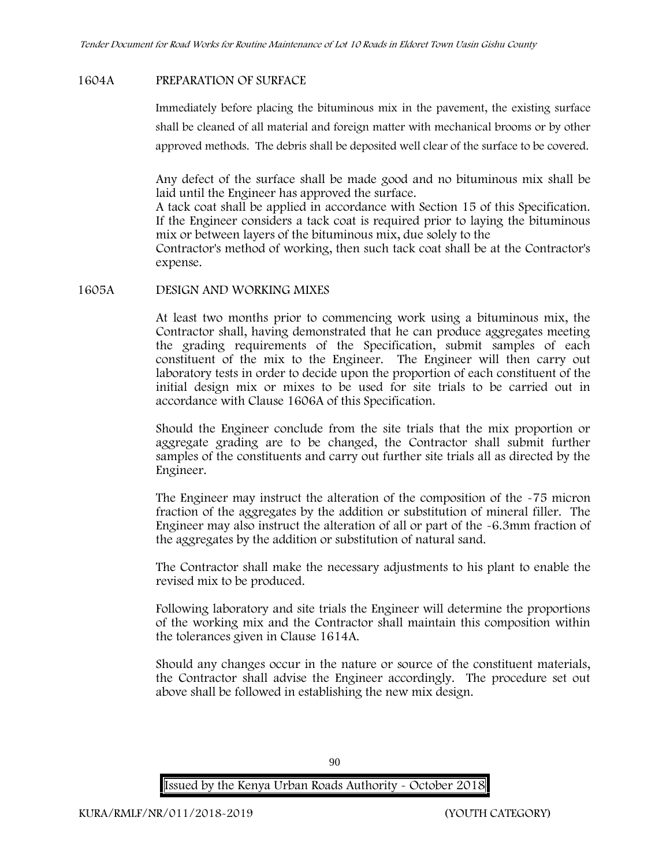# **1604A PREPARATION OF SURFACE**

Immediately before placing the bituminous mix in the pavement, the existing surface shall be cleaned of all material and foreign matter with mechanical brooms or by other approved methods. The debris shall be deposited well clear of the surface to be covered.

Any defect of the surface shall be made good and no bituminous mix shall be laid until the Engineer has approved the surface.

A tack coat shall be applied in accordance with Section 15 of this Specification. If the Engineer considers a tack coat is required prior to laying the bituminous mix or between layers of the bituminous mix, due solely to the

Contractor's method of working, then such tack coat shall be at the Contractor's expense.

#### **1605A DESIGN AND WORKING MIXES**

At least two months prior to commencing work using a bituminous mix, the Contractor shall, having demonstrated that he can produce aggregates meeting the grading requirements of the Specification, submit samples of each constituent of the mix to the Engineer. The Engineer will then carry out laboratory tests in order to decide upon the proportion of each constituent of the initial design mix or mixes to be used for site trials to be carried out in accordance with Clause 1606A of this Specification.

Should the Engineer conclude from the site trials that the mix proportion or aggregate grading are to be changed, the Contractor shall submit further samples of the constituents and carry out further site trials all as directed by the Engineer.

The Engineer may instruct the alteration of the composition of the -75 micron fraction of the aggregates by the addition or substitution of mineral filler. The Engineer may also instruct the alteration of all or part of the -6.3mm fraction of the aggregates by the addition or substitution of natural sand.

The Contractor shall make the necessary adjustments to his plant to enable the revised mix to be produced.

Following laboratory and site trials the Engineer will determine the proportions of the working mix and the Contractor shall maintain this composition within the tolerances given in Clause 1614A.

Should any changes occur in the nature or source of the constituent materials, the Contractor shall advise the Engineer accordingly. The procedure set out above shall be followed in establishing the new mix design.

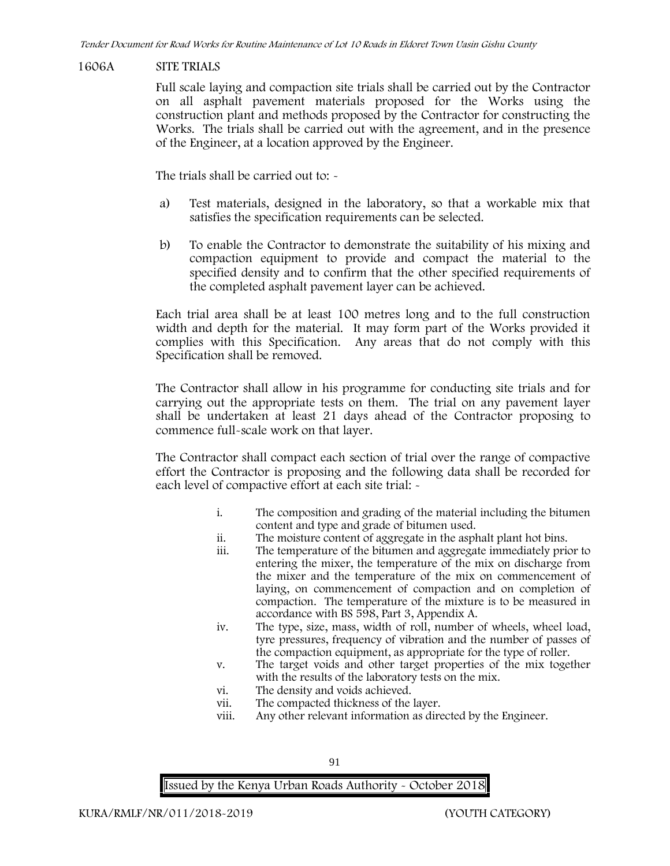#### **1606A SITE TRIALS**

Full scale laying and compaction site trials shall be carried out by the Contractor on all asphalt pavement materials proposed for the Works using the construction plant and methods proposed by the Contractor for constructing the Works. The trials shall be carried out with the agreement, and in the presence of the Engineer, at a location approved by the Engineer.

The trials shall be carried out to:  $\sim$ 

- a) Test materials, designed in the laboratory, so that a workable mix that satisfies the specification requirements can be selected.
- b) To enable the Contractor to demonstrate the suitability of his mixing and compaction equipment to provide and compact the material to the specified density and to confirm that the other specified requirements of the completed asphalt pavement layer can be achieved.

Each trial area shall be at least 100 metres long and to the full construction width and depth for the material. It may form part of the Works provided it complies with this Specification. Any areas that do not comply with this Specification shall be removed.

The Contractor shall allow in his programme for conducting site trials and for carrying out the appropriate tests on them. The trial on any pavement layer shall be undertaken at least 21 days ahead of the Contractor proposing to commence full-scale work on that layer.

The Contractor shall compact each section of trial over the range of compactive effort the Contractor is proposing and the following data shall be recorded for each level of compactive effort at each site trial: -

- i. The composition and grading of the material including the bitumen content and type and grade of bitumen used.
- ii. The moisture content of aggregate in the asphalt plant hot bins.
- iii. The temperature of the bitumen and aggregate immediately prior to entering the mixer, the temperature of the mix on discharge from the mixer and the temperature of the mix on commencement of laying, on commencement of compaction and on completion of compaction. The temperature of the mixture is to be measured in accordance with BS 598, Part 3, Appendix A.
- iv. The type, size, mass, width of roll, number of wheels, wheel load, tyre pressures, frequency of vibration and the number of passes of the compaction equipment, as appropriate for the type of roller.
- v. The target voids and other target properties of the mix together with the results of the laboratory tests on the mix.
- vi. The density and voids achieved.
- vii. The compacted thickness of the layer.
- viii. Any other relevant information as directed by the Engineer.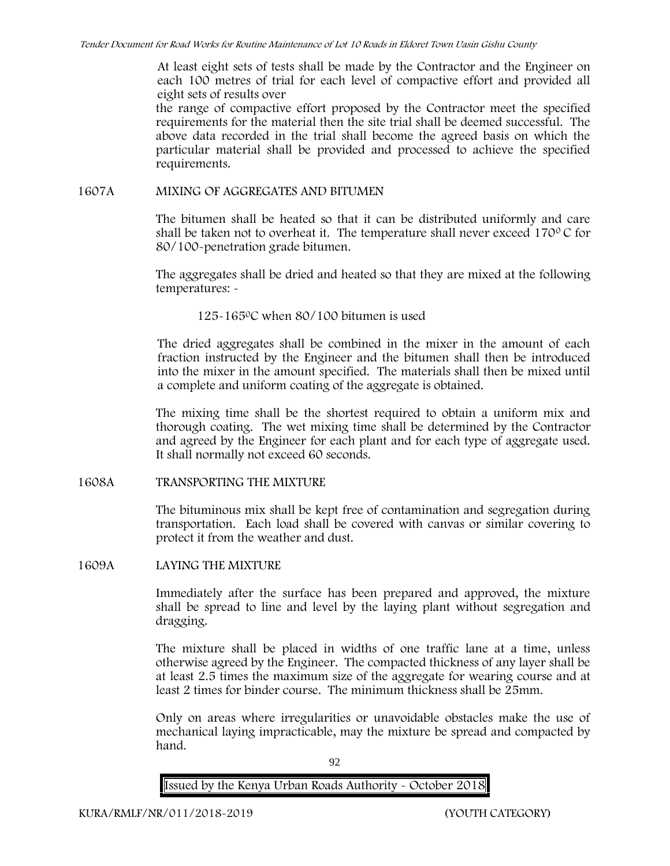At least eight sets of tests shall be made by the Contractor and the Engineer on each 100 metres of trial for each level of compactive effort and provided all eight sets of results over

the range of compactive effort proposed by the Contractor meet the specified requirements for the material then the site trial shall be deemed successful. The above data recorded in the trial shall become the agreed basis on which the particular material shall be provided and processed to achieve the specified requirements.

#### **1607A MIXING OF AGGREGATES AND BITUMEN**

The bitumen shall be heated so that it can be distributed uniformly and care shall be taken not to overheat it. The temperature shall never exceed  $170^{\circ}$ C for 80/100-penetration grade bitumen.

The aggregates shall be dried and heated so that they are mixed at the following temperatures: -

125 $-165$ °C when 80/100 bitumen is used

The dried aggregates shall be combined in the mixer in the amount of each fraction instructed by the Engineer and the bitumen shall then be introduced into the mixer in the amount specified. The materials shall then be mixed until a complete and uniform coating of the aggregate is obtained.

The mixing time shall be the shortest required to obtain a uniform mix and thorough coating. The wet mixing time shall be determined by the Contractor and agreed by the Engineer for each plant and for each type of aggregate used. It shall normally not exceed 60 seconds.

**1608A TRANSPORTING THE MIXTURE**

The bituminous mix shall be kept free of contamination and segregation during transportation. Each load shall be covered with canvas or similar covering to protect it from the weather and dust.

**1609A LAYING THE MIXTURE**

Immediately after the surface has been prepared and approved, the mixture shall be spread to line and level by the laying plant without segregation and dragging.

The mixture shall be placed in widths of one traffic lane at a time, unless otherwise agreed by the Engineer. The compacted thickness of any layer shall be at least 2.5 times the maximum size of the aggregate for wearing course and at least 2 times for binder course. The minimum thickness shall be 25mm.

Only on areas where irregularities or unavoidable obstacles make the use of mechanical laying impracticable, may the mixture be spread and compacted by hand.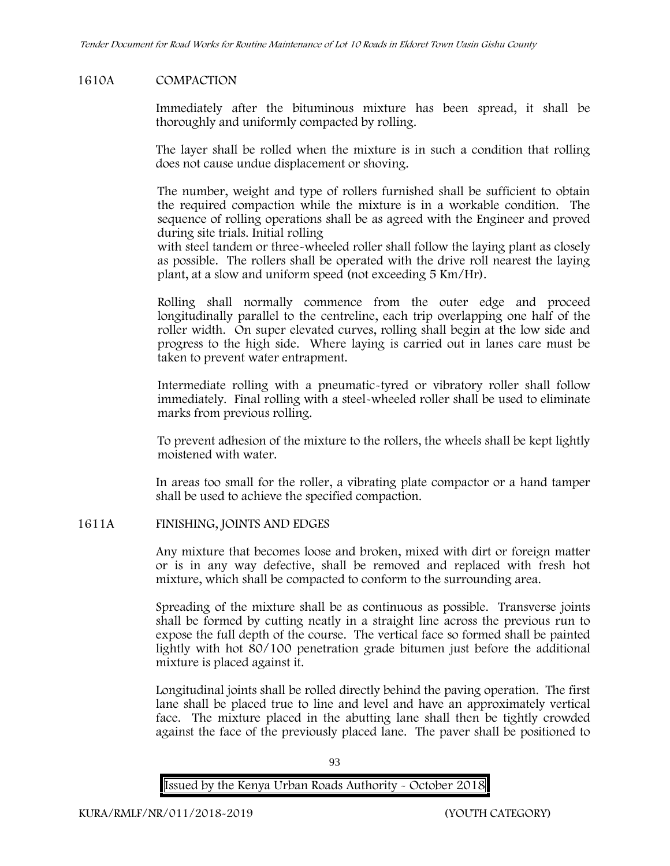# **1610A COMPACTION**

Immediately after the bituminous mixture has been spread, it shall be thoroughly and uniformly compacted by rolling.

The layer shall be rolled when the mixture is in such a condition that rolling does not cause undue displacement or shoving.

The number, weight and type of rollers furnished shall be sufficient to obtain the required compaction while the mixture is in a workable condition. The sequence of rolling operations shall be as agreed with the Engineer and proved during site trials. Initial rolling

with steel tandem or three-wheeled roller shall follow the laying plant as closely as possible. The rollers shall be operated with the drive roll nearest the laying plant, at a slow and uniform speed (not exceeding 5 Km/Hr).

Rolling shall normally commence from the outer edge and proceed longitudinally parallel to the centreline, each trip overlapping one half of the roller width. On super elevated curves, rolling shall begin at the low side and progress to the high side. Where laying is carried out in lanes care must be taken to prevent water entrapment.

Intermediate rolling with a pneumatic-tyred or vibratory roller shall follow immediately. Final rolling with a steel-wheeled roller shall be used to eliminate marks from previous rolling.

To prevent adhesion of the mixture to the rollers, the wheels shall be kept lightly moistened with water.

In areas too small for the roller, a vibrating plate compactor or a hand tamper shall be used to achieve the specified compaction.

# **1611A FINISHING, JOINTS AND EDGES**

Any mixture that becomes loose and broken, mixed with dirt or foreign matter or is in any way defective, shall be removed and replaced with fresh hot mixture, which shall be compacted to conform to the surrounding area.

Spreading of the mixture shall be as continuous as possible. Transverse joints shall be formed by cutting neatly in a straight line across the previous run to expose the full depth of the course. The vertical face so formed shall be painted lightly with hot 80/100 penetration grade bitumen just before the additional mixture is placed against it.

Longitudinal joints shall be rolled directly behind the paving operation. The first lane shall be placed true to line and level and have an approximately vertical face. The mixture placed in the abutting lane shall then be tightly crowded against the face of the previously placed lane. The paver shall be positioned to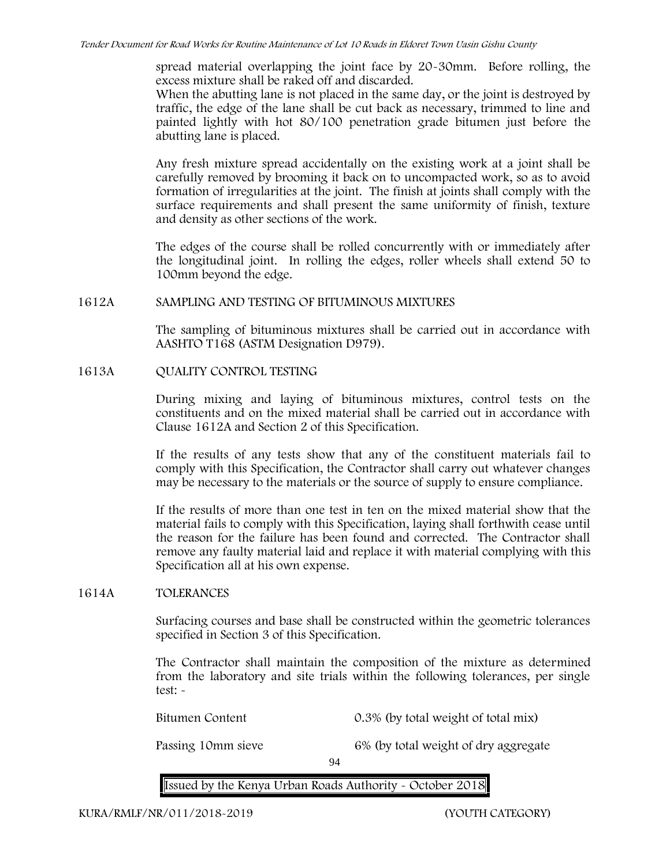spread material overlapping the joint face by 20-30mm. Before rolling, the excess mixture shall be raked off and discarded.

When the abutting lane is not placed in the same day, or the joint is destroyed by traffic, the edge of the lane shall be cut back as necessary, trimmed to line and painted lightly with hot 80/100 penetration grade bitumen just before the abutting lane is placed.

Any fresh mixture spread accidentally on the existing work at a joint shall be carefully removed by brooming it back on to uncompacted work, so as to avoid formation of irregularities at the joint. The finish at joints shall comply with the surface requirements and shall present the same uniformity of finish, texture and density as other sections of the work.

The edges of the course shall be rolled concurrently with or immediately after the longitudinal joint. In rolling the edges, roller wheels shall extend 50 to 100mm beyond the edge.

#### **1612A SAMPLING AND TESTING OF BITUMINOUS MIXTURES**

The sampling of bituminous mixtures shall be carried out in accordance with AASHTO T168 (ASTM Designation D979).

**1613A QUALITY CONTROL TESTING**

During mixing and laying of bituminous mixtures, control tests on the constituents and on the mixed material shall be carried out in accordance with Clause 1612A and Section 2 of this Specification.

If the results of any tests show that any of the constituent materials fail to comply with this Specification, the Contractor shall carry out whatever changes may be necessary to the materials or the source of supply to ensure compliance.

If the results of more than one test in ten on the mixed material show that the material fails to comply with this Specification, laying shall forthwith cease until the reason for the failure has been found and corrected. The Contractor shall remove any faulty material laid and replace it with material complying with this Specification all at his own expense.

# **1614A TOLERANCES**

Surfacing courses and base shall be constructed within the geometric tolerances specified in Section 3 of this Specification.

The Contractor shall maintain the composition of the mixture as determined from the laboratory and site trials within the following tolerances, per single test: -

Bitumen Content 0.3% (by total weight of total mix)

Passing 10mm sieve 6% (by total weight of dry aggregate

94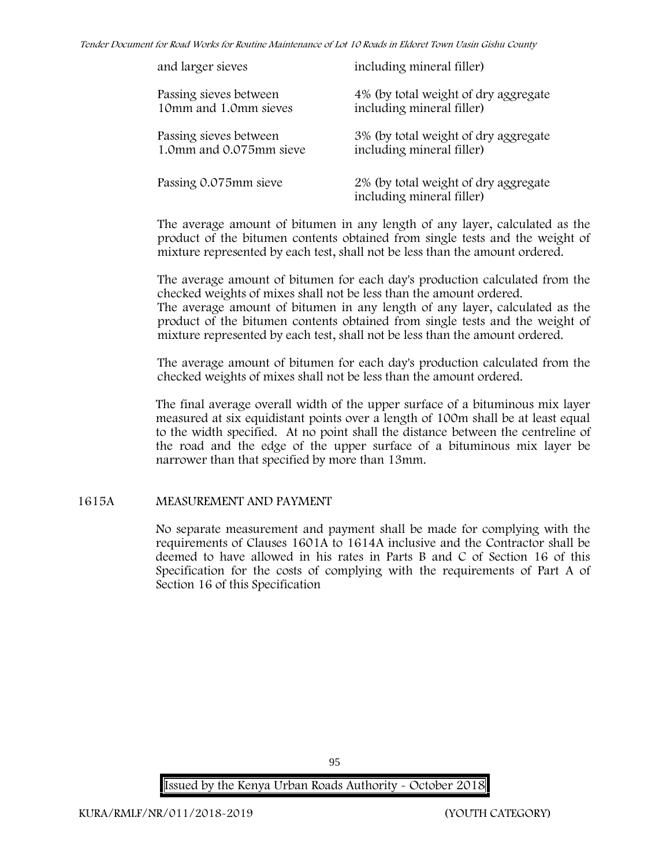*Tender Document for Road Works for Routine Maintenance of Lot 10 Roads in Eldoret Town Uasin Gishu County*

| and larger sieves       | including mineral filler)                                         |
|-------------------------|-------------------------------------------------------------------|
| Passing sieves between  | 4% (by total weight of dry aggregate                              |
| 10mm and 1.0mm sieves   | including mineral filler)                                         |
| Passing sieves between  | 3% (by total weight of dry aggregate                              |
| 1.0mm and 0.075mm sieve | including mineral filler)                                         |
| Passing 0.075mm sieve   | 2% (by total weight of dry aggregate<br>including mineral filler) |

The average amount of bitumen in any length of any layer, calculated as the product of the bitumen contents obtained from single tests and the weight of mixture represented by each test, shall not be less than the amount ordered.

The average amount of bitumen for each day's production calculated from the checked weights of mixes shall not be less than the amount ordered. The average amount of bitumen in any length of any layer, calculated as the product of the bitumen contents obtained from single tests and the weight of mixture represented by each test, shall not be less than the amount ordered.

The average amount of bitumen for each day's production calculated from the checked weights of mixes shall not be less than the amount ordered.

The final average overall width of the upper surface of a bituminous mix layer measured at six equidistant points over a length of 100m shall be at least equal to the width specified. At no point shall the distance between the centreline of the road and the edge of the upper surface of a bituminous mix layer be narrower than that specified by more than 13mm.

# **1615A MEASUREMENT AND PAYMENT**

No separate measurement and payment shall be made for complying with the requirements of Clauses 1601A to 1614A inclusive and the Contractor shall be deemed to have allowed in his rates in Parts B and C of Section 16 of this Specification for the costs of complying with the requirements of Part A of Section 16 of this Specification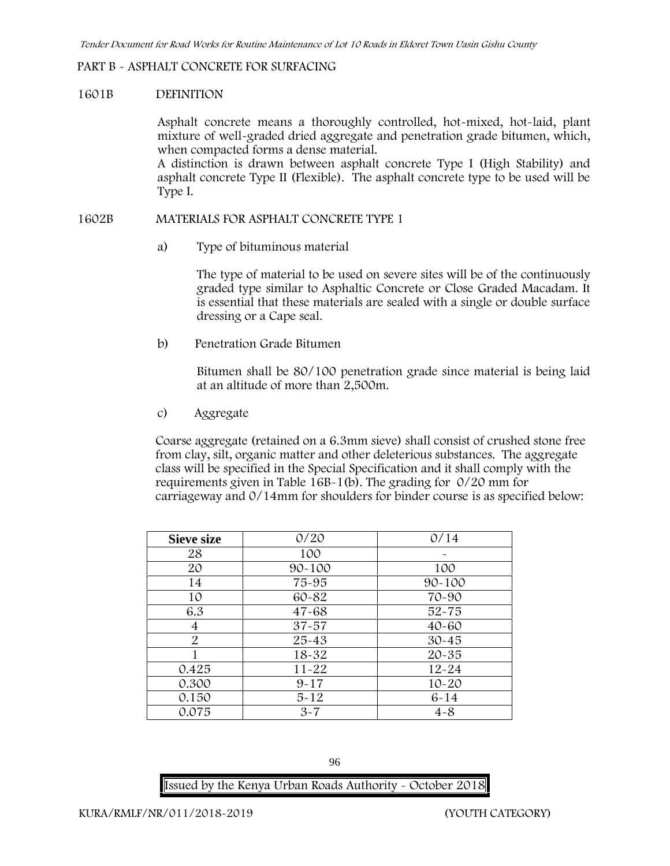### **PART B - ASPHALT CONCRETE FOR SURFACING**

#### **1601B DEFINITION**

Asphalt concrete means a thoroughly controlled, hot-mixed, hot-laid, plant mixture of well-graded dried aggregate and penetration grade bitumen, which, when compacted forms a dense material.

A distinction is drawn between asphalt concrete Type I (High Stability) and asphalt concrete Type II (Flexible). The asphalt concrete type to be used will be Type I.

#### **1602B MATERIALS FOR ASPHALT CONCRETE TYPE 1**

a) **Type of bituminous material**

The type of material to be used on severe sites will be of the continuously graded type similar to Asphaltic Concrete or Close Graded Macadam. It is essential that these materials are sealed with a single or double surface dressing or a Cape seal.

b) **Penetration Grade Bitumen**

Bitumen shall be 80/100 penetration grade since material is being laid at an altitude of more than 2,500m.

c) **Aggregate**

Coarse aggregate (retained on a 6.3mm sieve) shall consist of crushed stone free from clay, silt, organic matter and other deleterious substances. The aggregate class will be specified in the Special Specification and it shall comply with the requirements given in Table 16B-1(b). The grading for 0/20 mm for carriageway and 0/14mm for shoulders for binder course is as specified below:

| <b>Sieve size</b> | 0/20       | 0/14       |
|-------------------|------------|------------|
| 28                | 100        |            |
| 20                | $90 - 100$ | 100        |
| 14                | 75-95      | $90 - 100$ |
| 10                | 60-82      | 70-90      |
| 6.3               | $47 - 68$  | $52 - 75$  |
| 4                 | $37 - 57$  | $40 - 60$  |
| 2                 | $25 - 43$  | $30 - 45$  |
|                   | 18-32      | $20 - 35$  |
| 0.425             | $11 - 22$  | $12 - 24$  |
| 0.300             | $9 - 17$   | $10 - 20$  |
| 0.150             | $5 - 12$   | $6 - 14$   |
| 0.075             | $3 - 7$    | $4 - 8$    |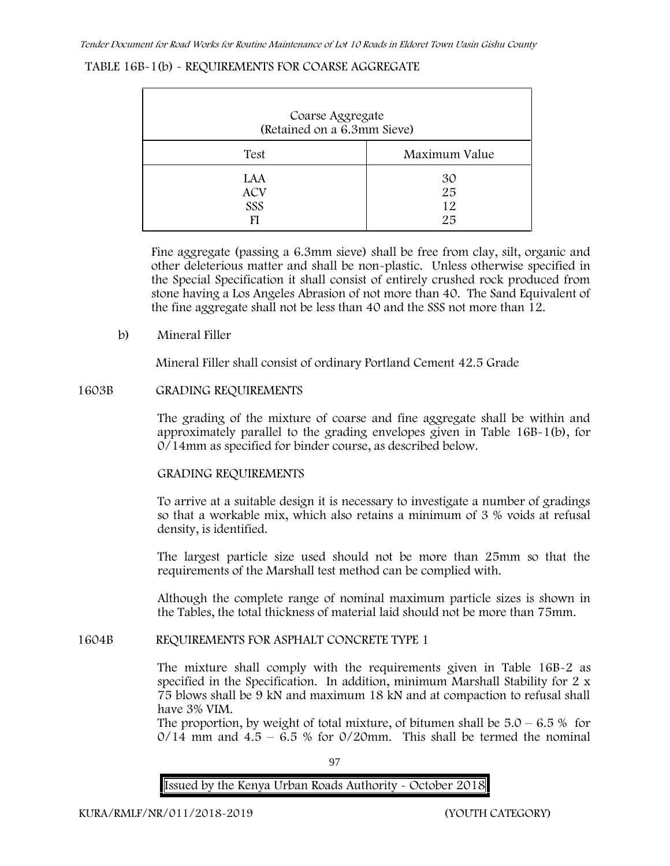# **TABLE 16B-1(b) - REQUIREMENTS FOR COARSE AGGREGATE**

| Coarse Aggregate<br>(Retained on a 6.3mm Sieve) |                      |
|-------------------------------------------------|----------------------|
| Test                                            | Maximum Value        |
| LAA<br><b>ACV</b><br>SSS<br>FI                  | 30<br>25<br>12<br>25 |

Fine aggregate (passing a 6.3mm sieve) shall be free from clay, silt, organic and other deleterious matter and shall be non-plastic. Unless otherwise specified in the Special Specification it shall consist of entirely crushed rock produced from stone having a Los Angeles Abrasion of not more than 40. The Sand Equivalent of the fine aggregate shall not be less than 40 and the SSS not more than 12.

# **b) Mineral Filler**

Mineral Filler shall consist of ordinary Portland Cement 42.5 Grade

# **1603B GRADING REQUIREMENTS**

The grading of the mixture of coarse and fine aggregate shall be within and approximately parallel to the grading envelopes given in Table 16B-1(b), for 0/14mm as specified for binder course, as described below.

# **GRADING REQUIREMENTS**

To arrive at a suitable design it is necessary to investigate a number of gradings so that a workable mix, which also retains a minimum of 3 % voids at refusal density, is identified.

The largest particle size used should not be more than 25mm so that the requirements of the Marshall test method can be complied with.

Although the complete range of nominal maximum particle sizes is shown in the Tables, the total thickness of material laid should not be more than 75mm.

# **1604B REQUIREMENTS FOR ASPHALT CONCRETE TYPE 1**

The mixture shall comply with the requirements given in Table 16B-2 as specified in the Specification. In addition, minimum Marshall Stability for 2 x 75 blows shall be 9 kN and maximum 18 kN and at compaction to refusal shall have 3% VIM.

The proportion, by weight of total mixture, of bitumen shall be  $5.0 - 6.5\%$  for  $0/14$  mm and  $4.5 - 6.5$  % for  $0/20$ mm. This shall be termed the nominal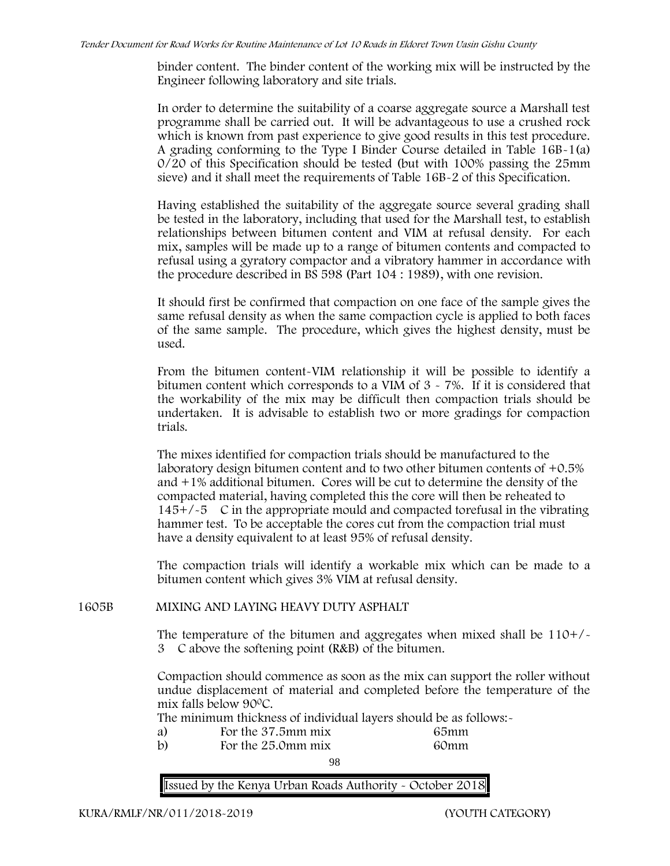binder content. The binder content of the working mix will be instructed by the Engineer following laboratory and site trials.

In order to determine the suitability of a coarse aggregate source a Marshall test programme shall be carried out. It will be advantageous to use a crushed rock which is known from past experience to give good results in this test procedure. A grading conforming to the Type I Binder Course detailed in Table 16B-1(a) 0/20 of this Specification should be tested (but with 100% passing the 25mm sieve) and it shall meet the requirements of Table 16B-2 of this Specification.

Having established the suitability of the aggregate source several grading shall be tested in the laboratory, including that used for the Marshall test, to establish relationships between bitumen content and VIM at refusal density. For each mix, samples will be made up to a range of bitumen contents and compacted to refusal using a gyratory compactor and a vibratory hammer in accordance with the procedure described in BS 598 (Part 104 : 1989), with one revision.

It should first be confirmed that compaction on one face of the sample gives the same refusal density as when the same compaction cycle is applied to both faces of the same sample. The procedure, which gives the highest density, must be used.

From the bitumen content-VIM relationship it will be possible to identify a bitumen content which corresponds to a VIM of 3 - 7%. If it is considered that the workability of the mix may be difficult then compaction trials should be undertaken. It is advisable to establish two or more gradings for compaction trials.

The mixes identified for compaction trials should be manufactured to the laboratory design bitumen content and to two other bitumen contents of +0.5% and +1% additional bitumen. Cores will be cut to determine the density of the compacted material, having completed this the core will then be reheated to  $145+/-5$  C in the appropriate mould and compacted torefusal in the vibrating hammer test. To be acceptable the cores cut from the compaction trial must have a density equivalent to at least 95% of refusal density.

The compaction trials will identify a workable mix which can be made to a bitumen content which gives 3% VIM at refusal density.

**1605B MIXING AND LAYING HEAVY DUTY ASPHALT**

The temperature of the bitumen and aggregates when mixed shall be  $110+/$ 3C above the softening point (R&B) of the bitumen.

Compaction should commence as soon as the mix can support the roller without undue displacement of material and completed before the temperature of the mix falls below 900C.

The minimum thickness of individual layers should be as follows:-

- a) For the 37.5mm mix 65mm
- b) For the 25.0mm mix 60mm

**98**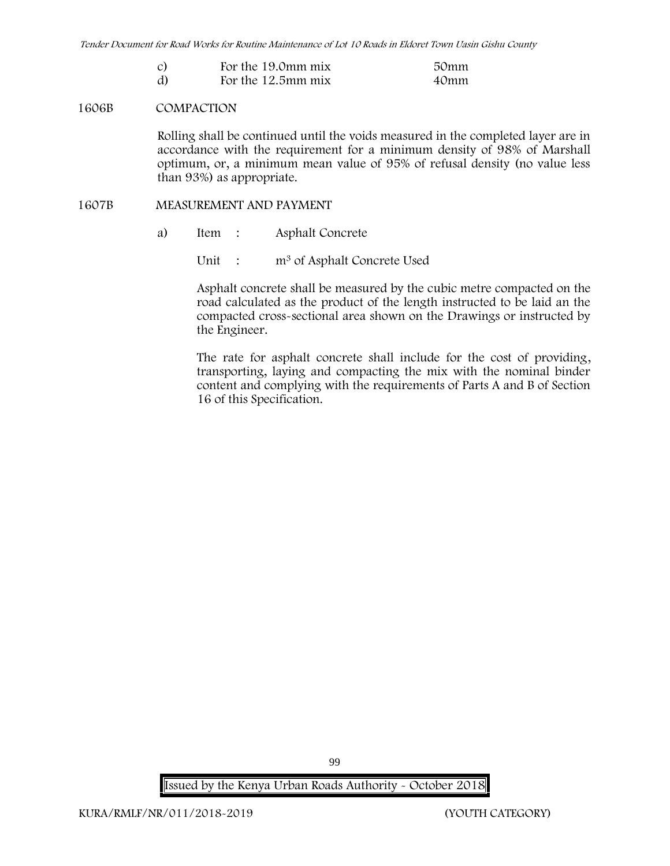| For the 19.0mm mix | 50mm |
|--------------------|------|
| For the 12.5mm mix | 40mm |

#### **1606B COMPACTION**

Rolling shall be continued until the voids measured in the completed layer are in accordance with the requirement for a minimum density of 98% of Marshall optimum, or, a minimum mean value of 95% of refusal density (no value less than 93%) as appropriate.

#### **1607B MEASUREMENT AND PAYMENT**

a) Item : Asphalt Concrete

Unit : m<sup>3</sup> of Asphalt Concrete Used

Asphalt concrete shall be measured by the cubic metre compacted on the road calculated as the product of the length instructed to be laid an the compacted cross-sectional area shown on the Drawings or instructed by the Engineer.

The rate for asphalt concrete shall include for the cost of providing, transporting, laying and compacting the mix with the nominal binder content and complying with the requirements of Parts A and B of Section 16 of this Specification.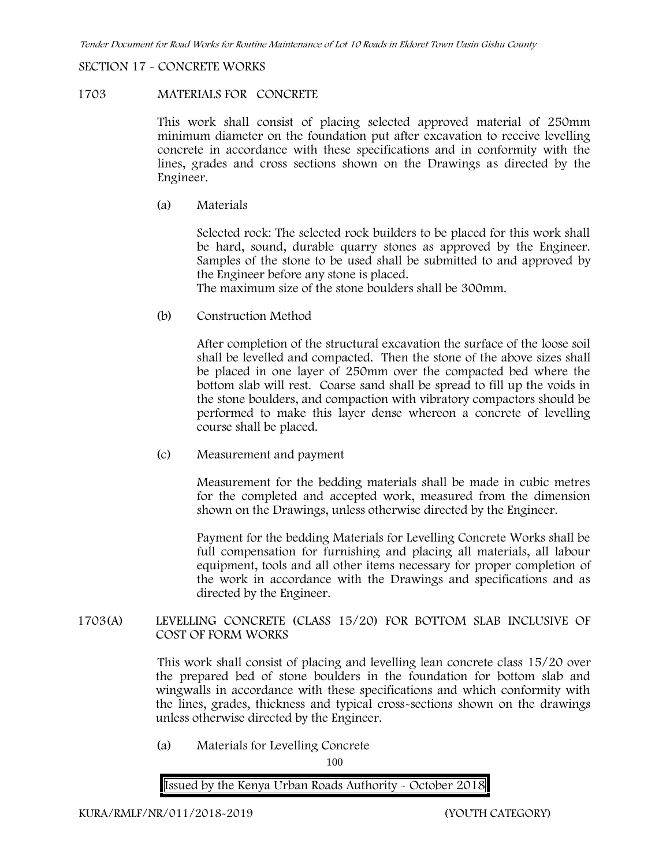### **SECTION 17 - CONCRETE WORKS**

### **1703 MATERIALS FOR CONCRETE**

This work shall consist of placing selected approved material of 250mm minimum diameter on the foundation put after excavation to receive levelling concrete in accordance with these specifications and in conformity with the lines, grades and cross sections shown on the Drawings as directed by the Engineer.

(a) **Materials**

Selected rock: The selected rock builders to be placed for this work shall be hard, sound, durable quarry stones as approved by the Engineer. Samples of the stone to be used shall be submitted to and approved by the Engineer before any stone is placed.

The maximum size of the stone boulders shall be 300mm.

(b) **Construction Method**

After completion of the structural excavation the surface of the loose soil shall be levelled and compacted. Then the stone of the above sizes shall be placed in one layer of 250mm over the compacted bed where the bottom slab will rest. Coarse sand shall be spread to fill up the voids in the stone boulders, and compaction with vibratory compactors should be performed to make this layer dense whereon a concrete of levelling course shall be placed.

(c) **Measurement and payment**

Measurement for the bedding materials shall be made in cubic metres for the completed and accepted work, measured from the dimension shown on the Drawings, unless otherwise directed by the Engineer.

Payment for the bedding Materials for Levelling Concrete Works shall be full compensation for furnishing and placing all materials, all labour equipment, tools and all other items necessary for proper completion of the work in accordance with the Drawings and specifications and as directed by the Engineer.

**1703(A) LEVELLING CONCRETE (CLASS 15/20) FOR BOTTOM SLAB INCLUSIVE OF COST OF FORM WORKS**

> This work shall consist of placing and levelling lean concrete class 15/20 over the prepared bed of stone boulders in the foundation for bottom slab and wingwalls in accordance with these specifications and which conformity with the lines, grades, thickness and typical cross-sections shown on the drawings unless otherwise directed by the Engineer.

(a) **Materials for Levelling Concrete**

100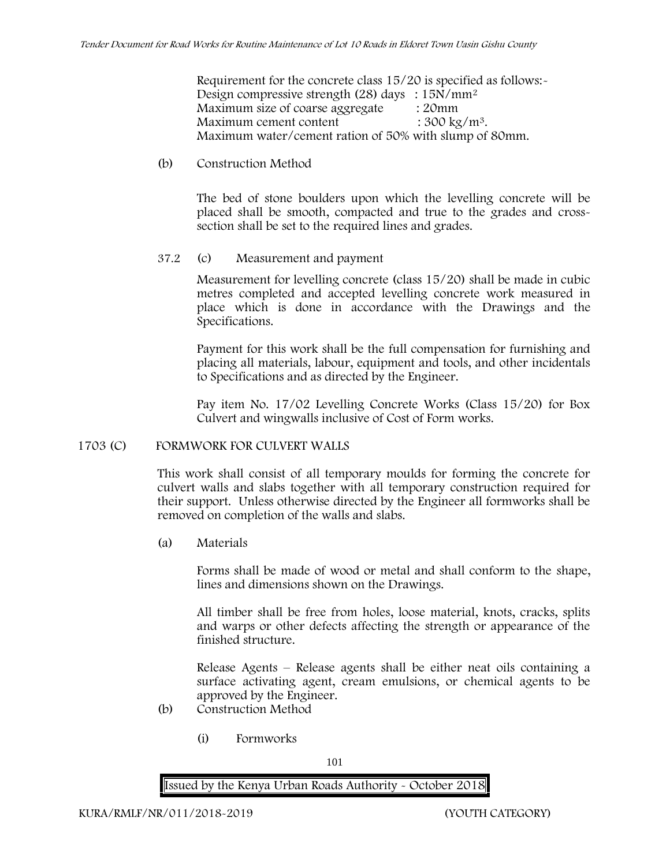Requirement for the concrete class 15/20 is specified as follows:- Design compressive strength (28) days : 15N/mm<sup>2</sup> Maximum size of coarse aggregate : 20mm Maximum cement content  $: 300 \text{ kg/m}^3$ . Maximum water/cement ration of 50% with slump of 80mm.

#### (b) **Construction Method**

The bed of stone boulders upon which the levelling concrete will be placed shall be smooth, compacted and true to the grades and crosssection shall be set to the required lines and grades.

# **37.2** (c) **Measurement and payment**

Measurement for levelling concrete (class 15/20) shall be made in cubic metres completed and accepted levelling concrete work measured in place which is done in accordance with the Drawings and the Specifications.

Payment for this work shall be the full compensation for furnishing and placing all materials, labour, equipment and tools, and other incidentals to Specifications and as directed by the Engineer.

Pay item No. 17/02 Levelling Concrete Works (Class 15/20) for Box Culvert and wingwalls inclusive of Cost of Form works.

# **1703 (C) FORMWORK FOR CULVERT WALLS**

This work shall consist of all temporary moulds for forming the concrete for culvert walls and slabs together with all temporary construction required for their support. Unless otherwise directed by the Engineer all formworks shall be removed on completion of the walls and slabs.

(a) **Materials**

Forms shall be made of wood or metal and shall conform to the shape, lines and dimensions shown on the Drawings.

All timber shall be free from holes, loose material, knots, cracks, splits and warps or other defects affecting the strength or appearance of the finished structure.

Release Agents – Release agents shall be either neat oils containing a surface activating agent, cream emulsions, or chemical agents to be approved by the Engineer.

- (b) **Construction Method**
	- (i) **Formworks**

101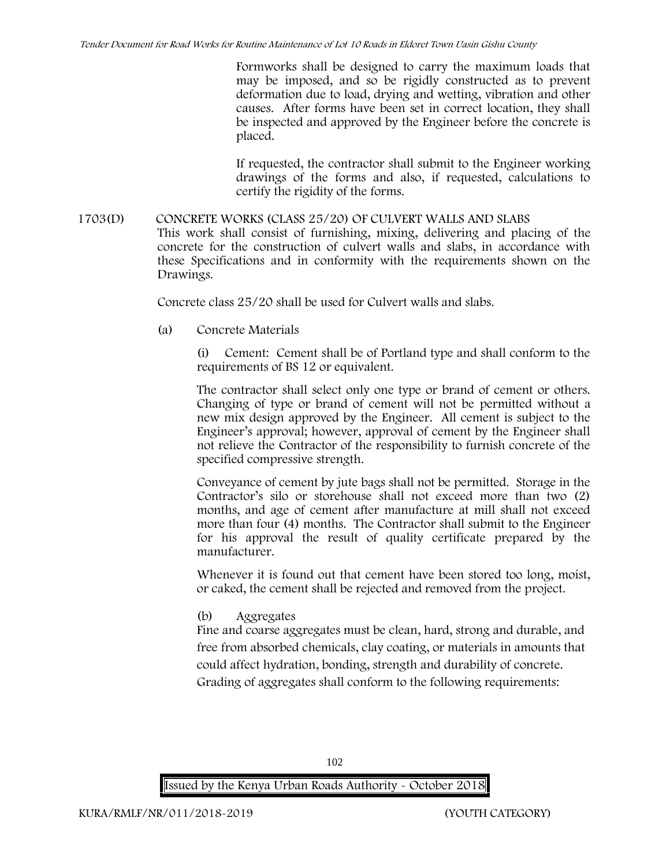Formworks shall be designed to carry the maximum loads that may be imposed, and so be rigidly constructed as to prevent deformation due to load, drying and wetting, vibration and other causes. After forms have been set in correct location, they shall be inspected and approved by the Engineer before the concrete is placed.

If requested, the contractor shall submit to the Engineer working drawings of the forms and also, if requested, calculations to certify the rigidity of the forms.

# **1703(D) CONCRETE WORKS (CLASS 25/20) OF CULVERT WALLS AND SLABS** This work shall consist of furnishing, mixing, delivering and placing of the concrete for the construction of culvert walls and slabs, in accordance with these Specifications and in conformity with the requirements shown on the Drawings.

Concrete class 25/20 shall be used for Culvert walls and slabs.

**(a) Concrete Materials**

(i) Cement: Cement shall be of Portland type and shall conform to the requirements of BS 12 or equivalent.

The contractor shall select only one type or brand of cement or others. Changing of type or brand of cement will not be permitted without a new mix design approved by the Engineer. All cement is subject to the Engineer's approval; however, approval of cement by the Engineer shall not relieve the Contractor of the responsibility to furnish concrete of the specified compressive strength.

Conveyance of cement by jute bags shall not be permitted. Storage in the Contractor's silo or storehouse shall not exceed more than two (2) months, and age of cement after manufacture at mill shall not exceed more than four (4) months. The Contractor shall submit to the Engineer for his approval the result of quality certificate prepared by the manufacturer.

Whenever it is found out that cement have been stored too long, moist, or caked, the cement shall be rejected and removed from the project.

**(b) Aggregates**

Fine and coarse aggregates must be clean, hard, strong and durable, and free from absorbed chemicals, clay coating, or materials in amounts that could affect hydration, bonding, strength and durability of concrete. Grading of aggregates shall conform to the following requirements:

102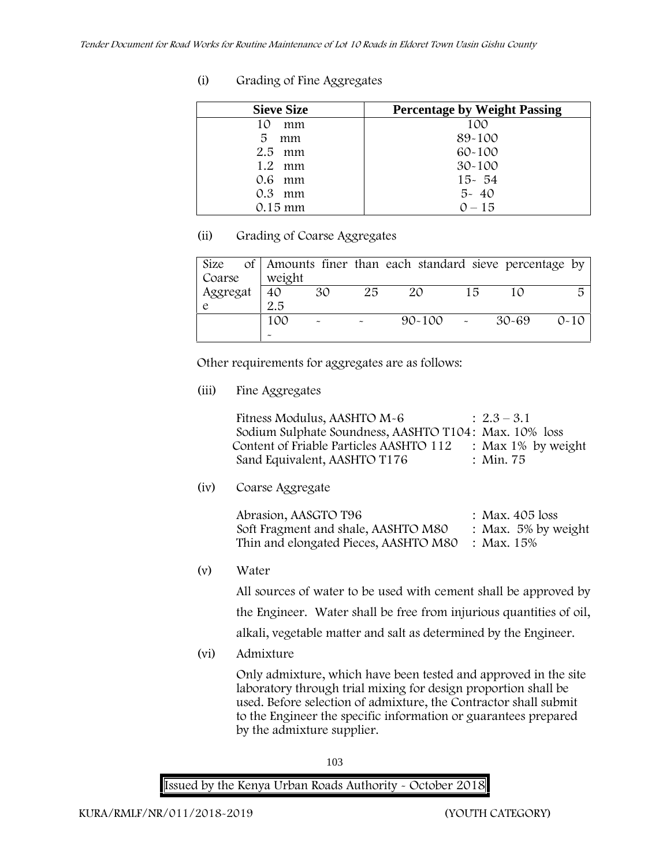| (i)<br>Grading of Fine Aggregates |
|-----------------------------------|
|-----------------------------------|

| <b>Sieve Size</b> | <b>Percentage by Weight Passing</b> |
|-------------------|-------------------------------------|
| 10<br>mm          | 100                                 |
| 5.<br>mm          | 89-100                              |
| $2.5$ mm          | $60 - 100$                          |
| $1.2$ mm          | $30 - 100$                          |
| 0.6 mm            | $15 - 54$                           |
| $0.3$ mm          | $5 - 40$                            |
| $0.15 \text{ mm}$ | $0 - 15$                            |

# **(ii) Grading of Coarse Aggregates**

| Size                  |  |                       |                       |    | of Amounts finer than each standard sieve percentage by |    |       |          |
|-----------------------|--|-----------------------|-----------------------|----|---------------------------------------------------------|----|-------|----------|
| Coarse                |  | weight                |                       |    |                                                         |    |       |          |
| Aggregat <sup>1</sup> |  | 40                    | 30                    | 25 | 20                                                      | 15 |       | 5        |
|                       |  | 2.5                   |                       |    |                                                         |    |       |          |
|                       |  | 100                   | $\tilde{\phantom{a}}$ |    | $90 - 100$ -                                            |    | 30-69 | $0 - 10$ |
|                       |  | $\tilde{\phantom{a}}$ |                       |    |                                                         |    |       |          |

Other requirements for aggregates are as follows:

**(iii) Fine Aggregates**

| Fitness Modulus, AASHTO M-6                           | $: 2.3 - 3.1$         |
|-------------------------------------------------------|-----------------------|
| Sodium Sulphate Soundness, AASHTO T104: Max. 10% loss |                       |
| Content of Friable Particles AASHTO 112               | : Max $1\%$ by weight |
| Sand Equivalent, AASHTO T176                          | : Min. 75             |

**(iv) Coarse Aggregate**

| Abrasion, AASGTO T96                             | : Max. $405$ loss      |
|--------------------------------------------------|------------------------|
| Soft Fragment and shale, AASHTO M80              | : Max. $5\%$ by weight |
| Thin and elongated Pieces, AASHTO M80 : Max. 15% |                        |

**(v) Water**

All sources of water to be used with cement shall be approved by the Engineer. Water shall be free from injurious quantities of oil, alkali, vegetable matter and salt as determined by the Engineer.

**(vi) Admixture**

Only admixture, which have been tested and approved in the site laboratory through trial mixing for design proportion shall be used. Before selection of admixture, the Contractor shall submit to the Engineer the specific information or guarantees prepared by the admixture supplier.

103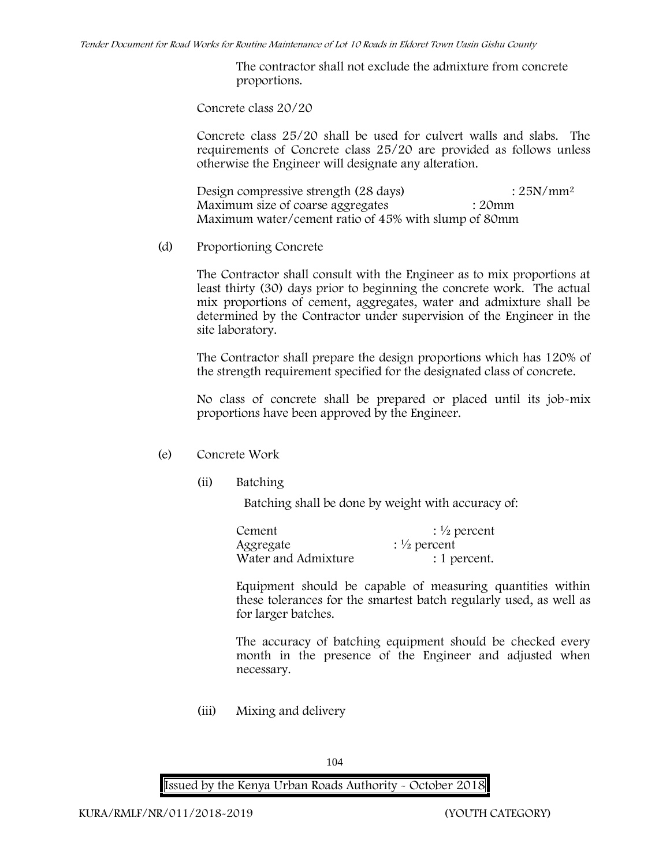The contractor shall not exclude the admixture from concrete proportions.

**Concrete class 20/20**

Concrete class 25/20 shall be used for culvert walls and slabs. The requirements of Concrete class 25/20 are provided as follows unless otherwise the Engineer will designate any alteration.

Design compressive strength (28 days) : 25N/mm<sup>2</sup> Maximum size of coarse aggregates : 20mm Maximum water/cement ratio of 45% with slump of 80mm

(d) **Proportioning Concrete**

The Contractor shall consult with the Engineer as to mix proportions at least thirty (30) days prior to beginning the concrete work. The actual mix proportions of cement, aggregates, water and admixture shall be determined by the Contractor under supervision of the Engineer in the site laboratory.

The Contractor shall prepare the design proportions which has 120% of the strength requirement specified for the designated class of concrete.

No class of concrete shall be prepared or placed until its job-mix proportions have been approved by the Engineer.

- (e) **Concrete Work**
	- **(ii) Batching**

Batching shall be done by weight with accuracy of:

| Cement              | $\frac{1}{2}$ percent |  |  |  |
|---------------------|-----------------------|--|--|--|
| Aggregate           | $\frac{1}{2}$ percent |  |  |  |
| Water and Admixture | : 1 percent.          |  |  |  |

Equipment should be capable of measuring quantities within these tolerances for the smartest batch regularly used, as well as for larger batches.

The accuracy of batching equipment should be checked every month in the presence of the Engineer and adjusted when necessary.

**(iii) Mixing and delivery**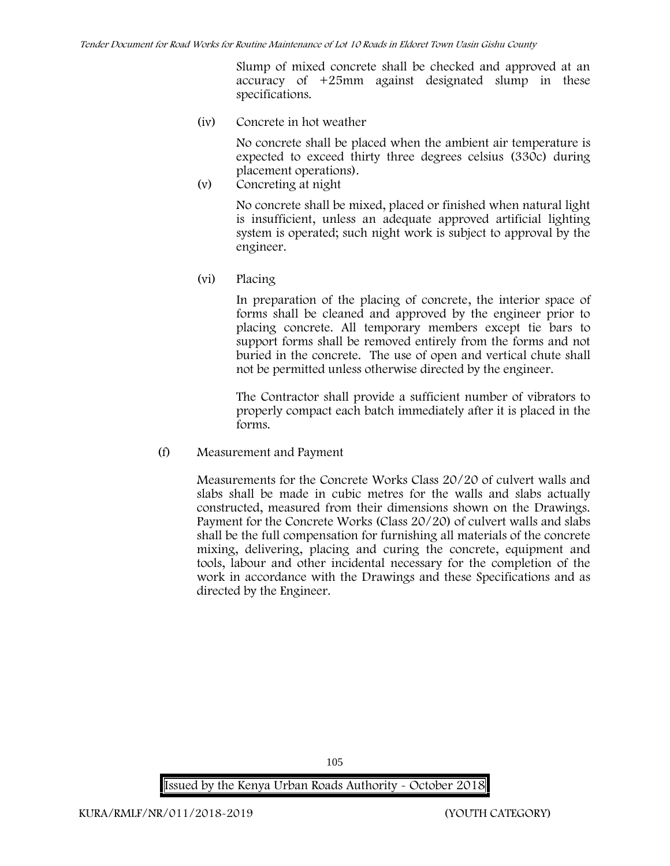Slump of mixed concrete shall be checked and approved at an accuracy of +25mm against designated slump in these specifications.

**(iv) Concrete in hot weather**

No concrete shall be placed when the ambient air temperature is expected to exceed thirty three degrees celsius (330c) during placement operations).

**(v) Concreting at night**

No concrete shall be mixed, placed or finished when natural light is insufficient, unless an adequate approved artificial lighting system is operated; such night work is subject to approval by the engineer.

**(vi) Placing**

In preparation of the placing of concrete, the interior space of forms shall be cleaned and approved by the engineer prior to placing concrete. All temporary members except tie bars to support forms shall be removed entirely from the forms and not buried in the concrete. The use of open and vertical chute shall not be permitted unless otherwise directed by the engineer.

The Contractor shall provide a sufficient number of vibrators to properly compact each batch immediately after it is placed in the forms.

(f) **Measurement and Payment**

Measurements for the Concrete Works Class 20/20 of culvert walls and slabs shall be made in cubic metres for the walls and slabs actually constructed, measured from their dimensions shown on the Drawings. Payment for the Concrete Works (Class 20/20) of culvert walls and slabs shall be the full compensation for furnishing all materials of the concrete mixing, delivering, placing and curing the concrete, equipment and tools, labour and other incidental necessary for the completion of the work in accordance with the Drawings and these Specifications and as directed by the Engineer.

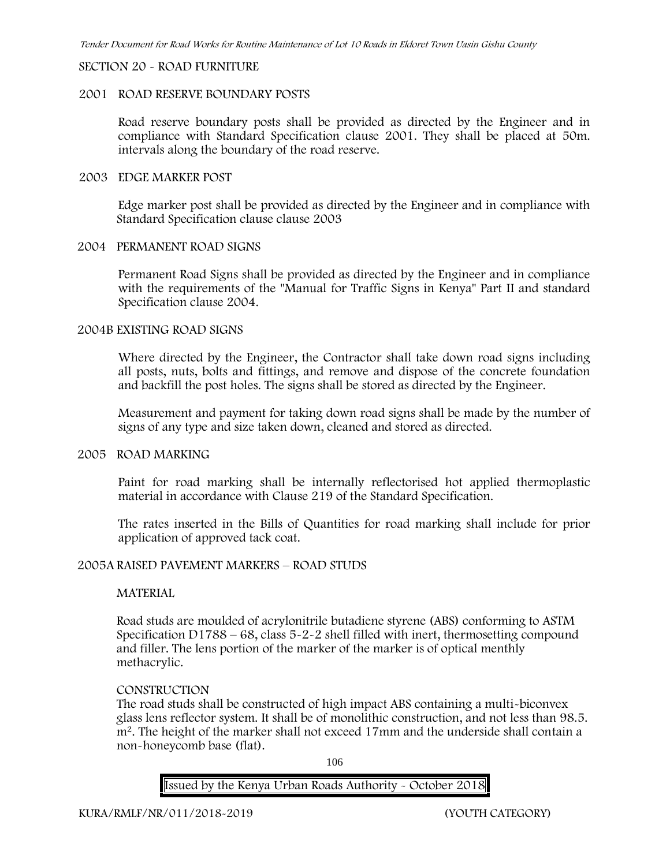#### **SECTION 20 - ROAD FURNITURE**

#### **2001 ROAD RESERVE BOUNDARY POSTS**

Road reserve boundary posts shall be provided as directed by the Engineer and in compliance with Standard Specification clause 2001. They shall be placed at 50m. intervals along the boundary of the road reserve.

#### **2003 EDGE MARKER POST**

Edge marker post shall be provided as directed by the Engineer and in compliance with Standard Specification clause clause 2003

# **2004 PERMANENT ROAD SIGNS**

Permanent Road Signs shall be provided as directed by the Engineer and in compliance with the requirements of the "Manual for Traffic Signs in Kenya" Part II and standard Specification clause 2004.

#### **2004B EXISTING ROAD SIGNS**

Where directed by the Engineer, the Contractor shall take down road signs including all posts, nuts, bolts and fittings, and remove and dispose of the concrete foundation and backfill the post holes. The signs shall be stored as directed by the Engineer.

Measurement and payment for taking down road signs shall be made by the number of signs of any type and size taken down, cleaned and stored as directed.

#### **2005 ROAD MARKING**

Paint for road marking shall be internally reflectorised hot applied thermoplastic material in accordance with Clause 219 of the Standard Specification.

The rates inserted in the Bills of Quantities for road marking shall include for prior application of approved tack coat.

# **2005A RAISED PAVEMENT MARKERS – ROAD STUDS**

# **MATERIAL**

Road studs are moulded of acrylonitrile butadiene styrene (ABS) conforming to ASTM Specification D1788 – 68, class 5-2-2 shell filled with inert, thermosetting compound and filler. The lens portion of the marker of the marker is of optical menthly methacrylic.

# **CONSTRUCTION**

The road studs shall be constructed of high impact ABS containing a multi-biconvex glass lens reflector system. It shall be of monolithic construction, and not less than 98.5. m2. The height of the marker shall not exceed 17mm and the underside shall contain a non-honeycomb base (flat).

106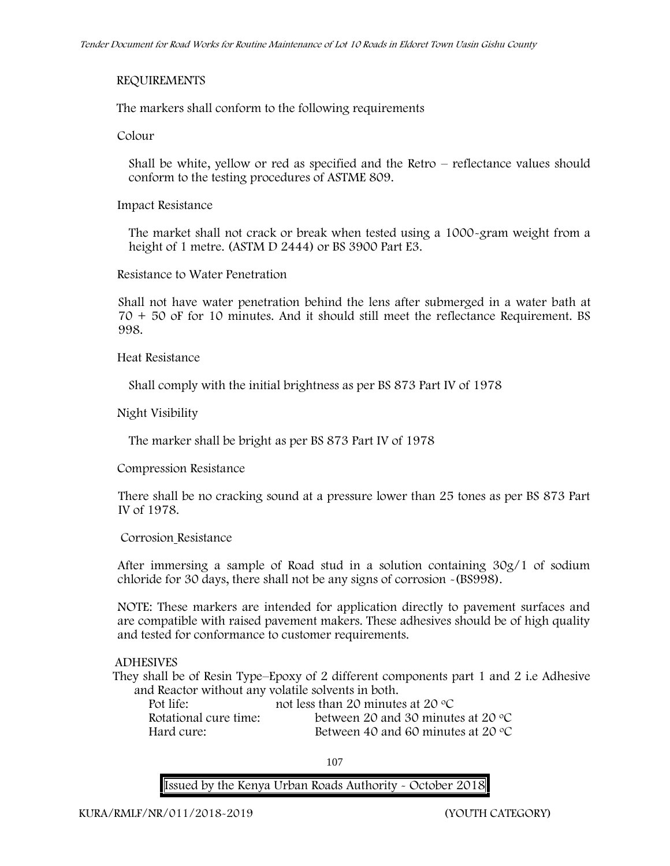# **REQUIREMENTS**

The markers shall conform to the following requirements

**Colour**

Shall be white, yellow or red as specified and the Retro – reflectance values should conform to the testing procedures of ASTME 809.

**Impact Resistance**

The market shall not crack or break when tested using a 1000**-**gram weight from a height of 1 metre. (ASTM D 2444) or BS 3900 Part E3.

**Resistance to Water Penetration**

Shall not have water penetration behind the lens after submerged in a water bath at 70 + 50 oF for 10 minutes. And it should still meet the reflectance Requirement. BS 998.

**Heat Resistance**

Shall comply with the initial brightness as per BS 873 Part IV of 1978

**Night Visibility**

The marker shall be bright as per BS 873 Part IV of 1978

**Compression Resistance**

There shall be no cracking sound at a pressure lower than 25 tones as per BS 873 Part IV of 1978.

**Corrosion Resistance**

After immersing a sample of Road stud in a solution containing 30g/1 of sodium chloride for 30 days, there shall not be any signs of corrosion **-**(BS998).

**NOTE**: These markers are intended for application directly to pavement surfaces and are compatible with raised pavement makers. These adhesives should be of high quality and tested for conformance to customer requirements.

# **ADHESIVES**

They shall be of Resin Type–Epoxy of 2 different components part 1 and 2 i.e Adhesive and Reactor without any volatile solvents in both.

| Pot life:             | not less than 20 minutes at 20 $\degree$ C  |
|-----------------------|---------------------------------------------|
| Rotational cure time: | between 20 and 30 minutes at 20 $\degree$ C |
| Hard cure:            | Between 40 and 60 minutes at 20 $\degree$ C |

107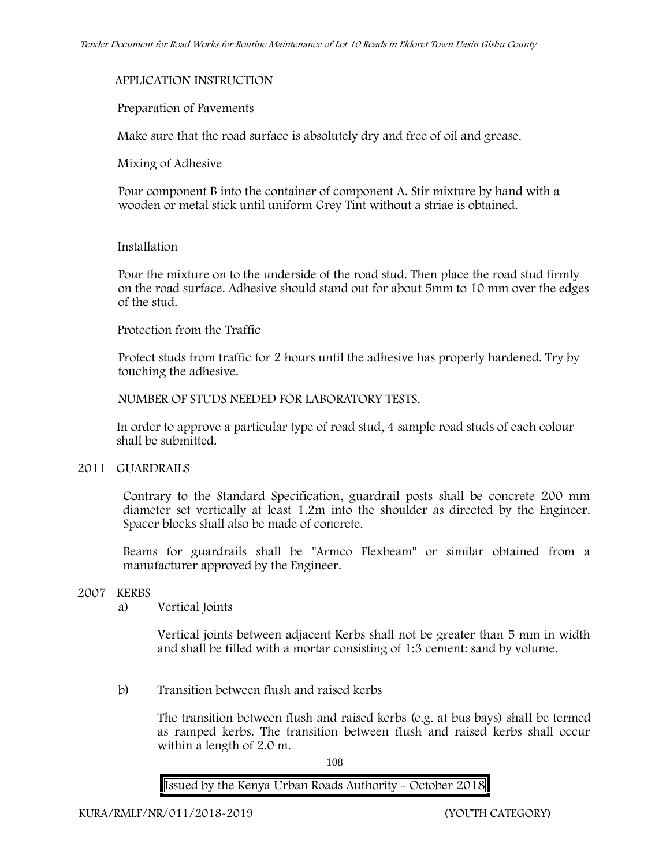# **APPLICATION INSTRUCTION**

### **Preparation of Pavements**

Make sure that the road surface is absolutely dry and free of oil and grease**.**

**Mixing of Adhesive**

Pour component B into the container of component A. Stir mixture by hand with a wooden or metal stick until uniform Grey Tint without a striae is obtained.

### **Installation**

Pour the mixture on to the underside of the road stud. Then place the road stud firmly on the road surface. Adhesive should stand out for about 5mm to 10 mm over the edges of the stud.

### **Protection from the Traffic**

Protect studs from traffic for 2 hours until the adhesive has properly hardened. Try by touching the adhesive.

**NUMBER OF STUDS NEEDED FOR LABORATORY TESTS.**

In order to approve a particular type of road stud, 4 sample road studs of each colour shall be submitted.

### **2011 GUARDRAILS**

Contrary to the Standard Specification, guardrail posts shall be concrete 200 mm diameter set vertically at least 1.2m into the shoulder as directed by the Engineer. Spacer blocks shall also be made of concrete.

Beams for guardrails shall be "Armco Flexbeam" or similar obtained from a manufacturer approved by the Engineer.

# **2007 KERBS**

# a) **Vertical Joints**

Vertical joints between adjacent Kerbs shall not be greater than 5 mm in width and shall be filled with a mortar consisting of 1:3 cement: sand by volume.

b) **Transition between flush and raised kerbs**

The transition between flush and raised kerbs (e.g. at bus bays) shall be termed as ramped kerbs. The transition between flush and raised kerbs shall occur within a length of 2.0 m.

108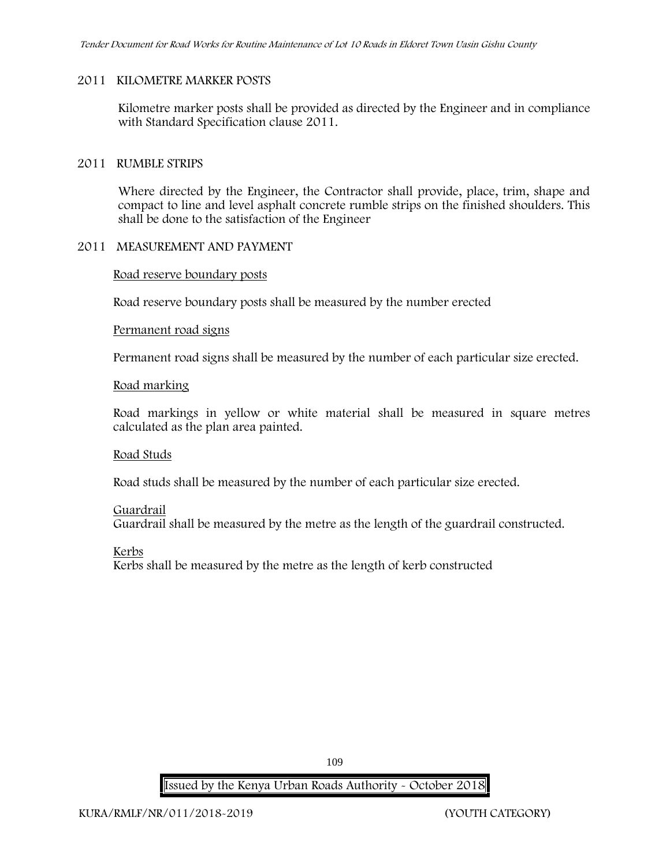### **2011 KILOMETRE MARKER POSTS**

Kilometre marker posts shall be provided as directed by the Engineer and in compliance with Standard Specification clause 2011.

### **2011 RUMBLE STRIPS**

Where directed by the Engineer, the Contractor shall provide, place, trim, shape and compact to line and level asphalt concrete rumble strips on the finished shoulders. This shall be done to the satisfaction of the Engineer

## **2011 MEASUREMENT AND PAYMENT**

### **Road reserve boundary posts**

Road reserve boundary posts shall be measured by the number erected

### **Permanent road signs**

Permanent road signs shall be measured by the number of each particular size erected.

### **Road marking**

Road markings in yellow or white material shall be measured in square metres calculated as the plan area painted.

#### **Road Studs**

Road studs shall be measured by the number of each particular size erected.

#### **Guardrail**

Guardrail shall be measured by the metre as the length of the guardrail constructed.

**Kerbs**

Kerbs shall be measured by the metre as the length of kerb constructed

109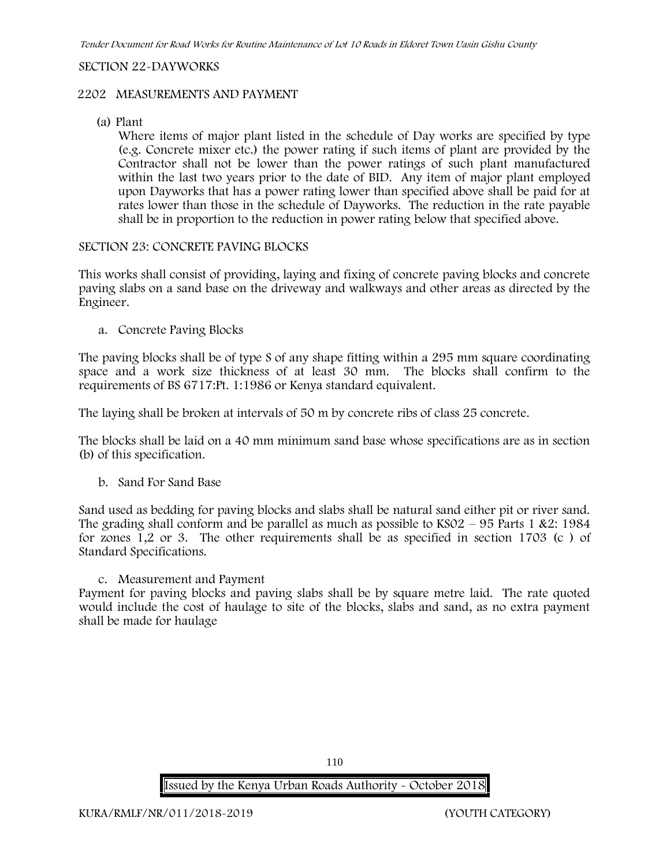### **SECTION 22-DAYWORKS**

### **2202 MEASUREMENTS AND PAYMENT**

(a) Plant

Where items of major plant listed in the schedule of Day works are specified by type (e.g. Concrete mixer etc.) the power rating if such items of plant are provided by the Contractor shall not be lower than the power ratings of such plant manufactured within the last two years prior to the date of BID. Any item of major plant employed upon Dayworks that has a power rating lower than specified above shall be paid for at rates lower than those in the schedule of Dayworks. The reduction in the rate payable shall be in proportion to the reduction in power rating below that specified above.

## **SECTION 23: CONCRETE PAVING BLOCKS**

This works shall consist of providing, laying and fixing of concrete paving blocks and concrete paving slabs on a sand base on the driveway and walkways and other areas as directed by the Engineer.

**a. Concrete Paving Blocks**

The paving blocks shall be of type S of any shape fitting within a 295 mm square coordinating space and a work size thickness of at least 30 mm. The blocks shall confirm to the requirements of BS 6717:Pt. 1:1986 or Kenya standard equivalent.

The laying shall be broken at intervals of 50 m by concrete ribs of class 25 concrete.

The blocks shall be laid on a 40 mm minimum sand base whose specifications are as in section (b) of this specification.

**b. Sand For Sand Base**

Sand used as bedding for paving blocks and slabs shall be natural sand either pit or river sand. The grading shall conform and be parallel as much as possible to  $KSO2 - 95$  Parts 1 &2: 1984 for zones 1,2 or 3. The other requirements shall be as specified in section 1703 (c ) of Standard Specifications.

#### **c. Measurement and Payment**

Payment for paving blocks and paving slabs shall be by square metre laid. The rate quoted would include the cost of haulage to site of the blocks, slabs and sand, as no extra payment shall be made for haulage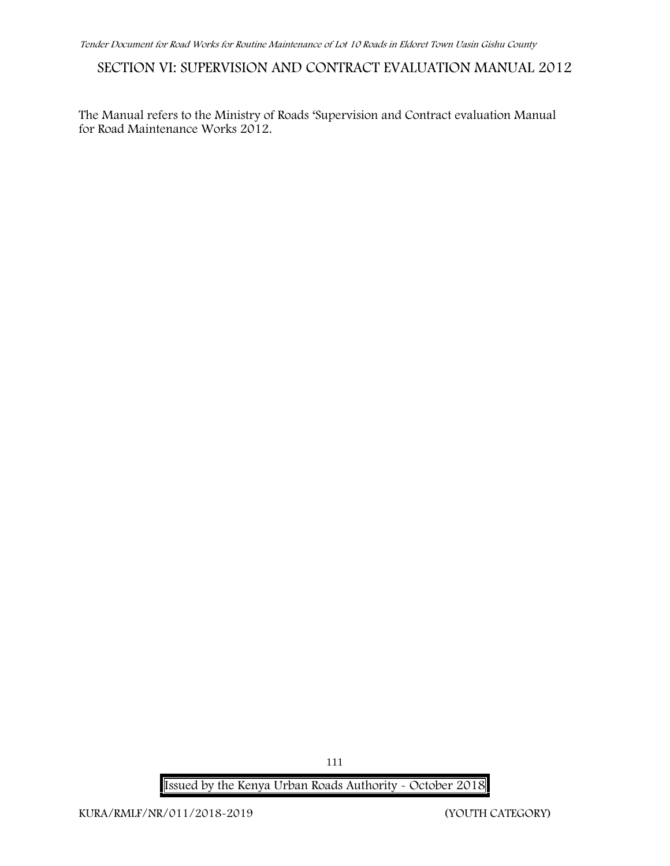# **SECTION VI: SUPERVISION AND CONTRACT EVALUATION MANUAL 2012**

The Manual refers to the Ministry of Roads 'Supervision and Contract evaluation Manual for Road Maintenance Works 2012.

111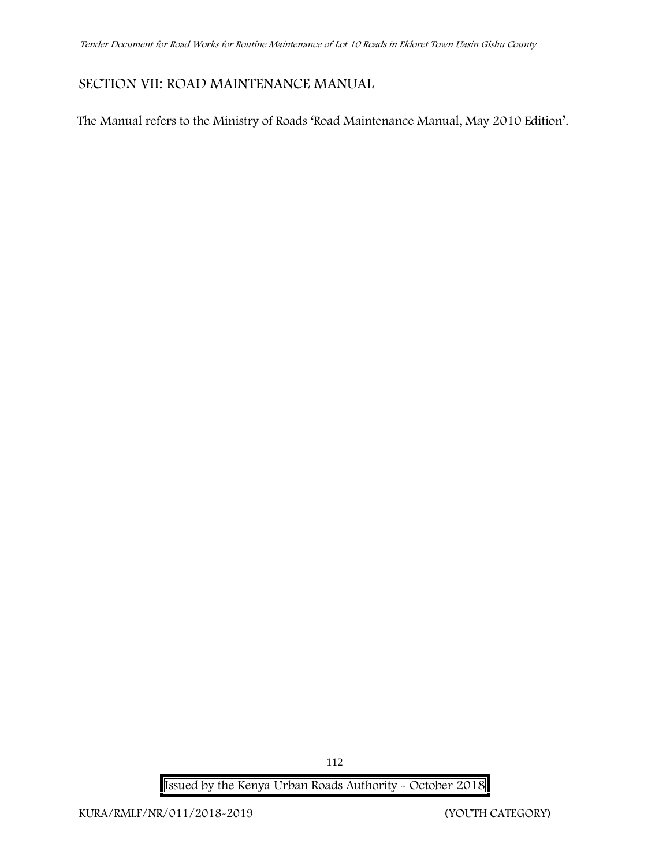# **SECTION VII: ROAD MAINTENANCE MANUAL**

The Manual refers to the Ministry of Roads 'Road Maintenance Manual, May 2010 Edition'.

112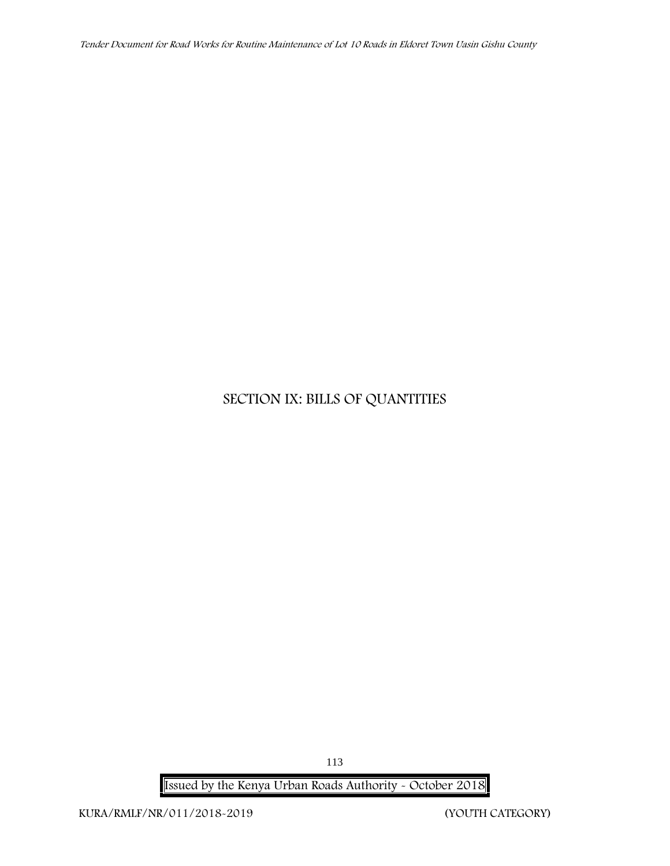*Tender Document for Road Works for Routine Maintenance of Lot 10 Roads in Eldoret Town Uasin Gishu County*

# **SECTION IX: BILLS OF QUANTITIES**

**Issued by the Kenya Urban Roads Authority - October 2018**

113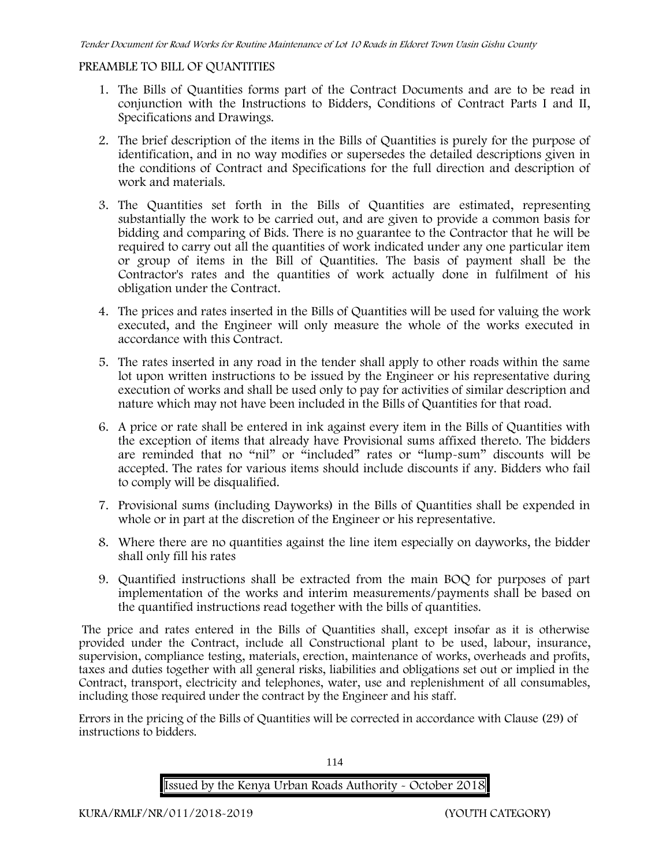### **PREAMBLE TO BILL OF QUANTITIES**

- 1. The Bills of Quantities forms part of the Contract Documents and are to be read in conjunction with the Instructions to Bidders, Conditions of Contract Parts I and II, Specifications and Drawings.
- 2. The brief description of the items in the Bills of Quantities is purely for the purpose of identification, and in no way modifies or supersedes the detailed descriptions given in the conditions of Contract and Specifications for the full direction and description of work and materials.
- 3. The Quantities set forth in the Bills of Quantities are estimated, representing substantially the work to be carried out, and are given to provide a common basis for bidding and comparing of Bids. There is no guarantee to the Contractor that he will be required to carry out all the quantities of work indicated under any one particular item or group of items in the Bill of Quantities. The basis of payment shall be the Contractor's rates and the quantities of work actually done in fulfilment of his obligation under the Contract.
- 4. The prices and rates inserted in the Bills of Quantities will be used for valuing the work executed, and the Engineer will only measure the whole of the works executed in accordance with this Contract.
- 5. The rates inserted in any road in the tender shall apply to other roads within the same lot upon written instructions to be issued by the Engineer or his representative during execution of works and shall be used only to pay for activities of similar description and nature which may not have been included in the Bills of Quantities for that road.
- 6. A price or rate shall be entered in ink against every item in the Bills of Quantities with the exception of items that already have Provisional sums affixed thereto. The bidders are reminded that no "nil" or "included" rates or "lump-sum" discounts will be accepted. The rates for various items should include discounts if any. Bidders who fail to comply will be disqualified.
- 7. Provisional sums (including Dayworks) in the Bills of Quantities shall be expended in whole or in part at the discretion of the Engineer or his representative.
- 8. Where there are no quantities against the line item especially on dayworks, the bidder shall only fill his rates
- 9. Quantified instructions shall be extracted from the main BOQ for purposes of part implementation of the works and interim measurements/payments shall be based on the quantified instructions read together with the bills of quantities.

The price and rates entered in the Bills of Quantities shall, except insofar as it is otherwise provided under the Contract, include all Constructional plant to be used, labour, insurance, supervision, compliance testing, materials, erection, maintenance of works, overheads and profits, taxes and duties together with all general risks, liabilities and obligations set out or implied in the Contract, transport, electricity and telephones, water, use and replenishment of all consumables, including those required under the contract by the Engineer and his staff.

Errors in the pricing of the Bills of Quantities will be corrected in accordance with Clause (29) of instructions to bidders.

114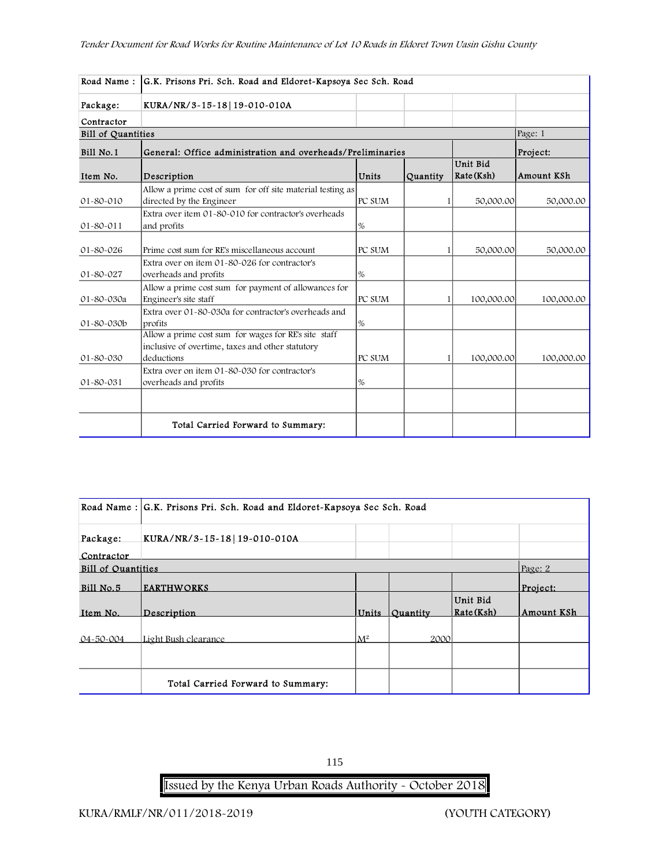| Road Name:                | G.K. Prisons Pri. Sch. Road and Eldoret-Kapsoya Sec Sch. Road                                                          |        |          |                        |            |  |
|---------------------------|------------------------------------------------------------------------------------------------------------------------|--------|----------|------------------------|------------|--|
| Package:                  | KURA/NR/3-15-18 19-010-010A                                                                                            |        |          |                        |            |  |
| Contractor                |                                                                                                                        |        |          |                        |            |  |
| <b>Bill of Quantities</b> |                                                                                                                        |        |          |                        | Page: 1    |  |
| Bill No.1                 | General: Office administration and overheads/Preliminaries                                                             |        |          |                        | Project:   |  |
| Item No.                  | Description                                                                                                            | Units  | Quantity | Unit Bid<br>Rate (Ksh) | Amount KSh |  |
| $01 - 80 - 010$           | Allow a prime cost of sum for off site material testing as<br>directed by the Engineer                                 | PC SUM |          | 50,000.00              | 50,000.00  |  |
| $01 - 80 - 011$           | Extra over item 01-80-010 for contractor's overheads<br>and profits                                                    | %      |          |                        |            |  |
| $01 - 80 - 026$           | Prime cost sum for RE's miscellaneous account                                                                          | PC SUM |          | 50,000.00              | 50,000.00  |  |
| $01 - 80 - 027$           | Extra over on item 01-80-026 for contractor's<br>overheads and profits                                                 | %      |          |                        |            |  |
| 01-80-030a                | Allow a prime cost sum for payment of allowances for<br>Engineer's site staff                                          | PC SUM |          | 100,000.00             | 100,000.00 |  |
| $01 - 80 - 030b$          | Extra over 01-80-030a for contractor's overheads and<br>profits                                                        | %      |          |                        |            |  |
| $01 - 80 - 030$           | Allow a prime cost sum for wages for RE's site staff<br>inclusive of overtime, taxes and other statutory<br>deductions | PC SUM |          | 100,000.00             | 100,000.00 |  |
| $ 01 - 80 - 031 $         | Extra over on item 01-80-030 for contractor's<br>overheads and profits                                                 | %      |          |                        |            |  |
|                           |                                                                                                                        |        |          |                        |            |  |
|                           | Total Carried Forward to Summary:                                                                                      |        |          |                        |            |  |

|                           | Road Name : G.K. Prisons Pri. Sch. Road and Eldoret-Kapsoya Sec Sch. Road |                |                               |                        |            |  |
|---------------------------|---------------------------------------------------------------------------|----------------|-------------------------------|------------------------|------------|--|
| Package:                  | KURA/NR/3-15-18 19-010-010A                                               |                |                               |                        |            |  |
| Contractor                |                                                                           |                |                               |                        |            |  |
| <b>Bill of Quantities</b> |                                                                           |                |                               |                        | Page: 2    |  |
| $Bi11$ No. 5              | <b>EARTHWORKS</b>                                                         |                |                               |                        | Project:   |  |
| Item No.                  | Description                                                               | Units          | <i><u><b>Ouantity</b></u></i> | Unit Bid<br>Rate (Ksh) | Amount KSh |  |
| $04 - 50 - 004$           | Light Bush clearance                                                      | $\mathbf{M}^2$ | 2000                          |                        |            |  |
|                           |                                                                           |                |                               |                        |            |  |
|                           | Total Carried Forward to Summary:                                         |                |                               |                        |            |  |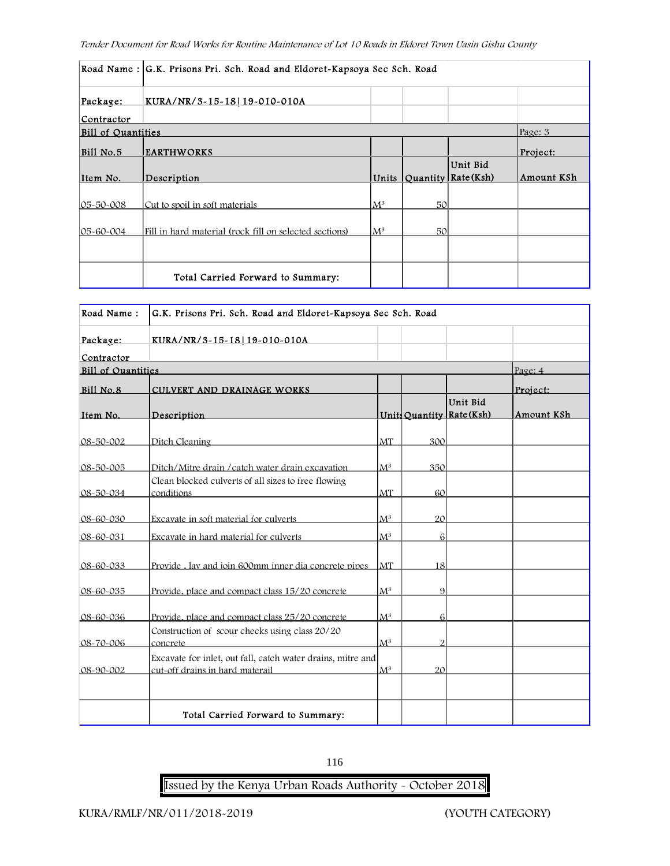|                           | Road Name: G.K. Prisons Pri. Sch. Road and Eldoret-Kapsoya Sec Sch. Road |                |                 |                                       |            |  |  |
|---------------------------|--------------------------------------------------------------------------|----------------|-----------------|---------------------------------------|------------|--|--|
| Package:                  | KURA/NR/3-15-18 19-010-010A                                              |                |                 |                                       |            |  |  |
| Contractor                |                                                                          |                |                 |                                       |            |  |  |
| <b>Bill of Quantities</b> |                                                                          |                |                 |                                       | Page: 3    |  |  |
| Bill No.5                 | <b>EARTHWORKS</b>                                                        |                |                 |                                       | Project:   |  |  |
| Item No.                  | Description                                                              |                |                 | Unit Bid<br>Units Quantity Rate (Ksh) | Amount KSh |  |  |
|                           |                                                                          |                |                 |                                       |            |  |  |
| $05 - 50 - 008$           | Cut to spoil in soft materials                                           | $\mathbf{M}^3$ | 50 <sup>1</sup> |                                       |            |  |  |
| $ 05 - 60 - 004 $         | Fill in hard material (rock fill on selected sections)                   | $\mathsf{M}^3$ | 50 <sup>°</sup> |                                       |            |  |  |
|                           |                                                                          |                |                 |                                       |            |  |  |
|                           | Total Carried Forward to Summary:                                        |                |                 |                                       |            |  |  |

| Road Name:                | G.K. Prisons Pri. Sch. Road and Eldoret-Kapsoya Sec Sch. Road |                |                 |                                       |            |  |
|---------------------------|---------------------------------------------------------------|----------------|-----------------|---------------------------------------|------------|--|
| Package:                  | KURA/NR/3-15-18 19-010-010A                                   |                |                 |                                       |            |  |
| Contractor                |                                                               |                |                 |                                       |            |  |
| <b>Bill of Quantities</b> |                                                               |                |                 |                                       | Page: 4    |  |
| Bill No.8                 | <b>CULVERT AND DRAINAGE WORKS</b>                             |                |                 |                                       | Project:   |  |
| Item No.                  | Description                                                   |                |                 | Unit Bid<br>Units Quantity Rate (Ksh) | Amount KSh |  |
|                           |                                                               |                |                 |                                       |            |  |
| $08 - 50 - 002$           | Ditch Cleaning                                                | MT             | 300             |                                       |            |  |
| $08 - 50 - 005$           | Ditch/Mitre drain / catch water drain excavation              | $\mathbf{M}^3$ | 350             |                                       |            |  |
|                           | Clean blocked culverts of all sizes to free flowing           |                |                 |                                       |            |  |
| $08 - 50 - 034$           | conditions                                                    | MT             | 60              |                                       |            |  |
|                           |                                                               |                |                 |                                       |            |  |
| $08 - 60 - 030$           | Excavate in soft material for culverts                        | $\mathbf{M}^3$ | 20 <sup>1</sup> |                                       |            |  |
| $08 - 60 - 031$           | Excavate in hard material for culverts                        | $M^3$          | 6               |                                       |            |  |
|                           |                                                               |                |                 |                                       |            |  |
| 08-60-033                 | Provide . lav and ioin 600mm inner dia concrete pipes         | MT             | 18              |                                       |            |  |
| 08-60-035                 | Provide, place and compact class 15/20 concrete               | $\mathbf{M}^3$ | 9               |                                       |            |  |
| $08 - 60 - 036$           | Provide, place and compact class 25/20 concrete               | $\mathsf{M}^3$ | 6               |                                       |            |  |
|                           | Construction of scour checks using class 20/20                |                |                 |                                       |            |  |
| 08-70-006                 | concrete                                                      | $\mathsf{M}^3$ | 2               |                                       |            |  |
|                           | Excavate for inlet, out fall, catch water drains, mitre and   |                |                 |                                       |            |  |
| 08-90-002                 | cut-off drains in hard materail                               | $M^3$          | 20 <sup>1</sup> |                                       |            |  |
|                           |                                                               |                |                 |                                       |            |  |
|                           | Total Carried Forward to Summary:                             |                |                 |                                       |            |  |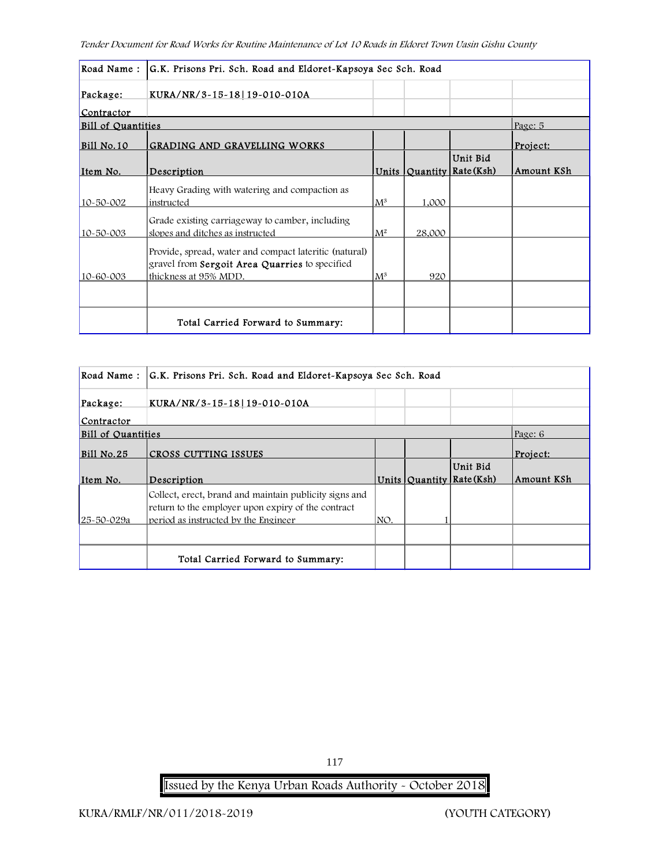| Road Name:                | G.K. Prisons Pri. Sch. Road and Eldoret-Kapsoya Sec Sch. Road                                                                            |                |        |                                       |            |  |
|---------------------------|------------------------------------------------------------------------------------------------------------------------------------------|----------------|--------|---------------------------------------|------------|--|
| Package:                  | KURA/NR/3-15-18 19-010-010A                                                                                                              |                |        |                                       |            |  |
| Contractor                |                                                                                                                                          |                |        |                                       |            |  |
| <b>Bill of Quantities</b> |                                                                                                                                          |                |        |                                       | Page: 5    |  |
| Bill No.10                | <b>GRADING AND GRAVELLING WORKS</b>                                                                                                      |                |        |                                       | Project:   |  |
| Item No.                  | Description                                                                                                                              |                |        | Unit Bid<br>Units Quantity Rate (Ksh) | Amount KSh |  |
| 10-50-002                 | Heavy Grading with watering and compaction as<br>instructed                                                                              | $\rm M^3$      | 1,000  |                                       |            |  |
| 10-50-003                 | Grade existing carriageway to camber, including<br>slopes and ditches as instructed                                                      | $\mathbf{M}^2$ | 28,000 |                                       |            |  |
| 10-60-003                 | Provide, spread, water and compact lateritic (natural)<br>gravel from <b>Sergoit Area Quarries</b> to specified<br>thickness at 95% MDD. | $\rm M^3$      | 920    |                                       |            |  |
|                           |                                                                                                                                          |                |        |                                       |            |  |
|                           | Total Carried Forward to Summary:                                                                                                        |                |        |                                       |            |  |

| Road Name:                | G.K. Prisons Pri. Sch. Road and Eldoret-Kapsoya Sec Sch. Road                                                                                        |      |  |                                       |            |  |
|---------------------------|------------------------------------------------------------------------------------------------------------------------------------------------------|------|--|---------------------------------------|------------|--|
| Package:                  | KURA/NR/3-15-18 19-010-010A                                                                                                                          |      |  |                                       |            |  |
| Contractor                |                                                                                                                                                      |      |  |                                       |            |  |
| <b>Bill of Quantities</b> |                                                                                                                                                      |      |  |                                       | Page: 6    |  |
| <b>Bill No.25</b>         | CROSS CUTTING ISSUES                                                                                                                                 |      |  |                                       | Project:   |  |
| Item No.                  | Description                                                                                                                                          |      |  | Unit Bid<br>Units Quantity Rate (Ksh) | Amount KSh |  |
| 25-50-029a                | Collect, erect, brand and maintain publicity signs and<br>return to the employer upon expiry of the contract<br>period as instructed by the Engineer | INO. |  |                                       |            |  |
|                           |                                                                                                                                                      |      |  |                                       |            |  |
|                           | Total Carried Forward to Summary:                                                                                                                    |      |  |                                       |            |  |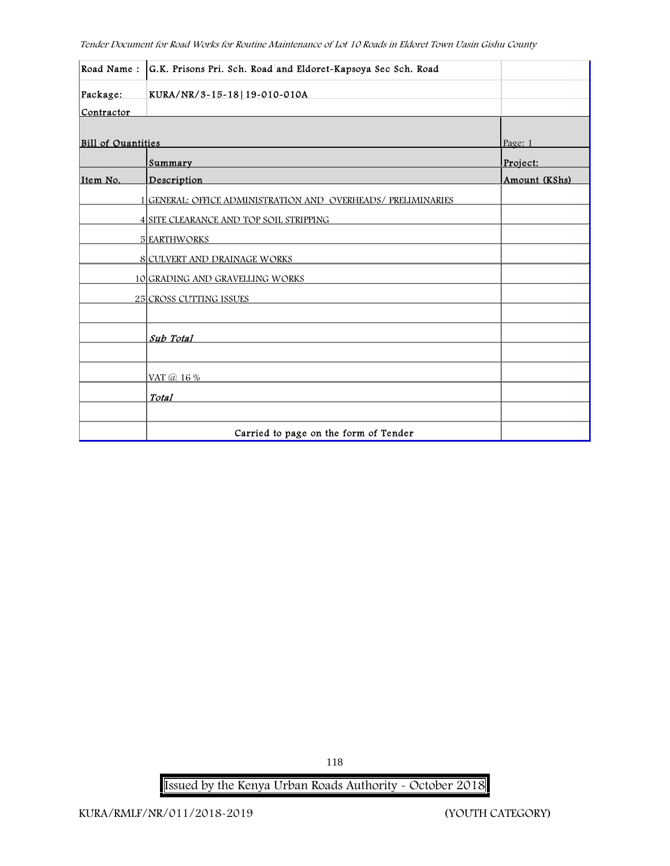|                           | Road Name: G.K. Prisons Pri. Sch. Road and Eldoret-Kapsoya Sec Sch. Road |               |
|---------------------------|--------------------------------------------------------------------------|---------------|
| Package:                  | KURA/NR/3-15-18 19-010-010A                                              |               |
| Contractor                |                                                                          |               |
|                           |                                                                          |               |
| <b>Bill of Quantities</b> |                                                                          | Page: 1       |
|                           | Summary                                                                  | Project:      |
| Item No.                  | Description                                                              | Amount (KShs) |
|                           | 1 GENERAL: OFFICE ADMINISTRATION AND OVERHEADS/ PRELIMINARIES            |               |
|                           | 4 SITE CLEARANCE AND TOP SOIL STRIPPING                                  |               |
|                           | 5 EARTHWORKS                                                             |               |
|                           | <b>8 CULVERT AND DRAINAGE WORKS</b>                                      |               |
|                           | 10 GRADING AND GRAVELLING WORKS                                          |               |
|                           | <b>25 CROSS CUTTING ISSUES</b>                                           |               |
|                           |                                                                          |               |
|                           | Sub Total                                                                |               |
|                           |                                                                          |               |
|                           | VAT @ 16 %                                                               |               |
|                           | <b>Total</b>                                                             |               |
|                           |                                                                          |               |
|                           | Carried to page on the form of Tender                                    |               |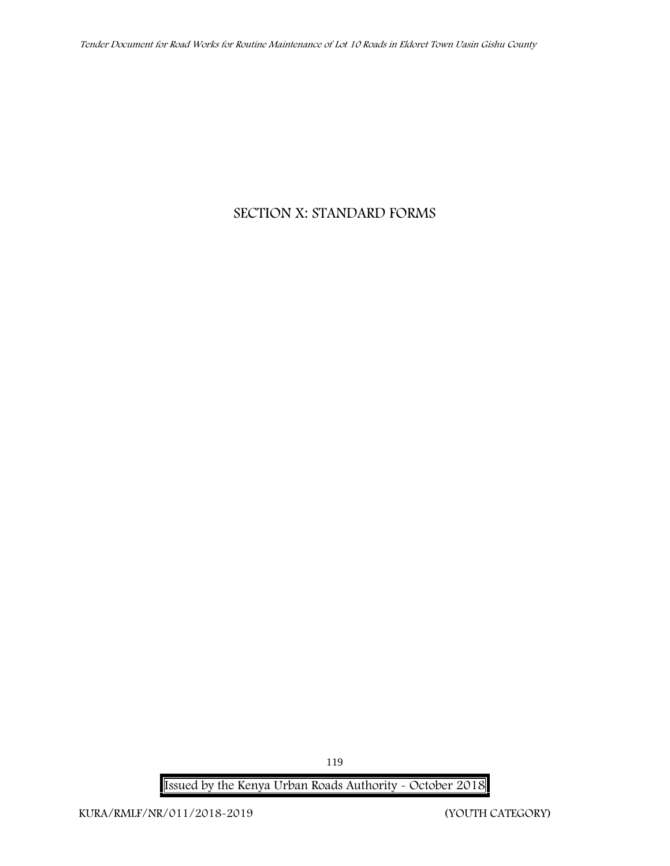# **SECTION X: STANDARD FORMS**

**Issued by the Kenya Urban Roads Authority - October 2018**

119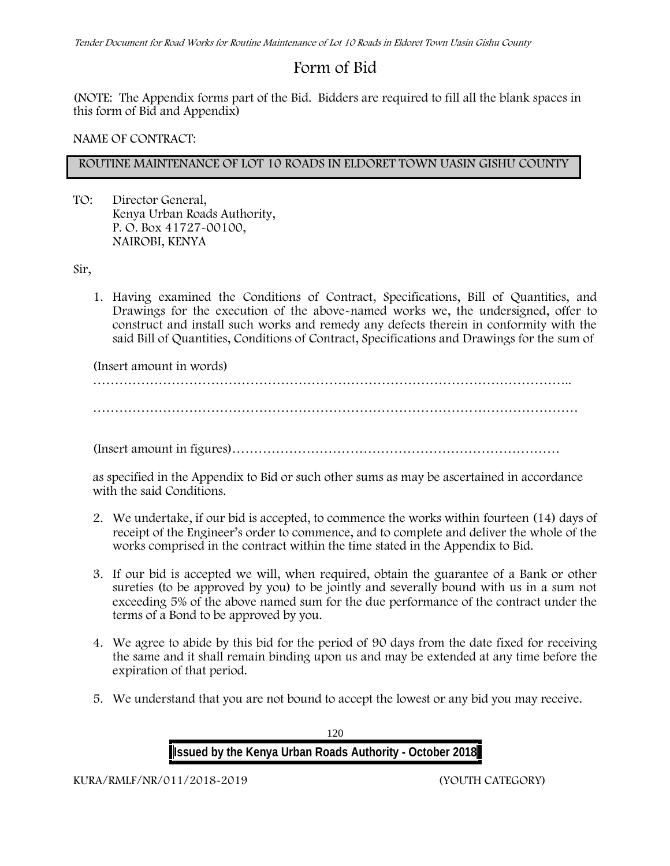# **Form of Bid**

(NOTE: The Appendix forms part of the Bid. Bidders are required to fill all the blank spaces in this form of Bid and Appendix)

### **NAME OF CONTRACT:**

# **ROUTINE MAINTENANCE OF LOT 10 ROADS IN ELDORET TOWN UASIN GISHU COUNTY**

TO: Director General, Kenya Urban Roads Authority, P. O. Box 41727-00100, **NAIROBI, KENYA**

Sir,

1. Having examined the Conditions of Contract, Specifications, Bill of Quantities, and Drawings for the execution of the above-named works we, the undersigned, offer to construct and install such works and remedy any defects therein in conformity with the said Bill of Quantities, Conditions of Contract, Specifications and Drawings for the sum of

(Insert amount in words)

………………………………………………………………………………………………..

…………………………………………………………………………………………………

(Insert amount in figures)…………………………………………………………………

as specified in the Appendix to Bid or such other sums as may be ascertained in accordance with the said Conditions.

- 2. We undertake, if our bid is accepted, to commence the works within fourteen (14) days of receipt of the Engineer's order to commence, and to complete and deliver the whole of the works comprised in the contract within the time stated in the Appendix to Bid.
- 3. If our bid is accepted we will, when required, obtain the guarantee of a Bank or other sureties (to be approved by you) to be jointly and severally bound with us in a sum not exceeding 5% of the above named sum for the due performance of the contract under the terms of a Bond to be approved by you.
- 4. We agree to abide by this bid for the period of 90 days from the date fixed for receiving the same and it shall remain binding upon us and may be extended at any time before the expiration of that period.
- 5. We understand that you are not bound to accept the lowest or any bid you may receive.

120 **Issued by the Kenya Urban Roads Authority - October 2018**

**KURA/RMLF/NR/011/2018-2019 (YOUTH CATEGORY)**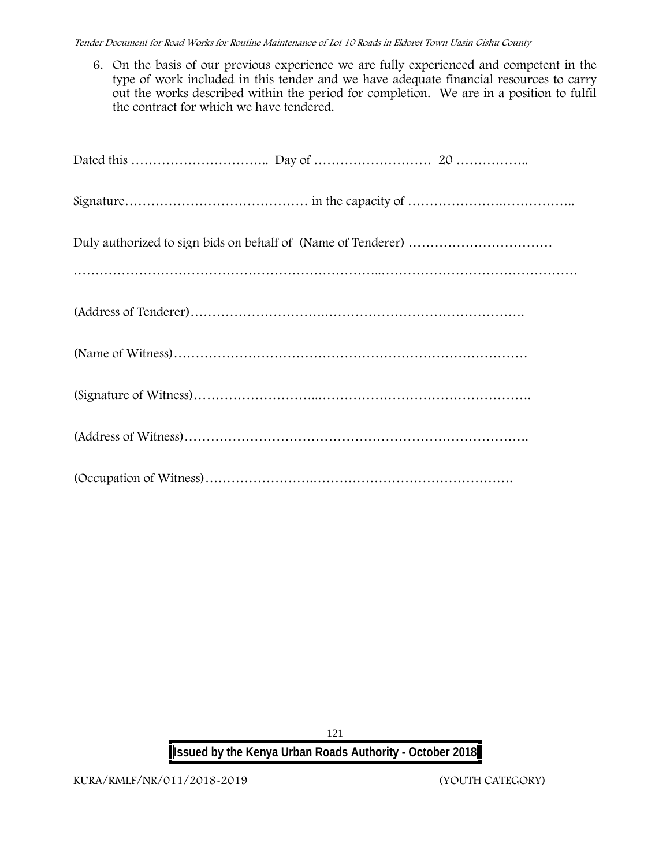6. On the basis of our previous experience we are fully experienced and competent in the type of work included in this tender and we have adequate financial resources to carry out the works described within the period for completion. We are in a position to fulfil the contract for which we have tendered.

121 **Issued by the Kenya Urban Roads Authority - October 2018**

**KURA/RMLF/NR/011/2018-2019 (YOUTH CATEGORY)**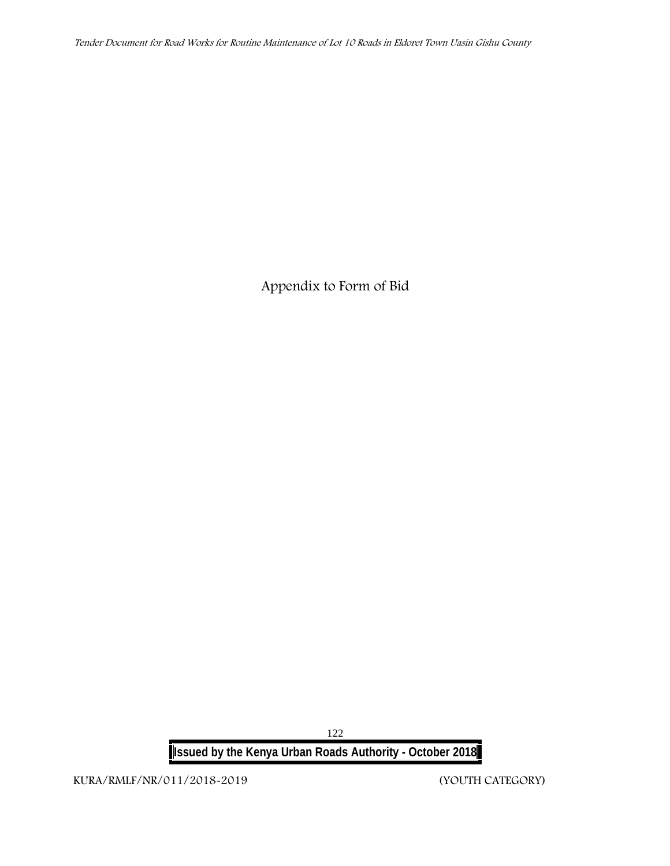**Appendix to Form of Bid**

**Issued by the Kenya Urban Roads Authority - October 2018**

**KURA/RMLF/NR/011/2018-2019 (YOUTH CATEGORY)**

122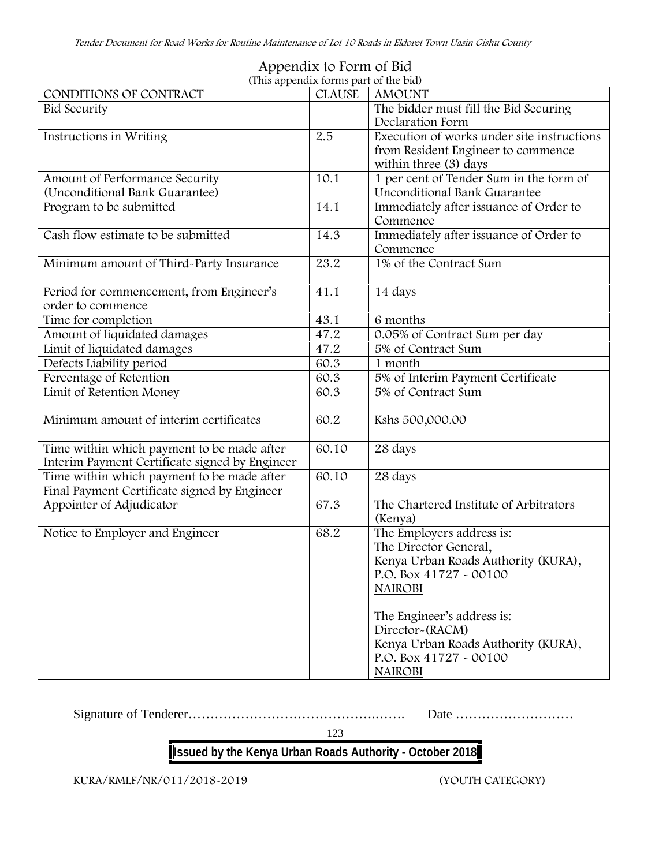|                                                | (This appendix forms part of the bid) |                                                    |
|------------------------------------------------|---------------------------------------|----------------------------------------------------|
| CONDITIONS OF CONTRACT                         | <b>CLAUSE</b>                         | <b>AMOUNT</b>                                      |
| <b>Bid Security</b>                            |                                       | The bidder must fill the Bid Securing              |
|                                                |                                       | Declaration Form                                   |
| Instructions in Writing                        | 2.5                                   | Execution of works under site instructions         |
|                                                |                                       | from Resident Engineer to commence                 |
|                                                |                                       | within three (3) days                              |
| Amount of Performance Security                 | 10.1                                  | 1 per cent of Tender Sum in the form of            |
| (Unconditional Bank Guarantee)                 |                                       | Unconditional Bank Guarantee                       |
| Program to be submitted                        | 14.1                                  | Immediately after issuance of Order to             |
|                                                |                                       | Commence                                           |
| Cash flow estimate to be submitted             | 14.3                                  | Immediately after issuance of Order to             |
|                                                |                                       | Commence                                           |
| Minimum amount of Third-Party Insurance        | 23.2                                  | 1% of the Contract Sum                             |
|                                                |                                       |                                                    |
| Period for commencement, from Engineer's       | 41.1                                  | 14 days                                            |
| order to commence                              |                                       |                                                    |
| Time for completion                            | 43.1                                  | 6 months                                           |
| Amount of liquidated damages                   | 47.2                                  | 0.05% of Contract Sum per day                      |
| Limit of liquidated damages                    | 47.2                                  | 5% of Contract Sum                                 |
| Defects Liability period                       | 60.3                                  | 1 month                                            |
| Percentage of Retention                        | 60.3                                  | 5% of Interim Payment Certificate                  |
| Limit of Retention Money                       | 60.3                                  | 5% of Contract Sum                                 |
|                                                |                                       |                                                    |
| Minimum amount of interim certificates         | 60.2                                  | Kshs 500,000.00                                    |
|                                                |                                       |                                                    |
| Time within which payment to be made after     | 60.10                                 | 28 days                                            |
| Interim Payment Certificate signed by Engineer |                                       |                                                    |
| Time within which payment to be made after     | 60.10                                 | 28 days                                            |
| Final Payment Certificate signed by Engineer   |                                       |                                                    |
| Appointer of Adjudicator                       | 67.3                                  | The Chartered Institute of Arbitrators             |
|                                                |                                       | (Kenya)                                            |
| Notice to Employer and Engineer                | 68.2                                  |                                                    |
|                                                |                                       | The Employers address is:<br>The Director General, |
|                                                |                                       |                                                    |
|                                                |                                       | Kenya Urban Roads Authority (KURA),                |
|                                                |                                       | P.O. Box 41727 - 00100                             |
|                                                |                                       | <b>NAIROBI</b>                                     |
|                                                |                                       |                                                    |
|                                                |                                       | The Engineer's address is:                         |
|                                                |                                       | Director-(RACM)                                    |
|                                                |                                       | Kenya Urban Roads Authority (KURA),                |
|                                                |                                       | P.O. Box 41727 - 00100                             |
|                                                |                                       | <b>NAIROBI</b>                                     |

# **Appendix to Form of Bid**

Signature of Tenderer…………………………………….……. Date ………………………

123

# **Issued by the Kenya Urban Roads Authority - October 2018**

**KURA/RMLF/NR/011/2018-2019 (YOUTH CATEGORY)**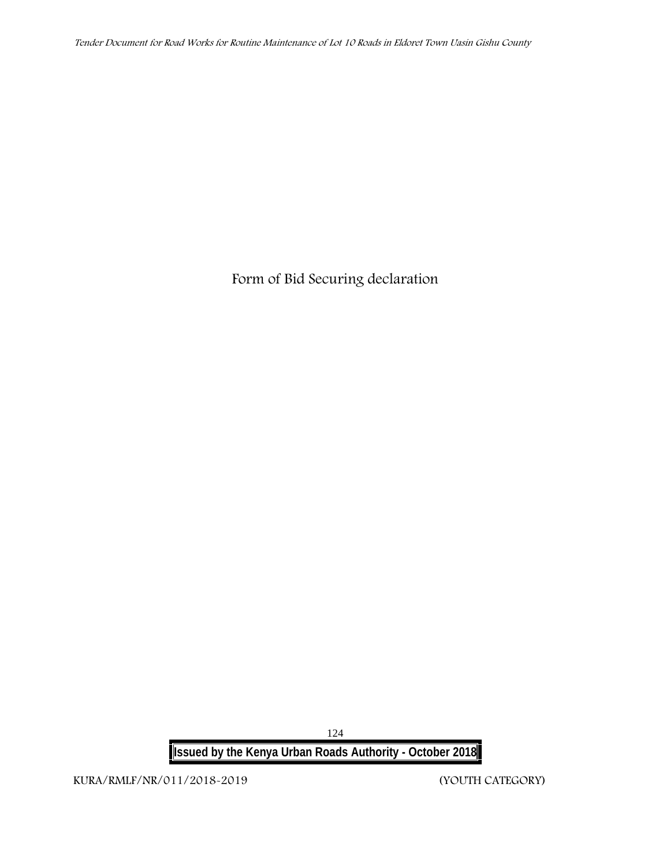**Form of Bid Securing declaration**

**Issued by the Kenya Urban Roads Authority - October 2018**

**KURA/RMLF/NR/011/2018-2019 (YOUTH CATEGORY)**

124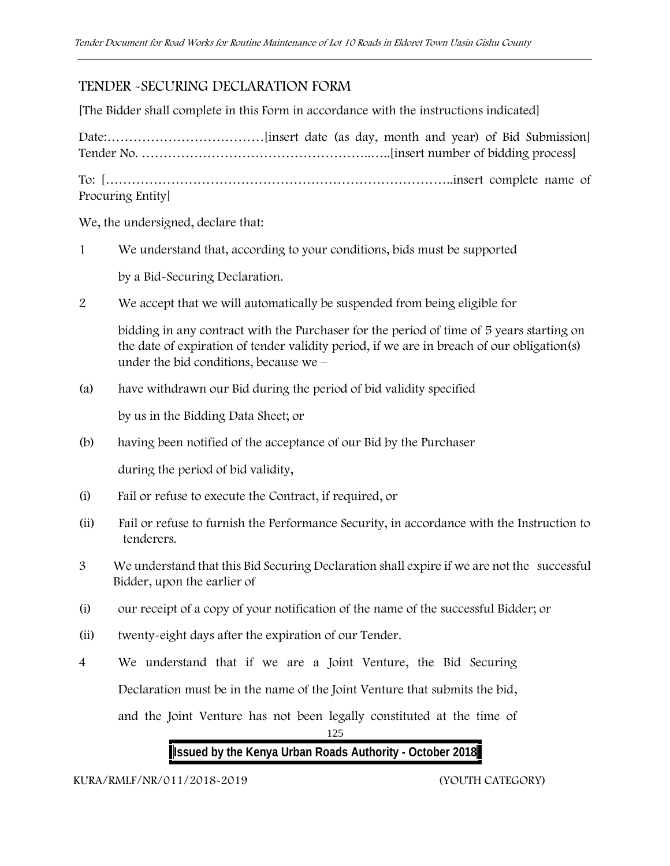# **TENDER -SECURING DECLARATION FORM**

[The Bidder shall complete in this Form in accordance with the instructions indicated]

Date:………………………………[insert date (as day, month and year) of Bid Submission] Tender No. ……………………………………………..…..[insert number of bidding process] To: [……………………………………………………………………..insert complete name of Procuring Entity]

We, the undersigned, declare that:

1 We understand that, according to your conditions, bids must be supported

by a Bid-Securing Declaration.

2 We accept that we will automatically be suspended from being eligible for

bidding in any contract with the Purchaser for the period of time of 5 years starting on the date of expiration of tender validity period, if we are in breach of our obligation(s) under the bid conditions, because we –

(a) have withdrawn our Bid during the period of bid validity specified

by us in the Bidding Data Sheet; or

(b) having been notified of the acceptance of our Bid by the Purchaser

during the period of bid validity,

- (i) Fail or refuse to execute the Contract, if required, or
- (ii) Fail or refuse to furnish the Performance Security, in accordance with the Instruction to tenderers.
- 3 We understand that this Bid Securing Declaration shall expire if we are not the successful Bidder, upon the earlier of
- (i) our receipt of a copy of your notification of the name of the successful Bidder; or
- (ii) twenty-eight days after the expiration of our Tender.
- 4 We understand that if we are a Joint Venture, the Bid Securing Declaration must be in the name of the Joint Venture that submits the bid,

and the Joint Venture has not been legally constituted at the time of

125

# **Issued by the Kenya Urban Roads Authority - October 2018**

**KURA/RMLF/NR/011/2018-2019 (YOUTH CATEGORY)**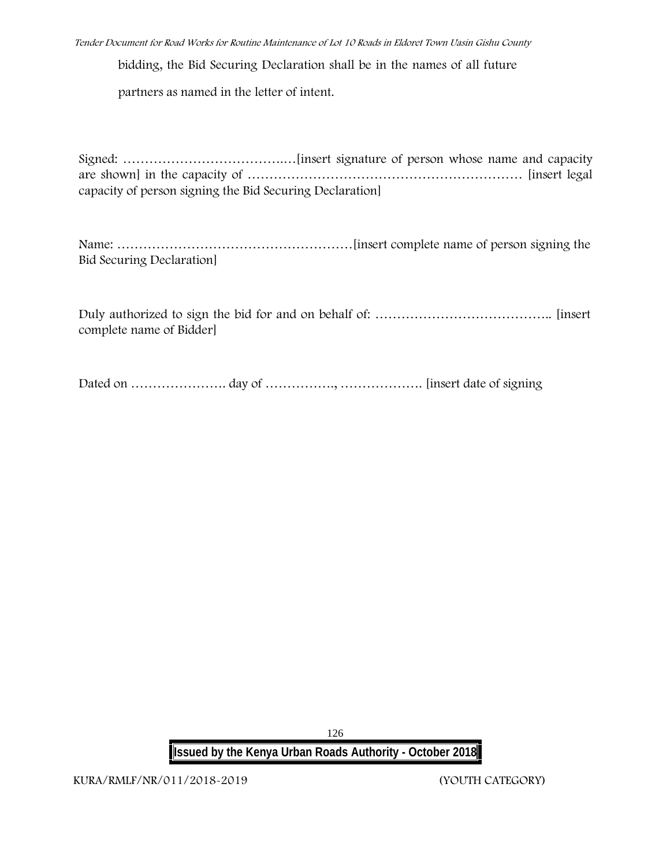*Tender Document for Road Works for Routine Maintenance of Lot 10 Roads in Eldoret Town Uasin Gishu County*

bidding, the Bid Securing Declaration shall be in the names of all future

partners as named in the letter of intent.

Signed: ……………………………….…[insert signature of person whose name and capacity are shown] in the capacity of ……………………………………………………… [insert legal capacity of person signing the Bid Securing Declaration]

Name: ………………………………………………[insert complete name of person signing the Bid Securing Declaration]

Duly authorized to sign the bid for and on behalf of: ………………………………….. [insert complete name of Bidder]

Dated on …………………. day of ……………., ………………. [insert date of signing

126 **Issued by the Kenya Urban Roads Authority - October 2018**

**KURA/RMLF/NR/011/2018-2019 (YOUTH CATEGORY)**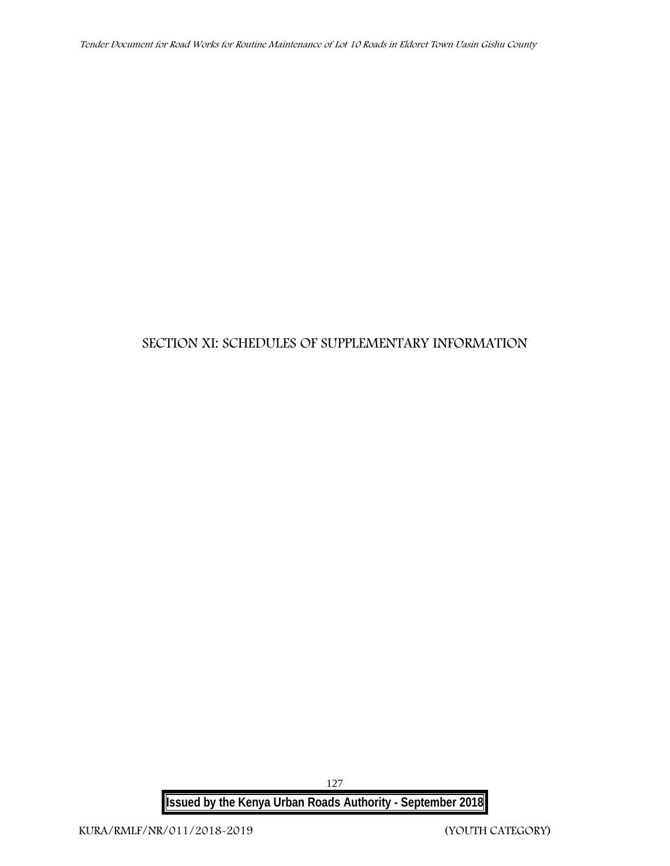# **SECTION XI: SCHEDULES OF SUPPLEMENTARY INFORMATION**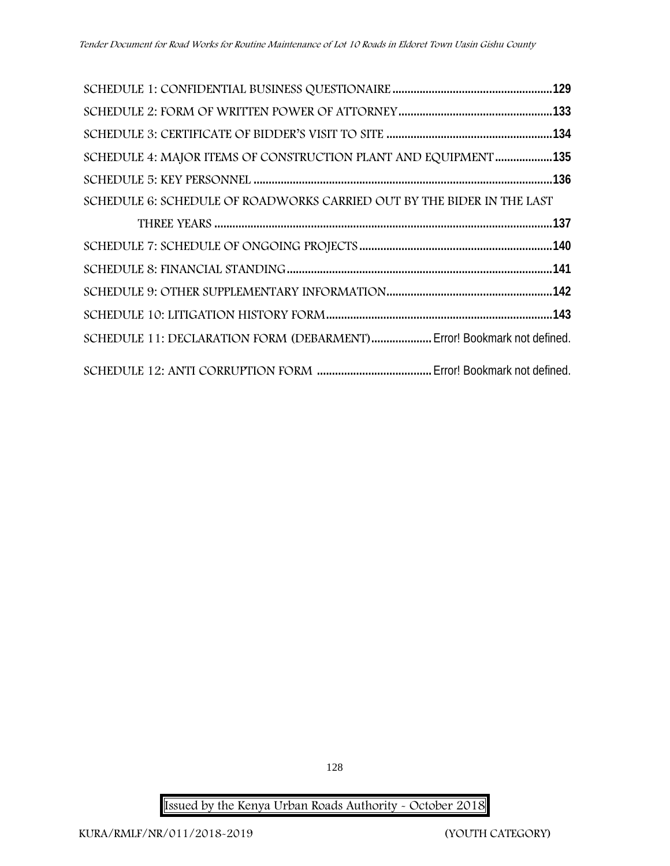| SCHEDULE 4: MAJOR ITEMS OF CONSTRUCTION PLANT AND EQUIPMENT 135        |  |
|------------------------------------------------------------------------|--|
|                                                                        |  |
| SCHEDULE 6: SCHEDULE OF ROADWORKS CARRIED OUT BY THE BIDER IN THE LAST |  |
|                                                                        |  |
|                                                                        |  |
|                                                                        |  |
|                                                                        |  |
|                                                                        |  |
| SCHEDULE 11: DECLARATION FORM (DEBARMENT) Error! Bookmark not defined. |  |
|                                                                        |  |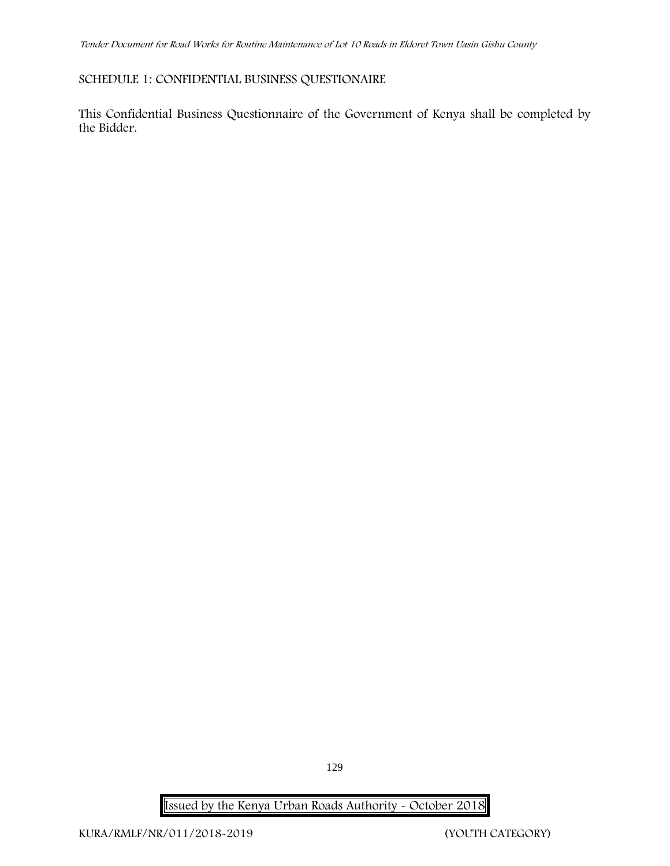# **SCHEDULE 1: CONFIDENTIAL BUSINESS QUESTIONAIRE**

This Confidential Business Questionnaire of the Government of Kenya shall be completed by the Bidder.

129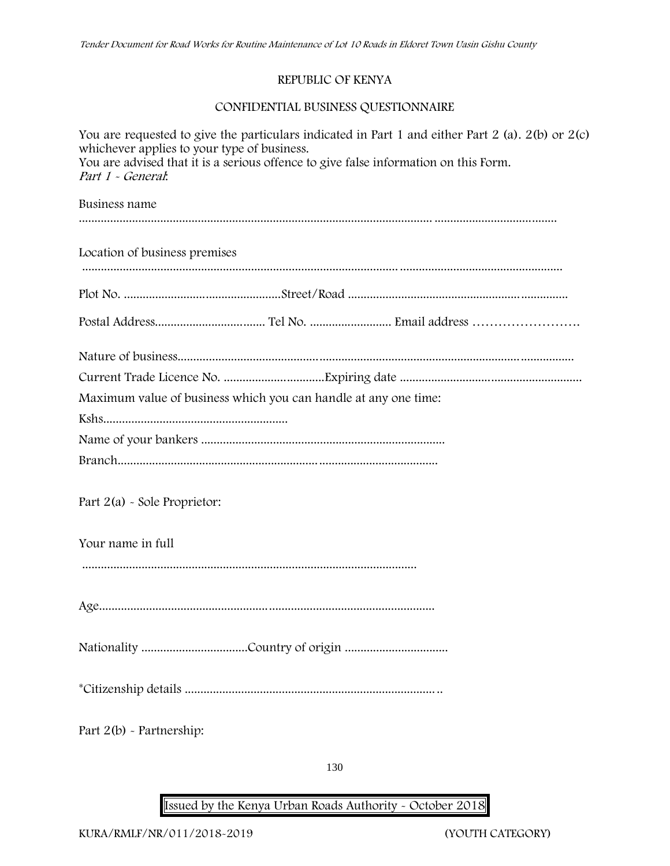## **REPUBLIC OF KENYA**

# **CONFIDENTIAL BUSINESS QUESTIONNAIRE**

| You are requested to give the particulars indicated in Part 1 and either Part 2 (a). $2(b)$ or $2(c)$<br>whichever applies to your type of business.<br>You are advised that it is a serious offence to give false information on this Form.<br>Part 1 - General. |
|-------------------------------------------------------------------------------------------------------------------------------------------------------------------------------------------------------------------------------------------------------------------|
| Business name                                                                                                                                                                                                                                                     |
| Location of business premises                                                                                                                                                                                                                                     |
|                                                                                                                                                                                                                                                                   |
|                                                                                                                                                                                                                                                                   |
|                                                                                                                                                                                                                                                                   |
|                                                                                                                                                                                                                                                                   |
| Maximum value of business which you can handle at any one time:                                                                                                                                                                                                   |
|                                                                                                                                                                                                                                                                   |
|                                                                                                                                                                                                                                                                   |
|                                                                                                                                                                                                                                                                   |
| Part $2(a)$ - Sole Proprietor:                                                                                                                                                                                                                                    |
| Your name in full                                                                                                                                                                                                                                                 |
|                                                                                                                                                                                                                                                                   |
|                                                                                                                                                                                                                                                                   |
|                                                                                                                                                                                                                                                                   |
|                                                                                                                                                                                                                                                                   |
| Part $2(b)$ - Partnership:                                                                                                                                                                                                                                        |

130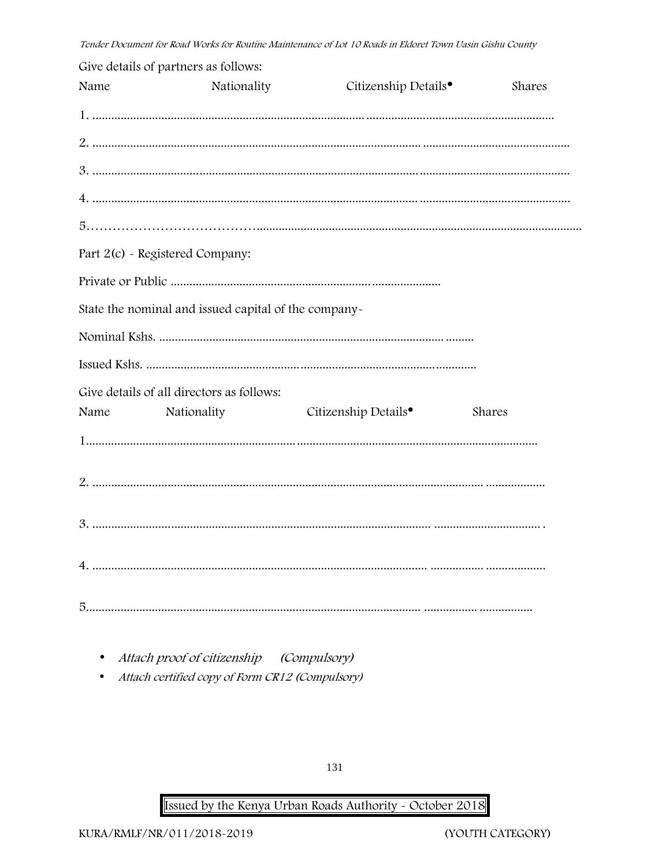|      | Give details of partners as follows:                 |                                  |        |
|------|------------------------------------------------------|----------------------------------|--------|
| Name | Nationality                                          | Citizenship Details <sup>•</sup> | Shares |
|      |                                                      |                                  |        |
|      |                                                      |                                  |        |
|      |                                                      |                                  |        |
|      |                                                      |                                  |        |
|      |                                                      |                                  |        |
|      | Part 2(c) - Registered Company:                      |                                  |        |
|      |                                                      |                                  |        |
|      | State the nominal and issued capital of the company- |                                  |        |
|      |                                                      |                                  |        |
|      |                                                      |                                  |        |
|      | Give details of all directors as follows:            |                                  |        |
| Name | Nationality                                          | Citizenship Details <sup>•</sup> | Shares |
|      |                                                      |                                  |        |
|      |                                                      |                                  |        |
|      |                                                      |                                  |        |
|      |                                                      |                                  |        |
|      |                                                      |                                  |        |
|      |                                                      |                                  |        |
|      |                                                      |                                  |        |

- Attach proof of citizenship (Compulsory)
- Attach certified copy of Form CR12 (Compulsory)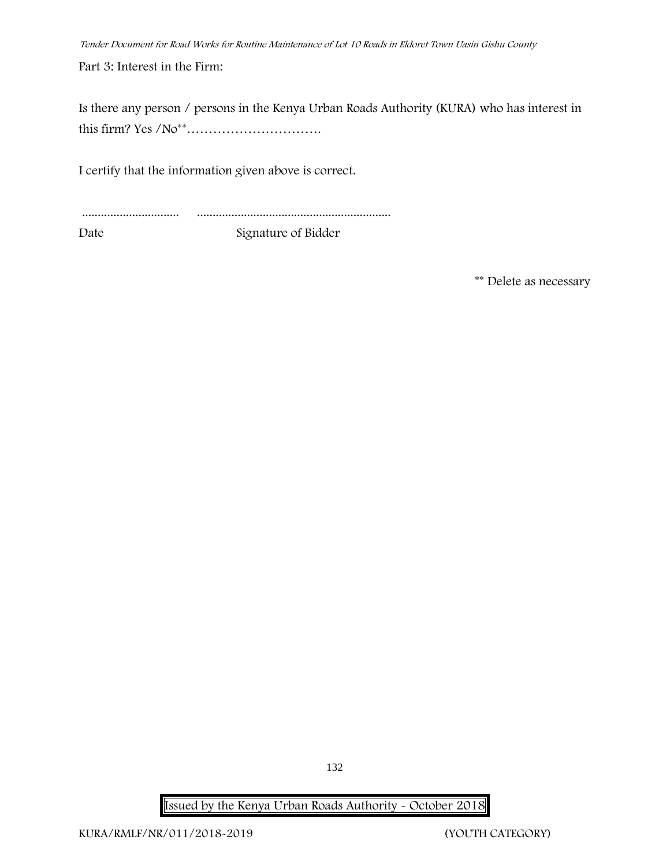**Part 3: Interest in the Firm:**

Is there any person / persons in the Kenya Urban Roads Authority (KURA) who has interest in this firm? Yes /No\*\*………………………….

I certify that the information given above is correct.

| Date | Signature of Bidder |
|------|---------------------|

**\*\* Delete as necessary**

132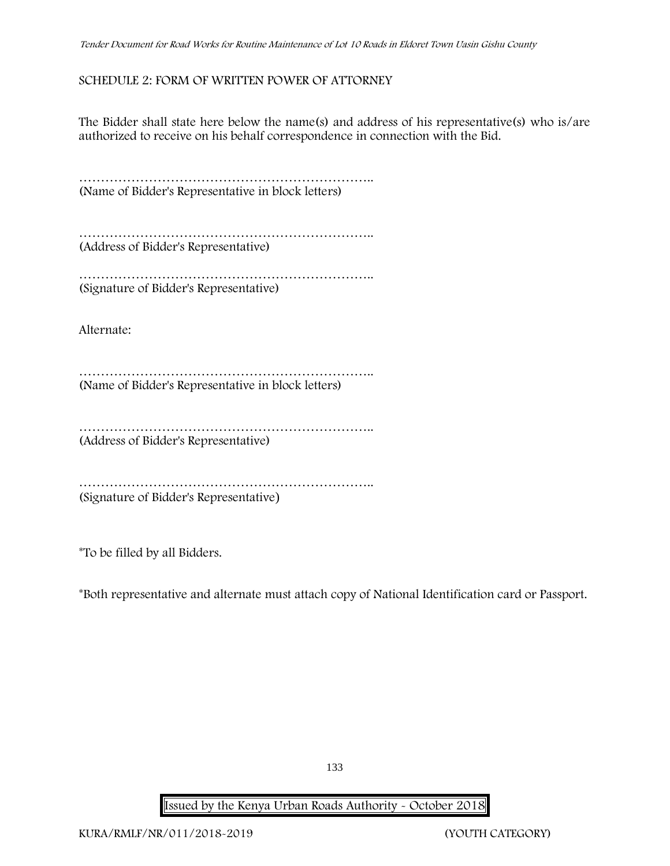## **SCHEDULE 2: FORM OF WRITTEN POWER OF ATTORNEY**

The Bidder shall state here below the name(s) and address of his representative(s) who is/are authorized to receive on his behalf correspondence in connection with the Bid.

…………………………………………………………………………… (Name of Bidder's Representative in block letters)

………………………………………………………….. (Address of Bidder's Representative)

…………………………………………………………………… (Signature of Bidder's Representative)

Alternate:

………………………………………………………….. (Name of Bidder's Representative in block letters)

………………………………………………………….. (Address of Bidder's Representative)

………………………………………………………….. (Signature of Bidder's Representative)

\*To be filled by all Bidders.

\*Both representative and alternate **must** attach copy of National Identification card or Passport.

133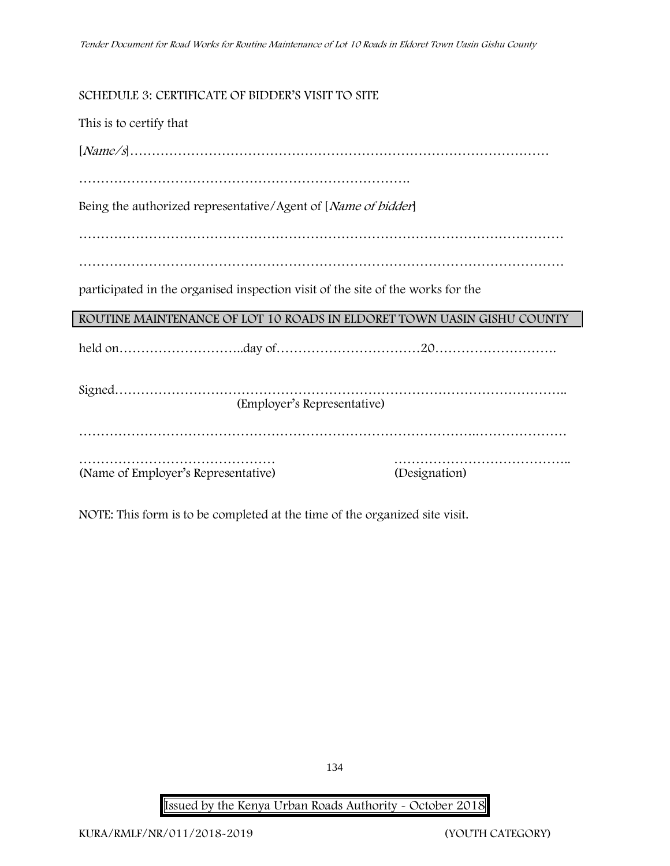# **SCHEDULE 3: CERTIFICATE OF BIDDER'S VISIT TO SITE**

| This is to certify that                                                         |               |  |  |  |  |
|---------------------------------------------------------------------------------|---------------|--|--|--|--|
|                                                                                 |               |  |  |  |  |
|                                                                                 |               |  |  |  |  |
| Being the authorized representative/Agent of [ <i>Name of bidder</i> ]          |               |  |  |  |  |
|                                                                                 |               |  |  |  |  |
|                                                                                 |               |  |  |  |  |
| participated in the organised inspection visit of the site of the works for the |               |  |  |  |  |
| ROUTINE MAINTENANCE OF LOT 10 ROADS IN ELDORET TOWN UASIN GISHU COUNTY          |               |  |  |  |  |
|                                                                                 |               |  |  |  |  |
| (Employer's Representative)                                                     |               |  |  |  |  |
|                                                                                 |               |  |  |  |  |
| (Name of Employer's Representative)                                             | (Designation) |  |  |  |  |

NOTE: This form is to be completed at the time of the organized site visit.

134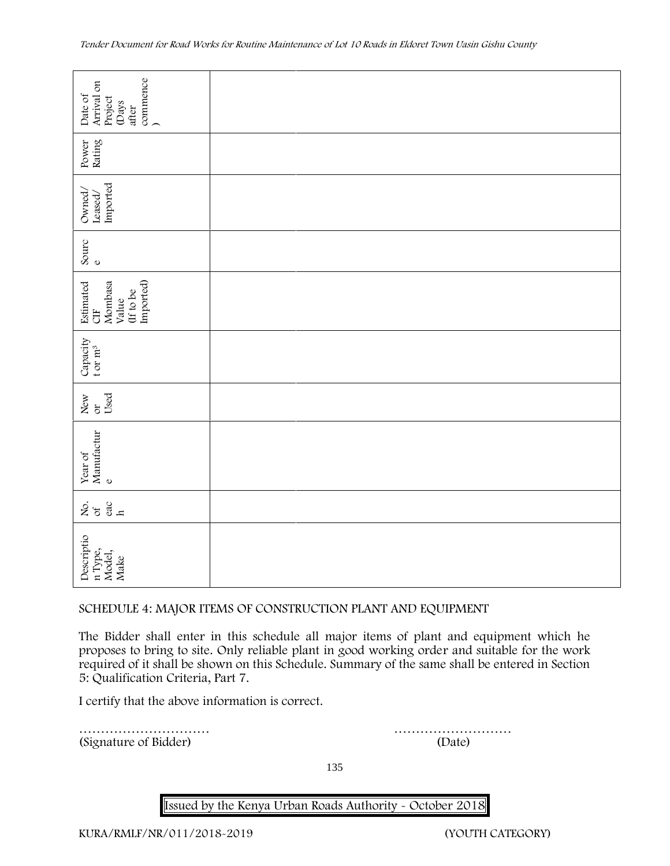| commence<br>Arrival on<br>Date of<br>Project<br>(Days<br>after       |                                                                                                                                                                                                                                                                                              |
|----------------------------------------------------------------------|----------------------------------------------------------------------------------------------------------------------------------------------------------------------------------------------------------------------------------------------------------------------------------------------|
| Rating<br>Power                                                      |                                                                                                                                                                                                                                                                                              |
| Imported<br>Owned,<br>Leased/                                        |                                                                                                                                                                                                                                                                                              |
| Sourc<br>$\mathbf 0$                                                 |                                                                                                                                                                                                                                                                                              |
| Imported)<br>Estimated<br>Mombasa<br>(If to be<br>Value<br><b>UE</b> |                                                                                                                                                                                                                                                                                              |
| Capacity<br>t or $m^3$                                               |                                                                                                                                                                                                                                                                                              |
| Used<br>New<br>or                                                    |                                                                                                                                                                                                                                                                                              |
| Manufactur<br>Year of<br>$\mathbf{o}$                                |                                                                                                                                                                                                                                                                                              |
| 258                                                                  |                                                                                                                                                                                                                                                                                              |
| Descriptio<br>n Type,<br>Model,<br>Make                              |                                                                                                                                                                                                                                                                                              |
|                                                                      | SCHEDULE 4: MAJOR ITEMS OF CONSTRUCTION PLANT AND EQUIPMENT                                                                                                                                                                                                                                  |
| 5: Qualification Criteria, Part 7.                                   | The Bidder shall enter in this schedule all major items of plant and equipment which he<br>proposes to bring to site. Only reliable plant in good working order and suitable for the work<br>required of it shall be shown on this Schedule. Summary of the same shall be entered in Section |
| I certify that the above information is correct.                     |                                                                                                                                                                                                                                                                                              |
| (Signature of Bidder)                                                | (Date)                                                                                                                                                                                                                                                                                       |

### **SCHEDULE 4: MAJOR ITEMS OF CONSTRUCTION PLANT AND EQUIPMENT**

135

**Issued by the Kenya Urban Roads Authority - October 2018**

**KURA/RMLF/NR/011/2018-2019 (YOUTH CATEGORY)**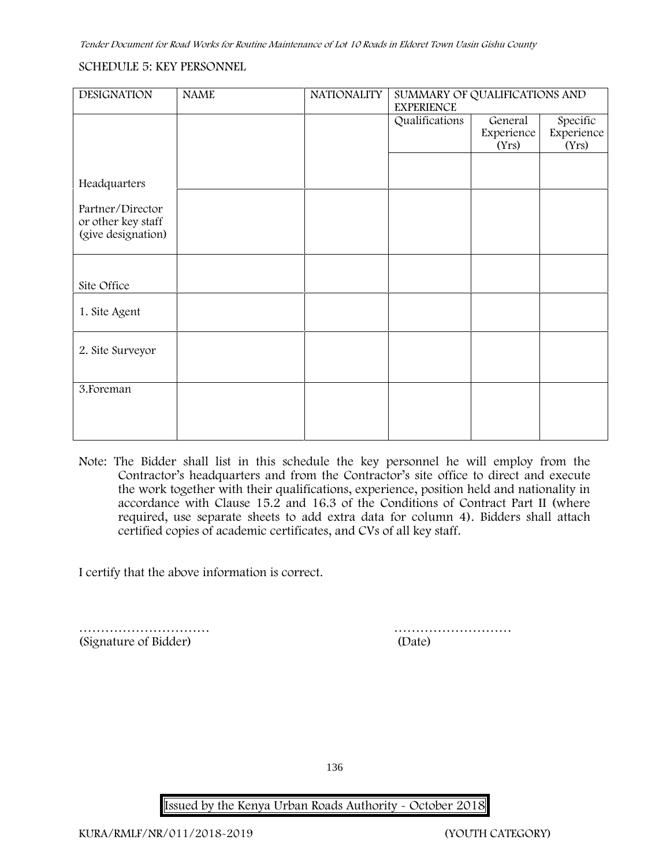### **SCHEDULE 5: KEY PERSONNEL**

| <b>DESIGNATION</b>                     | <b>NAME</b> | <b>NATIONALITY</b> | SUMMARY OF QUALIFICATIONS AND<br><b>EXPERIENCE</b> |                     |                     |
|----------------------------------------|-------------|--------------------|----------------------------------------------------|---------------------|---------------------|
|                                        |             |                    | Qualifications                                     | General             | Specific            |
|                                        |             |                    |                                                    | Experience<br>(Yrs) | Experience<br>(Yrs) |
|                                        |             |                    |                                                    |                     |                     |
| Headquarters                           |             |                    |                                                    |                     |                     |
| Partner/Director<br>or other key staff |             |                    |                                                    |                     |                     |
| (give designation)                     |             |                    |                                                    |                     |                     |
|                                        |             |                    |                                                    |                     |                     |
| Site Office                            |             |                    |                                                    |                     |                     |
| 1. Site Agent                          |             |                    |                                                    |                     |                     |
| 2. Site Surveyor                       |             |                    |                                                    |                     |                     |
|                                        |             |                    |                                                    |                     |                     |
| 3. Foreman                             |             |                    |                                                    |                     |                     |
|                                        |             |                    |                                                    |                     |                     |
|                                        |             |                    |                                                    |                     |                     |

**Note:** The Bidder shall list in this schedule the key personnel he will employ from the Contractor's headquarters and from the Contractor's site office to direct and execute the work together with their qualifications, experience, position held and nationality in accordance with Clause 15.2 and 16.3 of the Conditions of Contract Part II (where required, use separate sheets to add extra data for column 4). Bidders shall attach certified copies of academic certificates, and CVs of all key staff.

I certify that the above information is correct.

(Signature of Bidder) (Date)

………………………… ………………………

136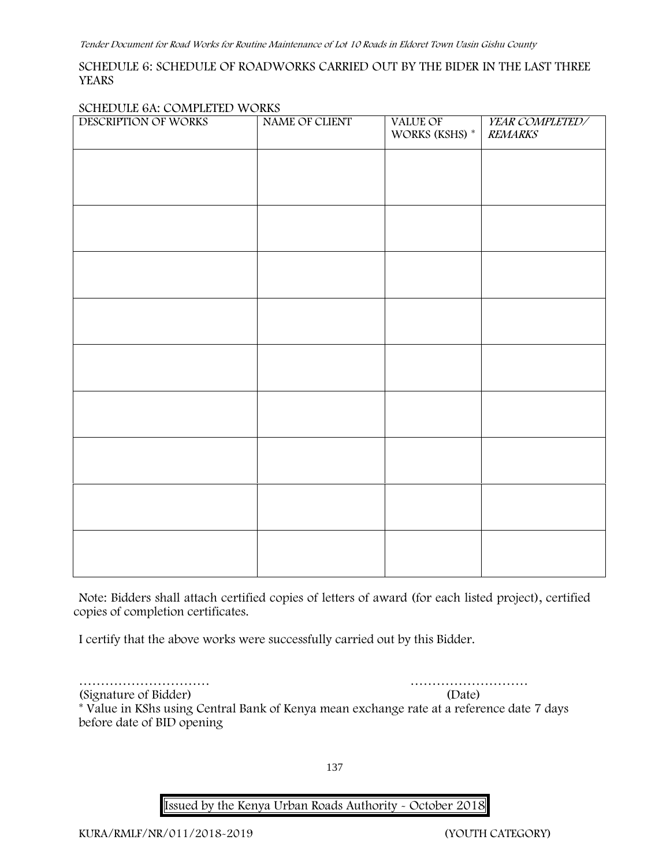### **SCHEDULE 6: SCHEDULE OF ROADWORKS CARRIED OUT BY THE BIDER IN THE LAST THREE YEARS**

### **SCHEDULE 6A: COMPLETED WORKS**

| DESCRIPTION OF WORKS | NAME OF CLIENT | VALUE OF<br>WORKS (KSHS) $^\ast$ | YEAR COMPLETED/<br><b>REMARKS</b> |
|----------------------|----------------|----------------------------------|-----------------------------------|
|                      |                |                                  |                                   |
|                      |                |                                  |                                   |
|                      |                |                                  |                                   |
|                      |                |                                  |                                   |
|                      |                |                                  |                                   |
|                      |                |                                  |                                   |
|                      |                |                                  |                                   |
|                      |                |                                  |                                   |
|                      |                |                                  |                                   |
|                      |                |                                  |                                   |
|                      |                |                                  |                                   |
|                      |                |                                  |                                   |
|                      |                |                                  |                                   |
|                      |                |                                  |                                   |

**Note:** Bidders shall attach certified copies of letters of award (for each listed project), certified copies of completion certificates.

I certify that the above works were successfully carried out by this Bidder.

………………………… ………………………

(Signature of Bidder) (Date) \* **Value in KShs using Central Bank of Kenya mean exchange rate at a reference date 7 days before date of BID opening**

137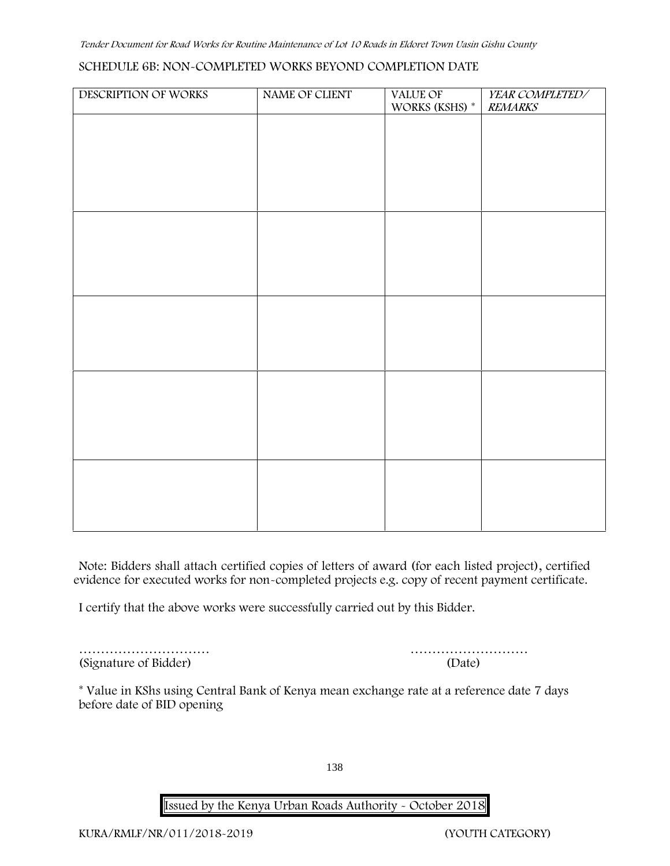### **SCHEDULE 6B: NON-COMPLETED WORKS BEYOND COMPLETION DATE**

| DESCRIPTION OF WORKS | NAME OF CLIENT | VALUE OF       | YEAR COMPLETED/ |
|----------------------|----------------|----------------|-----------------|
|                      |                | WORKS (KSHS) * | <b>REMARKS</b>  |
|                      |                |                |                 |
|                      |                |                |                 |
|                      |                |                |                 |
|                      |                |                |                 |
|                      |                |                |                 |
|                      |                |                |                 |
|                      |                |                |                 |
|                      |                |                |                 |
|                      |                |                |                 |
|                      |                |                |                 |
|                      |                |                |                 |
|                      |                |                |                 |
|                      |                |                |                 |
|                      |                |                |                 |
|                      |                |                |                 |
|                      |                |                |                 |
|                      |                |                |                 |
|                      |                |                |                 |
|                      |                |                |                 |
|                      |                |                |                 |
|                      |                |                |                 |
|                      |                |                |                 |
|                      |                |                |                 |

**Note:** Bidders shall attach certified copies of letters of award (for each listed project), certified evidence for executed works for non-completed projects e.g. copy of recent payment certificate.

I certify that the above works were successfully carried out by this Bidder.

(Signature of Bidder) (Date)

………………………… ………………………

\* **Value in KShs using Central Bank of Kenya mean exchange rate at a reference date 7 days before date of BID opening**

138

**Issued by the Kenya Urban Roads Authority - October 2018**

**KURA/RMLF/NR/011/2018-2019 (YOUTH CATEGORY)**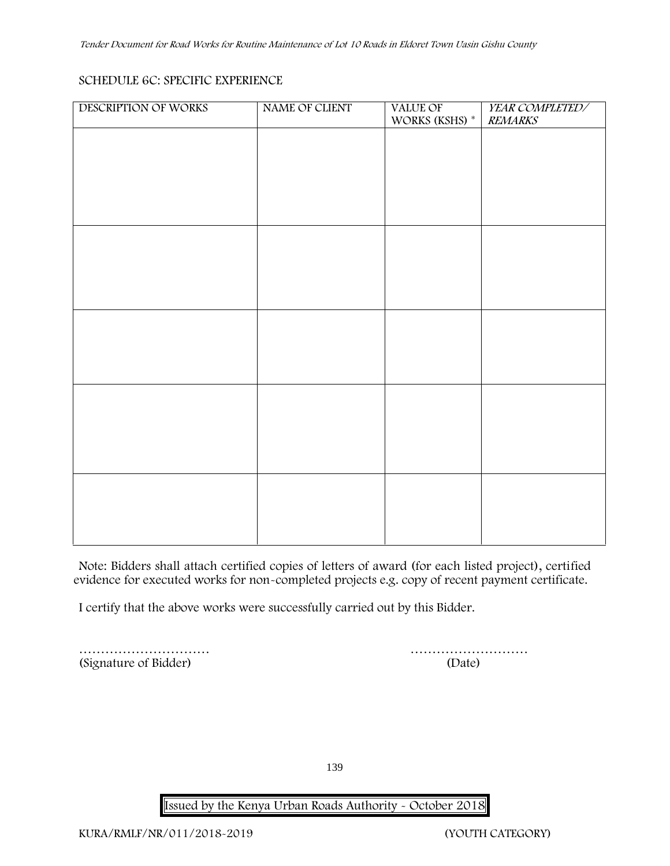# **SCHEDULE 6C: SPECIFIC EXPERIENCE**

| DESCRIPTION OF WORKS | NAME OF CLIENT | <b>VALUE OF</b><br>WORKS (KSHS) * | YEAR COMPLETED/<br><b>REMARKS</b> |
|----------------------|----------------|-----------------------------------|-----------------------------------|
|                      |                |                                   |                                   |
|                      |                |                                   |                                   |
|                      |                |                                   |                                   |
|                      |                |                                   |                                   |
|                      |                |                                   |                                   |
|                      |                |                                   |                                   |
|                      |                |                                   |                                   |
|                      |                |                                   |                                   |
|                      |                |                                   |                                   |
|                      |                |                                   |                                   |
|                      |                |                                   |                                   |
|                      |                |                                   |                                   |
|                      |                |                                   |                                   |
|                      |                |                                   |                                   |
|                      |                |                                   |                                   |
|                      |                |                                   |                                   |
|                      |                |                                   |                                   |

**Note:** Bidders shall attach certified copies of letters of award (for each listed project), certified evidence for executed works for non-completed projects e.g. copy of recent payment certificate.

I certify that the above works were successfully carried out by this Bidder.

|                       | .      |
|-----------------------|--------|
| (Signature of Bidder) | (Date) |

………………………

139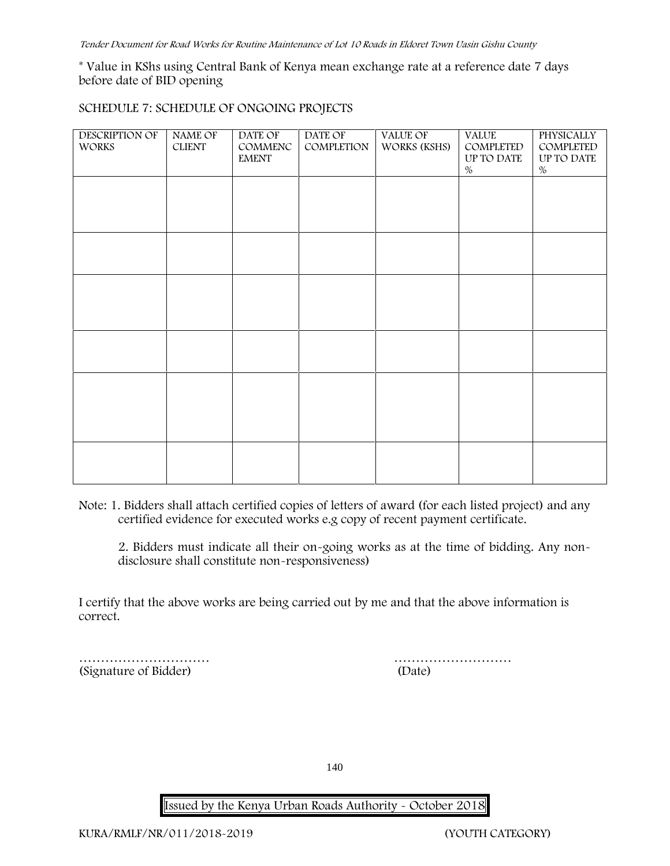\* **Value in KShs using Central Bank of Kenya mean exchange rate at a reference date 7 days before date of BID opening**

### **SCHEDULE 7: SCHEDULE OF ONGOING PROJECTS**

| DESCRIPTION OF<br><b>WORKS</b> | NAME OF<br><b>CLIENT</b> | DATE OF<br>COMMENC<br><b>EMENT</b> | DATE OF<br>COMPLETION | VALUE OF<br>WORKS (KSHS) | <b>VALUE</b><br>COMPLETED<br>UP TO DATE<br>$\%$ | PHYSICALLY<br>COMPLETED<br>UP TO DATE<br>$\%$ |  |
|--------------------------------|--------------------------|------------------------------------|-----------------------|--------------------------|-------------------------------------------------|-----------------------------------------------|--|
|                                |                          |                                    |                       |                          |                                                 |                                               |  |
|                                |                          |                                    |                       |                          |                                                 |                                               |  |
|                                |                          |                                    |                       |                          |                                                 |                                               |  |
|                                |                          |                                    |                       |                          |                                                 |                                               |  |
|                                |                          |                                    |                       |                          |                                                 |                                               |  |
|                                |                          |                                    |                       |                          |                                                 |                                               |  |

**Note:** 1. Bidders shall attach certified copies of letters of award (for each listed project) and any certified evidence for executed works e.g copy of recent payment certificate.

2. Bidders must indicate all their on-going works as at the time of bidding. Any non disclosure shall constitute non-responsiveness)

I certify that the above works are being carried out by me and that the above information is correct.

(Signature of Bidder) (Date)

………………………… ………………………

140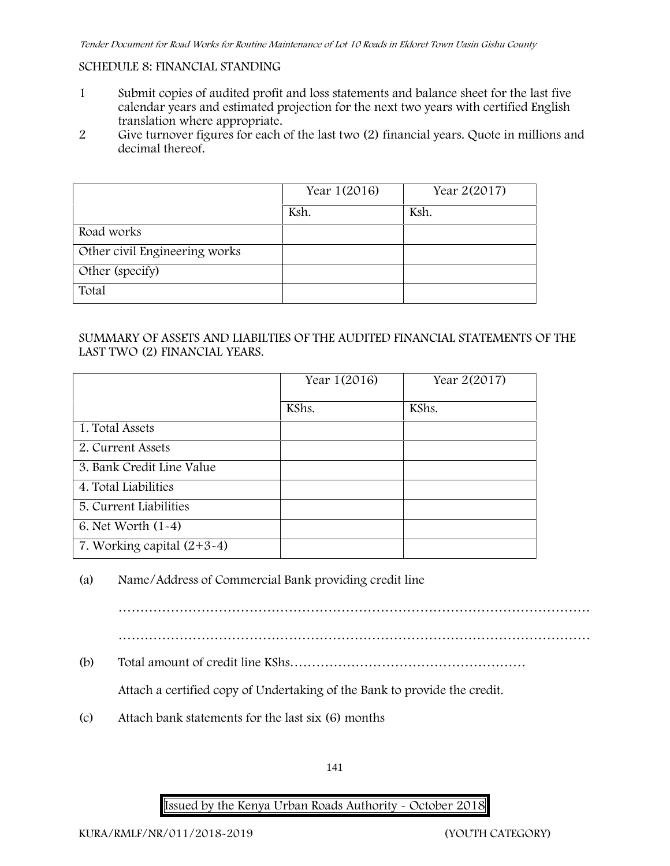### **SCHEDULE 8: FINANCIAL STANDING**

- 1 Submit copies of audited profit and loss statements and balance sheet for the last five calendar years and estimated projection for the next two years with certified English translation where appropriate.
- 2 Give turnover figures for each of the last two (2) financial years. Quote in millions and decimal thereof.

|                               | Year 1(2016) | Year 2(2017) |
|-------------------------------|--------------|--------------|
|                               | Ksh.         | Ksh.         |
| Road works                    |              |              |
| Other civil Engineering works |              |              |
| Other (specify)               |              |              |
| Total                         |              |              |

# **SUMMARY OF ASSETS AND LIABILTIES OF THE AUDITED FINANCIAL STATEMENTS OF THE LAST TWO (2) FINANCIAL YEARS.**

|                              | Year 1(2016) | Year 2(2017) |
|------------------------------|--------------|--------------|
|                              | KShs.        | KShs.        |
| 1. Total Assets              |              |              |
| 2. Current Assets            |              |              |
| 3. Bank Credit Line Value    |              |              |
| 4. Total Liabilities         |              |              |
| 5. Current Liabilities       |              |              |
| 6. Net Worth (1-4)           |              |              |
| 7. Working capital $(2+3-4)$ |              |              |

# (a) Name/Address of Commercial Bank providing credit line

………………………………………………………………………………………………

(b) Total amount of credit line KShs………………………………………………

Attach a certified copy of Undertaking of the Bank to provide the credit.

(c) Attach bank statements for the last six (6) months

141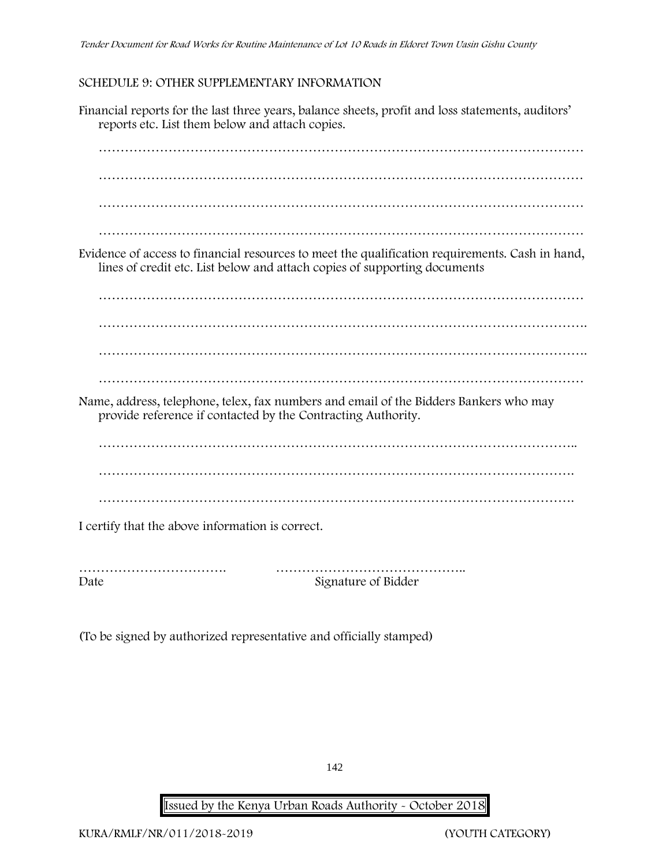# **SCHEDULE 9: OTHER SUPPLEMENTARY INFORMATION**

Financial reports for the last three years, balance sheets, profit and loss statements, auditors' reports etc. List them below and attach copies. ………………………………………………………………………………………………… ………………………………………………………………………………………………… ………………………………………………………………………………………………… Evidence of access to financial resources to meet the qualification requirements. Cash in hand, lines of credit etc. List below and attach copies of supporting documents ………………………………………………………………………………………………… …………………………………………………………………………………………………. …………………………………………………………………………………………………. ………………………………………………………………………………………………… Name, address, telephone, telex, fax numbers and email of the Bidders Bankers who may provide reference if contacted by the Contracting Authority. ……………………………………………………………………………………………….. ………………………………………………………………………………………………. ………………………………………………………………………………………………. I certify that the above information is correct.

……………………………. …………………………………….. Date Signature of Bidder

(To be signed by authorized representative and officially stamped)

142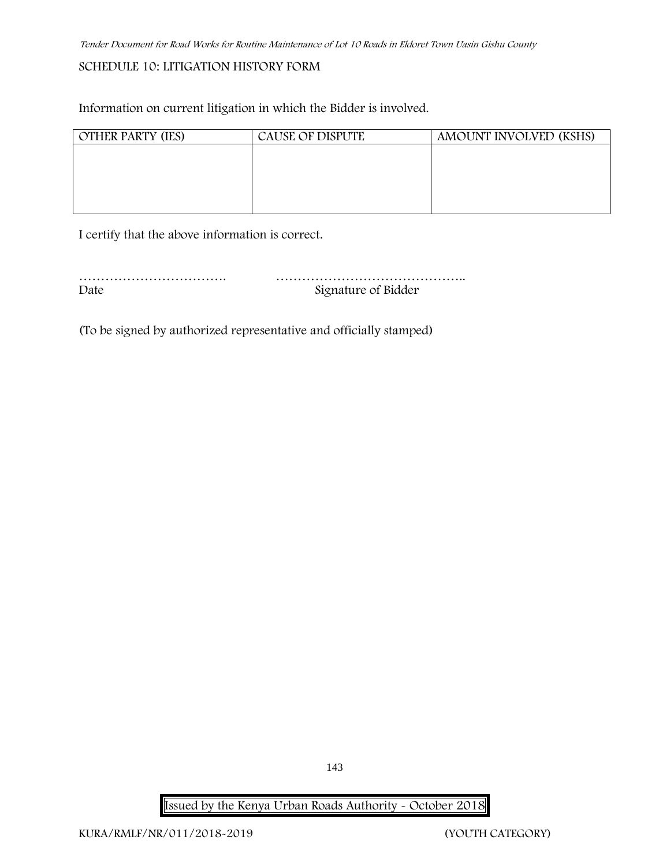# **SCHEDULE 10: LITIGATION HISTORY FORM**

Information on current litigation in which the Bidder is involved.

| <b>OTHER PARTY (IES)</b> | <b>CAUSE OF DISPUTE</b> | AMOUNT INVOLVED (KSHS) |
|--------------------------|-------------------------|------------------------|
|                          |                         |                        |
|                          |                         |                        |
|                          |                         |                        |
|                          |                         |                        |
|                          |                         |                        |

I certify that the above information is correct.

……………………………. …………………………………….. Date Signature of Bidder

(To be signed by authorized representative and officially stamped)

**Issued by the Kenya Urban Roads Authority - October 2018**

143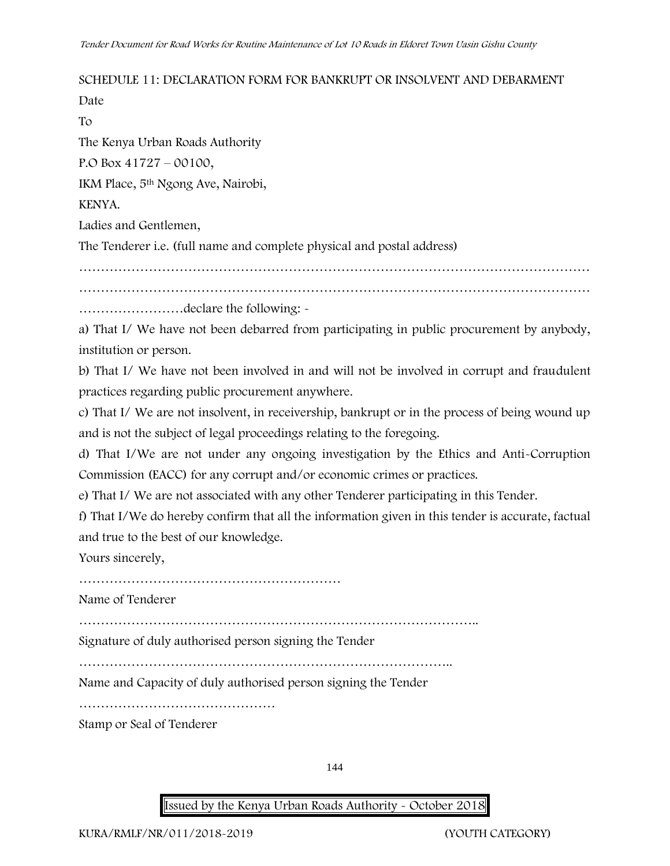# **SCHEDULE 11: DECLARATION FORM FOR BANKRUPT OR INSOLVENT AND DEBARMENT**

Date

To

The Kenya Urban Roads Authority

P.O Box 41727 – 00100,

IKM Place, 5th Ngong Ave, Nairobi,

### KENYA.

Ladies and Gentlemen,

The Tenderer i.e. (full name and complete physical and postal address)

………………………………………………………………………………………………………

………………………………………………………………………………………………………

……………………declare the following: -

a) That I/ We have not been debarred from participating in public procurement by anybody, institution or person.

b) That I/ We have not been involved in and will not be involved in corrupt and fraudulent practices regarding public procurement anywhere.

c) That I/ We are not insolvent, in receivership, bankrupt or in the process of being wound up and is not the subject of legal proceedings relating to the foregoing.

d) That I/We are not under any ongoing investigation by the Ethics and Anti-Corruption Commission (EACC) for any corrupt and/or economic crimes or practices.

e) That I/ We are not associated with any other Tenderer participating in this Tender.

f) That I/We do hereby confirm that all the information given in this tender is accurate, factual and true to the best of our knowledge.

Yours sincerely,

………………………………………………………………………………

Name of Tenderer

………………………………………………………………………………..

Signature of duly authorised person signing the Tender

…………………………………………………………………………..

Name and Capacity of duly authorised person signing the Tender

………………………………………

Stamp or Seal of Tenderer

144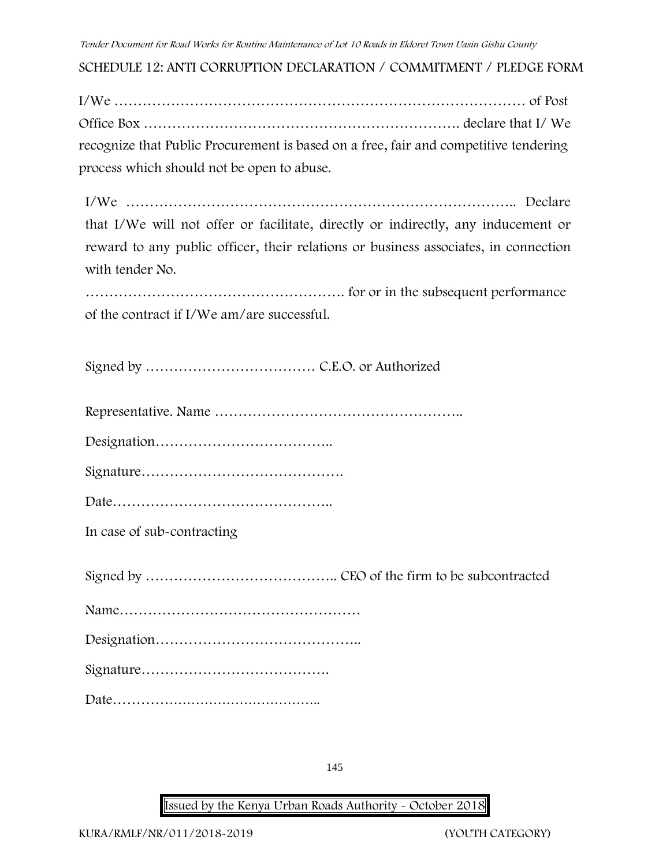**SCHEDULE 12: ANTI CORRUPTION DECLARATION / COMMITMENT / PLEDGE FORM**

| recognize that Public Procurement is based on a free, fair and competitive tendering |  |
|--------------------------------------------------------------------------------------|--|
| process which should not be open to abuse.                                           |  |

I/We ……………………………………………………………………….. Declare that I/We will not offer or facilitate, directly or indirectly, any inducement or reward to any public officer, their relations or business associates, in connection with tender No.

………………………………………………. for or in the subsequent performance of the contract if I/We am/are successful.

Signed by ……………………………… C.E.O. or Authorized

Representative. Name ……………………………………………..

Designation………………………………..

Signature…………………………………….

Date………………………………………..

**In case of sub-contracting**

Signed by ………………………………….. CEO of the firm to be subcontracted

Name……………………………………………

Designation……………………………………..

Signature………………………………….

Date………………………………………..

145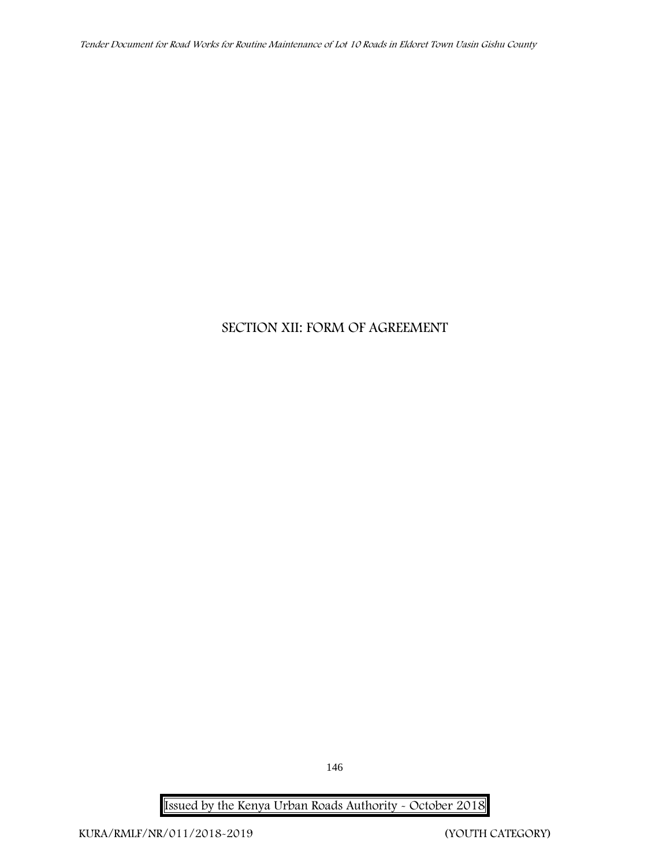*Tender Document for Road Works for Routine Maintenance of Lot 10 Roads in Eldoret Town Uasin Gishu County*

## **SECTION XII: FORM OF AGREEMENT**

**Issued by the Kenya Urban Roads Authority - October 2018**

146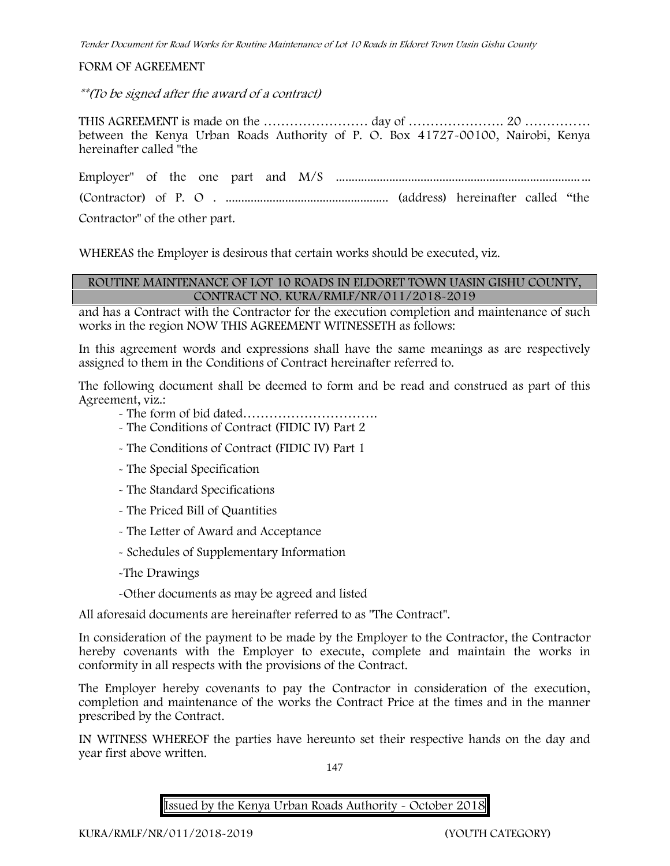#### **FORM OF AGREEMENT**

*\*\*(To be signed after the award of a contract)*

THIS AGREEMENT is made on the …………………… day of …………………. 20 …………… between the Kenya Urban Roads Authority of P. O. Box 41727-00100, Nairobi, Kenya hereinafter called "the

Employer" of the one part and M/S ................................................................................. (Contractor) of P. O . .................................................... (address) hereinafter called "the

Contractor" of the other part.

WHEREAS the Employer is desirous that certain works should be executed, viz.

#### **ROUTINE MAINTENANCE OF LOT 10 ROADS IN ELDORET TOWN UASIN GISHU COUNTY, CONTRACT NO. KURA/RMLF/NR/011/2018-2019**

and has a Contract with the Contractor for the execution completion and maintenance of such works in the region NOW THIS AGREEMENT WITNESSETH as follows:

In this agreement words and expressions shall have the same meanings as are respectively assigned to them in the Conditions of Contract hereinafter referred to.

The following document shall be deemed to form and be read and construed as part of this Agreement, viz.:

- The form of bid dated………………………….

- The Conditions of Contract (FIDIC IV) Part 2
- The Conditions of Contract (FIDIC IV) Part 1
- The Special Specification
- The Standard Specifications
- The Priced Bill of Quantities
- The Letter of Award and Acceptance
- Schedules of Supplementary Information

-The Drawings

-Other documents as may be agreed and listed

All aforesaid documents are hereinafter referred to as "The Contract".

In consideration of the payment to be made by the Employer to the Contractor, the Contractor hereby covenants with the Employer to execute, complete and maintain the works in conformity in all respects with the provisions of the Contract.

The Employer hereby covenants to pay the Contractor in consideration of the execution, completion and maintenance of the works the Contract Price at the times and in the manner prescribed by the Contract.

IN WITNESS WHEREOF the parties have hereunto set their respective hands on the day and year first above written.

147

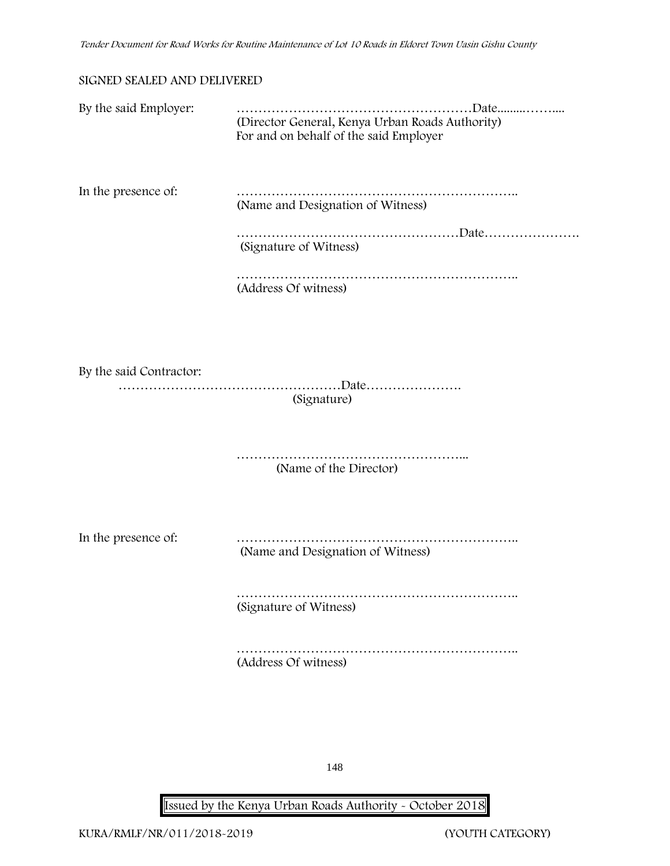#### **SIGNED SEALED AND DELIVERED**

| By the said Employer:   | (Director General, Kenya Urban Roads Authority)<br>For and on behalf of the said Employer |
|-------------------------|-------------------------------------------------------------------------------------------|
| In the presence of:     | (Name and Designation of Witness)                                                         |
|                         | (Signature of Witness)                                                                    |
|                         | (Address Of witness)                                                                      |
|                         |                                                                                           |
| By the said Contractor: |                                                                                           |
|                         | (Signature)                                                                               |
|                         | (Name of the Director)                                                                    |
| In the presence of:     | (Name and Designation of Witness)                                                         |
|                         | (Signature of Witness)                                                                    |
|                         | (Address Of witness)                                                                      |
|                         |                                                                                           |

148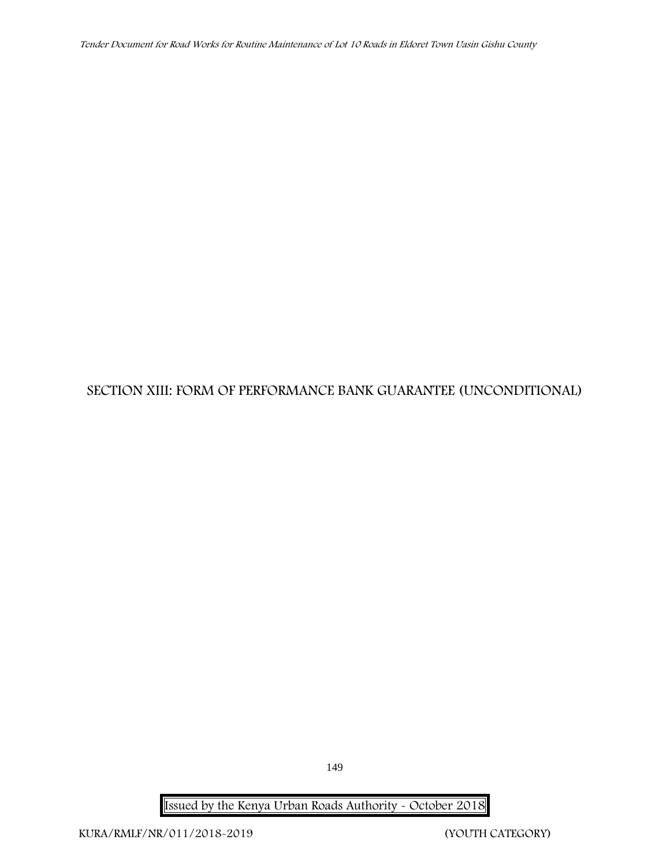*Tender Document for Road Works for Routine Maintenance of Lot 10 Roads in Eldoret Town Uasin Gishu County*

## **SECTION XIII: FORM OF PERFORMANCE BANK GUARANTEE (UNCONDITIONAL)**

149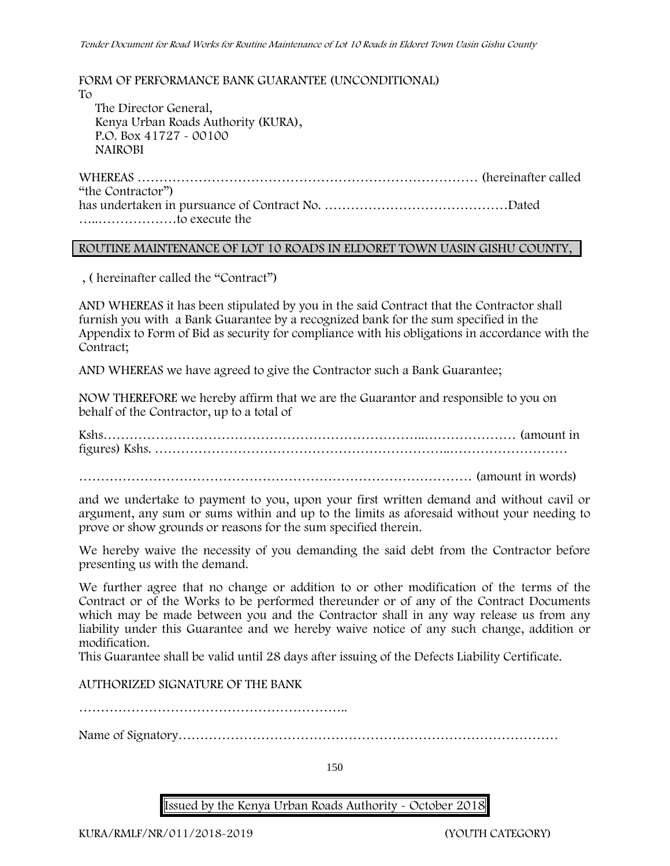**FORM OF PERFORMANCE BANK GUARANTEE (UNCONDITIONAL)** To The Director General, Kenya Urban Roads Authority (KURA), P.O. Box 41727 - 00100 **NAIROBI** WHEREAS …………………………………………………………………… (hereinafter called "the Contractor")

has undertaken in pursuance of Contract No. ……………………………………Dated …..………………to execute the

#### **ROUTINE MAINTENANCE OF LOT 10 ROADS IN ELDORET TOWN UASIN GISHU COUNTY,**

, ( hereinafter called the "Contract")

AND WHEREAS it has been stipulated by you in the said Contract that the Contractor shall furnish you with a Bank Guarantee by a recognized bank for the sum specified in the Appendix to Form of Bid as security for compliance with his obligations in accordance with the Contract;

AND WHEREAS we have agreed to give the Contractor such a Bank Guarantee;

NOW THEREFORE we hereby affirm that we are the Guarantor and responsible to you on behalf of the Contractor, up to a total of

Kshs………………………………………………………………..………………… (amount in figures) Kshs. …………………………………………………………..………………………

……………………………………………………………………………… (amount in words)

and we undertake to payment to you, upon your first written demand and without cavil or argument, any sum or sums within and up to the limits as aforesaid without your needing to prove or show grounds or reasons for the sum specified therein.

We hereby waive the necessity of you demanding the said debt from the Contractor before presenting us with the demand.

We further agree that no change or addition to or other modification of the terms of the Contract or of the Works to be performed thereunder or of any of the Contract Documents which may be made between you and the Contractor shall in any way release us from any liability under this Guarantee and we hereby waive notice of any such change, addition or modification.

This Guarantee shall be valid until 28 days after issuing of the Defects Liability Certificate.

AUTHORIZED SIGNATURE OF THE BANK

Name of Signatory……………………………………………………………………………

150